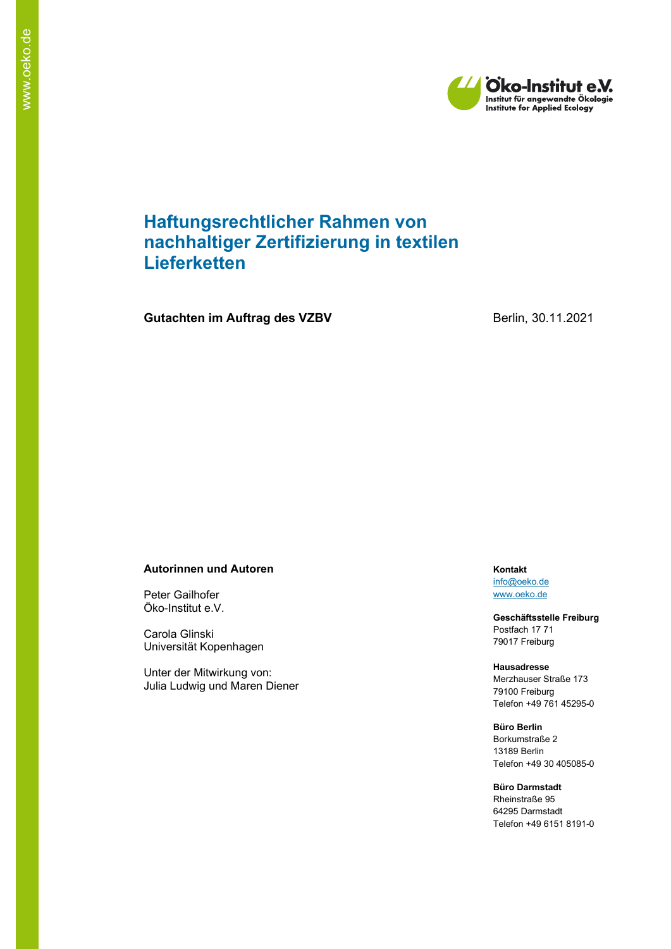

## **Haftungsrechtlicher Rahmen von nachhaltiger Zertifizierung in textilen Lieferketten**

Gutachten im Auftrag des VZBV Berlin, 30.11.2021

#### **Autorinnen und Autoren**

Peter Gailhofer Öko-Institut e.V.

Carola Glinski Universität Kopenhagen

Unter der Mitwirkung von: Julia Ludwig und Maren Diener **Kontakt** [info@oeko.de](mailto:info@oeko.de) [www.oeko.de](http://www.oeko.de/)

**Geschäftsstelle Freiburg** Postfach 17 71 79017 Freiburg

**Hausadresse** Merzhauser Straße 173 79100 Freiburg Telefon +49 761 45295-0

**Büro Berlin** Borkumstraße 2 13189 Berlin Telefon +49 30 405085-0

**Büro Darmstadt** Rheinstraße 95 64295 Darmstadt Telefon +49 6151 8191-0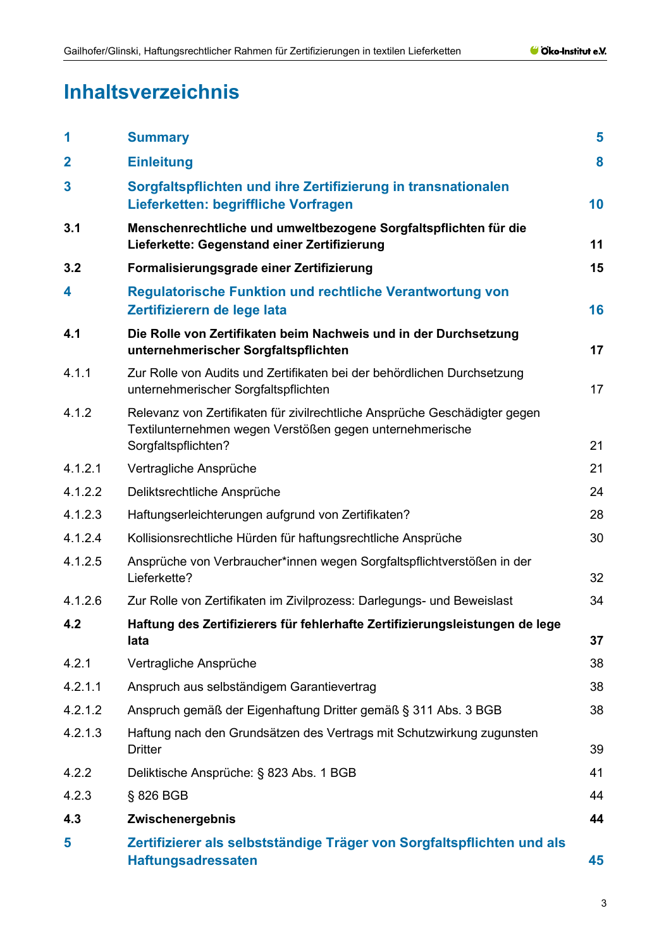# **Inhaltsverzeichnis**

| 1            | <b>Summary</b>                                                                                                                                                | 5  |
|--------------|---------------------------------------------------------------------------------------------------------------------------------------------------------------|----|
| $\mathbf{2}$ | <b>Einleitung</b>                                                                                                                                             | 8  |
| 3            | Sorgfaltspflichten und ihre Zertifizierung in transnationalen<br>Lieferketten: begriffliche Vorfragen                                                         | 10 |
| 3.1          | Menschenrechtliche und umweltbezogene Sorgfaltspflichten für die<br>Lieferkette: Gegenstand einer Zertifizierung                                              | 11 |
| 3.2          | Formalisierungsgrade einer Zertifizierung                                                                                                                     | 15 |
| 4            | <b>Regulatorische Funktion und rechtliche Verantwortung von</b><br>Zertifizierern de lege lata                                                                | 16 |
| 4.1          | Die Rolle von Zertifikaten beim Nachweis und in der Durchsetzung<br>unternehmerischer Sorgfaltspflichten                                                      | 17 |
| 4.1.1        | Zur Rolle von Audits und Zertifikaten bei der behördlichen Durchsetzung<br>unternehmerischer Sorgfaltspflichten                                               | 17 |
| 4.1.2        | Relevanz von Zertifikaten für zivilrechtliche Ansprüche Geschädigter gegen<br>Textilunternehmen wegen Verstößen gegen unternehmerische<br>Sorgfaltspflichten? | 21 |
| 4.1.2.1      | Vertragliche Ansprüche                                                                                                                                        | 21 |
| 4.1.2.2      | Deliktsrechtliche Ansprüche                                                                                                                                   | 24 |
| 4.1.2.3      | Haftungserleichterungen aufgrund von Zertifikaten?                                                                                                            | 28 |
| 4.1.2.4      | Kollisionsrechtliche Hürden für haftungsrechtliche Ansprüche                                                                                                  | 30 |
| 4.1.2.5      | Ansprüche von Verbraucher*innen wegen Sorgfaltspflichtverstößen in der<br>Lieferkette?                                                                        | 32 |
| 4.1.2.6      | Zur Rolle von Zertifikaten im Zivilprozess: Darlegungs- und Beweislast                                                                                        | 34 |
| 4.2          | Haftung des Zertifizierers für fehlerhafte Zertifizierungsleistungen de lege<br>lata                                                                          | 37 |
| 4.2.1        | Vertragliche Ansprüche                                                                                                                                        | 38 |
| 4.2.1.1      | Anspruch aus selbständigem Garantievertrag                                                                                                                    | 38 |
| 4.2.1.2      | Anspruch gemäß der Eigenhaftung Dritter gemäß § 311 Abs. 3 BGB                                                                                                | 38 |
| 4.2.1.3      | Haftung nach den Grundsätzen des Vertrags mit Schutzwirkung zugunsten<br><b>Dritter</b>                                                                       | 39 |
| 4.2.2        | Deliktische Ansprüche: § 823 Abs. 1 BGB                                                                                                                       | 41 |
| 4.2.3        | §826 BGB                                                                                                                                                      | 44 |
| 4.3          | Zwischenergebnis                                                                                                                                              | 44 |
| 5            | Zertifizierer als selbstständige Träger von Sorgfaltspflichten und als<br><b>Haftungsadressaten</b>                                                           | 45 |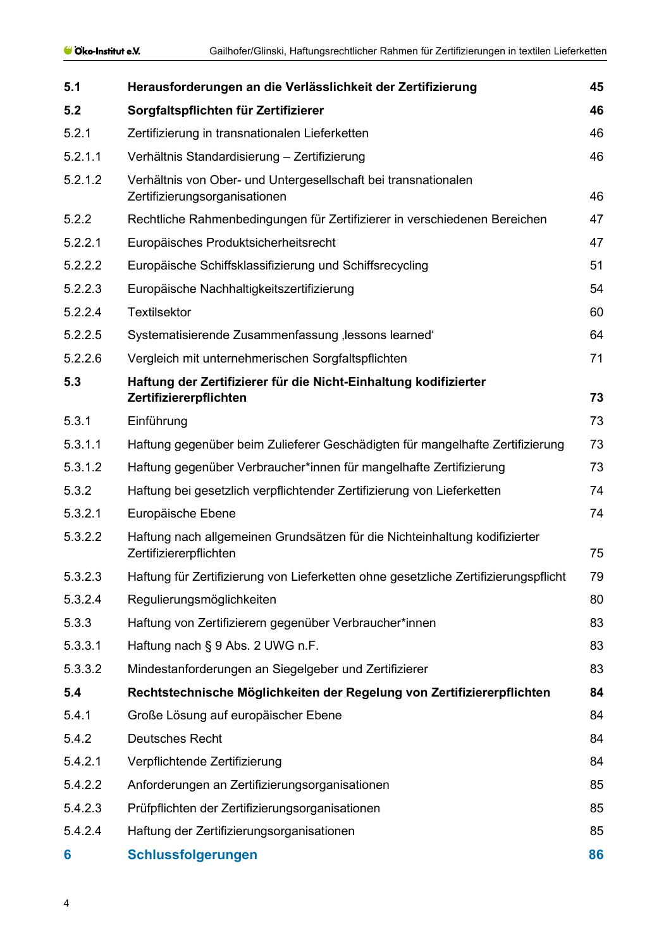| 5.1     | Herausforderungen an die Verlässlichkeit der Zertifizierung                                          | 45 |
|---------|------------------------------------------------------------------------------------------------------|----|
| 5.2     | Sorgfaltspflichten für Zertifizierer                                                                 | 46 |
| 5.2.1   | Zertifizierung in transnationalen Lieferketten                                                       | 46 |
| 5.2.1.1 | Verhältnis Standardisierung - Zertifizierung                                                         | 46 |
| 5.2.1.2 | Verhältnis von Ober- und Untergesellschaft bei transnationalen<br>Zertifizierungsorganisationen      | 46 |
| 5.2.2   | Rechtliche Rahmenbedingungen für Zertifizierer in verschiedenen Bereichen                            | 47 |
| 5.2.2.1 | Europäisches Produktsicherheitsrecht                                                                 | 47 |
| 5.2.2.2 | Europäische Schiffsklassifizierung und Schiffsrecycling                                              | 51 |
| 5.2.2.3 | Europäische Nachhaltigkeitszertifizierung                                                            | 54 |
| 5.2.2.4 | <b>Textilsektor</b>                                                                                  | 60 |
| 5.2.2.5 | Systematisierende Zusammenfassung , lessons learned'                                                 | 64 |
| 5.2.2.6 | Vergleich mit unternehmerischen Sorgfaltspflichten                                                   | 71 |
| 5.3     | Haftung der Zertifizierer für die Nicht-Einhaltung kodifizierter<br>Zertifiziererpflichten           | 73 |
| 5.3.1   | Einführung                                                                                           | 73 |
| 5.3.1.1 | Haftung gegenüber beim Zulieferer Geschädigten für mangelhafte Zertifizierung                        | 73 |
| 5.3.1.2 | Haftung gegenüber Verbraucher*innen für mangelhafte Zertifizierung                                   | 73 |
| 5.3.2   | Haftung bei gesetzlich verpflichtender Zertifizierung von Lieferketten                               | 74 |
| 5.3.2.1 | Europäische Ebene                                                                                    | 74 |
| 5.3.2.2 | Haftung nach allgemeinen Grundsätzen für die Nichteinhaltung kodifizierter<br>Zertifiziererpflichten | 75 |
| 5.3.2.3 | Haftung für Zertifizierung von Lieferketten ohne gesetzliche Zertifizierungspflicht                  | 79 |
| 5.3.2.4 | Regulierungsmöglichkeiten                                                                            | 80 |
| 5.3.3   | Haftung von Zertifizierern gegenüber Verbraucher*innen                                               | 83 |
| 5.3.3.1 | Haftung nach § 9 Abs. 2 UWG n.F.                                                                     | 83 |
| 5.3.3.2 | Mindestanforderungen an Siegelgeber und Zertifizierer                                                | 83 |
| 5.4     | Rechtstechnische Möglichkeiten der Regelung von Zertifiziererpflichten                               | 84 |
| 5.4.1   | Große Lösung auf europäischer Ebene                                                                  | 84 |
| 5.4.2   | <b>Deutsches Recht</b>                                                                               | 84 |
| 5.4.2.1 | Verpflichtende Zertifizierung                                                                        | 84 |
| 5.4.2.2 | Anforderungen an Zertifizierungsorganisationen                                                       | 85 |
| 5.4.2.3 | Prüfpflichten der Zertifizierungsorganisationen                                                      | 85 |
| 5.4.2.4 | Haftung der Zertifizierungsorganisationen                                                            | 85 |
| 6       | Schlussfolgerungen                                                                                   | 86 |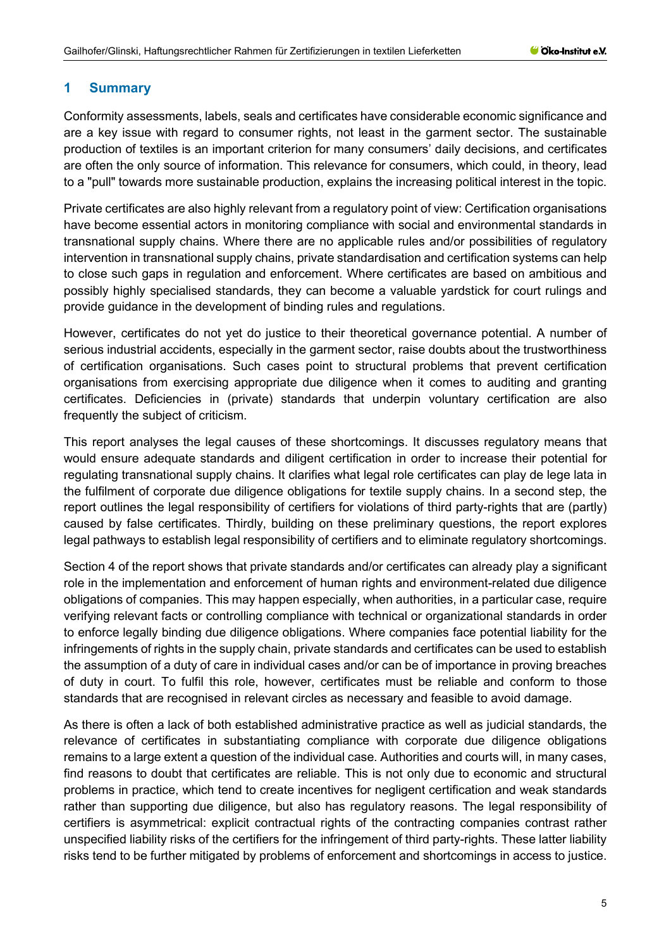#### <span id="page-4-0"></span>**1 Summary**

Conformity assessments, labels, seals and certificates have considerable economic significance and are a key issue with regard to consumer rights, not least in the garment sector. The sustainable production of textiles is an important criterion for many consumers' daily decisions, and certificates are often the only source of information. This relevance for consumers, which could, in theory, lead to a "pull" towards more sustainable production, explains the increasing political interest in the topic.

Private certificates are also highly relevant from a regulatory point of view: Certification organisations have become essential actors in monitoring compliance with social and environmental standards in transnational supply chains. Where there are no applicable rules and/or possibilities of regulatory intervention in transnational supply chains, private standardisation and certification systems can help to close such gaps in regulation and enforcement. Where certificates are based on ambitious and possibly highly specialised standards, they can become a valuable yardstick for court rulings and provide guidance in the development of binding rules and regulations.

However, certificates do not yet do justice to their theoretical governance potential. A number of serious industrial accidents, especially in the garment sector, raise doubts about the trustworthiness of certification organisations. Such cases point to structural problems that prevent certification organisations from exercising appropriate due diligence when it comes to auditing and granting certificates. Deficiencies in (private) standards that underpin voluntary certification are also frequently the subject of criticism.

This report analyses the legal causes of these shortcomings. It discusses regulatory means that would ensure adequate standards and diligent certification in order to increase their potential for regulating transnational supply chains. It clarifies what legal role certificates can play de lege lata in the fulfilment of corporate due diligence obligations for textile supply chains. In a second step, the report outlines the legal responsibility of certifiers for violations of third party-rights that are (partly) caused by false certificates. Thirdly, building on these preliminary questions, the report explores legal pathways to establish legal responsibility of certifiers and to eliminate regulatory shortcomings.

Section 4 of the report shows that private standards and/or certificates can already play a significant role in the implementation and enforcement of human rights and environment-related due diligence obligations of companies. This may happen especially, when authorities, in a particular case, require verifying relevant facts or controlling compliance with technical or organizational standards in order to enforce legally binding due diligence obligations. Where companies face potential liability for the infringements of rights in the supply chain, private standards and certificates can be used to establish the assumption of a duty of care in individual cases and/or can be of importance in proving breaches of duty in court. To fulfil this role, however, certificates must be reliable and conform to those standards that are recognised in relevant circles as necessary and feasible to avoid damage.

As there is often a lack of both established administrative practice as well as judicial standards, the relevance of certificates in substantiating compliance with corporate due diligence obligations remains to a large extent a question of the individual case. Authorities and courts will, in many cases, find reasons to doubt that certificates are reliable. This is not only due to economic and structural problems in practice, which tend to create incentives for negligent certification and weak standards rather than supporting due diligence, but also has regulatory reasons. The legal responsibility of certifiers is asymmetrical: explicit contractual rights of the contracting companies contrast rather unspecified liability risks of the certifiers for the infringement of third party-rights. These latter liability risks tend to be further mitigated by problems of enforcement and shortcomings in access to justice.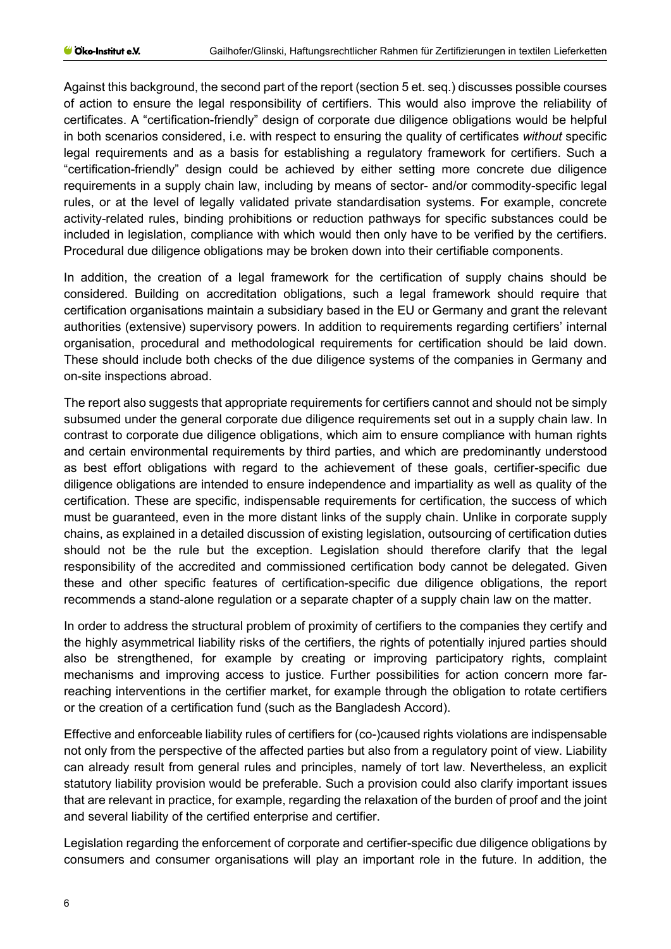Against this background, the second part of the report (section 5 et. seq.) discusses possible courses of action to ensure the legal responsibility of certifiers. This would also improve the reliability of certificates. A "certification-friendly" design of corporate due diligence obligations would be helpful in both scenarios considered, i.e. with respect to ensuring the quality of certificates *without* specific legal requirements and as a basis for establishing a regulatory framework for certifiers. Such a "certification-friendly" design could be achieved by either setting more concrete due diligence requirements in a supply chain law, including by means of sector- and/or commodity-specific legal rules, or at the level of legally validated private standardisation systems. For example, concrete activity-related rules, binding prohibitions or reduction pathways for specific substances could be included in legislation, compliance with which would then only have to be verified by the certifiers. Procedural due diligence obligations may be broken down into their certifiable components.

In addition, the creation of a legal framework for the certification of supply chains should be considered. Building on accreditation obligations, such a legal framework should require that certification organisations maintain a subsidiary based in the EU or Germany and grant the relevant authorities (extensive) supervisory powers. In addition to requirements regarding certifiers' internal organisation, procedural and methodological requirements for certification should be laid down. These should include both checks of the due diligence systems of the companies in Germany and on-site inspections abroad.

The report also suggests that appropriate requirements for certifiers cannot and should not be simply subsumed under the general corporate due diligence requirements set out in a supply chain law. In contrast to corporate due diligence obligations, which aim to ensure compliance with human rights and certain environmental requirements by third parties, and which are predominantly understood as best effort obligations with regard to the achievement of these goals, certifier-specific due diligence obligations are intended to ensure independence and impartiality as well as quality of the certification. These are specific, indispensable requirements for certification, the success of which must be guaranteed, even in the more distant links of the supply chain. Unlike in corporate supply chains, as explained in a detailed discussion of existing legislation, outsourcing of certification duties should not be the rule but the exception. Legislation should therefore clarify that the legal responsibility of the accredited and commissioned certification body cannot be delegated. Given these and other specific features of certification-specific due diligence obligations, the report recommends a stand-alone regulation or a separate chapter of a supply chain law on the matter.

In order to address the structural problem of proximity of certifiers to the companies they certify and the highly asymmetrical liability risks of the certifiers, the rights of potentially injured parties should also be strengthened, for example by creating or improving participatory rights, complaint mechanisms and improving access to justice. Further possibilities for action concern more farreaching interventions in the certifier market, for example through the obligation to rotate certifiers or the creation of a certification fund (such as the Bangladesh Accord).

Effective and enforceable liability rules of certifiers for (co-)caused rights violations are indispensable not only from the perspective of the affected parties but also from a regulatory point of view. Liability can already result from general rules and principles, namely of tort law. Nevertheless, an explicit statutory liability provision would be preferable. Such a provision could also clarify important issues that are relevant in practice, for example, regarding the relaxation of the burden of proof and the joint and several liability of the certified enterprise and certifier.

Legislation regarding the enforcement of corporate and certifier-specific due diligence obligations by consumers and consumer organisations will play an important role in the future. In addition, the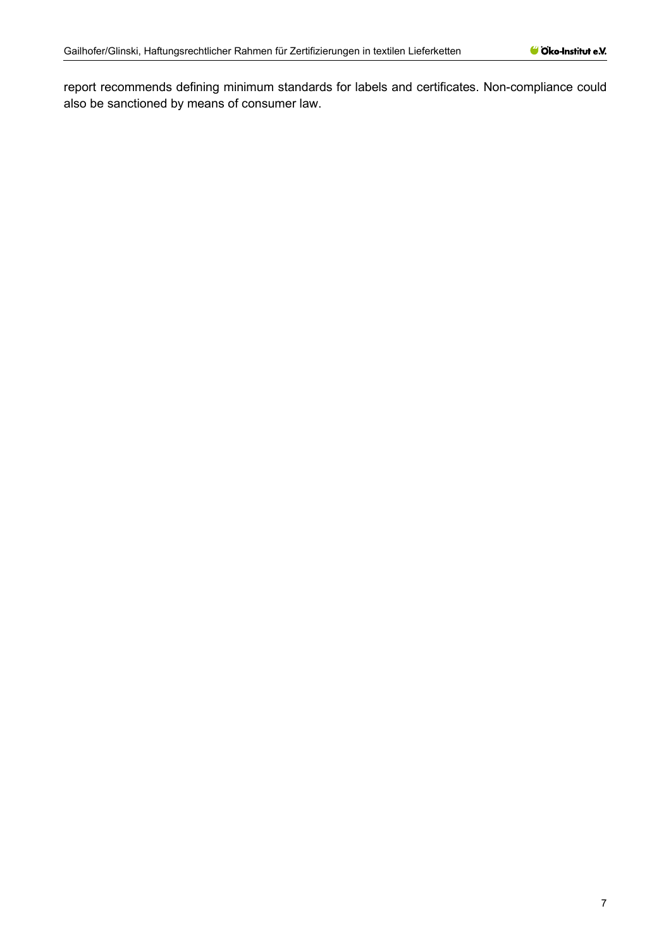report recommends defining minimum standards for labels and certificates. Non-compliance could also be sanctioned by means of consumer law.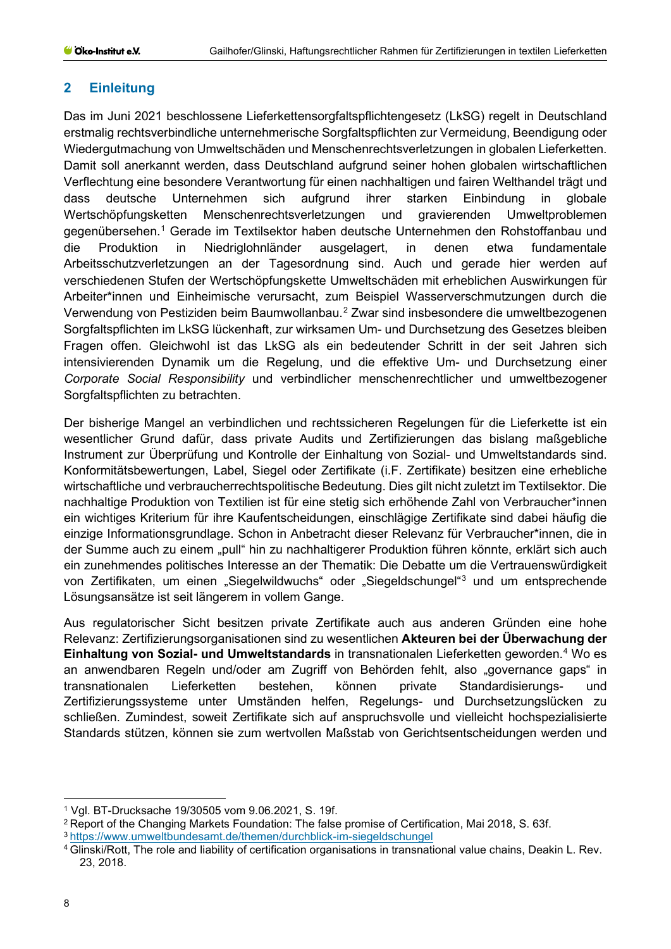#### <span id="page-7-0"></span>**2 Einleitung**

Das im Juni 2021 beschlossene Lieferkettensorgfaltspflichtengesetz (LkSG) regelt in Deutschland erstmalig rechtsverbindliche unternehmerische Sorgfaltspflichten zur Vermeidung, Beendigung oder Wiedergutmachung von Umweltschäden und Menschenrechtsverletzungen in globalen Lieferketten. Damit soll anerkannt werden, dass Deutschland aufgrund seiner hohen globalen wirtschaftlichen Verflechtung eine besondere Verantwortung für einen nachhaltigen und fairen Welthandel trägt und dass deutsche Unternehmen sich aufgrund ihrer starken Einbindung in globale Wertschöpfungsketten Menschenrechtsverletzungen und gravierenden Umweltproblemen gegenübersehen.[1](#page-7-1) Gerade im Textilsektor haben deutsche Unternehmen den Rohstoffanbau und die Produktion in Niedriglohnländer ausgelagert, in denen etwa fundamentale Arbeitsschutzverletzungen an der Tagesordnung sind. Auch und gerade hier werden auf verschiedenen Stufen der Wertschöpfungskette Umweltschäden mit erheblichen Auswirkungen für Arbeiter\*innen und Einheimische verursacht, zum Beispiel Wasserverschmutzungen durch die Verwendung von Pestiziden beim Baumwollanbau. [2](#page-7-2) Zwar sind insbesondere die umweltbezogenen Sorgfaltspflichten im LkSG lückenhaft, zur wirksamen Um- und Durchsetzung des Gesetzes bleiben Fragen offen. Gleichwohl ist das LkSG als ein bedeutender Schritt in der seit Jahren sich intensivierenden Dynamik um die Regelung, und die effektive Um- und Durchsetzung einer *Corporate Social Responsibility* und verbindlicher menschenrechtlicher und umweltbezogener Sorgfaltspflichten zu betrachten.

Der bisherige Mangel an verbindlichen und rechtssicheren Regelungen für die Lieferkette ist ein wesentlicher Grund dafür, dass private Audits und Zertifizierungen das bislang maßgebliche Instrument zur Überprüfung und Kontrolle der Einhaltung von Sozial- und Umweltstandards sind. Konformitätsbewertungen, Label, Siegel oder Zertifikate (i.F. Zertifikate) besitzen eine erhebliche wirtschaftliche und verbraucherrechtspolitische Bedeutung. Dies gilt nicht zuletzt im Textilsektor. Die nachhaltige Produktion von Textilien ist für eine stetig sich erhöhende Zahl von Verbraucher\*innen ein wichtiges Kriterium für ihre Kaufentscheidungen, einschlägige Zertifikate sind dabei häufig die einzige Informationsgrundlage. Schon in Anbetracht dieser Relevanz für Verbraucher\*innen, die in der Summe auch zu einem "pull" hin zu nachhaltigerer Produktion führen könnte, erklärt sich auch ein zunehmendes politisches Interesse an der Thematik: Die Debatte um die Vertrauenswürdigkeit von Zertifikaten, um einen "Siegelwildwuchs" oder "Siegeldschungel"<sup>[3](#page-7-3)</sup> und um entsprechende Lösungsansätze ist seit längerem in vollem Gange.

Aus regulatorischer Sicht besitzen private Zertifikate auch aus anderen Gründen eine hohe Relevanz: Zertifizierungsorganisationen sind zu wesentlichen **Akteuren bei der Überwachung der Einhaltung von Sozial- und Umweltstandards** in transnationalen Lieferketten geworden. [4](#page-7-4) Wo es an anwendbaren Regeln und/oder am Zugriff von Behörden fehlt, also "governance gaps" in transnationalen Lieferketten bestehen, können private Standardisierungs- und Zertifizierungssysteme unter Umständen helfen, Regelungs- und Durchsetzungslücken zu schließen. Zumindest, soweit Zertifikate sich auf anspruchsvolle und vielleicht hochspezialisierte Standards stützen, können sie zum wertvollen Maßstab von Gerichtsentscheidungen werden und

<span id="page-7-1"></span><sup>1</sup> Vgl. BT-Drucksache 19/30505 vom 9.06.2021, S. 19f.

<span id="page-7-2"></span><sup>2</sup> Report of the Changing Markets Foundation: The false promise of Certification, Mai 2018, S. 63f. <sup>3</sup> <https://www.umweltbundesamt.de/themen/durchblick-im-siegeldschungel>

<span id="page-7-4"></span><span id="page-7-3"></span><sup>4</sup> Glinski/Rott, The role and liability of certification organisations in transnational value chains, Deakin L. Rev. 23, 2018.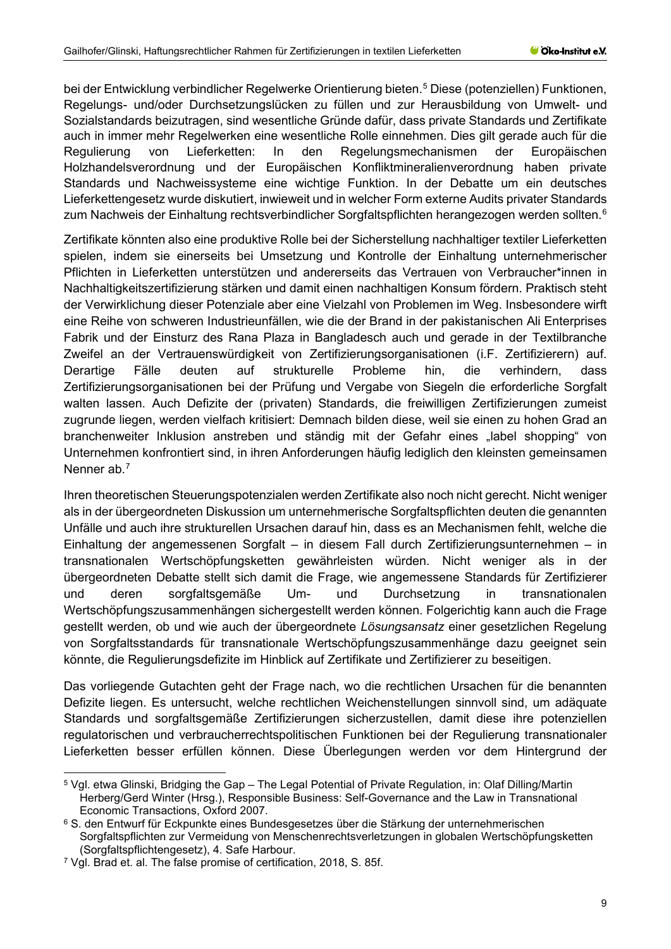bei der Entwicklung verbindlicher Regelwerke Orientierung bieten. [5](#page-8-0) Diese (potenziellen) Funktionen, Regelungs- und/oder Durchsetzungslücken zu füllen und zur Herausbildung von Umwelt- und Sozialstandards beizutragen, sind wesentliche Gründe dafür, dass private Standards und Zertifikate auch in immer mehr Regelwerken eine wesentliche Rolle einnehmen. Dies gilt gerade auch für die Regulierung von Lieferketten: In den Regelungsmechanismen der Europäischen Holzhandelsverordnung und der Europäischen Konfliktmineralienverordnung haben private Standards und Nachweissysteme eine wichtige Funktion. In der Debatte um ein deutsches Lieferkettengesetz wurde diskutiert, inwieweit und in welcher Form externe Audits privater Standards zum Nachweis der Einhaltung rechtsverbindlicher Sorgfaltspflichten herangezogen werden sollten.<sup>[6](#page-8-1)</sup>

Zertifikate könnten also eine produktive Rolle bei der Sicherstellung nachhaltiger textiler Lieferketten spielen, indem sie einerseits bei Umsetzung und Kontrolle der Einhaltung unternehmerischer Pflichten in Lieferketten unterstützen und andererseits das Vertrauen von Verbraucher\*innen in Nachhaltigkeitszertifizierung stärken und damit einen nachhaltigen Konsum fördern. Praktisch steht der Verwirklichung dieser Potenziale aber eine Vielzahl von Problemen im Weg. Insbesondere wirft eine Reihe von schweren Industrieunfällen, wie die der Brand in der pakistanischen Ali Enterprises Fabrik und der Einsturz des Rana Plaza in Bangladesch auch und gerade in der Textilbranche Zweifel an der Vertrauenswürdigkeit von Zertifizierungsorganisationen (i.F. Zertifizierern) auf. Derartige Fälle deuten auf strukturelle Probleme hin, die verhindern, dass Zertifizierungsorganisationen bei der Prüfung und Vergabe von Siegeln die erforderliche Sorgfalt walten lassen. Auch Defizite der (privaten) Standards, die freiwilligen Zertifizierungen zumeist zugrunde liegen, werden vielfach kritisiert: Demnach bilden diese, weil sie einen zu hohen Grad an branchenweiter Inklusion anstreben und ständig mit der Gefahr eines "label shopping" von Unternehmen konfrontiert sind, in ihren Anforderungen häufig lediglich den kleinsten gemeinsamen Nenner ab.<sup>[7](#page-8-2)</sup>

Ihren theoretischen Steuerungspotenzialen werden Zertifikate also noch nicht gerecht. Nicht weniger als in der übergeordneten Diskussion um unternehmerische Sorgfaltspflichten deuten die genannten Unfälle und auch ihre strukturellen Ursachen darauf hin, dass es an Mechanismen fehlt, welche die Einhaltung der angemessenen Sorgfalt – in diesem Fall durch Zertifizierungsunternehmen – in transnationalen Wertschöpfungsketten gewährleisten würden. Nicht weniger als in der übergeordneten Debatte stellt sich damit die Frage, wie angemessene Standards für Zertifizierer und deren sorgfaltsgemäße Um- und Durchsetzung in transnationalen Wertschöpfungszusammenhängen sichergestellt werden können. Folgerichtig kann auch die Frage gestellt werden, ob und wie auch der übergeordnete *Lösungsansatz* einer gesetzlichen Regelung von Sorgfaltsstandards für transnationale Wertschöpfungszusammenhänge dazu geeignet sein könnte, die Regulierungsdefizite im Hinblick auf Zertifikate und Zertifizierer zu beseitigen.

Das vorliegende Gutachten geht der Frage nach, wo die rechtlichen Ursachen für die benannten Defizite liegen. Es untersucht, welche rechtlichen Weichenstellungen sinnvoll sind, um adäquate Standards und sorgfaltsgemäße Zertifizierungen sicherzustellen, damit diese ihre potenziellen regulatorischen und verbraucherrechtspolitischen Funktionen bei der Regulierung transnationaler Lieferketten besser erfüllen können. Diese Überlegungen werden vor dem Hintergrund der

<span id="page-8-0"></span><sup>5</sup> Vgl. etwa Glinski, Bridging the Gap – The Legal Potential of Private Regulation, in: Olaf Dilling/Martin Herberg/Gerd Winter (Hrsg.), Responsible Business: Self-Governance and the Law in Transnational Economic Transactions, Oxford 2007.

<span id="page-8-1"></span><sup>&</sup>lt;sup>6</sup> S. den Entwurf für Eckpunkte eines Bundesgesetzes über die Stärkung der unternehmerischen Sorgfaltspflichten zur Vermeidung von Menschenrechtsverletzungen in globalen Wertschöpfungsketten (Sorgfaltspflichtengesetz), 4. Safe Harbour.

<span id="page-8-2"></span><sup>7</sup> Vgl. Brad et. al. The false promise of certification, 2018, S. 85f.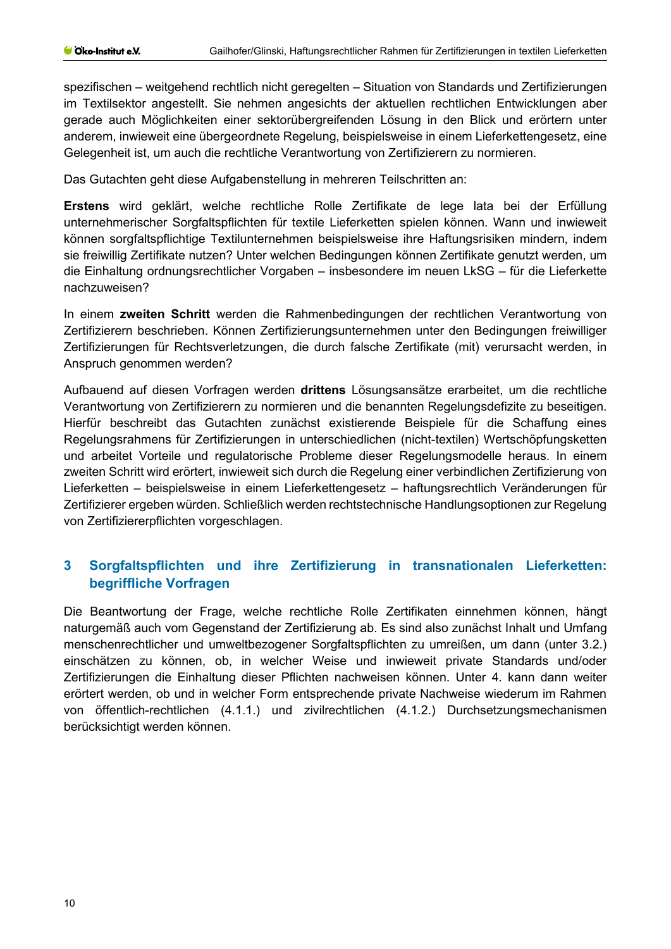spezifischen – weitgehend rechtlich nicht geregelten – Situation von Standards und Zertifizierungen im Textilsektor angestellt. Sie nehmen angesichts der aktuellen rechtlichen Entwicklungen aber gerade auch Möglichkeiten einer sektorübergreifenden Lösung in den Blick und erörtern unter anderem, inwieweit eine übergeordnete Regelung, beispielsweise in einem Lieferkettengesetz, eine Gelegenheit ist, um auch die rechtliche Verantwortung von Zertifizierern zu normieren.

Das Gutachten geht diese Aufgabenstellung in mehreren Teilschritten an:

**Erstens** wird geklärt, welche rechtliche Rolle Zertifikate de lege lata bei der Erfüllung unternehmerischer Sorgfaltspflichten für textile Lieferketten spielen können. Wann und inwieweit können sorgfaltspflichtige Textilunternehmen beispielsweise ihre Haftungsrisiken mindern, indem sie freiwillig Zertifikate nutzen? Unter welchen Bedingungen können Zertifikate genutzt werden, um die Einhaltung ordnungsrechtlicher Vorgaben – insbesondere im neuen LkSG – für die Lieferkette nachzuweisen?

In einem **zweiten Schritt** werden die Rahmenbedingungen der rechtlichen Verantwortung von Zertifizierern beschrieben. Können Zertifizierungsunternehmen unter den Bedingungen freiwilliger Zertifizierungen für Rechtsverletzungen, die durch falsche Zertifikate (mit) verursacht werden, in Anspruch genommen werden?

Aufbauend auf diesen Vorfragen werden **drittens** Lösungsansätze erarbeitet, um die rechtliche Verantwortung von Zertifizierern zu normieren und die benannten Regelungsdefizite zu beseitigen. Hierfür beschreibt das Gutachten zunächst existierende Beispiele für die Schaffung eines Regelungsrahmens für Zertifizierungen in unterschiedlichen (nicht-textilen) Wertschöpfungsketten und arbeitet Vorteile und regulatorische Probleme dieser Regelungsmodelle heraus. In einem zweiten Schritt wird erörtert, inwieweit sich durch die Regelung einer verbindlichen Zertifizierung von Lieferketten – beispielsweise in einem Lieferkettengesetz – haftungsrechtlich Veränderungen für Zertifizierer ergeben würden. Schließlich werden rechtstechnische Handlungsoptionen zur Regelung von Zertifiziererpflichten vorgeschlagen.

#### <span id="page-9-0"></span>**3 Sorgfaltspflichten und ihre Zertifizierung in transnationalen Lieferketten: begriffliche Vorfragen**

Die Beantwortung der Frage, welche rechtliche Rolle Zertifikaten einnehmen können, hängt naturgemäß auch vom Gegenstand der Zertifizierung ab. Es sind also zunächst Inhalt und Umfang menschenrechtlicher und umweltbezogener Sorgfaltspflichten zu umreißen, um dann (unter 3.2.) einschätzen zu können, ob, in welcher Weise und inwieweit private Standards und/oder Zertifizierungen die Einhaltung dieser Pflichten nachweisen können. Unter 4. kann dann weiter erörtert werden, ob und in welcher Form entsprechende private Nachweise wiederum im Rahmen von öffentlich-rechtlichen (4.1.1.) und zivilrechtlichen (4.1.2.) Durchsetzungsmechanismen berücksichtigt werden können.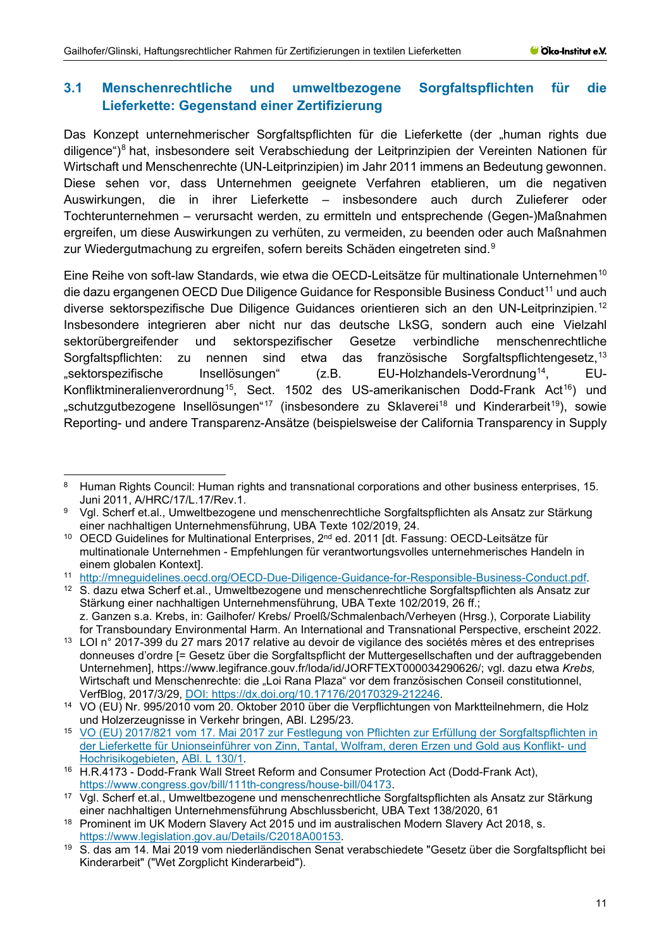#### <span id="page-10-0"></span>**3.1 Menschenrechtliche und umweltbezogene Sorgfaltspflichten für die Lieferkette: Gegenstand einer Zertifizierung**

Das Konzept unternehmerischer Sorgfaltspflichten für die Lieferkette (der "human rights due diligence")[8](#page-10-1) hat, insbesondere seit Verabschiedung der Leitprinzipien der Vereinten Nationen für Wirtschaft und Menschenrechte (UN-Leitprinzipien) im Jahr 2011 immens an Bedeutung gewonnen. Diese sehen vor, dass Unternehmen geeignete Verfahren etablieren, um die negativen Auswirkungen, die in ihrer Lieferkette – insbesondere auch durch Zulieferer oder Tochterunternehmen – verursacht werden, zu ermitteln und entsprechende (Gegen-)Maßnahmen ergreifen, um diese Auswirkungen zu verhüten, zu vermeiden, zu beenden oder auch Maßnahmen zur Wiedergutmachung zu ergreifen, sofern bereits Schäden eingetreten sind.<sup>[9](#page-10-2)</sup>

Eine Reihe von soft-law Standards, wie etwa die OECD-Leitsätze für multinationale Unternehmen<sup>[10](#page-10-3)</sup> die dazu ergangenen OECD Due Diligence Guidance for Responsible Business Conduct<sup>[11](#page-10-4)</sup> und auch diverse sektorspezifische Due Diligence Guidances orientieren sich an den UN-Leitprinzipien.[12](#page-10-5) Insbesondere integrieren aber nicht nur das deutsche LkSG, sondern auch eine Vielzahl sektorübergreifender und sektorspezifischer Gesetze verbindliche menschenrechtliche Sorgfaltspflichten: zu nennen sind etwa das französische Sorgfaltspflichtengesetz, [13](#page-10-6) "sektorspezifische Insellösungen" (z.B. EU-Holzhandels-Verordnung[14](#page-10-7), EU-Konfliktmineralienverordnung<sup>[15](#page-10-8)</sup>, Sect. 1502 des US-amerikanischen Dodd-Frank Act<sup>16</sup>) und "schutzgutbezogene Insellösungen <sup>[17](#page-10-10)</sup> (insbesondere zu Sklaverei<sup>[18](#page-10-11)</sup> und Kinderarbeit<sup>19</sup>), sowie Reporting- und andere Transparenz-Ansätze (beispielsweise der California Transparency in Supply

<span id="page-10-1"></span><sup>8</sup> Human Rights Council: Human rights and transnational corporations and other business enterprises, 15. Juni 2011, A/HRC/17/L.17/Rev.1.

<span id="page-10-2"></span><sup>9</sup> Val. Scherf et.al., Umweltbezogene und menschenrechtliche Sorgfaltspflichten als Ansatz zur Stärkung einer nachhaltigen Unternehmensführung, UBA Texte 102/2019, 24.

<span id="page-10-3"></span><sup>10</sup> OECD Guidelines for Multinational Enterprises, 2nd ed. 2011 [dt. Fassung: OECD-Leitsätze für multinationale Unternehmen - Empfehlungen für verantwortungsvolles unternehmerisches Handeln in einem globalen Kontext].

<span id="page-10-4"></span><sup>11</sup> [http://mneguidelines.oecd.org/OECD-Due-Diligence-Guidance-for-Responsible-Business-Conduct.pdf.](http://mneguidelines.oecd.org/OECD-Due-Diligence-Guidance-for-Responsible-Business-Conduct.pdf)

<span id="page-10-5"></span><sup>12</sup> S. dazu etwa Scherf et.al., Umweltbezogene und menschenrechtliche Sorgfaltspflichten als Ansatz zur Stärkung einer nachhaltigen Unternehmensführung, UBA Texte 102/2019, 26 ff.; z. Ganzen s.a. Krebs, in: Gailhofer/ Krebs/ Proelß/Schmalenbach/Verheyen (Hrsg.), Corporate Liability for Transboundary Environmental Harm. An International and Transnational Perspective, erscheint 2022.

<span id="page-10-6"></span><sup>13</sup> LOI n° 2017-399 du 27 mars 2017 relative au devoir de vigilance des sociétés mères et des entreprises donneuses d'ordre [= Gesetz über die Sorgfaltspflicht der Muttergesellschaften und der auftraggebenden Unternehmen], https://www.legifrance.gouv.fr/loda/id/JORFTEXT000034290626/; vgl. dazu etwa *Krebs,*  Wirtschaft und Menschenrechte: die "Loi Rana Plaza" vor dem französischen Conseil constitutionnel, VerfBlog, 2017/3/29, [DOI: https://dx.doi.org/10.17176/20170329-212246.](https://verfassungsblog.de/wirtschaft-und-menschenrechte-die-loi-rana-plaza-vor-dem-franzoesischen-conseil-constitutionnel/,)

<span id="page-10-7"></span><sup>14</sup> VO (EU) Nr. 995/2010 vom 20. Oktober 2010 über die Verpflichtungen von Marktteilnehmern, die Holz und Holzerzeugnisse in Verkehr bringen, [ABl. L295/23.](https://eur-lex.europa.eu/legal-content/DE/TXT/PDF/?uri=CELEX:32010R0995&from=DE)

<span id="page-10-8"></span><sup>15</sup> VO (EU) 2017/821 vom 17. Mai 2017 zur Festlegung von Pflichten zur Erfüllung der Sorgfaltspflichten in der Lieferkette für Unionseinführer von Zinn, Tantal, Wolfram, deren Erzen und Gold aus Konflikt- und Hochrisikogebieten, [ABl. L 130/1.](http://eur-lex.europa.eu/legal-content/DE/TXT/PDF/?uri=CELEX:32017R0821&from=DE)

<span id="page-10-9"></span><sup>&</sup>lt;sup>16</sup> H.R.4173 - [Dodd-Frank Wall Street Reform and Consumer Protection Act](https://www.congress.gov/bill/111th-congress/house-bill/04173) (Dodd-Frank Act), [https://www.congress.gov/bill/111th-congress/house-bill/04173.](https://www.congress.gov/bill/111th-congress/house-bill/04173)

<span id="page-10-10"></span><sup>17</sup> Vgl. Scherf et.al., Umweltbezogene und menschenrechtliche Sorgfaltspflichten als Ansatz zur Stärkung einer nachhaltigen Unternehmensführung Abschlussbericht, UBA Text 138/2020, 61

<span id="page-10-11"></span><sup>&</sup>lt;sup>18</sup> Prominent im [UK Modern Slavery Act 2015](http://www.legislation.gov.uk/ukpga/2015/30/contents/enacted) und im australischen Modern Slavery Act 2018, s. [https://www.legislation.gov.au/Details/C2018A00153.](https://www.legislation.gov.au/Details/C2018A00153)

<span id="page-10-12"></span><sup>19</sup> S. das am 14. Mai 2019 vom niederländischen Senat verabschiedete "Gesetz über die Sorgfaltspflicht bei Kinderarbeit" ("Wet Zorgplicht Kinderarbeid").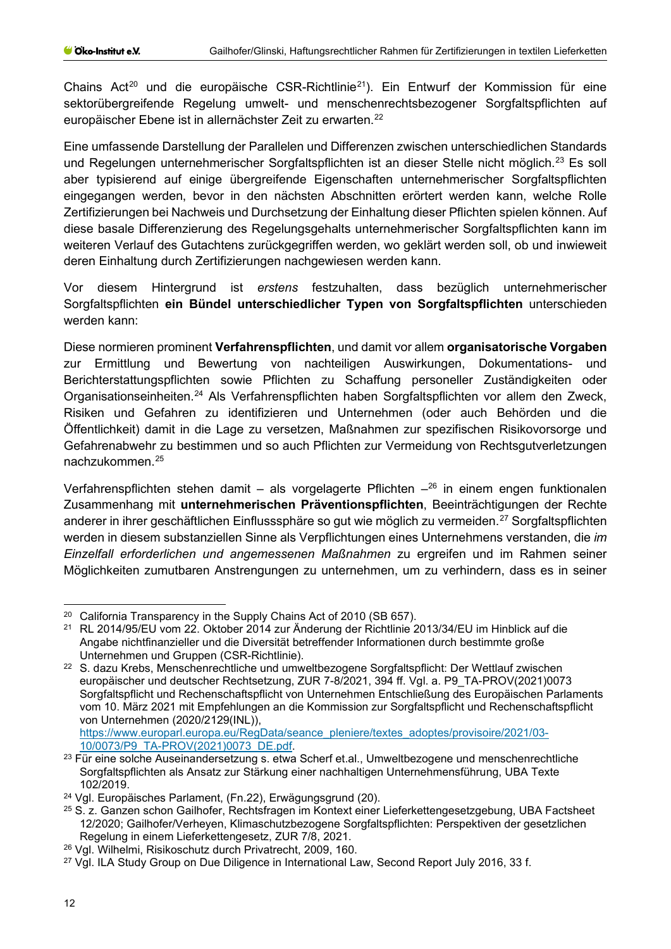<span id="page-11-0"></span>Chains Act<sup>[20](#page-11-1)</sup> und die europäische CSR-Richtlinie<sup>21</sup>). Ein Entwurf der Kommission für eine sektorübergreifende Regelung umwelt- und menschenrechtsbezogener Sorgfaltspflichten auf europäischer Ebene ist in allernächster Zeit zu erwarten. [22](#page-11-3)

Eine umfassende Darstellung der Parallelen und Differenzen zwischen unterschiedlichen Standards und Regelungen unternehmerischer Sorgfaltspflichten ist an dieser Stelle nicht möglich.<sup>[23](#page-11-4)</sup> Es soll aber typisierend auf einige übergreifende Eigenschaften unternehmerischer Sorgfaltspflichten eingegangen werden, bevor in den nächsten Abschnitten erörtert werden kann, welche Rolle Zertifizierungen bei Nachweis und Durchsetzung der Einhaltung dieser Pflichten spielen können. Auf diese basale Differenzierung des Regelungsgehalts unternehmerischer Sorgfaltspflichten kann im weiteren Verlauf des Gutachtens zurückgegriffen werden, wo geklärt werden soll, ob und inwieweit deren Einhaltung durch Zertifizierungen nachgewiesen werden kann.

Vor diesem Hintergrund ist *erstens* festzuhalten, dass bezüglich unternehmerischer Sorgfaltspflichten **ein Bündel unterschiedlicher Typen von Sorgfaltspflichten** unterschieden werden kann:

Diese normieren prominent **Verfahrenspflichten**, und damit vor allem **organisatorische Vorgaben** zur Ermittlung und Bewertung von nachteiligen Auswirkungen, Dokumentations- und Berichterstattungspflichten sowie Pflichten zu Schaffung personeller Zuständigkeiten oder Organisationseinheiten.[24](#page-11-5) Als Verfahrenspflichten haben Sorgfaltspflichten vor allem den Zweck, Risiken und Gefahren zu identifizieren und Unternehmen (oder auch Behörden und die Öffentlichkeit) damit in die Lage zu versetzen, Maßnahmen zur spezifischen Risikovorsorge und Gefahrenabwehr zu bestimmen und so auch Pflichten zur Vermeidung von Rechtsgutverletzungen nachzukommen.[25](#page-11-6)

Verfahrenspflichten stehen damit – als vorgelagerte Pflichten  $-^{26}$  $-^{26}$  $-^{26}$  in einem engen funktionalen Zusammenhang mit **unternehmerischen Präventionspflichten**, Beeinträchtigungen der Rechte anderer in ihrer geschäftlichen Einflusssphäre so gut wie möglich zu vermeiden.<sup>[27](#page-11-8)</sup> Sorgfaltspflichten werden in diesem substanziellen Sinne als Verpflichtungen eines Unternehmens verstanden, die *im Einzelfall erforderlichen und angemessenen Maßnahmen* zu ergreifen und im Rahmen seiner Möglichkeiten zumutbaren Anstrengungen zu unternehmen, um zu verhindern, dass es in seiner

[https://www.europarl.europa.eu/RegData/seance\\_pleniere/textes\\_adoptes/provisoire/2021/03-](https://www.europarl.europa.eu/RegData/seance_pleniere/textes_adoptes/provisoire/2021/03-10/0073/P9_TA-PROV(2021)0073_DE.pdf) [10/0073/P9\\_TA-PROV\(2021\)0073\\_DE.pdf.](https://www.europarl.europa.eu/RegData/seance_pleniere/textes_adoptes/provisoire/2021/03-10/0073/P9_TA-PROV(2021)0073_DE.pdf)

<span id="page-11-1"></span><sup>&</sup>lt;sup>20</sup> [California Transparency in the Supply Chains Act of 2010](https://oag.ca.gov/sites/all/files/agweb/pdfs/cybersafety/sb_657_bill_ch556.pdf) (SB 657).

<span id="page-11-2"></span><sup>21</sup> RL 2014/95/EU vom 22. Oktober 2014 zur Änderung der Richtlinie 2013/34/EU im Hinblick auf die Angabe nichtfinanzieller und die Diversität betreffender Informationen durch bestimmte große Unternehmen und Gruppen (CSR-Richtlinie).

<span id="page-11-3"></span><sup>&</sup>lt;sup>22</sup> S. dazu Krebs, Menschenrechtliche und umweltbezogene Sorgfaltspflicht: Der Wettlauf zwischen europäischer und deutscher Rechtsetzung, ZUR 7-8/2021, 394 ff. Vgl. a. P9\_TA-PROV(2021)0073 Sorgfaltspflicht und Rechenschaftspflicht von Unternehmen Entschließung des Europäischen Parlaments vom 10. März 2021 mit Empfehlungen an die Kommission zur Sorgfaltspflicht und Rechenschaftspflicht von Unternehmen (2020/2129(INL)),

<span id="page-11-4"></span><sup>&</sup>lt;sup>23</sup> Für eine solche Auseinandersetzung s. etwa Scherf et.al., Umweltbezogene und menschenrechtliche Sorgfaltspflichten als Ansatz zur Stärkung einer nachhaltigen Unternehmensführung, UBA Texte 102/2019.

<span id="page-11-5"></span><sup>24</sup> Vgl. Europäisches Parlament, (Fn[.22\)](#page-11-0), Erwägungsgrund (20).

<span id="page-11-6"></span><sup>25</sup> S. z. Ganzen schon Gailhofer, Rechtsfragen im Kontext einer Lieferkettengesetzgebung, UBA Factsheet 12/2020; Gailhofer/Verheyen, Klimaschutzbezogene Sorgfaltspflichten: Perspektiven der gesetzlichen Regelung in einem Lieferkettengesetz, ZUR 7/8, 2021.

<span id="page-11-7"></span><sup>26</sup> Vgl. Wilhelmi, Risikoschutz durch Privatrecht, 2009, 160.

<span id="page-11-8"></span><sup>&</sup>lt;sup>27</sup> Vgl. ILA Study Group on Due Diligence in International Law, Second Report July 2016, 33 f.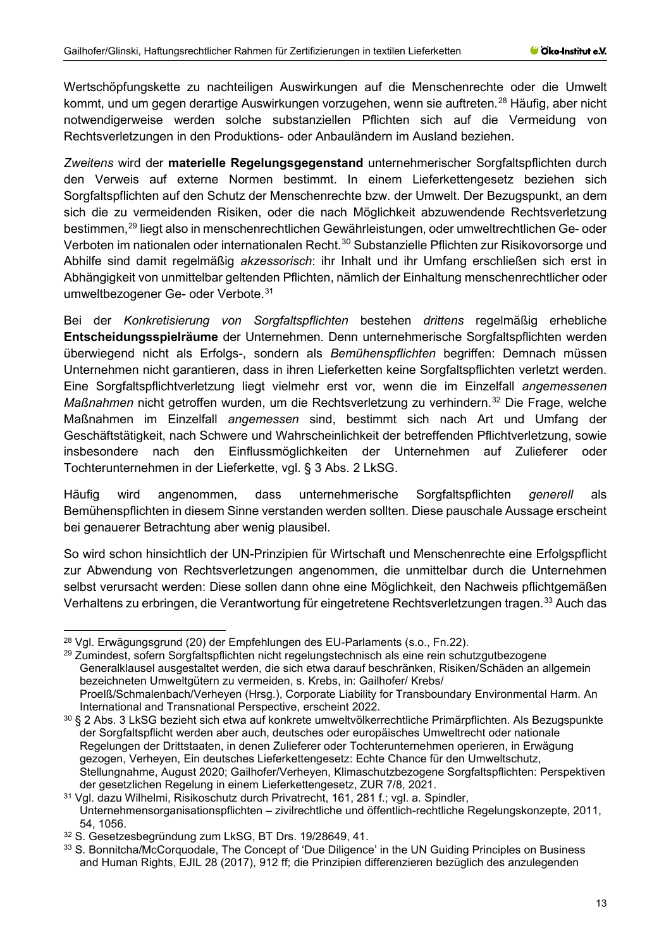Wertschöpfungskette zu nachteiligen Auswirkungen auf die Menschenrechte oder die Umwelt kommt, und um gegen derartige Auswirkungen vorzugehen, wenn sie auftreten.<sup>[28](#page-12-0)</sup> Häufig, aber nicht notwendigerweise werden solche substanziellen Pflichten sich auf die Vermeidung von Rechtsverletzungen in den Produktions- oder Anbauländern im Ausland beziehen.

*Zweitens* wird der **materielle Regelungsgegenstand** unternehmerischer Sorgfaltspflichten durch den Verweis auf externe Normen bestimmt. In einem Lieferkettengesetz beziehen sich Sorgfaltspflichten auf den Schutz der Menschenrechte bzw. der Umwelt. Der Bezugspunkt, an dem sich die zu vermeidenden Risiken, oder die nach Möglichkeit abzuwendende Rechtsverletzung bestimmen,[29](#page-12-1) liegt also in menschenrechtlichen Gewährleistungen, oder umweltrechtlichen Ge- oder Verboten im nationalen oder internationalen Recht.<sup>[30](#page-12-2)</sup> Substanzielle Pflichten zur Risikovorsorge und Abhilfe sind damit regelmäßig *akzessorisch*: ihr Inhalt und ihr Umfang erschließen sich erst in Abhängigkeit von unmittelbar geltenden Pflichten, nämlich der Einhaltung menschenrechtlicher oder umweltbezogener Ge- oder Verbote.[31](#page-12-3)

Bei der *Konkretisierung von Sorgfaltspflichten* bestehen *drittens* regelmäßig erhebliche **Entscheidungsspielräume** der Unternehmen. Denn unternehmerische Sorgfaltspflichten werden überwiegend nicht als Erfolgs-, sondern als *Bemühenspflichten* begriffen: Demnach müssen Unternehmen nicht garantieren, dass in ihren Lieferketten keine Sorgfaltspflichten verletzt werden. Eine Sorgfaltspflichtverletzung liegt vielmehr erst vor, wenn die im Einzelfall *angemessenen Maßnahmen* nicht getroffen wurden, um die Rechtsverletzung zu verhindern.<sup>[32](#page-12-4)</sup> Die Frage, welche Maßnahmen im Einzelfall *angemessen* sind, bestimmt sich nach Art und Umfang der Geschäftstätigkeit, nach Schwere und Wahrscheinlichkeit der betreffenden Pflichtverletzung, sowie insbesondere nach den Einflussmöglichkeiten der Unternehmen auf Zulieferer oder Tochterunternehmen in der Lieferkette, vgl. § 3 Abs. 2 LkSG.

Häufig wird angenommen, dass unternehmerische Sorgfaltspflichten *generell* als Bemühenspflichten in diesem Sinne verstanden werden sollten. Diese pauschale Aussage erscheint bei genauerer Betrachtung aber wenig plausibel.

So wird schon hinsichtlich der UN-Prinzipien für Wirtschaft und Menschenrechte eine Erfolgspflicht zur Abwendung von Rechtsverletzungen angenommen, die unmittelbar durch die Unternehmen selbst verursacht werden: Diese sollen dann ohne eine Möglichkeit, den Nachweis pflichtgemäßen Verhaltens zu erbringen, die Verantwortung für eingetretene Rechtsverletzungen tragen.<sup>[33](#page-12-5)</sup> Auch das

<span id="page-12-1"></span><sup>29</sup> Zumindest, sofern Sorgfaltspflichten nicht regelungstechnisch als eine rein schutzgutbezogene Generalklausel ausgestaltet werden, die sich etwa darauf beschränken, Risiken/Schäden an allgemein bezeichneten Umweltgütern zu vermeiden, s. Krebs, in: Gailhofer/ Krebs/ Proelß/Schmalenbach/Verheyen (Hrsg.), Corporate Liability for Transboundary Environmental Harm. An International and Transnational Perspective, erscheint 2022.

<span id="page-12-0"></span><sup>28</sup> Vgl. Erwägungsgrund (20) der Empfehlungen des EU-Parlaments (s.o., Fn[.22\)](#page-11-0).

<span id="page-12-2"></span><sup>30 § 2</sup> Abs. 3 LkSG bezieht sich etwa auf konkrete umweltvölkerrechtliche Primärpflichten. Als Bezugspunkte der Sorgfaltspflicht werden aber auch, deutsches oder europäisches Umweltrecht oder nationale Regelungen der Drittstaaten, in denen Zulieferer oder Tochterunternehmen operieren, in Erwägung gezogen, Verheyen, Ein deutsches Lieferkettengesetz: Echte Chance für den Umweltschutz, Stellungnahme, August 2020; Gailhofer/Verheyen, Klimaschutzbezogene Sorgfaltspflichten: Perspektiven der gesetzlichen Regelung in einem Lieferkettengesetz, ZUR 7/8, 2021.

<span id="page-12-3"></span><sup>31</sup> Vgl. dazu Wilhelmi, Risikoschutz durch Privatrecht, 161, 281 f.; vgl. a. Spindler, Unternehmensorganisationspflichten – zivilrechtliche und öffentlich-rechtliche Regelungskonzepte, 2011, 54, 1056.

<span id="page-12-4"></span><sup>32</sup> S. Gesetzesbegründung zum LkSG, BT Drs. 19/28649, 41.

<span id="page-12-5"></span><sup>33</sup> S. Bonnitcha/McCorquodale, The Concept of 'Due Diligence' in the UN Guiding Principles on Business and Human Rights, EJIL 28 (2017), 912 ff; die Prinzipien differenzieren bezüglich des anzulegenden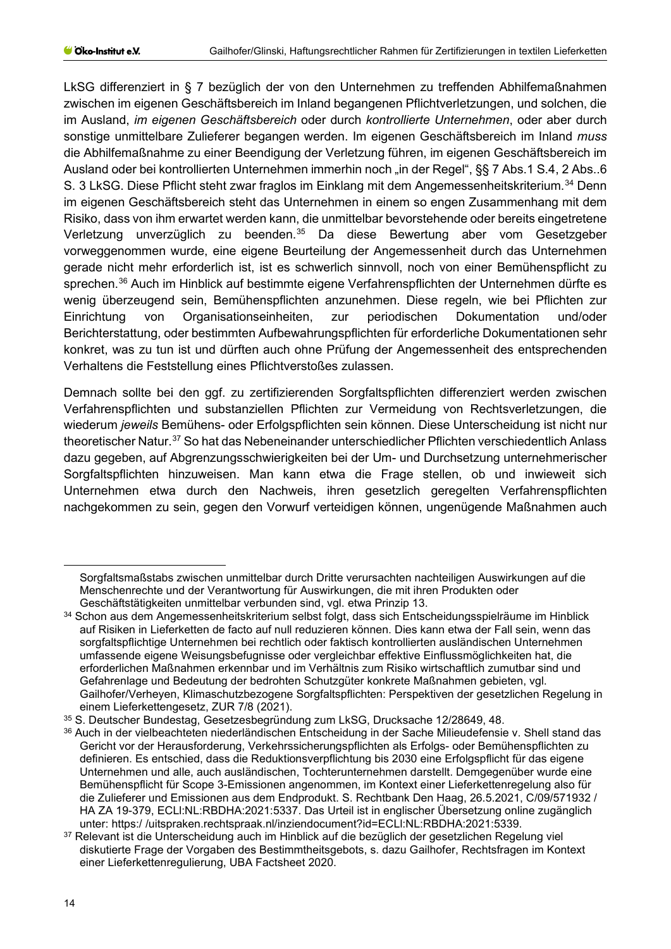LkSG differenziert in § 7 bezüglich der von den Unternehmen zu treffenden Abhilfemaßnahmen zwischen im eigenen Geschäftsbereich im Inland begangenen Pflichtverletzungen, und solchen, die im Ausland, *im eigenen Geschäftsbereich* oder durch *kontrollierte Unternehmen*, oder aber durch sonstige unmittelbare Zulieferer begangen werden. Im eigenen Geschäftsbereich im Inland *muss* die Abhilfemaßnahme zu einer Beendigung der Verletzung führen, im eigenen Geschäftsbereich im Ausland oder bei kontrollierten Unternehmen immerhin noch "in der Regel", §§ 7 Abs.1 S.4, 2 Abs..6 S. 3 LkSG. Diese Pflicht steht zwar fraglos im Einklang mit dem Angemessenheitskriterium.<sup>[34](#page-13-0)</sup> Denn im eigenen Geschäftsbereich steht das Unternehmen in einem so engen Zusammenhang mit dem Risiko, dass von ihm erwartet werden kann, die unmittelbar bevorstehende oder bereits eingetretene Verletzung unverzüglich zu beenden.[35](#page-13-1) Da diese Bewertung aber vom Gesetzgeber vorweggenommen wurde, eine eigene Beurteilung der Angemessenheit durch das Unternehmen gerade nicht mehr erforderlich ist, ist es schwerlich sinnvoll, noch von einer Bemühenspflicht zu sprechen.<sup>36</sup> Auch im Hinblick auf bestimmte eigene Verfahrenspflichten der Unternehmen dürfte es wenig überzeugend sein, Bemühenspflichten anzunehmen. Diese regeln, wie bei Pflichten zur Einrichtung von Organisationseinheiten, zur periodischen Dokumentation und/oder Berichterstattung, oder bestimmten Aufbewahrungspflichten für erforderliche Dokumentationen sehr konkret, was zu tun ist und dürften auch ohne Prüfung der Angemessenheit des entsprechenden Verhaltens die Feststellung eines Pflichtverstoßes zulassen.

Demnach sollte bei den ggf. zu zertifizierenden Sorgfaltspflichten differenziert werden zwischen Verfahrenspflichten und substanziellen Pflichten zur Vermeidung von Rechtsverletzungen, die wiederum *jeweils* Bemühens- oder Erfolgspflichten sein können. Diese Unterscheidung ist nicht nur theoretischer Natur. [37](#page-13-3) So hat das Nebeneinander unterschiedlicher Pflichten verschiedentlich Anlass dazu gegeben, auf Abgrenzungsschwierigkeiten bei der Um- und Durchsetzung unternehmerischer Sorgfaltspflichten hinzuweisen. Man kann etwa die Frage stellen, ob und inwieweit sich Unternehmen etwa durch den Nachweis, ihren gesetzlich geregelten Verfahrenspflichten nachgekommen zu sein, gegen den Vorwurf verteidigen können, ungenügende Maßnahmen auch

Sorgfaltsmaßstabs zwischen unmittelbar durch Dritte verursachten nachteiligen Auswirkungen auf die Menschenrechte und der Verantwortung für Auswirkungen, die mit ihren Produkten oder Geschäftstätigkeiten unmittelbar verbunden sind, vgl. etwa Prinzip 13.

<span id="page-13-0"></span><sup>34</sup> Schon aus dem Angemessenheitskriterium selbst folgt, dass sich Entscheidungsspielräume im Hinblick auf Risiken in Lieferketten de facto auf null reduzieren können. Dies kann etwa der Fall sein, wenn das sorgfaltspflichtige Unternehmen bei rechtlich oder faktisch kontrollierten ausländischen Unternehmen umfassende eigene Weisungsbefugnisse oder vergleichbar effektive Einflussmöglichkeiten hat, die erforderlichen Maßnahmen erkennbar und im Verhältnis zum Risiko wirtschaftlich zumutbar sind und Gefahrenlage und Bedeutung der bedrohten Schutzgüter konkrete Maßnahmen gebieten, vgl. Gailhofer/Verheyen, Klimaschutzbezogene Sorgfaltspflichten: Perspektiven der gesetzlichen Regelung in einem Lieferkettengesetz, ZUR 7/8 (2021).

<span id="page-13-1"></span><sup>35</sup> S. Deutscher Bundestag, Gesetzesbegründung zum LkSG, Drucksache 12/28649, 48.

<span id="page-13-2"></span><sup>36</sup> Auch in der vielbeachteten niederländischen Entscheidung in der Sache Milieudefensie v. Shell stand das Gericht vor der Herausforderung, Verkehrssicherungspflichten als Erfolgs- oder Bemühenspflichten zu definieren. Es entschied, dass die Reduktionsverpflichtung bis 2030 eine Erfolgspflicht für das eigene Unternehmen und alle, auch ausländischen, Tochterunternehmen darstellt. Demgegenüber wurde eine Bemühenspflicht für Scope 3-Emissionen angenommen, im Kontext einer Lieferkettenregelung also für die Zulieferer und Emissionen aus dem Endprodukt. S. Rechtbank Den Haag, 26.5.2021, C/09/571932 / HA ZA 19-379, ECLl:NL:RBDHA:2021:5337. Das Urteil ist in englischer Übersetzung online zugänglich unter: https:/ /uitspraken.rechtspraak.nl/inziendocument?id=ECLl:NL:RBDHA:2021:5339.

<span id="page-13-3"></span><sup>37</sup> Relevant ist die Unterscheidung auch im Hinblick auf die bezüglich der gesetzlichen Regelung viel diskutierte Frage der Vorgaben des Bestimmtheitsgebots, s. dazu Gailhofer, Rechtsfragen im Kontext einer Lieferkettenregulierung, UBA Factsheet 2020.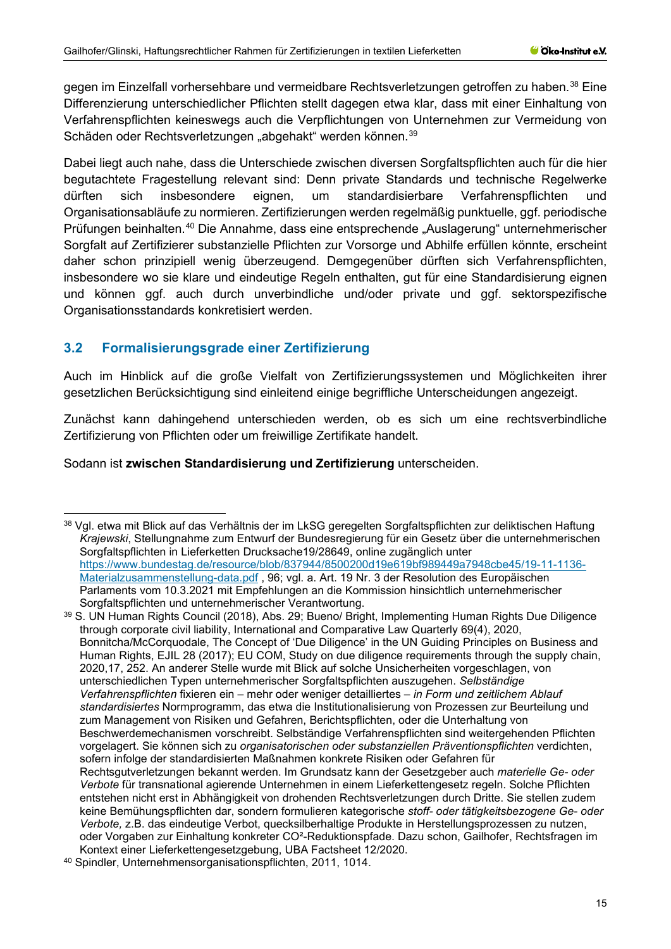gegen im Einzelfall vorhersehbare und vermeidbare Rechtsverletzungen getroffen zu haben.<sup>[38](#page-14-1)</sup> Eine Differenzierung unterschiedlicher Pflichten stellt dagegen etwa klar, dass mit einer Einhaltung von Verfahrenspflichten keineswegs auch die Verpflichtungen von Unternehmen zur Vermeidung von Schäden oder Rechtsverletzungen "abgehakt" werden können.<sup>[39](#page-14-2)</sup>

Dabei liegt auch nahe, dass die Unterschiede zwischen diversen Sorgfaltspflichten auch für die hier begutachtete Fragestellung relevant sind: Denn private Standards und technische Regelwerke dürften sich insbesondere eignen, um standardisierbare Verfahrenspflichten Organisationsabläufe zu normieren. Zertifizierungen werden regelmäßig punktuelle, ggf. periodische Prüfungen beinhalten.<sup>[40](#page-14-3)</sup> Die Annahme, dass eine entsprechende "Auslagerung" unternehmerischer Sorgfalt auf Zertifizierer substanzielle Pflichten zur Vorsorge und Abhilfe erfüllen könnte, erscheint daher schon prinzipiell wenig überzeugend. Demgegenüber dürften sich Verfahrenspflichten, insbesondere wo sie klare und eindeutige Regeln enthalten, gut für eine Standardisierung eignen und können ggf. auch durch unverbindliche und/oder private und ggf. sektorspezifische Organisationsstandards konkretisiert werden.

### <span id="page-14-0"></span>**3.2 Formalisierungsgrade einer Zertifizierung**

Auch im Hinblick auf die große Vielfalt von Zertifizierungssystemen und Möglichkeiten ihrer gesetzlichen Berücksichtigung sind einleitend einige begriffliche Unterscheidungen angezeigt.

Zunächst kann dahingehend unterschieden werden, ob es sich um eine rechtsverbindliche Zertifizierung von Pflichten oder um freiwillige Zertifikate handelt.

Sodann ist **zwischen Standardisierung und Zertifizierung** unterscheiden.

<span id="page-14-1"></span><sup>38</sup> Vgl. etwa mit Blick auf das Verhältnis der im LkSG geregelten Sorgfaltspflichten zur deliktischen Haftung *Krajewski*, Stellungnahme zum Entwurf der Bundesregierung für ein Gesetz über die unternehmerischen Sorgfaltspflichten in Lieferketten Drucksache19/28649, online zugänglich unter [https://www.bundestag.de/resource/blob/837944/8500200d19e619bf989449a7948cbe45/19-11-1136-](https://www.bundestag.de/resource/blob/837944/8500200d19e619bf989449a7948cbe45/19-11-1136-Materialzusammenstellung-data.pdf) [Materialzusammenstellung-data.pdf](https://www.bundestag.de/resource/blob/837944/8500200d19e619bf989449a7948cbe45/19-11-1136-Materialzusammenstellung-data.pdf) , 96; vgl. a. Art. 19 Nr. 3 der Resolution des Europäischen Parlaments vom 10.3.2021 mit Empfehlungen an die Kommission hinsichtlich unternehmerischer Sorgfaltspflichten und unternehmerischer Verantwortung.

<span id="page-14-2"></span><sup>39</sup> S. UN Human Rights Council (2018), Abs. 29; Bueno/ Bright, Implementing Human Rights Due Diligence through corporate civil liability, International and Comparative Law Quarterly 69(4), 2020, Bonnitcha/McCorquodale, The Concept of 'Due Diligence' in the UN Guiding Principles on Business and Human Rights, EJIL 28 (2017); EU COM, Study on due diligence requirements through the supply chain, 2020,17, 252. An anderer Stelle wurde mit Blick auf solche Unsicherheiten vorgeschlagen, von unterschiedlichen Typen unternehmerischer Sorgfaltspflichten auszugehen. *Selbständige Verfahrenspflichten* fixieren ein – mehr oder weniger detailliertes – *in Form und zeitlichem Ablauf standardisiertes* Normprogramm, das etwa die Institutionalisierung von Prozessen zur Beurteilung und zum Management von Risiken und Gefahren, Berichtspflichten, oder die Unterhaltung von Beschwerdemechanismen vorschreibt. Selbständige Verfahrenspflichten sind weitergehenden Pflichten vorgelagert. Sie können sich zu *organisatorischen oder substanziellen Präventionspflichten* verdichten, sofern infolge der standardisierten Maßnahmen konkrete Risiken oder Gefahren für Rechtsgutverletzungen bekannt werden. Im Grundsatz kann der Gesetzgeber auch *materielle Ge- oder Verbote* für transnational agierende Unternehmen in einem Lieferkettengesetz regeln. Solche Pflichten entstehen nicht erst in Abhängigkeit von drohenden Rechtsverletzungen durch Dritte. Sie stellen zudem keine Bemühungspflichten dar, sondern formulieren kategorische *stoff- oder tätigkeitsbezogene Ge- oder Verbote,* z.B. das eindeutige Verbot, quecksilberhaltige Produkte in Herstellungsprozessen zu nutzen, oder Vorgaben zur Einhaltung konkreter CO²-Reduktionspfade. Dazu schon, Gailhofer, Rechtsfragen im Kontext einer Lieferkettengesetzgebung, UBA Factsheet 12/2020.

<span id="page-14-3"></span><sup>40</sup> Spindler, Unternehmensorganisationspflichten, 2011, 1014.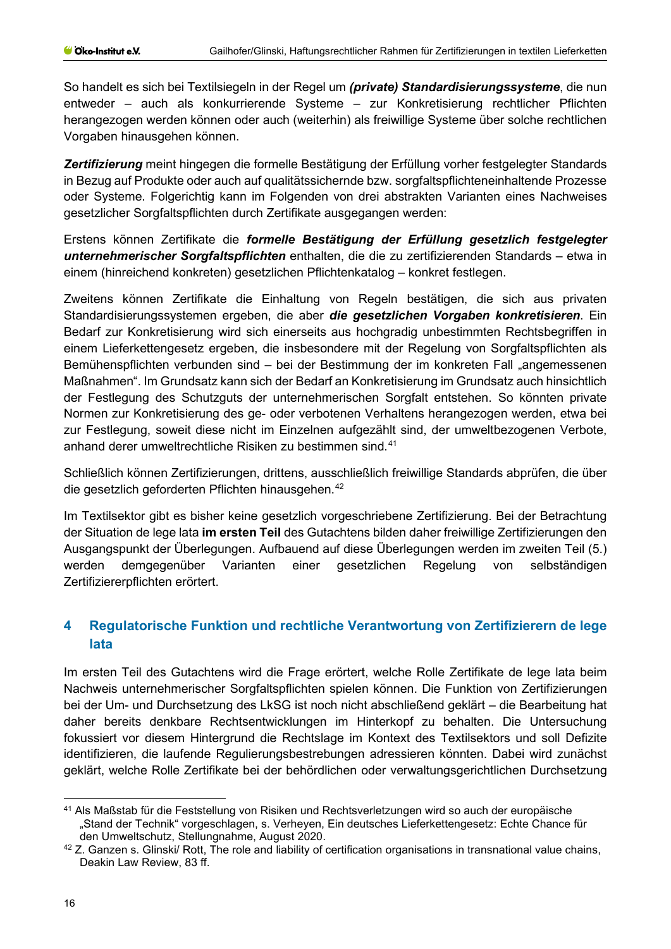So handelt es sich bei Textilsiegeln in der Regel um *(private) Standardisierungssysteme*, die nun entweder – auch als konkurrierende Systeme – zur Konkretisierung rechtlicher Pflichten herangezogen werden können oder auch (weiterhin) als freiwillige Systeme über solche rechtlichen Vorgaben hinausgehen können.

*Zertifizierung* meint hingegen die formelle Bestätigung der Erfüllung vorher festgelegter Standards in Bezug auf Produkte oder auch auf qualitätssichernde bzw. sorgfaltspflichteneinhaltende Prozesse oder Systeme. Folgerichtig kann im Folgenden von drei abstrakten Varianten eines Nachweises gesetzlicher Sorgfaltspflichten durch Zertifikate ausgegangen werden:

Erstens können Zertifikate die *formelle Bestätigung der Erfüllung gesetzlich festgelegter unternehmerischer Sorgfaltspflichten* enthalten, die die zu zertifizierenden Standards – etwa in einem (hinreichend konkreten) gesetzlichen Pflichtenkatalog – konkret festlegen.

Zweitens können Zertifikate die Einhaltung von Regeln bestätigen, die sich aus privaten Standardisierungssystemen ergeben, die aber *die gesetzlichen Vorgaben konkretisieren*. Ein Bedarf zur Konkretisierung wird sich einerseits aus hochgradig unbestimmten Rechtsbegriffen in einem Lieferkettengesetz ergeben, die insbesondere mit der Regelung von Sorgfaltspflichten als Bemühenspflichten verbunden sind – bei der Bestimmung der im konkreten Fall "angemessenen Maßnahmen". Im Grundsatz kann sich der Bedarf an Konkretisierung im Grundsatz auch hinsichtlich der Festlegung des Schutzguts der unternehmerischen Sorgfalt entstehen. So könnten private Normen zur Konkretisierung des ge- oder verbotenen Verhaltens herangezogen werden, etwa bei zur Festlegung, soweit diese nicht im Einzelnen aufgezählt sind, der umweltbezogenen Verbote, anhand derer umweltrechtliche Risiken zu bestimmen sind.<sup>[41](#page-15-1)</sup>

Schließlich können Zertifizierungen, drittens, ausschließlich freiwillige Standards abprüfen, die über die gesetzlich geforderten Pflichten hinausgehen[.42](#page-15-2)

Im Textilsektor gibt es bisher keine gesetzlich vorgeschriebene Zertifizierung. Bei der Betrachtung der Situation de lege lata **im ersten Teil** des Gutachtens bilden daher freiwillige Zertifizierungen den Ausgangspunkt der Überlegungen. Aufbauend auf diese Überlegungen werden im zweiten Teil (5.) werden demgegenüber Varianten einer gesetzlichen Regelung von selbständigen Zertifiziererpflichten erörtert.

#### <span id="page-15-0"></span>**4 Regulatorische Funktion und rechtliche Verantwortung von Zertifizierern de lege lata**

Im ersten Teil des Gutachtens wird die Frage erörtert, welche Rolle Zertifikate de lege lata beim Nachweis unternehmerischer Sorgfaltspflichten spielen können. Die Funktion von Zertifizierungen bei der Um- und Durchsetzung des LkSG ist noch nicht abschließend geklärt – die Bearbeitung hat daher bereits denkbare Rechtsentwicklungen im Hinterkopf zu behalten. Die Untersuchung fokussiert vor diesem Hintergrund die Rechtslage im Kontext des Textilsektors und soll Defizite identifizieren, die laufende Regulierungsbestrebungen adressieren könnten. Dabei wird zunächst geklärt, welche Rolle Zertifikate bei der behördlichen oder verwaltungsgerichtlichen Durchsetzung

<span id="page-15-1"></span><sup>41</sup> Als Maßstab für die Feststellung von Risiken und Rechtsverletzungen wird so auch der europäische "Stand der Technik" vorgeschlagen, s. Verheyen, Ein deutsches Lieferkettengesetz: Echte Chance für den Umweltschutz, Stellungnahme, August 2020.

<span id="page-15-2"></span><sup>&</sup>lt;sup>42</sup> Z. Ganzen s. Glinski/ Rott, The role and liability of certification organisations in transnational value chains, Deakin Law Review, 83 ff.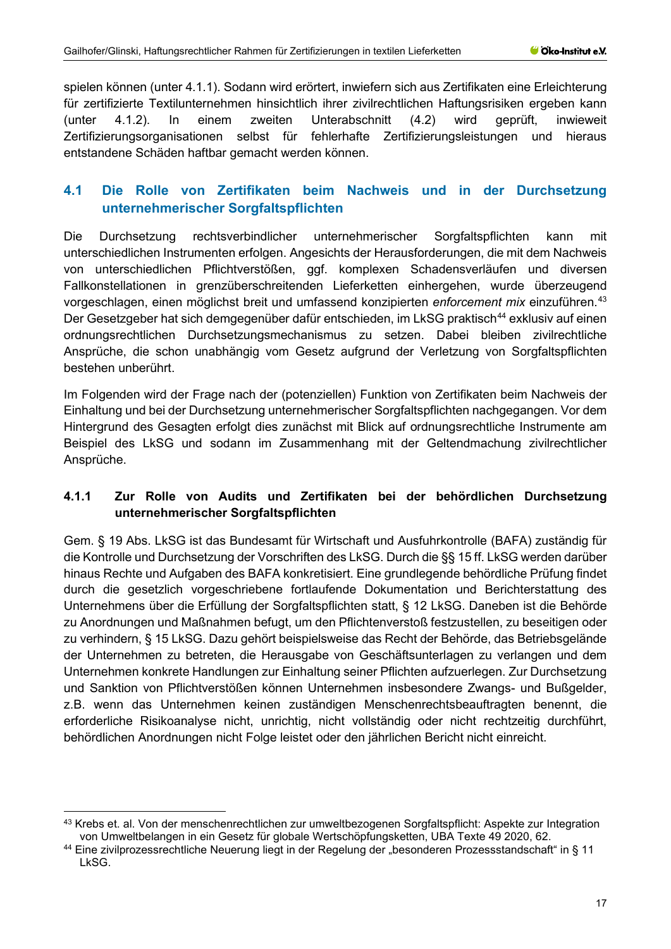spielen können (unter [4.1.1\)](#page-16-1). Sodann wird erörtert, inwiefern sich aus Zertifikaten eine Erleichterung für zertifizierte Textilunternehmen hinsichtlich ihrer zivilrechtlichen Haftungsrisiken ergeben kann (unter [4.1.2\)](#page-20-0). In einem zweiten Unterabschnitt [\(4.2\)](#page-36-0) wird geprüft, inwieweit Zertifizierungsorganisationen selbst für fehlerhafte Zertifizierungsleistungen und hieraus entstandene Schäden haftbar gemacht werden können.

#### <span id="page-16-0"></span>**4.1 Die Rolle von Zertifikaten beim Nachweis und in der Durchsetzung unternehmerischer Sorgfaltspflichten**

Die Durchsetzung rechtsverbindlicher unternehmerischer Sorgfaltspflichten kann mit unterschiedlichen Instrumenten erfolgen. Angesichts der Herausforderungen, die mit dem Nachweis von unterschiedlichen Pflichtverstößen, ggf. komplexen Schadensverläufen und diversen Fallkonstellationen in grenzüberschreitenden Lieferketten einhergehen, wurde überzeugend vorgeschlagen, einen möglichst breit und umfassend konzipierten *enforcement mix* einzuführen.[43](#page-16-2) Der Gesetzgeber hat sich demgegenüber dafür entschieden, im LkSG praktisch<sup>44</sup> exklusiv auf einen ordnungsrechtlichen Durchsetzungsmechanismus zu setzen. Dabei bleiben zivilrechtliche Ansprüche, die schon unabhängig vom Gesetz aufgrund der Verletzung von Sorgfaltspflichten bestehen unberührt.

Im Folgenden wird der Frage nach der (potenziellen) Funktion von Zertifikaten beim Nachweis der Einhaltung und bei der Durchsetzung unternehmerischer Sorgfaltspflichten nachgegangen. Vor dem Hintergrund des Gesagten erfolgt dies zunächst mit Blick auf ordnungsrechtliche Instrumente am Beispiel des LkSG und sodann im Zusammenhang mit der Geltendmachung zivilrechtlicher Ansprüche.

#### <span id="page-16-1"></span>**4.1.1 Zur Rolle von Audits und Zertifikaten bei der behördlichen Durchsetzung unternehmerischer Sorgfaltspflichten**

Gem. § 19 Abs. LkSG ist das Bundesamt für Wirtschaft und Ausfuhrkontrolle (BAFA) zuständig für die Kontrolle und Durchsetzung der Vorschriften des LkSG. Durch die §§ 15 ff. LkSG werden darüber hinaus Rechte und Aufgaben des BAFA konkretisiert. Eine grundlegende behördliche Prüfung findet durch die gesetzlich vorgeschriebene fortlaufende Dokumentation und Berichterstattung des Unternehmens über die Erfüllung der Sorgfaltspflichten statt, § 12 LkSG. Daneben ist die Behörde zu Anordnungen und Maßnahmen befugt, um den Pflichtenverstoß festzustellen, zu beseitigen oder zu verhindern, § 15 LkSG. Dazu gehört beispielsweise das Recht der Behörde, das Betriebsgelände der Unternehmen zu betreten, die Herausgabe von Geschäftsunterlagen zu verlangen und dem Unternehmen konkrete Handlungen zur Einhaltung seiner Pflichten aufzuerlegen. Zur Durchsetzung und Sanktion von Pflichtverstößen können Unternehmen insbesondere Zwangs- und Bußgelder, z.B. wenn das Unternehmen keinen zuständigen Menschenrechtsbeauftragten benennt, die erforderliche Risikoanalyse nicht, unrichtig, nicht vollständig oder nicht rechtzeitig durchführt, behördlichen Anordnungen nicht Folge leistet oder den jährlichen Bericht nicht einreicht.

<span id="page-16-2"></span><sup>43</sup> Krebs et. al. Von der menschenrechtlichen zur umweltbezogenen Sorgfaltspflicht: Aspekte zur Integration von Umweltbelangen in ein Gesetz für globale Wertschöpfungsketten, UBA Texte 49 2020, 62.

<span id="page-16-3"></span><sup>44</sup> Eine zivilprozessrechtliche Neuerung liegt in der Regelung der "besonderen Prozessstandschaft" in § 11 LkSG.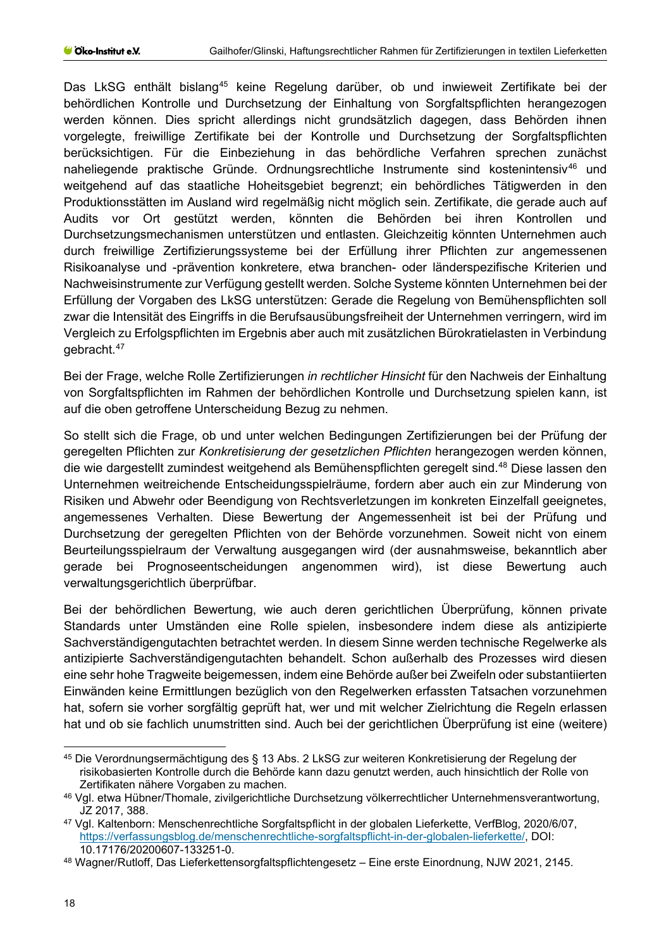Das LkSG enthält bislang<sup>[45](#page-17-0)</sup> keine Regelung darüber, ob und inwieweit Zertifikate bei der behördlichen Kontrolle und Durchsetzung der Einhaltung von Sorgfaltspflichten herangezogen werden können. Dies spricht allerdings nicht grundsätzlich dagegen, dass Behörden ihnen vorgelegte, freiwillige Zertifikate bei der Kontrolle und Durchsetzung der Sorgfaltspflichten berücksichtigen. Für die Einbeziehung in das behördliche Verfahren sprechen zunächst naheliegende praktische Gründe. Ordnungsrechtliche Instrumente sind kostenintensiv<sup>[46](#page-17-1)</sup> und weitgehend auf das staatliche Hoheitsgebiet begrenzt; ein behördliches Tätigwerden in den Produktionsstätten im Ausland wird regelmäßig nicht möglich sein. Zertifikate, die gerade auch auf Audits vor Ort gestützt werden, könnten die Behörden bei ihren Kontrollen und Durchsetzungsmechanismen unterstützen und entlasten. Gleichzeitig könnten Unternehmen auch durch freiwillige Zertifizierungssysteme bei der Erfüllung ihrer Pflichten zur angemessenen Risikoanalyse und -prävention konkretere, etwa branchen- oder länderspezifische Kriterien und Nachweisinstrumente zur Verfügung gestellt werden. Solche Systeme könnten Unternehmen bei der Erfüllung der Vorgaben des LkSG unterstützen: Gerade die Regelung von Bemühenspflichten soll zwar die Intensität des Eingriffs in die Berufsausübungsfreiheit der Unternehmen verringern, wird im Vergleich zu Erfolgspflichten im Ergebnis aber auch mit zusätzlichen Bürokratielasten in Verbindung gebracht.[47](#page-17-2)

Bei der Frage, welche Rolle Zertifizierungen *in rechtlicher Hinsicht* für den Nachweis der Einhaltung von Sorgfaltspflichten im Rahmen der behördlichen Kontrolle und Durchsetzung spielen kann, ist auf die oben getroffene Unterscheidung Bezug zu nehmen.

So stellt sich die Frage, ob und unter welchen Bedingungen Zertifizierungen bei der Prüfung der geregelten Pflichten zur *Konkretisierung der gesetzlichen Pflichten* herangezogen werden können, die wie dargestellt zumindest weitgehend als Bemühenspflichten geregelt sind. [48](#page-17-3) Diese lassen den Unternehmen weitreichende Entscheidungsspielräume, fordern aber auch ein zur Minderung von Risiken und Abwehr oder Beendigung von Rechtsverletzungen im konkreten Einzelfall geeignetes, angemessenes Verhalten. Diese Bewertung der Angemessenheit ist bei der Prüfung und Durchsetzung der geregelten Pflichten von der Behörde vorzunehmen. Soweit nicht von einem Beurteilungsspielraum der Verwaltung ausgegangen wird (der ausnahmsweise, bekanntlich aber gerade bei Prognoseentscheidungen angenommen wird), ist diese Bewertung auch verwaltungsgerichtlich überprüfbar.

Bei der behördlichen Bewertung, wie auch deren gerichtlichen Überprüfung, können private Standards unter Umständen eine Rolle spielen, insbesondere indem diese als antizipierte Sachverständigengutachten betrachtet werden. In diesem Sinne werden technische Regelwerke als antizipierte Sachverständigengutachten behandelt. Schon außerhalb des Prozesses wird diesen eine sehr hohe Tragweite beigemessen, indem eine Behörde außer bei Zweifeln oder substantiierten Einwänden keine Ermittlungen bezüglich von den Regelwerken erfassten Tatsachen vorzunehmen hat, sofern sie vorher sorgfältig geprüft hat, wer und mit welcher Zielrichtung die Regeln erlassen hat und ob sie fachlich unumstritten sind. Auch bei der gerichtlichen Überprüfung ist eine (weitere)

<span id="page-17-0"></span><sup>45</sup> Die Verordnungsermächtigung des § 13 Abs. 2 LkSG zur weiteren Konkretisierung der Regelung der risikobasierten Kontrolle durch die Behörde kann dazu genutzt werden, auch hinsichtlich der Rolle von Zertifikaten nähere Vorgaben zu machen.

<span id="page-17-1"></span><sup>46</sup> Vgl. etwa Hübner/Thomale, zivilgerichtliche Durchsetzung völkerrechtlicher Unternehmensverantwortung, JZ 2017, 388.

<span id="page-17-2"></span><sup>47</sup> Vgl. Kaltenborn: Menschenrechtliche Sorgfaltspflicht in der globalen Lieferkette, VerfBlog, 2020/6/07, [https://verfassungsblog.de/menschenrechtliche-sorgfaltspflicht-in-der-globalen-lieferkette/,](https://verfassungsblog.de/menschenrechtliche-sorgfaltspflicht-in-der-globalen-lieferkette/) DOI: 10.17176/20200607-133251-0.

<span id="page-17-3"></span><sup>48</sup> Wagner/Rutloff, Das Lieferkettensorgfaltspflichtengesetz – Eine erste Einordnung, NJW 2021, 2145.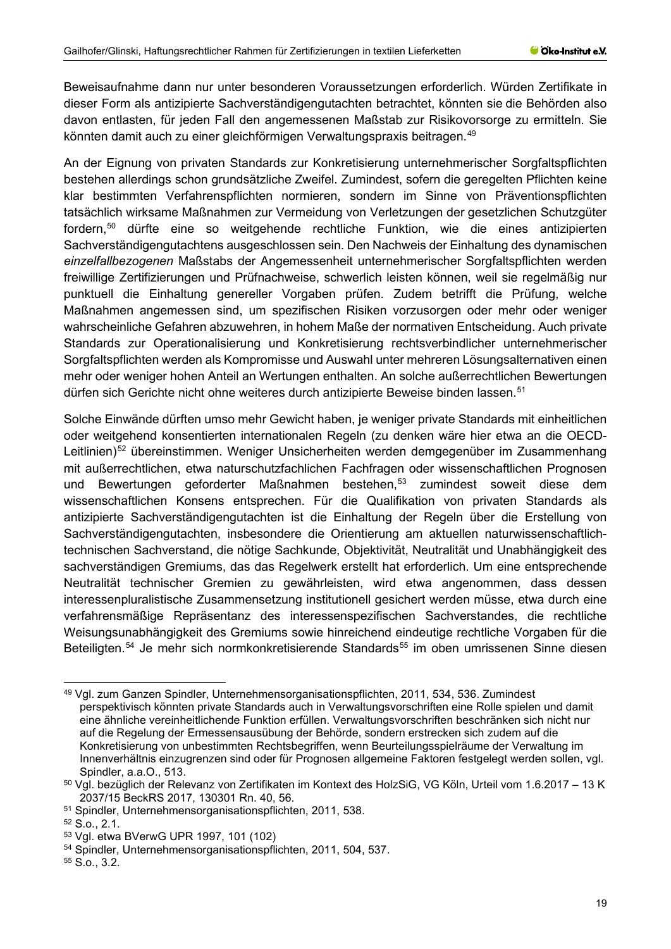Beweisaufnahme dann nur unter besonderen Voraussetzungen erforderlich. Würden Zertifikate in dieser Form als antizipierte Sachverständigengutachten betrachtet, könnten sie die Behörden also davon entlasten, für jeden Fall den angemessenen Maßstab zur Risikovorsorge zu ermitteln. Sie könnten damit auch zu einer gleichförmigen Verwaltungspraxis beitragen.<sup>[49](#page-18-0)</sup>

An der Eignung von privaten Standards zur Konkretisierung unternehmerischer Sorgfaltspflichten bestehen allerdings schon grundsätzliche Zweifel. Zumindest, sofern die geregelten Pflichten keine klar bestimmten Verfahrenspflichten normieren, sondern im Sinne von Präventionspflichten tatsächlich wirksame Maßnahmen zur Vermeidung von Verletzungen der gesetzlichen Schutzgüter fordern, [50](#page-18-1) dürfte eine so weitgehende rechtliche Funktion, wie die eines antizipierten Sachverständigengutachtens ausgeschlossen sein. Den Nachweis der Einhaltung des dynamischen *einzelfallbezogenen* Maßstabs der Angemessenheit unternehmerischer Sorgfaltspflichten werden freiwillige Zertifizierungen und Prüfnachweise, schwerlich leisten können, weil sie regelmäßig nur punktuell die Einhaltung genereller Vorgaben prüfen. Zudem betrifft die Prüfung, welche Maßnahmen angemessen sind, um spezifischen Risiken vorzusorgen oder mehr oder weniger wahrscheinliche Gefahren abzuwehren, in hohem Maße der normativen Entscheidung. Auch private Standards zur Operationalisierung und Konkretisierung rechtsverbindlicher unternehmerischer Sorgfaltspflichten werden als Kompromisse und Auswahl unter mehreren Lösungsalternativen einen mehr oder weniger hohen Anteil an Wertungen enthalten. An solche außerrechtlichen Bewertungen dürfen sich Gerichte nicht ohne weiteres durch antizipierte Beweise binden lassen.<sup>[51](#page-18-2)</sup>

Solche Einwände dürften umso mehr Gewicht haben, je weniger private Standards mit einheitlichen oder weitgehend konsentierten internationalen Regeln (zu denken wäre hier etwa an die OECD-Leitlinien)<sup>[52](#page-18-3)</sup> übereinstimmen. Weniger Unsicherheiten werden demgegenüber im Zusammenhang mit außerrechtlichen, etwa naturschutzfachlichen Fachfragen oder wissenschaftlichen Prognosen und Bewertungen geforderter Maßnahmen bestehen, [53](#page-18-4) zumindest soweit diese dem wissenschaftlichen Konsens entsprechen. Für die Qualifikation von privaten Standards als antizipierte Sachverständigengutachten ist die Einhaltung der Regeln über die Erstellung von Sachverständigengutachten, insbesondere die Orientierung am aktuellen naturwissenschaftlichtechnischen Sachverstand, die nötige Sachkunde, Objektivität, Neutralität und Unabhängigkeit des sachverständigen Gremiums, das das Regelwerk erstellt hat erforderlich. Um eine entsprechende Neutralität technischer Gremien zu gewährleisten, wird etwa angenommen, dass dessen interessenpluralistische Zusammensetzung institutionell gesichert werden müsse, etwa durch eine verfahrensmäßige Repräsentanz des interessenspezifischen Sachverstandes, die rechtliche Weisungsunabhängigkeit des Gremiums sowie hinreichend eindeutige rechtliche Vorgaben für die Beteiligten.<sup>[54](#page-18-5)</sup> Je mehr sich normkonkretisierende Standards<sup>[55](#page-18-6)</sup> im oben umrissenen Sinne diesen

<span id="page-18-0"></span><sup>49</sup> Vgl. zum Ganzen Spindler, Unternehmensorganisationspflichten, 2011, 534, 536. Zumindest perspektivisch könnten private Standards auch in Verwaltungsvorschriften eine Rolle spielen und damit eine ähnliche vereinheitlichende Funktion erfüllen. Verwaltungsvorschriften beschränken sich nicht nur auf die Regelung der Ermessensausübung der Behörde, sondern erstrecken sich zudem auf die Konkretisierung von unbestimmten Rechtsbegriffen, wenn Beurteilungsspielräume der Verwaltung im Innenverhältnis einzugrenzen sind oder für Prognosen allgemeine Faktoren festgelegt werden sollen, vgl. Spindler, a.a.O., 513.

<span id="page-18-1"></span><sup>50</sup> Vgl. bezüglich der Relevanz von Zertifikaten im Kontext des HolzSiG, VG Köln, Urteil vom 1.6.2017 – 13 K 2037/15 BeckRS 2017, 130301 Rn. 40, 56.

<span id="page-18-2"></span><sup>51</sup> Spindler, Unternehmensorganisationspflichten, 2011, 538.

<span id="page-18-3"></span><sup>52</sup> S.o., 2.1.

<span id="page-18-4"></span><sup>53</sup> Vgl. etwa BVerwG UPR 1997, 101 (102)

<span id="page-18-5"></span><sup>54</sup> Spindler, Unternehmensorganisationspflichten, 2011, 504, 537.

<span id="page-18-6"></span><sup>55</sup> S.o., [3.2.](#page-14-0)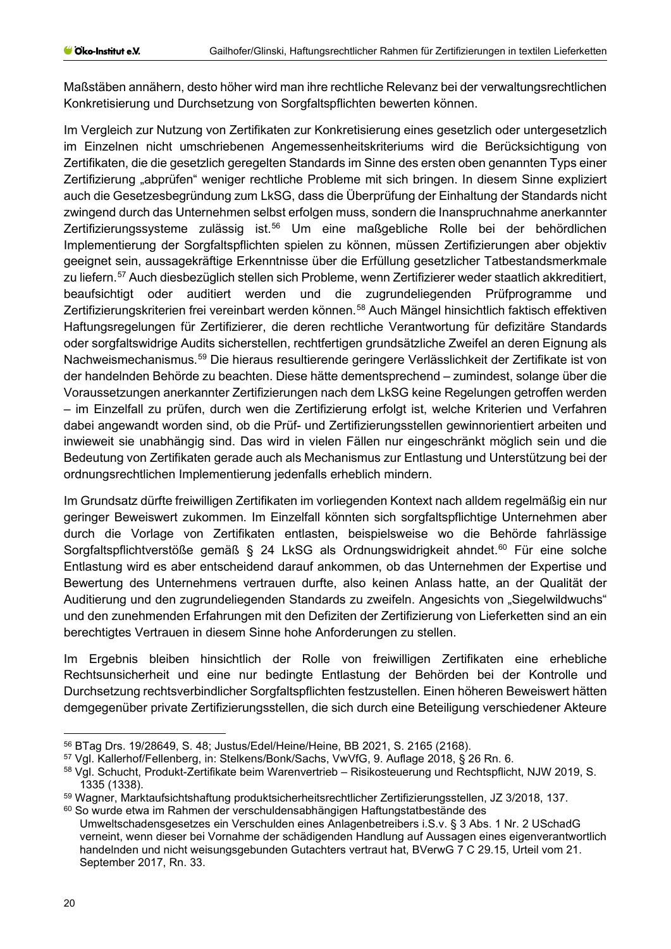Maßstäben annähern, desto höher wird man ihre rechtliche Relevanz bei der verwaltungsrechtlichen Konkretisierung und Durchsetzung von Sorgfaltspflichten bewerten können.

Im Vergleich zur Nutzung von Zertifikaten zur Konkretisierung eines gesetzlich oder untergesetzlich im Einzelnen nicht umschriebenen Angemessenheitskriteriums wird die Berücksichtigung von Zertifikaten, die die gesetzlich geregelten Standards im Sinne des ersten oben genannten Typs einer Zertifizierung "abprüfen" weniger rechtliche Probleme mit sich bringen. In diesem Sinne expliziert auch die Gesetzesbegründung zum LkSG, dass die Überprüfung der Einhaltung der Standards nicht zwingend durch das Unternehmen selbst erfolgen muss, sondern die Inanspruchnahme anerkannter Zertifizierungssysteme zulässig ist.<sup>[56](#page-19-0)</sup> Um eine maßgebliche Rolle bei der behördlichen Implementierung der Sorgfaltspflichten spielen zu können, müssen Zertifizierungen aber objektiv geeignet sein, aussagekräftige Erkenntnisse über die Erfüllung gesetzlicher Tatbestandsmerkmale zu liefern.<sup>[57](#page-19-1)</sup> Auch diesbezüglich stellen sich Probleme, wenn Zertifizierer weder staatlich akkreditiert, beaufsichtigt oder auditiert werden und die zugrundeliegenden Prüfprogramme und Zertifizierungskriterien frei vereinbart werden können.[58](#page-19-2) Auch Mängel hinsichtlich faktisch effektiven Haftungsregelungen für Zertifizierer, die deren rechtliche Verantwortung für defizitäre Standards oder sorgfaltswidrige Audits sicherstellen, rechtfertigen grundsätzliche Zweifel an deren Eignung als Nachweismechanismus.[59](#page-19-3) Die hieraus resultierende geringere Verlässlichkeit der Zertifikate ist von der handelnden Behörde zu beachten. Diese hätte dementsprechend – zumindest, solange über die Voraussetzungen anerkannter Zertifizierungen nach dem LkSG keine Regelungen getroffen werden – im Einzelfall zu prüfen, durch wen die Zertifizierung erfolgt ist, welche Kriterien und Verfahren dabei angewandt worden sind, ob die Prüf- und Zertifizierungsstellen gewinnorientiert arbeiten und inwieweit sie unabhängig sind. Das wird in vielen Fällen nur eingeschränkt möglich sein und die Bedeutung von Zertifikaten gerade auch als Mechanismus zur Entlastung und Unterstützung bei der ordnungsrechtlichen Implementierung jedenfalls erheblich mindern.

Im Grundsatz dürfte freiwilligen Zertifikaten im vorliegenden Kontext nach alldem regelmäßig ein nur geringer Beweiswert zukommen. Im Einzelfall könnten sich sorgfaltspflichtige Unternehmen aber durch die Vorlage von Zertifikaten entlasten, beispielsweise wo die Behörde fahrlässige Sorgfaltspflichtverstöße gemäß § 24 LkSG als Ordnungswidrigkeit ahndet.<sup>[60](#page-19-4)</sup> Für eine solche Entlastung wird es aber entscheidend darauf ankommen, ob das Unternehmen der Expertise und Bewertung des Unternehmens vertrauen durfte, also keinen Anlass hatte, an der Qualität der Auditierung und den zugrundeliegenden Standards zu zweifeln. Angesichts von "Siegelwildwuchs" und den zunehmenden Erfahrungen mit den Defiziten der Zertifizierung von Lieferketten sind an ein berechtigtes Vertrauen in diesem Sinne hohe Anforderungen zu stellen.

Im Ergebnis bleiben hinsichtlich der Rolle von freiwilligen Zertifikaten eine erhebliche Rechtsunsicherheit und eine nur bedingte Entlastung der Behörden bei der Kontrolle und Durchsetzung rechtsverbindlicher Sorgfaltspflichten festzustellen. Einen höheren Beweiswert hätten demgegenüber private Zertifizierungsstellen, die sich durch eine Beteiligung verschiedener Akteure

<span id="page-19-0"></span><sup>56</sup> BTag Drs. 19/28649, S. 48; Justus/Edel/Heine/Heine, BB 2021, S. 2165 (2168).

<span id="page-19-1"></span><sup>57</sup> Vgl. Kallerhof/Fellenberg, in: Stelkens/Bonk/Sachs, VwVfG, 9. Auflage 2018, § 26 Rn. 6.

<span id="page-19-2"></span><sup>58</sup> Vgl. Schucht, Produkt-Zertifikate beim Warenvertrieb – Risikosteuerung und Rechtspflicht, NJW 2019, S. 1335 (1338).

<span id="page-19-3"></span><sup>59</sup> Wagner, Marktaufsichtshaftung produktsicherheitsrechtlicher Zertifizierungsstellen, JZ 3/2018, 137.

<span id="page-19-4"></span><sup>60</sup> So wurde etwa im Rahmen der verschuldensabhängigen Haftungstatbestände des Umweltschadensgesetzes ein Verschulden eines Anlagenbetreibers i.S.v. § 3 Abs. 1 Nr. 2 USchadG verneint, wenn dieser bei Vornahme der schädigenden Handlung auf Aussagen eines eigenverantwortlich handelnden und nicht weisungsgebunden Gutachters vertraut hat, BVerwG 7 C 29.15, Urteil vom 21. September 2017, Rn. 33.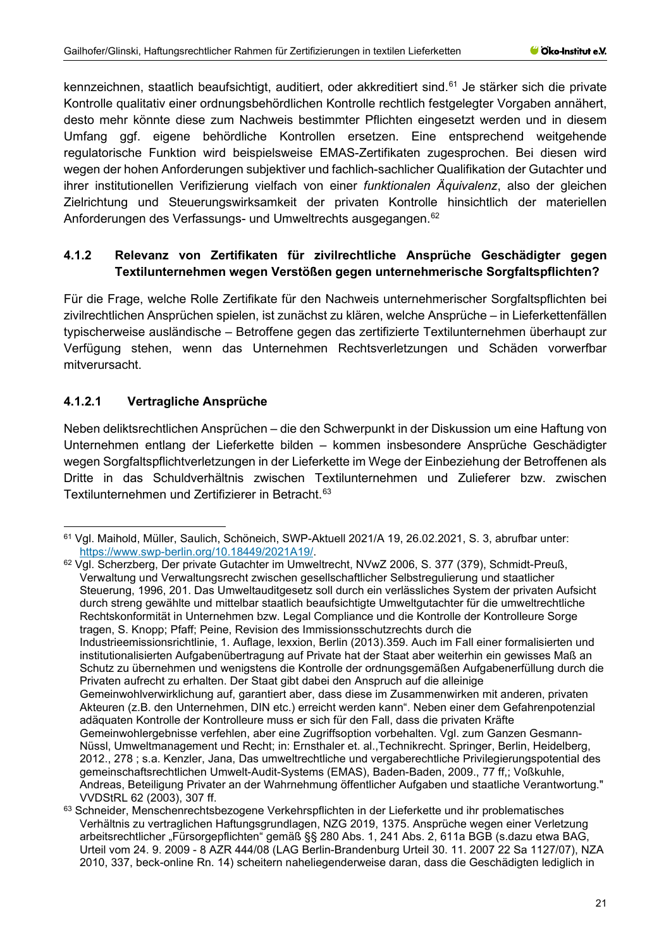kennzeichnen, staatlich beaufsichtigt, auditiert, oder akkreditiert sind.<sup>[61](#page-20-2)</sup> Je stärker sich die private Kontrolle qualitativ einer ordnungsbehördlichen Kontrolle rechtlich festgelegter Vorgaben annähert, desto mehr könnte diese zum Nachweis bestimmter Pflichten eingesetzt werden und in diesem Umfang ggf. eigene behördliche Kontrollen ersetzen. Eine entsprechend weitgehende regulatorische Funktion wird beispielsweise EMAS-Zertifikaten zugesprochen. Bei diesen wird wegen der hohen Anforderungen subjektiver und fachlich-sachlicher Qualifikation der Gutachter und ihrer institutionellen Verifizierung vielfach von einer *funktionalen Äquivalenz*, also der gleichen Zielrichtung und Steuerungswirksamkeit der privaten Kontrolle hinsichtlich der materiellen Anforderungen des Verfassungs- und Umweltrechts ausgegangen.<sup>[62](#page-20-3)</sup>

#### <span id="page-20-0"></span>**4.1.2 Relevanz von Zertifikaten für zivilrechtliche Ansprüche Geschädigter gegen Textilunternehmen wegen Verstößen gegen unternehmerische Sorgfaltspflichten?**

Für die Frage, welche Rolle Zertifikate für den Nachweis unternehmerischer Sorgfaltspflichten bei zivilrechtlichen Ansprüchen spielen, ist zunächst zu klären, welche Ansprüche – in Lieferkettenfällen typischerweise ausländische – Betroffene gegen das zertifizierte Textilunternehmen überhaupt zur Verfügung stehen, wenn das Unternehmen Rechtsverletzungen und Schäden vorwerfbar mitverursacht.

#### <span id="page-20-1"></span>**4.1.2.1 Vertragliche Ansprüche**

Neben deliktsrechtlichen Ansprüchen – die den Schwerpunkt in der Diskussion um eine Haftung von Unternehmen entlang der Lieferkette bilden – kommen insbesondere Ansprüche Geschädigter wegen Sorgfaltspflichtverletzungen in der Lieferkette im Wege der Einbeziehung der Betroffenen als Dritte in das Schuldverhältnis zwischen Textilunternehmen und Zulieferer bzw. zwischen Textilunternehmen und Zertifizierer in Betracht.<sup>[63](#page-20-4)</sup>

<span id="page-20-3"></span><sup>62</sup> Vgl. Scherzberg, Der private Gutachter im Umweltrecht, NVwZ 2006, S. 377 (379), Schmidt-Preuß, Verwaltung und Verwaltungsrecht zwischen gesellschaftlicher Selbstregulierung und staatlicher Steuerung, 1996, 201. Das Umweltauditgesetz soll durch ein verlässliches System der privaten Aufsicht durch streng gewählte und mittelbar staatlich beaufsichtigte Umweltgutachter für die umweltrechtliche Rechtskonformität in Unternehmen bzw. Legal Compliance und die Kontrolle der Kontrolleure Sorge tragen, S. Knopp; Pfaff; Peine, Revision des Immissionsschutzrechts durch die Industrieemissionsrichtlinie, 1. Auflage, lexxion, Berlin (2013).359. Auch im Fall einer formalisierten und institutionalisierten Aufgabenübertragung auf Private hat der Staat aber weiterhin ein gewisses Maß an Schutz zu übernehmen und wenigstens die Kontrolle der ordnungsgemäßen Aufgabenerfüllung durch die Privaten aufrecht zu erhalten. Der Staat gibt dabei den Anspruch auf die alleinige Gemeinwohlverwirklichung auf, garantiert aber, dass diese im Zusammenwirken mit anderen, privaten Akteuren (z.B. den Unternehmen, DIN etc.) erreicht werden kann". Neben einer dem Gefahrenpotenzial adäquaten Kontrolle der Kontrolleure muss er sich für den Fall, dass die privaten Kräfte Gemeinwohlergebnisse verfehlen, aber eine Zugriffsoption vorbehalten. Vgl. zum Ganzen Gesmann-Nüssl, Umweltmanagement und Recht; in: Ernsthaler et. al.,Technikrecht. Springer, Berlin, Heidelberg, 2012., 278 ; s.a. Kenzler, Jana, Das umweltrechtliche und vergaberechtliche Privilegierungspotential des gemeinschaftsrechtlichen Umwelt-Audit-Systems (EMAS), Baden-Baden, 2009., 77 ff,; Voßkuhle, Andreas, Beteiligung Privater an der Wahrnehmung öffentlicher Aufgaben und staatliche Verantwortung." VVDStRL 62 (2003), 307 ff.

<span id="page-20-2"></span><sup>61</sup> Vgl. Maihold, Müller, Saulich, Schöneich, SWP-Aktuell 2021/A 19, 26.02.2021, S. 3, abrufbar unter: [https://www.swp-berlin.org/10.18449/2021A19/.](https://www.swp-berlin.org/10.18449/2021A19/)

<span id="page-20-4"></span><sup>63</sup> Schneider, Menschenrechtsbezogene Verkehrspflichten in der Lieferkette und ihr problematisches Verhältnis zu vertraglichen Haftungsgrundlagen, NZG 2019, 1375. Ansprüche wegen einer Verletzung arbeitsrechtlicher "Fürsorgepflichten" gemäß §§ 280 Abs. 1, 241 Abs. 2, 611a BGB (s.dazu etwa BAG, Urteil vom 24. 9. 2009 - 8 AZR 444/08 (LAG Berlin-Brandenburg Urteil 30. 11. 2007 22 Sa 1127/07), NZA 2010, 337, beck-online Rn. 14) scheitern naheliegenderweise daran, dass die Geschädigten lediglich in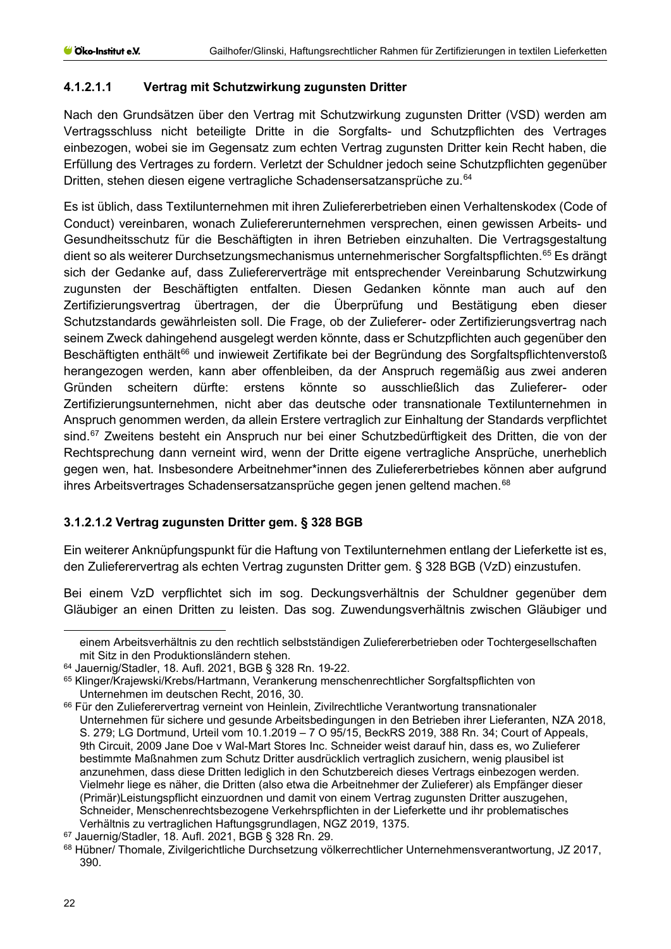#### **4.1.2.1.1 Vertrag mit Schutzwirkung zugunsten Dritter**

Nach den Grundsätzen über den Vertrag mit Schutzwirkung zugunsten Dritter (VSD) werden am Vertragsschluss nicht beteiligte Dritte in die Sorgfalts- und Schutzpflichten des Vertrages einbezogen, wobei sie im Gegensatz zum echten Vertrag zugunsten Dritter kein Recht haben, die Erfüllung des Vertrages zu fordern. Verletzt der Schuldner jedoch seine Schutzpflichten gegenüber Dritten, stehen diesen eigene vertragliche Schadensersatzansprüche zu. [64](#page-21-0)

Es ist üblich, dass Textilunternehmen mit ihren Zuliefererbetrieben einen Verhaltenskodex (Code of Conduct) vereinbaren, wonach Zuliefererunternehmen versprechen, einen gewissen Arbeits- und Gesundheitsschutz für die Beschäftigten in ihren Betrieben einzuhalten. Die Vertragsgestaltung dient so als weiterer Durchsetzungsmechanismus unternehmerischer Sorgfaltspflichten.<sup>[65](#page-21-1)</sup> Es drängt sich der Gedanke auf, dass Zuliefererverträge mit entsprechender Vereinbarung Schutzwirkung zugunsten der Beschäftigten entfalten. Diesen Gedanken könnte man auch auf den Zertifizierungsvertrag übertragen, der die Überprüfung und Bestätigung eben dieser Schutzstandards gewährleisten soll. Die Frage, ob der Zulieferer- oder Zertifizierungsvertrag nach seinem Zweck dahingehend ausgelegt werden könnte, dass er Schutzpflichten auch gegenüber den Beschäftigten enthält<sup>[66](#page-21-2)</sup> und inwieweit Zertifikate bei der Begründung des Sorgfaltspflichtenverstoß herangezogen werden, kann aber offenbleiben, da der Anspruch regemäßig aus zwei anderen Gründen scheitern dürfte: erstens könnte so ausschließlich das Zulieferer- oder Zertifizierungsunternehmen, nicht aber das deutsche oder transnationale Textilunternehmen in Anspruch genommen werden, da allein Erstere vertraglich zur Einhaltung der Standards verpflichtet sind.<sup>[67](#page-21-3)</sup> Zweitens besteht ein Anspruch nur bei einer Schutzbedürftigkeit des Dritten, die von der Rechtsprechung dann verneint wird, wenn der Dritte eigene vertragliche Ansprüche, unerheblich gegen wen, hat. Insbesondere Arbeitnehmer\*innen des Zuliefererbetriebes können aber aufgrund ihres Arbeitsvertrages Schadensersatzansprüche gegen jenen geltend machen.<sup>[68](#page-21-4)</sup>

#### **3.1.2.1.2 Vertrag zugunsten Dritter gem. § 328 BGB**

Ein weiterer Anknüpfungspunkt für die Haftung von Textilunternehmen entlang der Lieferkette ist es, den Zulieferervertrag als echten Vertrag zugunsten Dritter gem. § 328 BGB (VzD) einzustufen.

Bei einem VzD verpflichtet sich im sog. Deckungsverhältnis der Schuldner gegenüber dem Gläubiger an einen Dritten zu leisten. Das sog. Zuwendungsverhältnis zwischen Gläubiger und

einem Arbeitsverhältnis zu den rechtlich selbstständigen Zuliefererbetrieben oder Tochtergesellschaften mit Sitz in den Produktionsländern stehen.

<span id="page-21-0"></span><sup>64</sup> Jauernig/Stadler, 18. Aufl. 2021, BGB § 328 Rn. 19-22.

<span id="page-21-1"></span><sup>65</sup> Klinger/Krajewski/Krebs/Hartmann, Verankerung menschenrechtlicher Sorgfaltspflichten von Unternehmen im deutschen Recht, 2016, 30.

<span id="page-21-2"></span><sup>&</sup>lt;sup>66</sup> Für den Zulieferervertrag verneint von Heinlein, Zivilrechtliche Verantwortung transnationaler Unternehmen für sichere und gesunde Arbeitsbedingungen in den Betrieben ihrer Lieferanten, NZA 2018, S. 279; LG Dortmund, Urteil vom 10.1.2019 – 7 O 95/15, BeckRS 2019, 388 Rn. 34; Court of Appeals, 9th Circuit, 2009 Jane Doe v Wal-Mart Stores Inc. Schneider weist darauf hin, dass es, wo Zulieferer bestimmte Maßnahmen zum Schutz Dritter ausdrücklich vertraglich zusichern, wenig plausibel ist anzunehmen, dass diese Dritten lediglich in den Schutzbereich dieses Vertrags einbezogen werden. Vielmehr liege es näher, die Dritten (also etwa die Arbeitnehmer der Zulieferer) als Empfänger dieser (Primär)Leistungspflicht einzuordnen und damit von einem Vertrag zugunsten Dritter auszugehen, Schneider, Menschenrechtsbezogene Verkehrspflichten in der Lieferkette und ihr problematisches Verhältnis zu vertraglichen Haftungsgrundlagen, NGZ 2019, 1375.<br><sup>67</sup> Jauernig/Stadler, 18. Aufl. 2021, BGB § 328 Rn. 29.

<span id="page-21-3"></span>

<span id="page-21-4"></span><sup>68</sup> Hübner/ Thomale, Zivilgerichtliche Durchsetzung völkerrechtlicher Unternehmensverantwortung, JZ 2017, 390.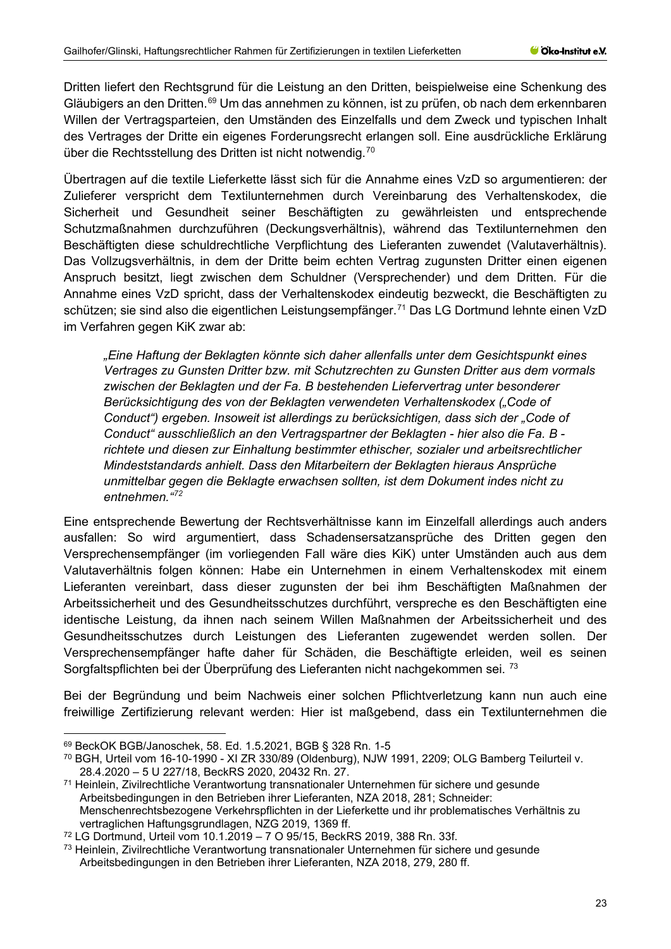Dritten liefert den Rechtsgrund für die Leistung an den Dritten, beispielweise eine Schenkung des Gläubigers an den Dritten.[69](#page-22-0) Um das annehmen zu können, ist zu prüfen, ob nach dem erkennbaren Willen der Vertragsparteien, den Umständen des Einzelfalls und dem Zweck und typischen Inhalt des Vertrages der Dritte ein eigenes Forderungsrecht erlangen soll. Eine ausdrückliche Erklärung über die Rechtsstellung des Dritten ist nicht notwendig.[70](#page-22-1)

Übertragen auf die textile Lieferkette lässt sich für die Annahme eines VzD so argumentieren: der Zulieferer verspricht dem Textilunternehmen durch Vereinbarung des Verhaltenskodex, die Sicherheit und Gesundheit seiner Beschäftigten zu gewährleisten und entsprechende Schutzmaßnahmen durchzuführen (Deckungsverhältnis), während das Textilunternehmen den Beschäftigten diese schuldrechtliche Verpflichtung des Lieferanten zuwendet (Valutaverhältnis). Das Vollzugsverhältnis, in dem der Dritte beim echten Vertrag zugunsten Dritter einen eigenen Anspruch besitzt, liegt zwischen dem Schuldner (Versprechender) und dem Dritten. Für die Annahme eines VzD spricht, dass der Verhaltenskodex eindeutig bezweckt, die Beschäftigten zu schützen; sie sind also die eigentlichen Leistungsempfänger.<sup>[71](#page-22-2)</sup> Das LG Dortmund lehnte einen VzD im Verfahren gegen KiK zwar ab:

*"Eine Haftung der Beklagten könnte sich daher allenfalls unter dem Gesichtspunkt eines Vertrages zu Gunsten Dritter bzw. mit Schutzrechten zu Gunsten Dritter aus dem vormals zwischen der Beklagten und der Fa. B bestehenden Liefervertrag unter besonderer Berücksichtigung des von der Beklagten verwendeten Verhaltenskodex ("Code of*  Conduct") ergeben. Insoweit ist allerdings zu berücksichtigen, dass sich der "Code of *Conduct" ausschließlich an den Vertragspartner der Beklagten - hier also die Fa. B richtete und diesen zur Einhaltung bestimmter ethischer, sozialer und arbeitsrechtlicher Mindeststandards anhielt. Dass den Mitarbeitern der Beklagten hieraus Ansprüche unmittelbar gegen die Beklagte erwachsen sollten, ist dem Dokument indes nicht zu entnehmen."[72](#page-22-3)*

Eine entsprechende Bewertung der Rechtsverhältnisse kann im Einzelfall allerdings auch anders ausfallen: So wird argumentiert, dass Schadensersatzansprüche des Dritten gegen den Versprechensempfänger (im vorliegenden Fall wäre dies KiK) unter Umständen auch aus dem Valutaverhältnis folgen können: Habe ein Unternehmen in einem Verhaltenskodex mit einem Lieferanten vereinbart, dass dieser zugunsten der bei ihm Beschäftigten Maßnahmen der Arbeitssicherheit und des Gesundheitsschutzes durchführt, verspreche es den Beschäftigten eine identische Leistung, da ihnen nach seinem Willen Maßnahmen der Arbeitssicherheit und des Gesundheitsschutzes durch Leistungen des Lieferanten zugewendet werden sollen. Der Versprechensempfänger hafte daher für Schäden, die Beschäftigte erleiden, weil es seinen Sorgfaltspflichten bei der Überprüfung des Lieferanten nicht nachgekommen sei. [73](#page-22-4)

Bei der Begründung und beim Nachweis einer solchen Pflichtverletzung kann nun auch eine freiwillige Zertifizierung relevant werden: Hier ist maßgebend, dass ein Textilunternehmen die

<span id="page-22-2"></span><sup>71</sup> Heinlein, Zivilrechtliche Verantwortung transnationaler Unternehmen für sichere und gesunde Arbeitsbedingungen in den Betrieben ihrer Lieferanten, NZA 2018, 281; Schneider: Menschenrechtsbezogene Verkehrspflichten in der Lieferkette und ihr problematisches Verhältnis zu vertraglichen Haftungsgrundlagen, NZG 2019, 1369 ff.

<span id="page-22-0"></span><sup>69</sup> BeckOK BGB/Janoschek, 58. Ed. 1.5.2021, BGB § 328 Rn. 1-5

<span id="page-22-1"></span><sup>70</sup> BGH, Urteil vom 16-10-1990 - XI ZR 330/89 (Oldenburg), NJW 1991, 2209; OLG Bamberg Teilurteil v. 28.4.2020 – 5 U 227/18, BeckRS 2020, 20432 Rn. 27.

<span id="page-22-3"></span><sup>72</sup> LG Dortmund, Urteil vom 10.1.2019 – 7 O 95/15, BeckRS 2019, 388 Rn. 33f.

<span id="page-22-4"></span><sup>&</sup>lt;sup>73</sup> Heinlein, Zivilrechtliche Verantwortung transnationaler Unternehmen für sichere und gesunde Arbeitsbedingungen in den Betrieben ihrer Lieferanten, NZA 2018, 279, 280 ff.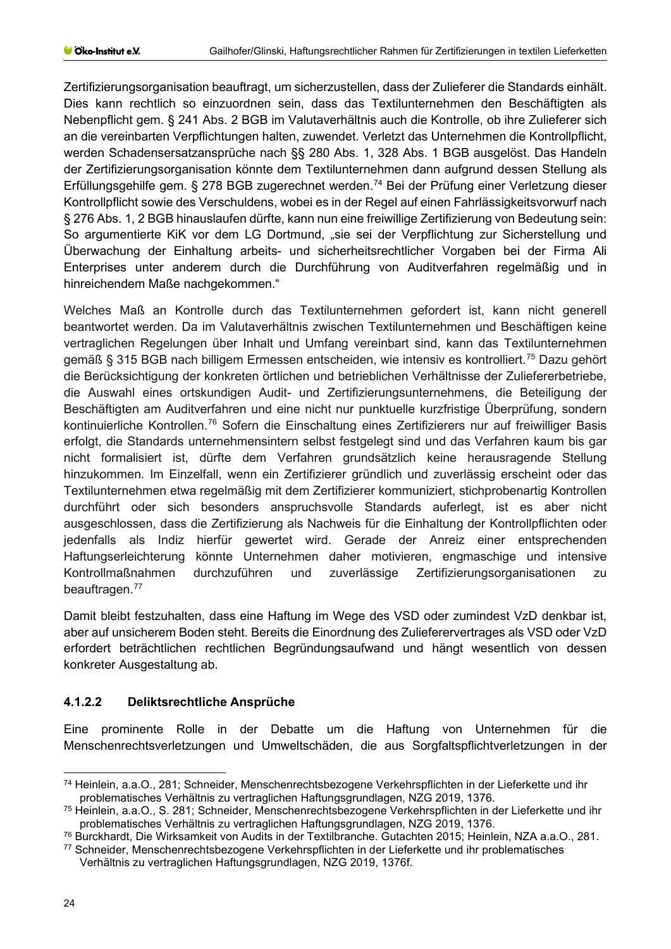Zertifizierungsorganisation beauftragt, um sicherzustellen, dass der Zulieferer die Standards einhält. Dies kann rechtlich so einzuordnen sein, dass das Textilunternehmen den Beschäftigten als Nebenpflicht gem. § 241 Abs. 2 BGB im Valutaverhältnis auch die Kontrolle, ob ihre Zulieferer sich an die vereinbarten Verpflichtungen halten, zuwendet. Verletzt das Unternehmen die Kontrollpflicht, werden Schadensersatzansprüche nach §§ 280 Abs. 1, 328 Abs. 1 BGB ausgelöst. Das Handeln der Zertifizierungsorganisation könnte dem Textilunternehmen dann aufgrund dessen Stellung als Erfüllungsgehilfe gem. § 278 BGB zugerechnet werden.<sup>[74](#page-23-1)</sup> Bei der Prüfung einer Verletzung dieser Kontrollpflicht sowie des Verschuldens, wobei es in der Regel auf einen Fahrlässigkeitsvorwurf nach § 276 Abs. 1, 2 BGB hinauslaufen dürfte, kann nun eine freiwillige Zertifizierung von Bedeutung sein: So argumentierte KiK vor dem LG Dortmund, "sie sei der Verpflichtung zur Sicherstellung und Überwachung der Einhaltung arbeits- und sicherheitsrechtlicher Vorgaben bei der Firma Ali Enterprises unter anderem durch die Durchführung von Auditverfahren regelmäßig und in hinreichendem Maße nachgekommen."

Welches Maß an Kontrolle durch das Textilunternehmen gefordert ist, kann nicht generell beantwortet werden. Da im Valutaverhältnis zwischen Textilunternehmen und Beschäftigen keine vertraglichen Regelungen über Inhalt und Umfang vereinbart sind, kann das Textilunternehmen gemäß § 315 BGB nach billigem Ermessen entscheiden, wie intensiv es kontrolliert.[75](#page-23-2) Dazu gehört die Berücksichtigung der konkreten örtlichen und betrieblichen Verhältnisse der Zuliefererbetriebe, die Auswahl eines ortskundigen Audit- und Zertifizierungsunternehmens, die Beteiligung der Beschäftigten am Auditverfahren und eine nicht nur punktuelle kurzfristige Überprüfung, sondern kontinuierliche Kontrollen.[76](#page-23-3) Sofern die Einschaltung eines Zertifizierers nur auf freiwilliger Basis erfolgt, die Standards unternehmensintern selbst festgelegt sind und das Verfahren kaum bis gar nicht formalisiert ist, dürfte dem Verfahren grundsätzlich keine herausragende Stellung hinzukommen. Im Einzelfall, wenn ein Zertifizierer gründlich und zuverlässig erscheint oder das Textilunternehmen etwa regelmäßig mit dem Zertifizierer kommuniziert, stichprobenartig Kontrollen durchführt oder sich besonders anspruchsvolle Standards auferlegt, ist es aber nicht ausgeschlossen, dass die Zertifizierung als Nachweis für die Einhaltung der Kontrollpflichten oder jedenfalls als Indiz hierfür gewertet wird. Gerade der Anreiz einer entsprechenden Haftungserleichterung könnte Unternehmen daher motivieren, engmaschige und intensive Kontrollmaßnahmen durchzuführen und zuverlässige Zertifizierungsorganisationen zu beauftragen.<sup>[77](#page-23-4)</sup>

Damit bleibt festzuhalten, dass eine Haftung im Wege des VSD oder zumindest VzD denkbar ist, aber auf unsicherem Boden steht. Bereits die Einordnung des Zulieferervertrages als VSD oder VzD erfordert beträchtlichen rechtlichen Begründungsaufwand und hängt wesentlich von dessen konkreter Ausgestaltung ab.

#### <span id="page-23-0"></span>**4.1.2.2 Deliktsrechtliche Ansprüche**

Eine prominente Rolle in der Debatte um die Haftung von Unternehmen für die Menschenrechtsverletzungen und Umweltschäden, die aus Sorgfaltspflichtverletzungen in der

<span id="page-23-1"></span><sup>74</sup> Heinlein, a.a.O., 281; Schneider, Menschenrechtsbezogene Verkehrspflichten in der Lieferkette und ihr problematisches Verhältnis zu vertraglichen Haftungsgrundlagen, NZG 2019, 1376.

<span id="page-23-2"></span><sup>75</sup> Heinlein, a.a.O., S. 281; Schneider, Menschenrechtsbezogene Verkehrspflichten in der Lieferkette und ihr problematisches Verhältnis zu vertraglichen Haftungsgrundlagen, NZG 2019, 1376.

<span id="page-23-3"></span><sup>76</sup> Burckhardt, Die Wirksamkeit von Audits in der Textilbranche. Gutachten 2015; Heinlein, NZA a.a.O., 281.

<span id="page-23-4"></span><sup>77</sup> Schneider, Menschenrechtsbezogene Verkehrspflichten in der Lieferkette und ihr problematisches Verhältnis zu vertraglichen Haftungsgrundlagen, NZG 2019, 1376f.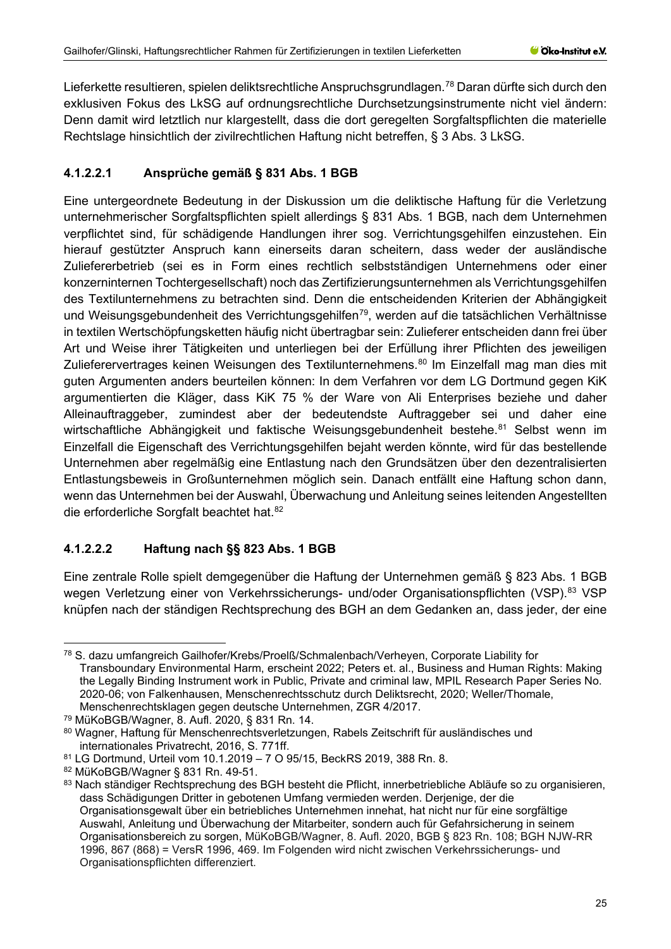Lieferkette resultieren, spielen deliktsrechtliche Anspruchsgrundlagen. [78](#page-24-0) Daran dürfte sich durch den exklusiven Fokus des LkSG auf ordnungsrechtliche Durchsetzungsinstrumente nicht viel ändern: Denn damit wird letztlich nur klargestellt, dass die dort geregelten Sorgfaltspflichten die materielle Rechtslage hinsichtlich der zivilrechtlichen Haftung nicht betreffen, § 3 Abs. 3 LkSG.

#### **4.1.2.2.1 Ansprüche gemäß § 831 Abs. 1 BGB**

Eine untergeordnete Bedeutung in der Diskussion um die deliktische Haftung für die Verletzung unternehmerischer Sorgfaltspflichten spielt allerdings § 831 Abs. 1 BGB, nach dem Unternehmen verpflichtet sind, für schädigende Handlungen ihrer sog. Verrichtungsgehilfen einzustehen. Ein hierauf gestützter Anspruch kann einerseits daran scheitern, dass weder der ausländische Zuliefererbetrieb (sei es in Form eines rechtlich selbstständigen Unternehmens oder einer konzerninternen Tochtergesellschaft) noch das Zertifizierungsunternehmen als Verrichtungsgehilfen des Textilunternehmens zu betrachten sind. Denn die entscheidenden Kriterien der Abhängigkeit und Weisungsgebundenheit des Verrichtungsgehilfen[79,](#page-24-1) werden auf die tatsächlichen Verhältnisse in textilen Wertschöpfungsketten häufig nicht übertragbar sein: Zulieferer entscheiden dann frei über Art und Weise ihrer Tätigkeiten und unterliegen bei der Erfüllung ihrer Pflichten des jeweiligen Zulieferervertrages keinen Weisungen des Textilunternehmens.<sup>[80](#page-24-2)</sup> Im Einzelfall mag man dies mit guten Argumenten anders beurteilen können: In dem Verfahren vor dem LG Dortmund gegen KiK argumentierten die Kläger, dass KiK 75 % der Ware von Ali Enterprises beziehe und daher Alleinauftraggeber, zumindest aber der bedeutendste Auftraggeber sei und daher eine wirtschaftliche Abhängigkeit und faktische Weisungsgebundenheit bestehe.<sup>[81](#page-24-3)</sup> Selbst wenn im Einzelfall die Eigenschaft des Verrichtungsgehilfen bejaht werden könnte, wird für das bestellende Unternehmen aber regelmäßig eine Entlastung nach den Grundsätzen über den dezentralisierten Entlastungsbeweis in Großunternehmen möglich sein. Danach entfällt eine Haftung schon dann, wenn das Unternehmen bei der Auswahl, Überwachung und Anleitung seines leitenden Angestellten die erforderliche Sorgfalt beachtet hat.<sup>[82](#page-24-4)</sup>

#### **4.1.2.2.2 Haftung nach §§ 823 Abs. 1 BGB**

Eine zentrale Rolle spielt demgegenüber die Haftung der Unternehmen gemäß § 823 Abs. 1 BGB wegen Verletzung einer von Verkehrssicherungs- und/oder Organisationspflichten (VSP).<sup>[83](#page-24-5)</sup> VSP knüpfen nach der ständigen Rechtsprechung des BGH an dem Gedanken an, dass jeder, der eine

<span id="page-24-0"></span><sup>78</sup> S. dazu umfangreich Gailhofer/Krebs/Proelß/Schmalenbach/Verheyen, Corporate Liability for Transboundary Environmental Harm, erscheint 2022; Peters et. al., Business and Human Rights: Making the Legally Binding Instrument work in Public, Private and criminal law, MPIL Research Paper Series No. 2020-06; von Falkenhausen, Menschenrechtsschutz durch Deliktsrecht, 2020; Weller/Thomale, Menschenrechtsklagen gegen deutsche Unternehmen, ZGR 4/2017.

<span id="page-24-1"></span><sup>79</sup> MüKoBGB/Wagner, 8. Aufl. 2020, § 831 Rn. 14.

<span id="page-24-2"></span><sup>80</sup> Wagner, Haftung für Menschenrechtsverletzungen, Rabels Zeitschrift für ausländisches und internationales Privatrecht, 2016, S. 771ff.

<span id="page-24-3"></span><sup>81</sup> LG Dortmund, Urteil vom 10.1.2019 – 7 O 95/15, BeckRS 2019, 388 Rn. 8.

<span id="page-24-4"></span><sup>82</sup> MüKoBGB/Wagner § 831 Rn. 49-51.

<span id="page-24-5"></span><sup>83</sup> Nach ständiger Rechtsprechung des BGH besteht die Pflicht, innerbetriebliche Abläufe so zu organisieren, dass Schädigungen Dritter in gebotenen Umfang vermieden werden. Derjenige, der die Organisationsgewalt über ein betriebliches Unternehmen innehat, hat nicht nur für eine sorgfältige Auswahl, Anleitung und Überwachung der Mitarbeiter, sondern auch für Gefahrsicherung in seinem Organisationsbereich zu sorgen, MüKoBGB/Wagner, 8. Aufl. 2020, BGB § 823 Rn. 108; BGH NJW-RR 1996, 867 (868) = VersR 1996, 469. Im Folgenden wird nicht zwischen Verkehrssicherungs- und Organisationspflichten differenziert.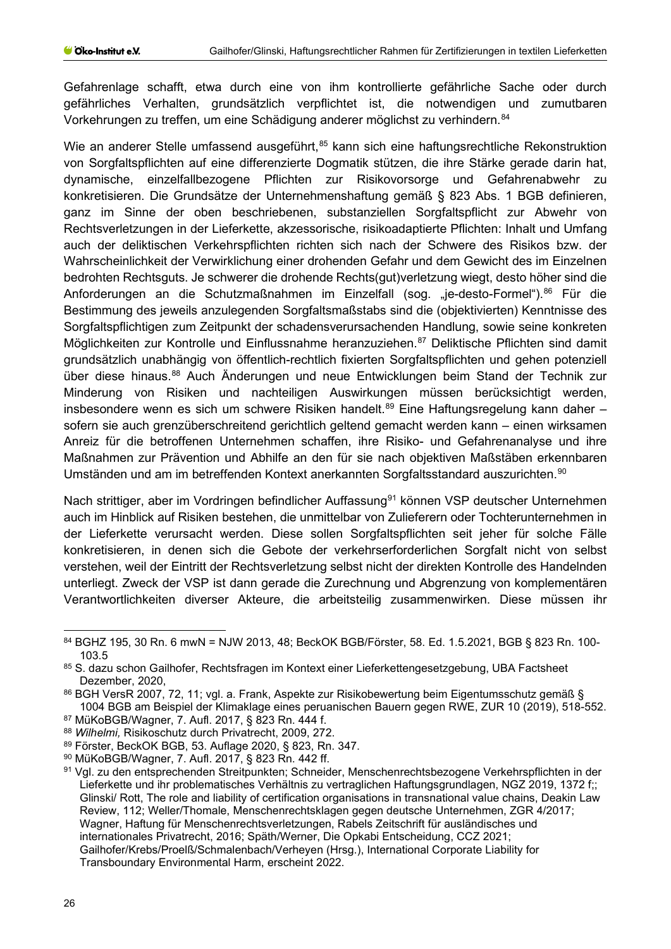Gefahrenlage schafft, etwa durch eine von ihm kontrollierte gefährliche Sache oder durch gefährliches Verhalten, grundsätzlich verpflichtet ist, die notwendigen und zumutbaren Vorkehrungen zu treffen, um eine Schädigung anderer möglichst zu verhindern.[84](#page-25-0)

Wie an anderer Stelle umfassend ausgeführt.<sup>[85](#page-25-1)</sup> kann sich eine haftungsrechtliche Rekonstruktion von Sorgfaltspflichten auf eine differenzierte Dogmatik stützen, die ihre Stärke gerade darin hat, dynamische, einzelfallbezogene Pflichten zur Risikovorsorge und Gefahrenabwehr zu konkretisieren. Die Grundsätze der Unternehmenshaftung gemäß § 823 Abs. 1 BGB definieren, ganz im Sinne der oben beschriebenen, substanziellen Sorgfaltspflicht zur Abwehr von Rechtsverletzungen in der Lieferkette, akzessorische, risikoadaptierte Pflichten: Inhalt und Umfang auch der deliktischen Verkehrspflichten richten sich nach der Schwere des Risikos bzw. der Wahrscheinlichkeit der Verwirklichung einer drohenden Gefahr und dem Gewicht des im Einzelnen bedrohten Rechtsguts. Je schwerer die drohende Rechts(gut)verletzung wiegt, desto höher sind die Anforderungen an die Schutzmaßnahmen im Einzelfall (sog. "je-desto-Formel").<sup>[86](#page-25-2)</sup> Für die Bestimmung des jeweils anzulegenden Sorgfaltsmaßstabs sind die (objektivierten) Kenntnisse des Sorgfaltspflichtigen zum Zeitpunkt der schadensverursachenden Handlung, sowie seine konkreten Möglichkeiten zur Kontrolle und Einflussnahme heranzuziehen. [87](#page-25-3) Deliktische Pflichten sind damit grundsätzlich unabhängig von öffentlich-rechtlich fixierten Sorgfaltspflichten und gehen potenziell über diese hinaus.[88](#page-25-4) Auch Änderungen und neue Entwicklungen beim Stand der Technik zur Minderung von Risiken und nachteiligen Auswirkungen müssen berücksichtigt werden, insbesondere wenn es sich um schwere Risiken handelt.<sup>[89](#page-25-5)</sup> Eine Haftungsregelung kann daher sofern sie auch grenzüberschreitend gerichtlich geltend gemacht werden kann – einen wirksamen Anreiz für die betroffenen Unternehmen schaffen, ihre Risiko- und Gefahrenanalyse und ihre Maßnahmen zur Prävention und Abhilfe an den für sie nach objektiven Maßstäben erkennbaren Umständen und am im betreffenden Kontext anerkannten Sorgfaltsstandard auszurichten.<sup>[90](#page-25-6)</sup>

Nach strittiger, aber im Vordringen befindlicher Auffassung<sup>[91](#page-25-7)</sup> können VSP deutscher Unternehmen auch im Hinblick auf Risiken bestehen, die unmittelbar von Zulieferern oder Tochterunternehmen in der Lieferkette verursacht werden. Diese sollen Sorgfaltspflichten seit jeher für solche Fälle konkretisieren, in denen sich die Gebote der verkehrserforderlichen Sorgfalt nicht von selbst verstehen, weil der Eintritt der Rechtsverletzung selbst nicht der direkten Kontrolle des Handelnden unterliegt. Zweck der VSP ist dann gerade die Zurechnung und Abgrenzung von komplementären Verantwortlichkeiten diverser Akteure, die arbeitsteilig zusammenwirken. Diese müssen ihr

<span id="page-25-0"></span><sup>84</sup> BGHZ 195, 30 Rn. 6 mwN = NJW 2013, 48; BeckOK BGB/Förster, 58. Ed. 1.5.2021, BGB § 823 Rn. 100- 103.5

<span id="page-25-1"></span><sup>85</sup> S. dazu schon Gailhofer, Rechtsfragen im Kontext einer Lieferkettengesetzgebung, UBA Factsheet Dezember, 2020,

<span id="page-25-2"></span><sup>86</sup> BGH VersR 2007, [72,](https://beck-online.beck.de/?typ=reference&y=300&b=2007&s=72&z=VersR) [11;](https://beck-online.beck.de/?typ=reference&y=300&b=2007&s=72&z=VersR&rn=11) vgl. a. Frank, Aspekte zur Risikobewertung beim Eigentumsschutz gemäß § 1004 BGB am Beispiel der Klimaklage eines peruanischen Bauern gegen RWE, ZUR 10 (2019), 518-552.

<sup>87</sup> MüKoBGB/Wagner, 7. Aufl. 2017, § 823 Rn. 444 f.

<span id="page-25-4"></span><span id="page-25-3"></span><sup>88</sup> *Wilhelmi,* Risikoschutz durch Privatrecht, 2009, 272.

<span id="page-25-5"></span><sup>89</sup> Förster, BeckOK BGB, 53. Auflage 2020, § 823, Rn. 347.

<span id="page-25-6"></span><sup>90</sup> MüKoBGB/Wagner, 7. Aufl. 2017, § 823 Rn. 442 ff.

<span id="page-25-7"></span><sup>91</sup> Vgl. zu den entsprechenden Streitpunkten; Schneider, Menschenrechtsbezogene Verkehrspflichten in der Lieferkette und ihr problematisches Verhältnis zu vertraglichen Haftungsgrundlagen, NGZ 2019, 1372 f;; Glinski/ Rott, The role and liability of certification organisations in transnational value chains, Deakin Law Review, 112; Weller/Thomale, Menschenrechtsklagen gegen deutsche Unternehmen, ZGR 4/2017; Wagner, Haftung für Menschenrechtsverletzungen, Rabels Zeitschrift für ausländisches und internationales Privatrecht, 2016; Späth/Werner, Die Opkabi Entscheidung, CCZ 2021; Gailhofer/Krebs/Proelß/Schmalenbach/Verheyen (Hrsg.), International Corporate Liability for Transboundary Environmental Harm, erscheint 2022.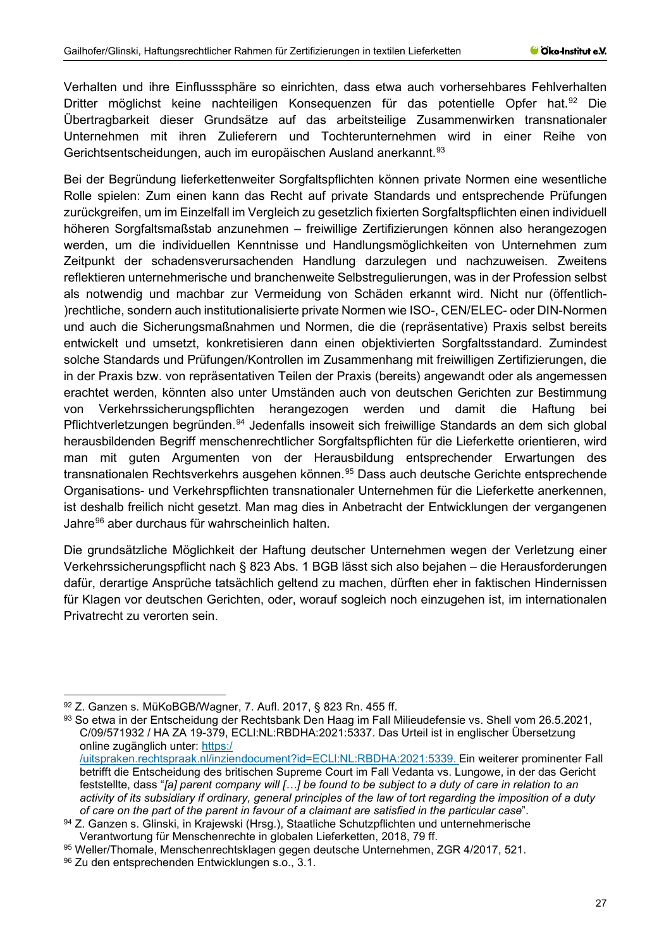Verhalten und ihre Einflusssphäre so einrichten, dass etwa auch vorhersehbares Fehlverhalten Dritter möglichst keine nachteiligen Konsequenzen für das potentielle Opfer hat.[92](#page-26-0) Die Übertragbarkeit dieser Grundsätze auf das arbeitsteilige Zusammenwirken transnationaler Unternehmen mit ihren Zulieferern und Tochterunternehmen wird in einer Reihe von Gerichtsentscheidungen, auch im europäischen Ausland anerkannt.<sup>[93](#page-26-1)</sup>

Bei der Begründung lieferkettenweiter Sorgfaltspflichten können private Normen eine wesentliche Rolle spielen: Zum einen kann das Recht auf private Standards und entsprechende Prüfungen zurückgreifen, um im Einzelfall im Vergleich zu gesetzlich fixierten Sorgfaltspflichten einen individuell höheren Sorgfaltsmaßstab anzunehmen – freiwillige Zertifizierungen können also herangezogen werden, um die individuellen Kenntnisse und Handlungsmöglichkeiten von Unternehmen zum Zeitpunkt der schadensverursachenden Handlung darzulegen und nachzuweisen. Zweitens reflektieren unternehmerische und branchenweite Selbstregulierungen, was in der Profession selbst als notwendig und machbar zur Vermeidung von Schäden erkannt wird. Nicht nur (öffentlich- )rechtliche, sondern auch institutionalisierte private Normen wie ISO-, CEN/ELEC- oder DIN-Normen und auch die Sicherungsmaßnahmen und Normen, die die (repräsentative) Praxis selbst bereits entwickelt und umsetzt, konkretisieren dann einen objektivierten Sorgfaltsstandard. Zumindest solche Standards und Prüfungen/Kontrollen im Zusammenhang mit freiwilligen Zertifizierungen, die in der Praxis bzw. von repräsentativen Teilen der Praxis (bereits) angewandt oder als angemessen erachtet werden, könnten also unter Umständen auch von deutschen Gerichten zur Bestimmung von Verkehrssicherungspflichten herangezogen werden und damit die Haftung bei Pflichtverletzungen begründen.<sup>[94](#page-26-2)</sup> Jedenfalls insoweit sich freiwillige Standards an dem sich global herausbildenden Begriff menschenrechtlicher Sorgfaltspflichten für die Lieferkette orientieren, wird man mit guten Argumenten von der Herausbildung entsprechender Erwartungen des transnationalen Rechtsverkehrs ausgehen können.[95](#page-26-3) Dass auch deutsche Gerichte entsprechende Organisations- und Verkehrspflichten transnationaler Unternehmen für die Lieferkette anerkennen, ist deshalb freilich nicht gesetzt. Man mag dies in Anbetracht der Entwicklungen der vergangenen Jahre[96](#page-26-4) aber durchaus für wahrscheinlich halten.

Die grundsätzliche Möglichkeit der Haftung deutscher Unternehmen wegen der Verletzung einer Verkehrssicherungspflicht nach § 823 Abs. 1 BGB lässt sich also bejahen – die Herausforderungen dafür, derartige Ansprüche tatsächlich geltend zu machen, dürften eher in faktischen Hindernissen für Klagen vor deutschen Gerichten, oder, worauf sogleich noch einzugehen ist, im internationalen Privatrecht zu verorten sein.

<span id="page-26-0"></span><sup>92</sup> Z. Ganzen s. MüKoBGB/Wagner, 7. Aufl. 2017, § 823 Rn. 455 ff.

<span id="page-26-1"></span><sup>93</sup> So etwa in der Entscheidung der Rechtsbank Den Haag im Fall Milieudefensie vs. Shell vom 26.5.2021, C/09/571932 / HA ZA 19-379, ECLl:NL:RBDHA:2021:5337. Das Urteil ist in englischer Übersetzung online zugänglich unter: https:/

<sup>/</sup>uitspraken.rechtspraak.nl/inziendocument?id=ECLl:NL:RBDHA:2021:5339. Ein weiterer prominenter Fall betrifft die Entscheidung des britischen Supreme Court im Fall Vedanta vs. Lungowe, in der das Gericht feststellte, dass "*[a] parent company will […] be found to be subject to a duty of care in relation to an activity of its subsidiary if ordinary, general principles of the law of tort regarding the imposition of a duty of care on the part of the parent in favour of a claimant are satisfied in the particular case*".

<span id="page-26-2"></span><sup>94</sup> Z. Ganzen s. Glinski, in Krajewski (Hrsg.), Staatliche Schutzpflichten und unternehmerische Verantwortung für Menschenrechte in globalen Lieferketten, 2018, 79 ff.

<span id="page-26-3"></span><sup>95</sup> Weller/Thomale, Menschenrechtsklagen gegen deutsche Unternehmen, ZGR 4/2017, 521.

<span id="page-26-4"></span><sup>96</sup> Zu den entsprechenden Entwicklungen s.o., 3.1.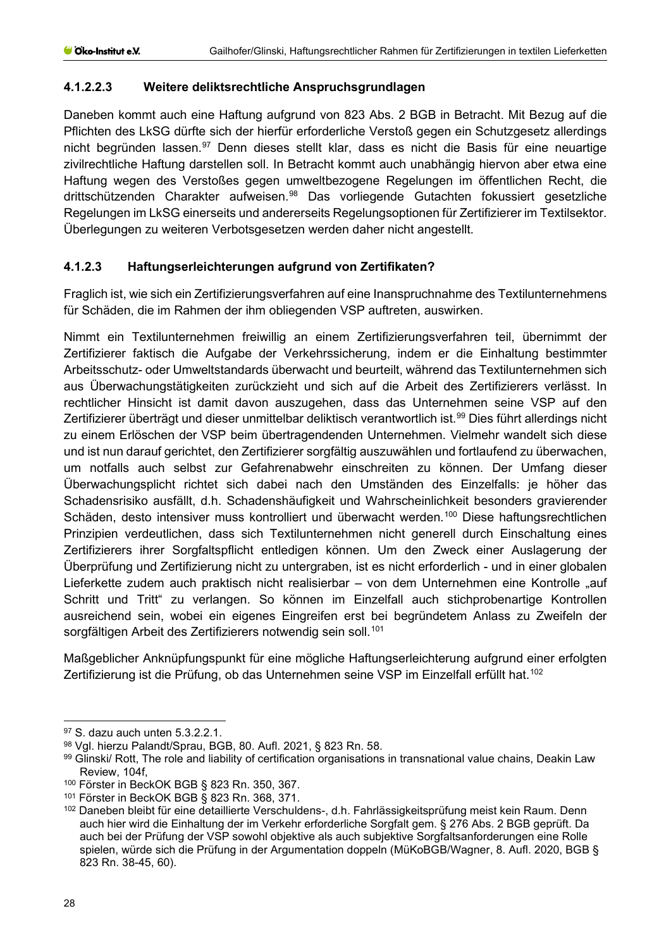#### **4.1.2.2.3 Weitere deliktsrechtliche Anspruchsgrundlagen**

Daneben kommt auch eine Haftung aufgrund von 823 Abs. 2 BGB in Betracht. Mit Bezug auf die Pflichten des LkSG dürfte sich der hierfür erforderliche Verstoß gegen ein Schutzgesetz allerdings nicht begründen lassen.<sup>[97](#page-27-1)</sup> Denn dieses stellt klar, dass es nicht die Basis für eine neuartige zivilrechtliche Haftung darstellen soll. In Betracht kommt auch unabhängig hiervon aber etwa eine Haftung wegen des Verstoßes gegen umweltbezogene Regelungen im öffentlichen Recht, die drittschützenden Charakter aufweisen.<sup>[98](#page-27-2)</sup> Das vorliegende Gutachten fokussiert gesetzliche Regelungen im LkSG einerseits und andererseits Regelungsoptionen für Zertifizierer im Textilsektor. Überlegungen zu weiteren Verbotsgesetzen werden daher nicht angestellt.

#### <span id="page-27-0"></span>**4.1.2.3 Haftungserleichterungen aufgrund von Zertifikaten?**

Fraglich ist, wie sich ein Zertifizierungsverfahren auf eine Inanspruchnahme des Textilunternehmens für Schäden, die im Rahmen der ihm obliegenden VSP auftreten, auswirken.

Nimmt ein Textilunternehmen freiwillig an einem Zertifizierungsverfahren teil, übernimmt der Zertifizierer faktisch die Aufgabe der Verkehrssicherung, indem er die Einhaltung bestimmter Arbeitsschutz- oder Umweltstandards überwacht und beurteilt, während das Textilunternehmen sich aus Überwachungstätigkeiten zurückzieht und sich auf die Arbeit des Zertifizierers verlässt. In rechtlicher Hinsicht ist damit davon auszugehen, dass das Unternehmen seine VSP auf den Zertifizierer überträgt und dieser unmittelbar deliktisch verantwortlich ist. [99](#page-27-3) Dies führt allerdings nicht zu einem Erlöschen der VSP beim übertragendenden Unternehmen. Vielmehr wandelt sich diese und ist nun darauf gerichtet, den Zertifizierer sorgfältig auszuwählen und fortlaufend zu überwachen, um notfalls auch selbst zur Gefahrenabwehr einschreiten zu können. Der Umfang dieser Überwachungsplicht richtet sich dabei nach den Umständen des Einzelfalls: je höher das Schadensrisiko ausfällt, d.h. Schadenshäufigkeit und Wahrscheinlichkeit besonders gravierender Schäden, desto intensiver muss kontrolliert und überwacht werden.<sup>[100](#page-27-4)</sup> Diese haftungsrechtlichen Prinzipien verdeutlichen, dass sich Textilunternehmen nicht generell durch Einschaltung eines Zertifizierers ihrer Sorgfaltspflicht entledigen können. Um den Zweck einer Auslagerung der Überprüfung und Zertifizierung nicht zu untergraben, ist es nicht erforderlich - und in einer globalen Lieferkette zudem auch praktisch nicht realisierbar – von dem Unternehmen eine Kontrolle "auf Schritt und Tritt" zu verlangen. So können im Einzelfall auch stichprobenartige Kontrollen ausreichend sein, wobei ein eigenes Eingreifen erst bei begründetem Anlass zu Zweifeln der sorgfältigen Arbeit des Zertifizierers notwendig sein soll. [101](#page-27-5)

Maßgeblicher Anknüpfungspunkt für eine mögliche Haftungserleichterung aufgrund einer erfolgten Zertifizierung ist die Prüfung, ob das Unternehmen seine VSP im Einzelfall erfüllt hat.<sup>[102](#page-27-6)</sup>

<span id="page-27-1"></span><sup>97</sup> S. dazu auch unten 5.3.2.2.1.

<span id="page-27-2"></span><sup>98</sup> Vgl. hierzu Palandt/Sprau, BGB, 80. Aufl. 2021, § 823 Rn. 58.

<span id="page-27-3"></span><sup>99</sup> Glinski/ Rott, The role and liability of certification organisations in transnational value chains, Deakin Law Review, 104f,

<span id="page-27-4"></span><sup>100</sup> Förster in BeckOK BGB § 823 Rn. 350, 367.

<span id="page-27-5"></span><sup>101</sup> Förster in BeckOK BGB § 823 Rn. 368, 371.

<span id="page-27-6"></span><sup>102</sup> Daneben bleibt für eine detaillierte Verschuldens-, d.h. Fahrlässigkeitsprüfung meist kein Raum. Denn auch hier wird die Einhaltung der im Verkehr erforderliche Sorgfalt gem. § 276 Abs. 2 BGB geprüft. Da auch bei der Prüfung der VSP sowohl objektive als auch subjektive Sorgfaltsanforderungen eine Rolle spielen, würde sich die Prüfung in der Argumentation doppeln (MüKoBGB/Wagner, 8. Aufl. 2020, BGB § 823 Rn. 38-45, 60).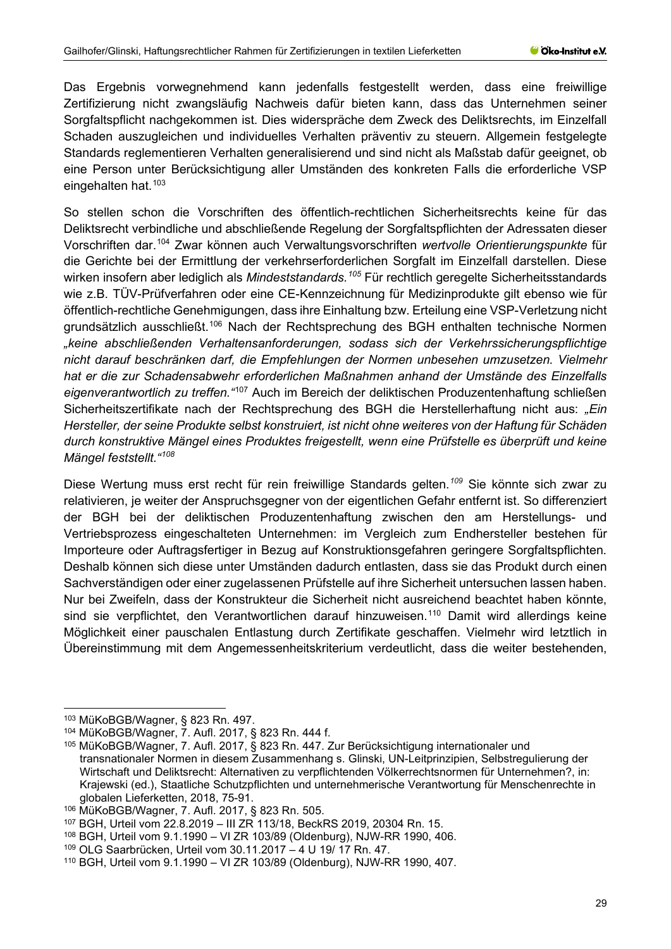Das Ergebnis vorwegnehmend kann jedenfalls festgestellt werden, dass eine freiwillige Zertifizierung nicht zwangsläufig Nachweis dafür bieten kann, dass das Unternehmen seiner Sorgfaltspflicht nachgekommen ist. Dies widerspräche dem Zweck des Deliktsrechts, im Einzelfall Schaden auszugleichen und individuelles Verhalten präventiv zu steuern. Allgemein festgelegte Standards reglementieren Verhalten generalisierend und sind nicht als Maßstab dafür geeignet, ob eine Person unter Berücksichtigung aller Umständen des konkreten Falls die erforderliche VSP eingehalten hat.<sup>[103](#page-28-0)</sup>

So stellen schon die Vorschriften des öffentlich-rechtlichen Sicherheitsrechts keine für das Deliktsrecht verbindliche und abschließende Regelung der Sorgfaltspflichten der Adressaten dieser Vorschriften dar.[104](#page-28-1) Zwar können auch Verwaltungsvorschriften *wertvolle Orientierungspunkte* für die Gerichte bei der Ermittlung der verkehrserforderlichen Sorgfalt im Einzelfall darstellen. Diese wirken insofern aber lediglich als *Mindeststandards. [105](#page-28-2)* Für rechtlich geregelte Sicherheitsstandards wie z.B. TÜV-Prüfverfahren oder eine CE-Kennzeichnung für Medizinprodukte gilt ebenso wie für öffentlich-rechtliche Genehmigungen, dass ihre Einhaltung bzw. Erteilung eine VSP-Verletzung nicht grundsätzlich ausschließt.[106](#page-28-3) Nach der Rechtsprechung des BGH enthalten technische Normen *"keine abschließenden Verhaltensanforderungen, sodass sich der Verkehrssicherungspflichtige nicht darauf beschränken darf, die Empfehlungen der Normen unbesehen umzusetzen. Vielmehr hat er die zur Schadensabwehr erforderlichen Maßnahmen anhand der Umstände des Einzelfalls eigenverantwortlich zu treffen."*[107](#page-28-4) Auch im Bereich der deliktischen Produzentenhaftung schließen Sicherheitszertifikate nach der Rechtsprechung des BGH die Herstellerhaftung nicht aus: *"Ein Hersteller, der seine Produkte selbst konstruiert, ist nicht ohne weiteres von der Haftung für Schäden durch konstruktive Mängel eines Produktes freigestellt, wenn eine Prüfstelle es überprüft und keine Mängel feststellt."[108](#page-28-5)*

Diese Wertung muss erst recht für rein freiwillige Standards gelten.*[109](#page-28-6)* Sie könnte sich zwar zu relativieren, je weiter der Anspruchsgegner von der eigentlichen Gefahr entfernt ist. So differenziert der BGH bei der deliktischen Produzentenhaftung zwischen den am Herstellungs- und Vertriebsprozess eingeschalteten Unternehmen: im Vergleich zum Endhersteller bestehen für Importeure oder Auftragsfertiger in Bezug auf Konstruktionsgefahren geringere Sorgfaltspflichten. Deshalb können sich diese unter Umständen dadurch entlasten, dass sie das Produkt durch einen Sachverständigen oder einer zugelassenen Prüfstelle auf ihre Sicherheit untersuchen lassen haben. Nur bei Zweifeln, dass der Konstrukteur die Sicherheit nicht ausreichend beachtet haben könnte, sind sie verpflichtet, den Verantwortlichen darauf hinzuweisen.<sup>[110](#page-28-7)</sup> Damit wird allerdings keine Möglichkeit einer pauschalen Entlastung durch Zertifikate geschaffen. Vielmehr wird letztlich in Übereinstimmung mit dem Angemessenheitskriterium verdeutlicht, dass die weiter bestehenden,

<span id="page-28-0"></span><sup>103</sup> MüKoBGB/Wagner, § 823 Rn. 497.

<span id="page-28-1"></span><sup>104</sup> MüKoBGB/Wagner, 7. Aufl. 2017, § 823 Rn. 444 f.

<span id="page-28-2"></span><sup>105</sup> MüKoBGB/Wagner, 7. Aufl. 2017, § 823 Rn. 447. Zur Berücksichtigung internationaler und transnationaler Normen in diesem Zusammenhang s. Glinski, UN-Leitprinzipien, Selbstregulierung der Wirtschaft und Deliktsrecht: Alternativen zu verpflichtenden Völkerrechtsnormen für Unternehmen?, in: Krajewski (ed.), Staatliche Schutzpflichten und unternehmerische Verantwortung für Menschenrechte in globalen Lieferketten, 2018, 75-91.

<span id="page-28-3"></span><sup>106</sup> MüKoBGB/Wagner, 7. Aufl. 2017, § 823 Rn. 505.

<span id="page-28-4"></span><sup>107</sup> BGH, Urteil vom 22.8.2019 – III ZR 113/18, BeckRS 2019, 20304 Rn. 15.

<span id="page-28-5"></span><sup>108</sup> BGH, Urteil vom 9.1.1990 – VI ZR 103/89 (Oldenburg), NJW-RR 1990, 406.

<span id="page-28-6"></span><sup>109</sup> OLG Saarbrücken, Urteil vom 30.11.2017 – 4 U 19/ 17 Rn. 47.

<span id="page-28-7"></span><sup>110</sup> BGH, Urteil vom 9.1.1990 – VI ZR 103/89 (Oldenburg), NJW-RR 1990, 407.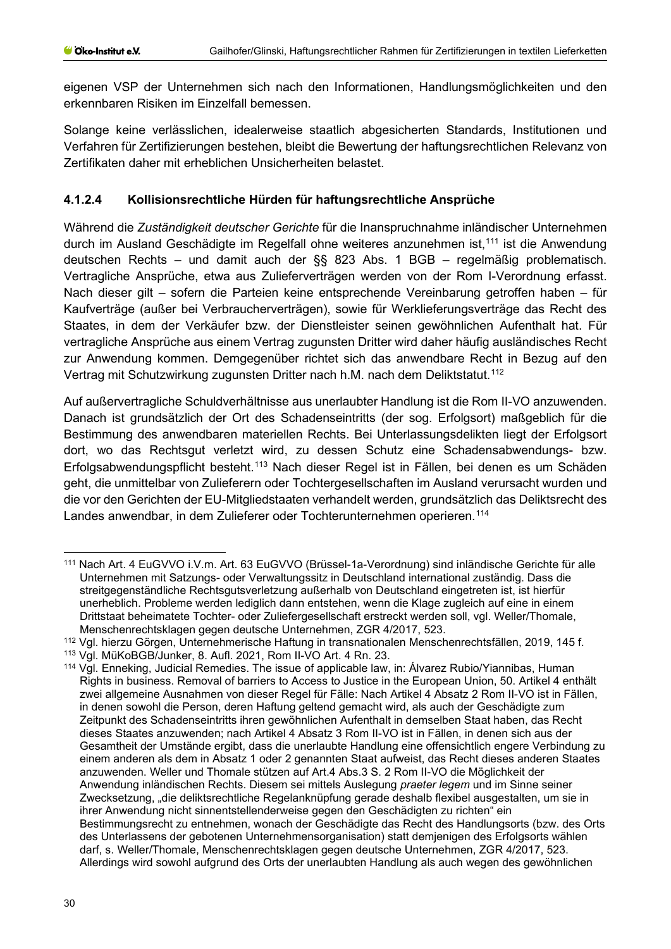eigenen VSP der Unternehmen sich nach den Informationen, Handlungsmöglichkeiten und den erkennbaren Risiken im Einzelfall bemessen.

Solange keine verlässlichen, idealerweise staatlich abgesicherten Standards, Institutionen und Verfahren für Zertifizierungen bestehen, bleibt die Bewertung der haftungsrechtlichen Relevanz von Zertifikaten daher mit erheblichen Unsicherheiten belastet.

#### <span id="page-29-0"></span>**4.1.2.4 Kollisionsrechtliche Hürden für haftungsrechtliche Ansprüche**

Während die *Zuständigkeit deutscher Gerichte* für die Inanspruchnahme inländischer Unternehmen durch im Ausland Geschädigte im Regelfall ohne weiteres anzunehmen ist,<sup>[111](#page-29-1)</sup> ist die Anwendung deutschen Rechts – und damit auch der §§ 823 Abs. 1 BGB – regelmäßig problematisch. Vertragliche Ansprüche, etwa aus Zulieferverträgen werden von der Rom I-Verordnung erfasst. Nach dieser gilt – sofern die Parteien keine entsprechende Vereinbarung getroffen haben – für Kaufverträge (außer bei Verbraucherverträgen), sowie für Werklieferungsverträge das Recht des Staates, in dem der Verkäufer bzw. der Dienstleister seinen gewöhnlichen Aufenthalt hat. Für vertragliche Ansprüche aus einem Vertrag zugunsten Dritter wird daher häufig ausländisches Recht zur Anwendung kommen. Demgegenüber richtet sich das anwendbare Recht in Bezug auf den Vertrag mit Schutzwirkung zugunsten Dritter nach h.M. nach dem Deliktstatut.[112](#page-29-2)

Auf außervertragliche Schuldverhältnisse aus unerlaubter Handlung ist die Rom II-VO anzuwenden. Danach ist grundsätzlich der Ort des Schadenseintritts (der sog. Erfolgsort) maßgeblich für die Bestimmung des anwendbaren materiellen Rechts. Bei Unterlassungsdelikten liegt der Erfolgsort dort, wo das Rechtsgut verletzt wird, zu dessen Schutz eine Schadensabwendungs- bzw. Erfolgsabwendungspflicht besteht.<sup>[113](#page-29-3)</sup> Nach dieser Regel ist in Fällen, bei denen es um Schäden geht, die unmittelbar von Zulieferern oder Tochtergesellschaften im Ausland verursacht wurden und die vor den Gerichten der EU-Mitgliedstaaten verhandelt werden, grundsätzlich das Deliktsrecht des Landes anwendbar, in dem Zulieferer oder Tochterunternehmen operieren. [114](#page-29-4)

<span id="page-29-1"></span><sup>111</sup> Nach Art. 4 EuGVVO i.V.m. Art. 63 EuGVVO (Brüssel-1a-Verordnung) sind inländische Gerichte für alle Unternehmen mit Satzungs- oder Verwaltungssitz in Deutschland international zuständig. Dass die streitgegenständliche Rechtsgutsverletzung außerhalb von Deutschland eingetreten ist, ist hierfür unerheblich. Probleme werden lediglich dann entstehen, wenn die Klage zugleich auf eine in einem Drittstaat beheimatete Tochter- oder Zuliefergesellschaft erstreckt werden soll, vgl. Weller/Thomale, Menschenrechtsklagen gegen deutsche Unternehmen, ZGR 4/2017, 523.

<span id="page-29-2"></span><sup>112</sup> Vgl. hierzu Görgen, Unternehmerische Haftung in transnationalen Menschenrechtsfällen, 2019, 145 f.

<span id="page-29-4"></span><span id="page-29-3"></span><sup>&</sup>lt;sup>113</sup> Vgl. MüKoBGB/Junker, 8. Aufl. 2021, Rom II-VO Art. 4 Rn. 23.<br><sup>114</sup> Vgl. Enneking, Judicial Remedies. The issue of applicable law, in: Álvarez Rubio/Yiannibas, Human Rights in business. Removal of barriers to Access to Justice in the European Union, 50. Artikel 4 enthält zwei allgemeine Ausnahmen von dieser Regel für Fälle: Nach Artikel 4 Absatz 2 Rom II-VO ist in Fällen, in denen sowohl die Person, deren Haftung geltend gemacht wird, als auch der Geschädigte zum Zeitpunkt des Schadenseintritts ihren gewöhnlichen Aufenthalt in demselben Staat haben, das Recht dieses Staates anzuwenden; nach Artikel 4 Absatz 3 Rom II-VO ist in Fällen, in denen sich aus der Gesamtheit der Umstände ergibt, dass die unerlaubte Handlung eine offensichtlich engere Verbindung zu einem anderen als dem in Absatz 1 oder 2 genannten Staat aufweist, das Recht dieses anderen Staates anzuwenden. Weller und Thomale stützen auf Art.4 Abs.3 S. 2 Rom II-VO die Möglichkeit der Anwendung inländischen Rechts. Diesem sei mittels Auslegung *praeter legem* und im Sinne seiner Zwecksetzung, "die deliktsrechtliche Regelanknüpfung gerade deshalb flexibel ausgestalten, um sie in ihrer Anwendung nicht sinnentstellenderweise gegen den Geschädigten zu richten" ein Bestimmungsrecht zu entnehmen, wonach der Geschädigte das Recht des Handlungsorts (bzw. des Orts des Unterlassens der gebotenen Unternehmensorganisation) statt demjenigen des Erfolgsorts wählen darf, s. Weller/Thomale, Menschenrechtsklagen gegen deutsche Unternehmen, ZGR 4/2017, 523. Allerdings wird sowohl aufgrund des Orts der unerlaubten Handlung als auch wegen des gewöhnlichen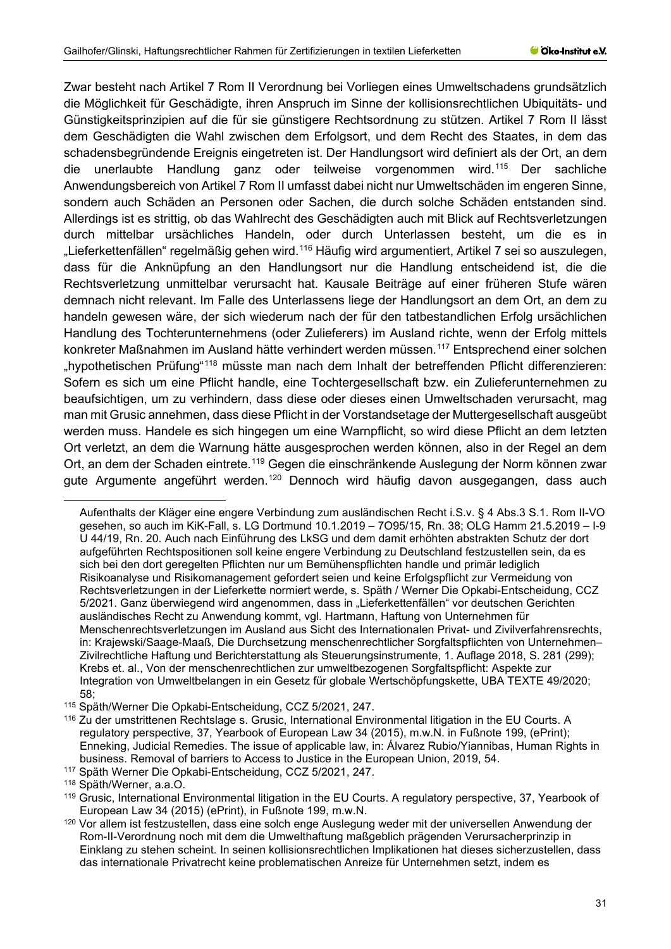Zwar besteht nach Artikel 7 Rom II Verordnung bei Vorliegen eines Umweltschadens grundsätzlich die Möglichkeit für Geschädigte, ihren Anspruch im Sinne der kollisionsrechtlichen Ubiquitäts- und Günstigkeitsprinzipien auf die für sie günstigere Rechtsordnung zu stützen. Artikel 7 Rom II lässt dem Geschädigten die Wahl zwischen dem Erfolgsort, und dem Recht des Staates, in dem das schadensbegründende Ereignis eingetreten ist. Der Handlungsort wird definiert als der Ort, an dem die unerlaubte Handlung ganz oder teilweise vorgenommen wird[.115](#page-30-0) Der sachliche Anwendungsbereich von Artikel 7 Rom II umfasst dabei nicht nur Umweltschäden im engeren Sinne, sondern auch Schäden an Personen oder Sachen, die durch solche Schäden entstanden sind. Allerdings ist es strittig, ob das Wahlrecht des Geschädigten auch mit Blick auf Rechtsverletzungen durch mittelbar ursächliches Handeln, oder durch Unterlassen besteht, um die es in "Lieferkettenfällen" regelmäßig gehen wird.<sup>[116](#page-30-1)</sup> Häufig wird argumentiert, Artikel 7 sei so auszulegen, dass für die Anknüpfung an den Handlungsort nur die Handlung entscheidend ist, die die Rechtsverletzung unmittelbar verursacht hat. Kausale Beiträge auf einer früheren Stufe wären demnach nicht relevant. Im Falle des Unterlassens liege der Handlungsort an dem Ort, an dem zu handeln gewesen wäre, der sich wiederum nach der für den tatbestandlichen Erfolg ursächlichen Handlung des Tochterunternehmens (oder Zulieferers) im Ausland richte, wenn der Erfolg mittels konkreter Maßnahmen im Ausland hätte verhindert werden müssen.<sup>[117](#page-30-2)</sup> Entsprechend einer solchen "hypothetischen Prüfung"[118](#page-30-3) müsste man nach dem Inhalt der betreffenden Pflicht differenzieren: Sofern es sich um eine Pflicht handle, eine Tochtergesellschaft bzw. ein Zulieferunternehmen zu beaufsichtigen, um zu verhindern, dass diese oder dieses einen Umweltschaden verursacht, mag man mit Grusic annehmen, dass diese Pflicht in der Vorstandsetage der Muttergesellschaft ausgeübt werden muss. Handele es sich hingegen um eine Warnpflicht, so wird diese Pflicht an dem letzten Ort verletzt, an dem die Warnung hätte ausgesprochen werden können, also in der Regel an dem Ort, an dem der Schaden eintrete.<sup>[119](#page-30-4)</sup> Gegen die einschränkende Auslegung der Norm können zwar gute Argumente angeführt werden.<sup>[120](#page-30-5)</sup> Dennoch wird häufig davon ausgegangen, dass auch

Aufenthalts der Kläger eine engere Verbindung zum ausländischen Recht i.S.v. § 4 Abs.3 S.1. Rom II-VO gesehen, so auch im KiK-Fall, s. LG Dortmund 10.1.2019 – 7O95/15, Rn. 38; OLG Hamm 21.5.2019 – I-9 U 44/19, Rn. 20. Auch nach Einführung des LkSG und dem damit erhöhten abstrakten Schutz der dort aufgeführten Rechtspositionen soll keine engere Verbindung zu Deutschland festzustellen sein, da es sich bei den dort geregelten Pflichten nur um Bemühenspflichten handle und primär lediglich Risikoanalyse und Risikomanagement gefordert seien und keine Erfolgspflicht zur Vermeidung von Rechtsverletzungen in der Lieferkette normiert werde, s. Späth / Werner Die Opkabi-Entscheidung, CCZ 5/2021. Ganz überwiegend wird angenommen, dass in "Lieferkettenfällen" vor deutschen Gerichten ausländisches Recht zu Anwendung kommt, vgl. Hartmann, Haftung von Unternehmen für Menschenrechtsverletzungen im Ausland aus Sicht des Internationalen Privat- und Zivilverfahrensrechts, in: Krajewski/Saage-Maaß, Die Durchsetzung menschenrechtlicher Sorgfaltspflichten von Unternehmen– Zivilrechtliche Haftung und Berichterstattung als Steuerungsinstrumente, 1. Auflage 2018, S. 281 (299); Krebs et. al., Von der menschenrechtlichen zur umweltbezogenen Sorgfaltspflicht: Aspekte zur Integration von Umweltbelangen in ein Gesetz für globale Wertschöpfungskette, UBA TEXTE 49/2020; 58;

<span id="page-30-0"></span><sup>115</sup> Späth/Werner Die Opkabi-Entscheidung, CCZ 5/2021, 247.

<span id="page-30-1"></span><sup>116</sup> Zu der umstrittenen Rechtslage s. Grusic, International Environmental litigation in the EU Courts. A regulatory perspective, 37, Yearbook of European Law 34 (2015), m.w.N. in Fußnote 199, (ePrint); Enneking, Judicial Remedies. The issue of applicable law, in: Álvarez Rubio/Yiannibas, Human Rights in business. Removal of barriers to Access to Justice in the European Union, 2019, 54.

<span id="page-30-2"></span><sup>117</sup> Späth Werner Die Opkabi-Entscheidung, CCZ 5/2021, 247.

<span id="page-30-3"></span><sup>118</sup> Späth/Werner, a.a.O.

<span id="page-30-4"></span><sup>119</sup> Grusic, International Environmental litigation in the EU Courts. A regulatory perspective, 37, Yearbook of European Law 34 (2015) (ePrint), in Fußnote 199, m.w.N.

<span id="page-30-5"></span><sup>120</sup> Vor allem ist festzustellen, dass eine solch enge Auslegung weder mit der universellen Anwendung der Rom-II-Verordnung noch mit dem die Umwelthaftung maßgeblich prägenden Verursacherprinzip in Einklang zu stehen scheint. In seinen kollisionsrechtlichen Implikationen hat dieses sicherzustellen, dass das internationale Privatrecht keine problematischen Anreize für Unternehmen setzt, indem es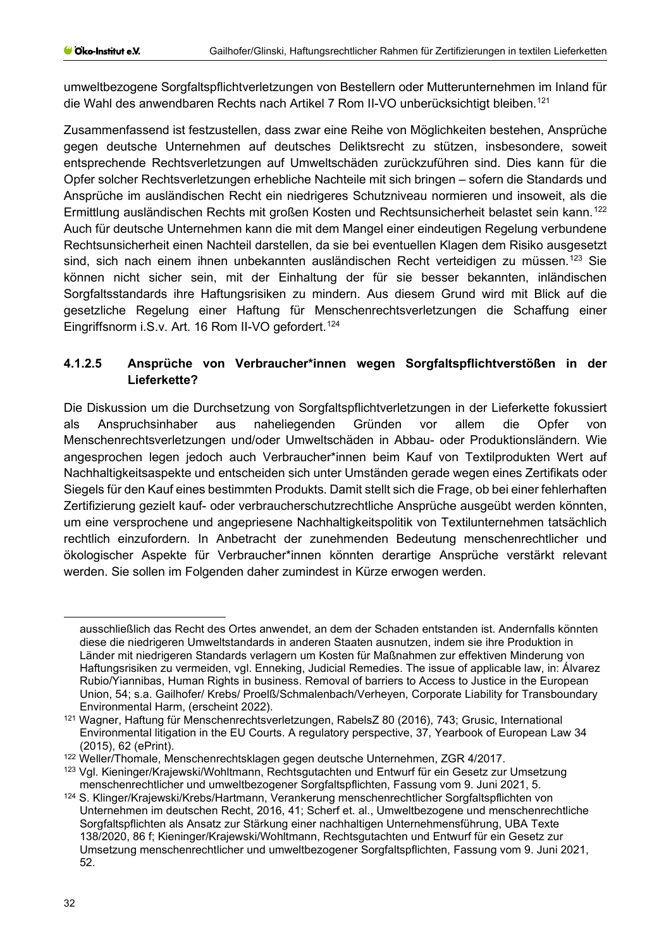umweltbezogene Sorgfaltspflichtverletzungen von Bestellern oder Mutterunternehmen im Inland für die Wahl des anwendbaren Rechts nach Artikel 7 Rom II-VO unberücksichtigt bleiben.<sup>[121](#page-31-1)</sup>

Zusammenfassend ist festzustellen, dass zwar eine Reihe von Möglichkeiten bestehen, Ansprüche gegen deutsche Unternehmen auf deutsches Deliktsrecht zu stützen, insbesondere, soweit entsprechende Rechtsverletzungen auf Umweltschäden zurückzuführen sind. Dies kann für die Opfer solcher Rechtsverletzungen erhebliche Nachteile mit sich bringen – sofern die Standards und Ansprüche im ausländischen Recht ein niedrigeres Schutzniveau normieren und insoweit, als die Ermittlung ausländischen Rechts mit großen Kosten und Rechtsunsicherheit belastet sein kann.<sup>[122](#page-31-2)</sup> Auch für deutsche Unternehmen kann die mit dem Mangel einer eindeutigen Regelung verbundene Rechtsunsicherheit einen Nachteil darstellen, da sie bei eventuellen Klagen dem Risiko ausgesetzt sind, sich nach einem ihnen unbekannten ausländischen Recht verteidigen zu müssen. [123](#page-31-3) Sie können nicht sicher sein, mit der Einhaltung der für sie besser bekannten, inländischen Sorgfaltsstandards ihre Haftungsrisiken zu mindern. Aus diesem Grund wird mit Blick auf die gesetzliche Regelung einer Haftung für Menschenrechtsverletzungen die Schaffung einer Eingriffsnorm i.S.v. Art. 16 Rom II-VO gefordert.<sup>[124](#page-31-4)</sup>

#### <span id="page-31-0"></span>**4.1.2.5 Ansprüche von Verbraucher\*innen wegen Sorgfaltspflichtverstößen in der Lieferkette?**

Die Diskussion um die Durchsetzung von Sorgfaltspflichtverletzungen in der Lieferkette fokussiert als Anspruchsinhaber aus naheliegenden Gründen vor allem die Opfer von Menschenrechtsverletzungen und/oder Umweltschäden in Abbau- oder Produktionsländern. Wie angesprochen legen jedoch auch Verbraucher\*innen beim Kauf von Textilprodukten Wert auf Nachhaltigkeitsaspekte und entscheiden sich unter Umständen gerade wegen eines Zertifikats oder Siegels für den Kauf eines bestimmten Produkts. Damit stellt sich die Frage, ob bei einer fehlerhaften Zertifizierung gezielt kauf- oder verbraucherschutzrechtliche Ansprüche ausgeübt werden könnten, um eine versprochene und angepriesene Nachhaltigkeitspolitik von Textilunternehmen tatsächlich rechtlich einzufordern. In Anbetracht der zunehmenden Bedeutung menschenrechtlicher und ökologischer Aspekte für Verbraucher\*innen könnten derartige Ansprüche verstärkt relevant werden. Sie sollen im Folgenden daher zumindest in Kürze erwogen werden.

ausschließlich das Recht des Ortes anwendet, an dem der Schaden entstanden ist. Andernfalls könnten diese die niedrigeren Umweltstandards in anderen Staaten ausnutzen, indem sie ihre Produktion in Länder mit niedrigeren Standards verlagern um Kosten für Maßnahmen zur effektiven Minderung von Haftungsrisiken zu vermeiden, vgl. Enneking, Judicial Remedies. The issue of applicable law, in: Álvarez Rubio/Yiannibas, Human Rights in business. Removal of barriers to Access to Justice in the European Union, 54; s.a. Gailhofer/ Krebs/ Proelß/Schmalenbach/Verheyen, Corporate Liability for Transboundary Environmental Harm, (erscheint 2022).

<span id="page-31-1"></span><sup>121</sup> Wagner, Haftung für Menschenrechtsverletzungen, RabelsZ 80 (2016), 743; Grusic, International Environmental litigation in the EU Courts. A regulatory perspective, 37, Yearbook of European Law 34 (2015), 62 (ePrint).

<span id="page-31-2"></span><sup>122</sup> Weller/Thomale, Menschenrechtsklagen gegen deutsche Unternehmen, ZGR 4/2017.

<span id="page-31-3"></span><sup>123</sup> Vgl. Kieninger/Krajewski/Wohltmann, Rechtsgutachten und Entwurf für ein Gesetz zur Umsetzung menschenrechtlicher und umweltbezogener Sorgfaltspflichten, Fassung vom 9. Juni 2021, 5.

<span id="page-31-4"></span><sup>124</sup> S. Klinger/Krajewski/Krebs/Hartmann, Verankerung menschenrechtlicher Sorgfaltspflichten von Unternehmen im deutschen Recht, 2016, 41; Scherf et. al., Umweltbezogene und menschenrechtliche Sorgfaltspflichten als Ansatz zur Stärkung einer nachhaltigen Unternehmensführung, UBA Texte 138/2020, 86 f; Kieninger/Krajewski/Wohltmann, Rechtsgutachten und Entwurf für ein Gesetz zur Umsetzung menschenrechtlicher und umweltbezogener Sorgfaltspflichten, Fassung vom 9. Juni 2021, 52.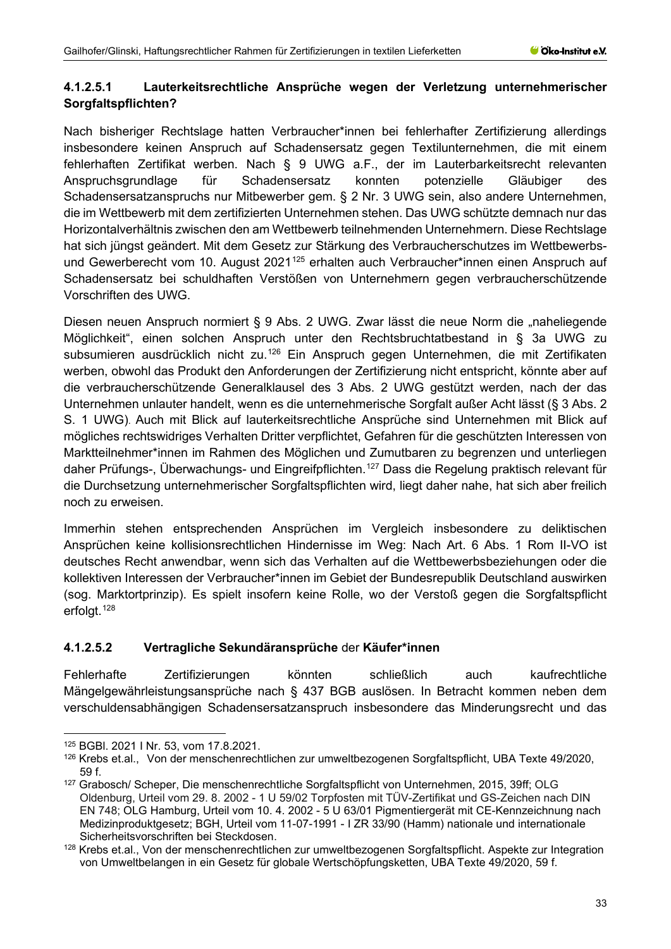#### **4.1.2.5.1 Lauterkeitsrechtliche Ansprüche wegen der Verletzung unternehmerischer Sorgfaltspflichten?**

Nach bisheriger Rechtslage hatten Verbraucher\*innen bei fehlerhafter Zertifizierung allerdings insbesondere keinen Anspruch auf Schadensersatz gegen Textilunternehmen, die mit einem fehlerhaften Zertifikat werben. Nach § 9 UWG a.F., der im Lauterbarkeitsrecht relevanten Anspruchsgrundlage für Schadensersatz konnten potenzielle Gläubiger des Schadensersatzanspruchs nur Mitbewerber gem. § 2 Nr. 3 UWG sein, also andere Unternehmen, die im Wettbewerb mit dem zertifizierten Unternehmen stehen. Das UWG schützte demnach nur das Horizontalverhältnis zwischen den am Wettbewerb teilnehmenden Unternehmern. Diese Rechtslage hat sich jüngst geändert. Mit dem Gesetz zur Stärkung des Verbraucherschutzes im Wettbewerbs-und Gewerberecht vom 10. August 2021<sup>[125](#page-32-0)</sup> erhalten auch Verbraucher\*innen einen Anspruch auf Schadensersatz bei schuldhaften Verstößen von Unternehmern gegen verbraucherschützende Vorschriften des UWG.

Diesen neuen Anspruch normiert § 9 Abs. 2 UWG. Zwar lässt die neue Norm die "naheliegende Möglichkeit", einen solchen Anspruch unter den Rechtsbruchtatbestand in § 3a UWG zu subsumieren ausdrücklich nicht zu.<sup>[126](#page-32-1)</sup> Ein Anspruch gegen Unternehmen, die mit Zertifikaten werben, obwohl das Produkt den Anforderungen der Zertifizierung nicht entspricht, könnte aber auf die verbraucherschützende Generalklausel des 3 Abs. 2 UWG gestützt werden, nach der das Unternehmen unlauter handelt, wenn es die unternehmerische Sorgfalt außer Acht lässt (§ 3 Abs. 2 S. 1 UWG). Auch mit Blick auf lauterkeitsrechtliche Ansprüche sind Unternehmen mit Blick auf mögliches rechtswidriges Verhalten Dritter verpflichtet, Gefahren für die geschützten Interessen von Marktteilnehmer\*innen im Rahmen des Möglichen und Zumutbaren zu begrenzen und unterliegen daher Prüfungs-, Überwachungs- und Eingreifpflichten.<sup>[127](#page-32-2)</sup> Dass die Regelung praktisch relevant für die Durchsetzung unternehmerischer Sorgfaltspflichten wird, liegt daher nahe, hat sich aber freilich noch zu erweisen.

Immerhin stehen entsprechenden Ansprüchen im Vergleich insbesondere zu deliktischen Ansprüchen keine kollisionsrechtlichen Hindernisse im Weg: Nach Art. 6 Abs. 1 Rom II-VO ist deutsches Recht anwendbar, wenn sich das Verhalten auf die Wettbewerbsbeziehungen oder die kollektiven Interessen der Verbraucher\*innen im Gebiet der Bundesrepublik Deutschland auswirken (sog. Marktortprinzip). Es spielt insofern keine Rolle, wo der Verstoß gegen die Sorgfaltspflicht erfolgt.<sup>[128](#page-32-3)</sup>

#### **4.1.2.5.2 Vertragliche Sekundäransprüche** der **Käufer\*innen**

Fehlerhafte Zertifizierungen könnten schließlich auch kaufrechtliche Mängelgewährleistungsansprüche nach § 437 BGB auslösen. In Betracht kommen neben dem verschuldensabhängigen Schadensersatzanspruch insbesondere das Minderungsrecht und das

<span id="page-32-0"></span><sup>125</sup> BGBl. 2021 I Nr. 53, vom 17.8.2021.

<span id="page-32-1"></span><sup>126</sup> Krebs et.al., Von der menschenrechtlichen zur umweltbezogenen Sorgfaltspflicht, UBA Texte 49/2020, 59 f.

<span id="page-32-2"></span><sup>127</sup> Grabosch/ Scheper, Die menschenrechtliche Sorgfaltspflicht von Unternehmen, 2015, 39ff; OLG Oldenburg, Urteil vom 29. 8. 2002 - 1 U 59/02 Torpfosten mit TÜV-Zertifikat und GS-Zeichen nach DIN EN 748; OLG Hamburg, Urteil vom 10. 4. 2002 - 5 U 63/01 Pigmentiergerät mit CE-Kennzeichnung nach Medizinproduktgesetz; BGH, Urteil vom 11-07-1991 - I ZR 33/90 (Hamm) nationale und internationale Sicherheitsvorschriften bei Steckdosen.

<span id="page-32-3"></span><sup>128</sup> Krebs et.al., Von der menschenrechtlichen zur umweltbezogenen Sorgfaltspflicht. Aspekte zur Integration von Umweltbelangen in ein Gesetz für globale Wertschöpfungsketten, UBA Texte 49/2020, 59 f.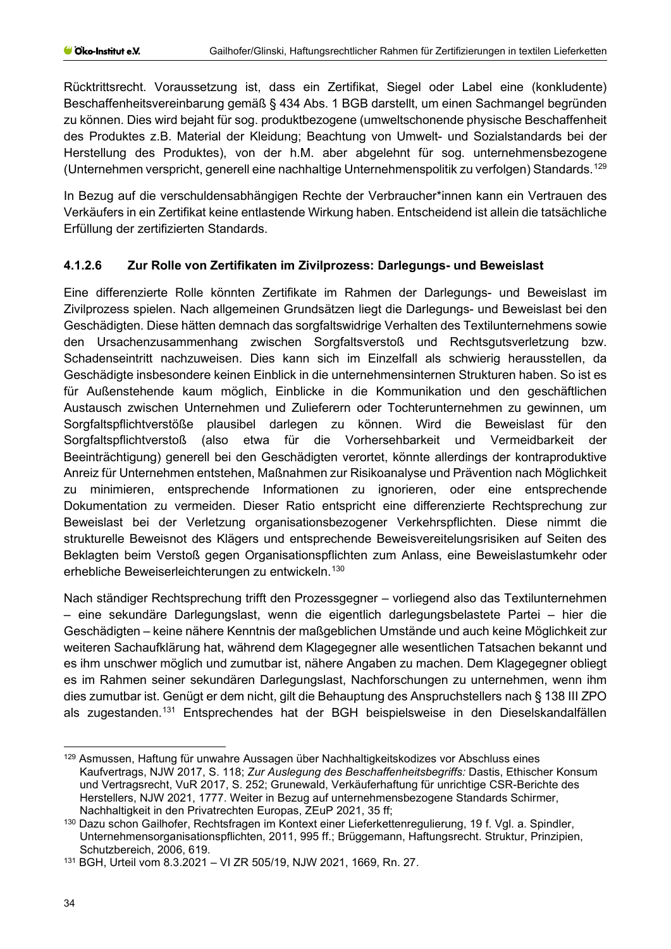Rücktrittsrecht. Voraussetzung ist, dass ein Zertifikat, Siegel oder Label eine (konkludente) Beschaffenheitsvereinbarung gemäß § 434 Abs. 1 BGB darstellt, um einen Sachmangel begründen zu können. Dies wird bejaht für sog. produktbezogene (umweltschonende physische Beschaffenheit des Produktes z.B. Material der Kleidung; Beachtung von Umwelt- und Sozialstandards bei der Herstellung des Produktes), von der h.M. aber abgelehnt für sog. unternehmensbezogene (Unternehmen verspricht, generell eine nachhaltige Unternehmenspolitik zu verfolgen) Standards.[129](#page-33-1)

In Bezug auf die verschuldensabhängigen Rechte der Verbraucher\*innen kann ein Vertrauen des Verkäufers in ein Zertifikat keine entlastende Wirkung haben. Entscheidend ist allein die tatsächliche Erfüllung der zertifizierten Standards.

#### <span id="page-33-0"></span>**4.1.2.6 Zur Rolle von Zertifikaten im Zivilprozess: Darlegungs- und Beweislast**

Eine differenzierte Rolle könnten Zertifikate im Rahmen der Darlegungs- und Beweislast im Zivilprozess spielen. Nach allgemeinen Grundsätzen liegt die Darlegungs- und Beweislast bei den Geschädigten. Diese hätten demnach das sorgfaltswidrige Verhalten des Textilunternehmens sowie den Ursachenzusammenhang zwischen Sorgfaltsverstoß und Rechtsgutsverletzung bzw. Schadenseintritt nachzuweisen. Dies kann sich im Einzelfall als schwierig herausstellen, da Geschädigte insbesondere keinen Einblick in die unternehmensinternen Strukturen haben. So ist es für Außenstehende kaum möglich, Einblicke in die Kommunikation und den geschäftlichen Austausch zwischen Unternehmen und Zulieferern oder Tochterunternehmen zu gewinnen, um Sorgfaltspflichtverstöße plausibel darlegen zu können. Wird die Beweislast für den Sorgfaltspflichtverstoß (also etwa für die Vorhersehbarkeit und Vermeidbarkeit der Beeinträchtigung) generell bei den Geschädigten verortet, könnte allerdings der kontraproduktive Anreiz für Unternehmen entstehen, Maßnahmen zur Risikoanalyse und Prävention nach Möglichkeit zu minimieren, entsprechende Informationen zu ignorieren, oder eine entsprechende Dokumentation zu vermeiden. Dieser Ratio entspricht eine differenzierte Rechtsprechung zur Beweislast bei der Verletzung organisationsbezogener Verkehrspflichten. Diese nimmt die strukturelle Beweisnot des Klägers und entsprechende Beweisvereitelungsrisiken auf Seiten des Beklagten beim Verstoß gegen Organisationspflichten zum Anlass, eine Beweislastumkehr oder erhebliche Beweiserleichterungen zu entwickeln. [130](#page-33-2)

Nach ständiger Rechtsprechung trifft den Prozessgegner – vorliegend also das Textilunternehmen – eine sekundäre Darlegungslast, wenn die eigentlich darlegungsbelastete Partei – hier die Geschädigten – keine nähere Kenntnis der maßgeblichen Umstände und auch keine Möglichkeit zur weiteren Sachaufklärung hat, während dem Klagegegner alle wesentlichen Tatsachen bekannt und es ihm unschwer möglich und zumutbar ist, nähere Angaben zu machen. Dem Klagegegner obliegt es im Rahmen seiner sekundären Darlegungslast, Nachforschungen zu unternehmen, wenn ihm dies zumutbar ist. Genügt er dem nicht, gilt die Behauptung des Anspruchstellers nach § 138 III ZPO als zugestanden.[131](#page-33-3) Entsprechendes hat der BGH beispielsweise in den Dieselskandalfällen

<span id="page-33-1"></span><sup>129</sup> Asmussen, Haftung für unwahre Aussagen über Nachhaltigkeitskodizes vor Abschluss eines Kaufvertrags, NJW 2017, S. 118; *Zur Auslegung des Beschaffenheitsbegriffs:* Dastis, Ethischer Konsum und Vertragsrecht, VuR 2017, S. 252; Grunewald, Verkäuferhaftung für unrichtige CSR-Berichte des Herstellers, NJW 2021, 1777. Weiter in Bezug auf unternehmensbezogene Standards Schirmer, Nachhaltigkeit in den Privatrechten Europas, ZEuP 2021, 35 ff;

<span id="page-33-2"></span><sup>130</sup> Dazu schon Gailhofer, Rechtsfragen im Kontext einer Lieferkettenregulierung, 19 f. Vgl. a. Spindler, Unternehmensorganisationspflichten, 2011, 995 ff.; Brüggemann, Haftungsrecht. Struktur, Prinzipien, Schutzbereich, 2006, 619.

<span id="page-33-3"></span><sup>131</sup> BGH, Urteil vom 8.3.2021 – VI ZR 505/19, NJW 2021, 1669, Rn. 27.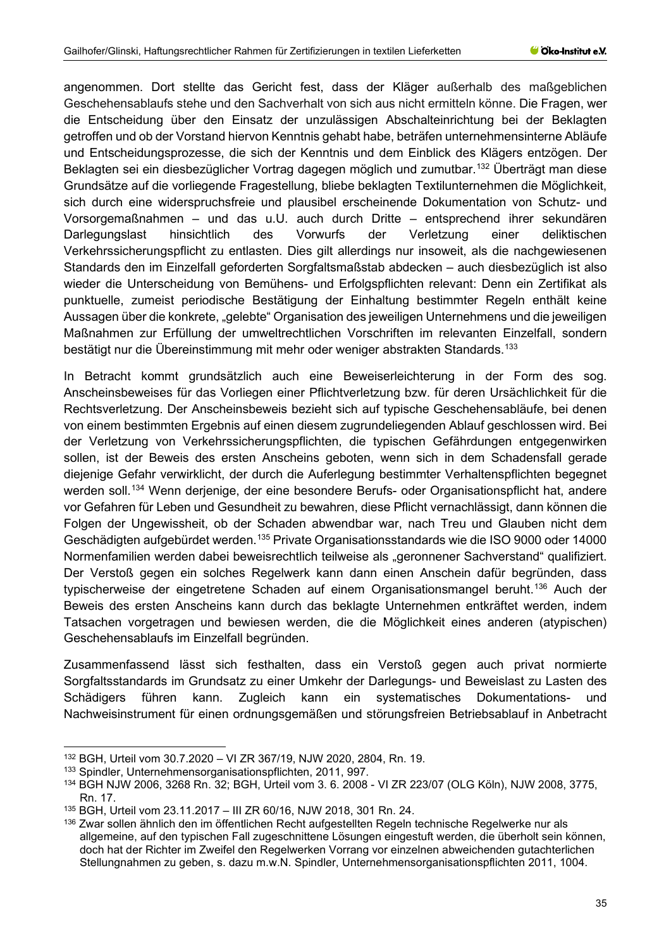angenommen. Dort stellte das Gericht fest, dass der Kläger außerhalb des maßgeblichen Geschehensablaufs stehe und den Sachverhalt von sich aus nicht ermitteln könne. Die Fragen, wer die Entscheidung über den Einsatz der unzulässigen Abschalteinrichtung bei der Beklagten getroffen und ob der Vorstand hiervon Kenntnis gehabt habe, beträfen unternehmensinterne Abläufe und Entscheidungsprozesse, die sich der Kenntnis und dem Einblick des Klägers entzögen. Der Beklagten sei ein diesbezüglicher Vortrag dagegen möglich und zumutbar.<sup>[132](#page-34-0)</sup> Überträgt man diese Grundsätze auf die vorliegende Fragestellung, bliebe beklagten Textilunternehmen die Möglichkeit, sich durch eine widerspruchsfreie und plausibel erscheinende Dokumentation von Schutz- und Vorsorgemaßnahmen – und das u.U. auch durch Dritte – entsprechend ihrer sekundären Darlegungslast hinsichtlich des Vorwurfs der Verletzung einer deliktischen Verkehrssicherungspflicht zu entlasten. Dies gilt allerdings nur insoweit, als die nachgewiesenen Standards den im Einzelfall geforderten Sorgfaltsmaßstab abdecken – auch diesbezüglich ist also wieder die Unterscheidung von Bemühens- und Erfolgspflichten relevant: Denn ein Zertifikat als punktuelle, zumeist periodische Bestätigung der Einhaltung bestimmter Regeln enthält keine Aussagen über die konkrete, "gelebte" Organisation des jeweiligen Unternehmens und die jeweiligen Maßnahmen zur Erfüllung der umweltrechtlichen Vorschriften im relevanten Einzelfall, sondern bestätigt nur die Übereinstimmung mit mehr oder weniger abstrakten Standards.<sup>[133](#page-34-1)</sup>

In Betracht kommt grundsätzlich auch eine Beweiserleichterung in der Form des sog. Anscheinsbeweises für das Vorliegen einer Pflichtverletzung bzw. für deren Ursächlichkeit für die Rechtsverletzung. Der Anscheinsbeweis bezieht sich auf typische Geschehensabläufe, bei denen von einem bestimmten Ergebnis auf einen diesem zugrundeliegenden Ablauf geschlossen wird. Bei der Verletzung von Verkehrssicherungspflichten, die typischen Gefährdungen entgegenwirken sollen, ist der Beweis des ersten Anscheins geboten, wenn sich in dem Schadensfall gerade diejenige Gefahr verwirklicht, der durch die Auferlegung bestimmter Verhaltenspflichten begegnet werden soll.<sup>[134](#page-34-2)</sup> Wenn derjenige, der eine besondere Berufs- oder Organisationspflicht hat, andere vor Gefahren für Leben und Gesundheit zu bewahren, diese Pflicht vernachlässigt, dann können die Folgen der Ungewissheit, ob der Schaden abwendbar war, nach Treu und Glauben nicht dem Geschädigten aufgebürdet werden. [135](#page-34-3) Private Organisationsstandards wie die ISO 9000 oder 14000 Normenfamilien werden dabei beweisrechtlich teilweise als "geronnener Sachverstand" qualifiziert. Der Verstoß gegen ein solches Regelwerk kann dann einen Anschein dafür begründen, dass typischerweise der eingetretene Schaden auf einem Organisationsmangel beruht.[136](#page-34-4) Auch der Beweis des ersten Anscheins kann durch das beklagte Unternehmen entkräftet werden, indem Tatsachen vorgetragen und bewiesen werden, die die Möglichkeit eines anderen (atypischen) Geschehensablaufs im Einzelfall begründen.

Zusammenfassend lässt sich festhalten, dass ein Verstoß gegen auch privat normierte Sorgfaltsstandards im Grundsatz zu einer Umkehr der Darlegungs- und Beweislast zu Lasten des Schädigers führen kann. Zugleich kann ein systematisches Dokumentations- und Nachweisinstrument für einen ordnungsgemäßen und störungsfreien Betriebsablauf in Anbetracht

<span id="page-34-0"></span><sup>132</sup> BGH, Urteil vom 30.7.2020 – VI ZR 367/19, NJW 2020, 2804, Rn. 19.

<span id="page-34-1"></span><sup>133</sup> Spindler, Unternehmensorganisationspflichten, 2011, 997.

<span id="page-34-2"></span><sup>134</sup> BGH NJW 2006, 3268 Rn. 32; BGH, Urteil vom 3. 6. 2008 - VI ZR 223/07 (OLG Köln), NJW 2008, 3775, Rn. 17.

<span id="page-34-3"></span><sup>135</sup> BGH, Urteil vom 23.11.2017 – III ZR 60/16, NJW 2018, 301 Rn. 24.

<span id="page-34-4"></span><sup>136</sup> Zwar sollen ähnlich den im öffentlichen Recht aufgestellten Regeln technische Regelwerke nur als allgemeine, auf den typischen Fall zugeschnittene Lösungen eingestuft werden, die überholt sein können, doch hat der Richter im Zweifel den Regelwerken Vorrang vor einzelnen abweichenden gutachterlichen Stellungnahmen zu geben, s. dazu m.w.N. Spindler, Unternehmensorganisationspflichten 2011, 1004.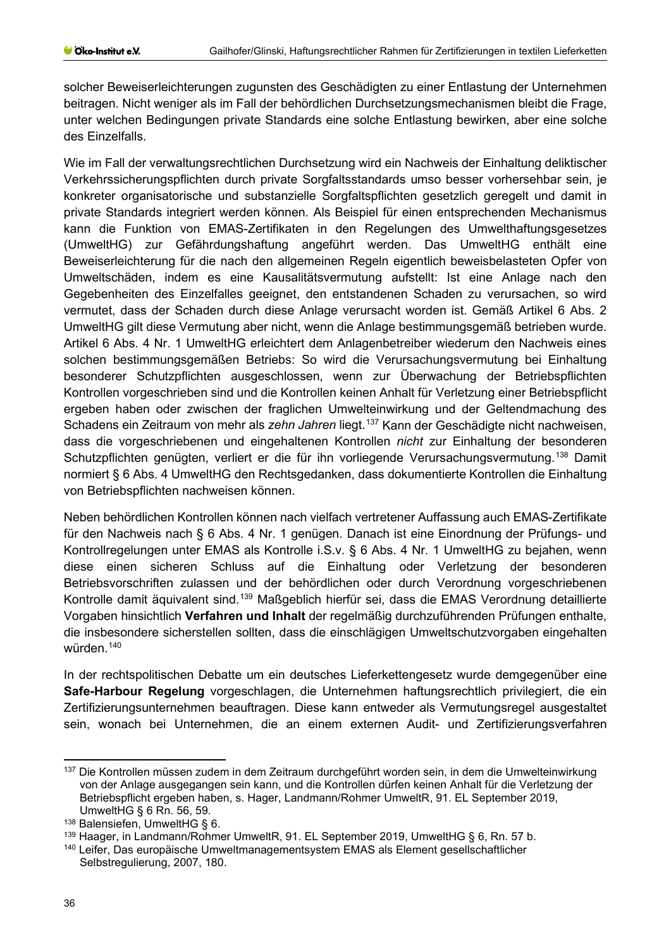solcher Beweiserleichterungen zugunsten des Geschädigten zu einer Entlastung der Unternehmen beitragen. Nicht weniger als im Fall der behördlichen Durchsetzungsmechanismen bleibt die Frage, unter welchen Bedingungen private Standards eine solche Entlastung bewirken, aber eine solche des Einzelfalls.

Wie im Fall der verwaltungsrechtlichen Durchsetzung wird ein Nachweis der Einhaltung deliktischer Verkehrssicherungspflichten durch private Sorgfaltsstandards umso besser vorhersehbar sein, je konkreter organisatorische und substanzielle Sorgfaltspflichten gesetzlich geregelt und damit in private Standards integriert werden können. Als Beispiel für einen entsprechenden Mechanismus kann die Funktion von EMAS-Zertifikaten in den Regelungen des Umwelthaftungsgesetzes (UmweltHG) zur Gefährdungshaftung angeführt werden. Das UmweltHG enthält eine Beweiserleichterung für die nach den allgemeinen Regeln eigentlich beweisbelasteten Opfer von Umweltschäden, indem es eine Kausalitätsvermutung aufstellt: Ist eine Anlage nach den Gegebenheiten des Einzelfalles geeignet, den entstandenen Schaden zu verursachen, so wird vermutet, dass der Schaden durch diese Anlage verursacht worden ist. Gemäß Artikel 6 Abs. 2 UmweltHG gilt diese Vermutung aber nicht, wenn die Anlage bestimmungsgemäß betrieben wurde. Artikel 6 Abs. 4 Nr. 1 UmweltHG erleichtert dem Anlagenbetreiber wiederum den Nachweis eines solchen bestimmungsgemäßen Betriebs: So wird die Verursachungsvermutung bei Einhaltung besonderer Schutzpflichten ausgeschlossen, wenn zur Überwachung der Betriebspflichten Kontrollen vorgeschrieben sind und die Kontrollen keinen Anhalt für Verletzung einer Betriebspflicht ergeben haben oder zwischen der fraglichen Umwelteinwirkung und der Geltendmachung des Schadens ein Zeitraum von mehr als *zehn Jahren* liegt.[137](#page-35-0) Kann der Geschädigte nicht nachweisen, dass die vorgeschriebenen und eingehaltenen Kontrollen *nicht* zur Einhaltung der besonderen Schutzpflichten genügten, verliert er die für ihn vorliegende Verursachungsvermutung.<sup>[138](#page-35-1)</sup> Damit normiert § 6 Abs. 4 UmweltHG den Rechtsgedanken, dass dokumentierte Kontrollen die Einhaltung von Betriebspflichten nachweisen können.

Neben behördlichen Kontrollen können nach vielfach vertretener Auffassung auch EMAS-Zertifikate für den Nachweis nach § 6 Abs. 4 Nr. 1 genügen. Danach ist eine Einordnung der Prüfungs- und Kontrollregelungen unter EMAS als Kontrolle i.S.v. § 6 Abs. 4 Nr. 1 UmweltHG zu bejahen, wenn diese einen sicheren Schluss auf die Einhaltung oder Verletzung der besonderen Betriebsvorschriften zulassen und der behördlichen oder durch Verordnung vorgeschriebenen Kontrolle damit äquivalent sind.[139](#page-35-2) Maßgeblich hierfür sei, dass die EMAS Verordnung detaillierte Vorgaben hinsichtlich **Verfahren und Inhalt** der regelmäßig durchzuführenden Prüfungen enthalte, die insbesondere sicherstellen sollten, dass die einschlägigen Umweltschutzvorgaben eingehalten würden.[140](#page-35-3)

In der rechtspolitischen Debatte um ein deutsches Lieferkettengesetz wurde demgegenüber eine **Safe-Harbour Regelung** vorgeschlagen, die Unternehmen haftungsrechtlich privilegiert, die ein Zertifizierungsunternehmen beauftragen. Diese kann entweder als Vermutungsregel ausgestaltet sein, wonach bei Unternehmen, die an einem externen Audit- und Zertifizierungsverfahren

<span id="page-35-0"></span><sup>137</sup> Die Kontrollen müssen zudem in dem Zeitraum durchgeführt worden sein, in dem die Umwelteinwirkung von der Anlage ausgegangen sein kann, und die Kontrollen dürfen keinen Anhalt für die Verletzung der Betriebspflicht ergeben haben, s. Hager, Landmann/Rohmer UmweltR, 91. EL September 2019, UmweltHG § 6 Rn. 56, 59.

<span id="page-35-1"></span><sup>138</sup> Balensiefen, UmweltHG § 6.

<span id="page-35-2"></span><sup>139</sup> Haager, in Landmann/Rohmer UmweltR, 91. EL September 2019, UmweltHG § 6, Rn. 57 b.

<span id="page-35-3"></span><sup>140</sup> Leifer, Das europäische Umweltmanagementsystem EMAS als Element gesellschaftlicher Selbstregulierung, 2007, 180.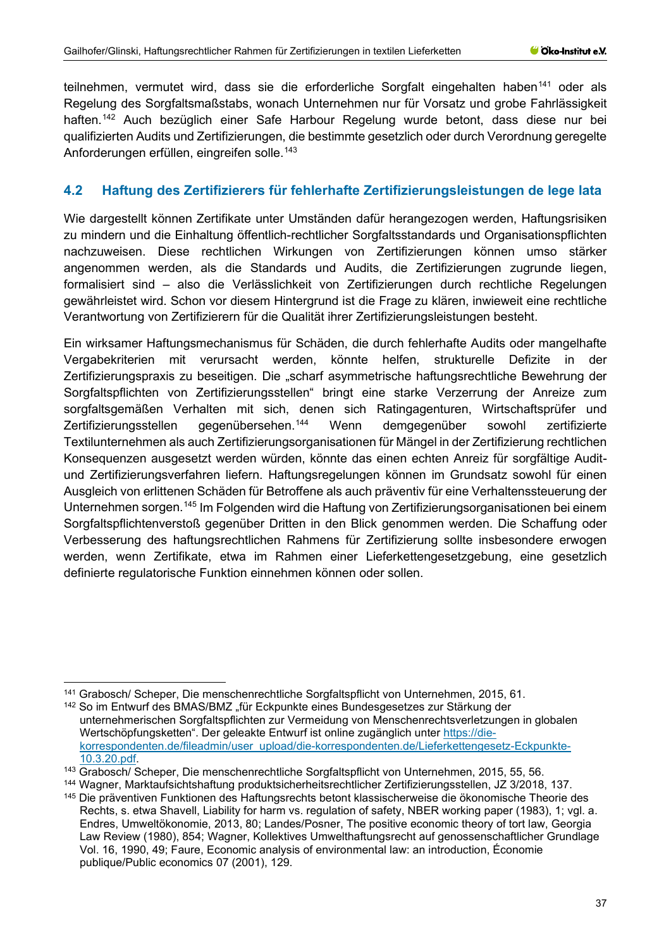teilnehmen, vermutet wird, dass sie die erforderliche Sorgfalt eingehalten haben<sup>[141](#page-36-0)</sup> oder als Regelung des Sorgfaltsmaßstabs, wonach Unternehmen nur für Vorsatz und grobe Fahrlässigkeit haften.[142](#page-36-1) Auch bezüglich einer Safe Harbour Regelung wurde betont, dass diese nur bei qualifizierten Audits und Zertifizierungen, die bestimmte gesetzlich oder durch Verordnung geregelte Anforderungen erfüllen, eingreifen solle. [143](#page-36-2)

# **4.2 Haftung des Zertifizierers für fehlerhafte Zertifizierungsleistungen de lege lata**

Wie dargestellt können Zertifikate unter Umständen dafür herangezogen werden, Haftungsrisiken zu mindern und die Einhaltung öffentlich-rechtlicher Sorgfaltsstandards und Organisationspflichten nachzuweisen. Diese rechtlichen Wirkungen von Zertifizierungen können umso stärker angenommen werden, als die Standards und Audits, die Zertifizierungen zugrunde liegen, formalisiert sind – also die Verlässlichkeit von Zertifizierungen durch rechtliche Regelungen gewährleistet wird. Schon vor diesem Hintergrund ist die Frage zu klären, inwieweit eine rechtliche Verantwortung von Zertifizierern für die Qualität ihrer Zertifizierungsleistungen besteht.

Ein wirksamer Haftungsmechanismus für Schäden, die durch fehlerhafte Audits oder mangelhafte Vergabekriterien mit verursacht werden, könnte helfen, strukturelle Defizite in der Zertifizierungspraxis zu beseitigen. Die "scharf asymmetrische haftungsrechtliche Bewehrung der Sorgfaltspflichten von Zertifizierungsstellen" bringt eine starke Verzerrung der Anreize zum sorgfaltsgemäßen Verhalten mit sich, denen sich Ratingagenturen, Wirtschaftsprüfer und Zertifizierungsstellen gegenübersehen.<sup>[144](#page-36-3)</sup> Wenn demgegenüber sowohl zertifizierte Textilunternehmen als auch Zertifizierungsorganisationen für Mängel in der Zertifizierung rechtlichen Konsequenzen ausgesetzt werden würden, könnte das einen echten Anreiz für sorgfältige Auditund Zertifizierungsverfahren liefern. Haftungsregelungen können im Grundsatz sowohl für einen Ausgleich von erlittenen Schäden für Betroffene als auch präventiv für eine Verhaltenssteuerung der Unternehmen sorgen.[145](#page-36-4) Im Folgenden wird die Haftung von Zertifizierungsorganisationen bei einem Sorgfaltspflichtenverstoß gegenüber Dritten in den Blick genommen werden. Die Schaffung oder Verbesserung des haftungsrechtlichen Rahmens für Zertifizierung sollte insbesondere erwogen werden, wenn Zertifikate, etwa im Rahmen einer Lieferkettengesetzgebung, eine gesetzlich definierte regulatorische Funktion einnehmen können oder sollen.

<span id="page-36-0"></span><sup>141</sup> Grabosch/ Scheper, Die menschenrechtliche Sorgfaltspflicht von Unternehmen, 2015, 61.

<span id="page-36-1"></span><sup>142</sup> So im Entwurf des BMAS/BMZ "für Eckpunkte eines Bundesgesetzes zur Stärkung der unternehmerischen Sorgfaltspflichten zur Vermeidung von Menschenrechtsverletzungen in globalen Wertschöpfungsketten". Der geleakte Entwurf ist online zugänglich unter [https://die](https://die-korrespondenten.de/fileadmin/user_upload/die-korrespondenten.de/Lieferkettengesetz-Eckpunkte-10.3.20.pdf)korrespondenten.de/fileadmin/user\_upload/die-korrespondenten.de/Lieferkettengesetz-Eckpunkte-<br>10.3.20.pdf.

<span id="page-36-2"></span><sup>&</sup>lt;sup>143</sup> Grabosch/ Scheper, Die menschenrechtliche Sorgfaltspflicht von Unternehmen, 2015, 55, 56.

<span id="page-36-3"></span><sup>144</sup> Wagner, Marktaufsichtshaftung produktsicherheitsrechtlicher Zertifizierungsstellen, JZ 3/2018, 137.

<span id="page-36-4"></span><sup>145</sup> Die präventiven Funktionen des Haftungsrechts betont klassischerweise die ökonomische Theorie des Rechts, s. etwa Shavell, Liability for harm vs. regulation of safety, NBER working paper (1983), 1; vgl. a. Endres, Umweltökonomie, 2013, 80; Landes/Posner, The positive economic theory of tort law, Georgia Law Review (1980), 854; Wagner, Kollektives Umwelthaftungsrecht auf genossenschaftlicher Grundlage Vol. 16, 1990, 49; Faure, Economic analysis of environmental law: an introduction, Économie publique/Public economics 07 (2001), 129.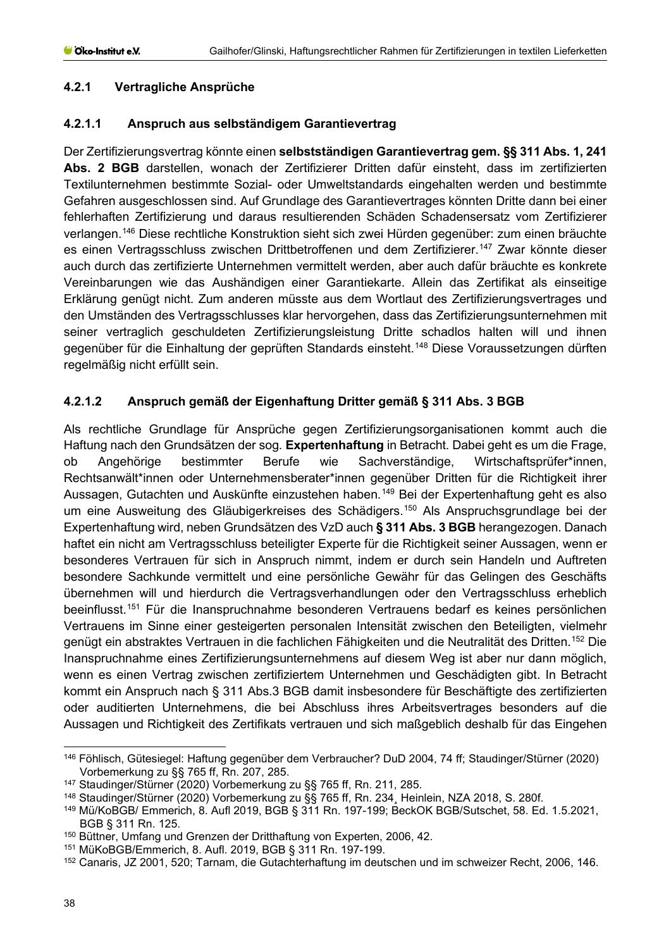## **4.2.1 Vertragliche Ansprüche**

## **4.2.1.1 Anspruch aus selbständigem Garantievertrag**

Der Zertifizierungsvertrag könnte einen **selbstständigen Garantievertrag gem. §§ 311 Abs. 1, 241 Abs. 2 BGB** darstellen, wonach der Zertifizierer Dritten dafür einsteht, dass im zertifizierten Textilunternehmen bestimmte Sozial- oder Umweltstandards eingehalten werden und bestimmte Gefahren ausgeschlossen sind. Auf Grundlage des Garantievertrages könnten Dritte dann bei einer fehlerhaften Zertifizierung und daraus resultierenden Schäden Schadensersatz vom Zertifizierer verlangen[.146](#page-37-0) Diese rechtliche Konstruktion sieht sich zwei Hürden gegenüber: zum einen bräuchte es einen Vertragsschluss zwischen Drittbetroffenen und dem Zertifizierer.[147](#page-37-1) Zwar könnte dieser auch durch das zertifizierte Unternehmen vermittelt werden, aber auch dafür bräuchte es konkrete Vereinbarungen wie das Aushändigen einer Garantiekarte. Allein das Zertifikat als einseitige Erklärung genügt nicht. Zum anderen müsste aus dem Wortlaut des Zertifizierungsvertrages und den Umständen des Vertragsschlusses klar hervorgehen, dass das Zertifizierungsunternehmen mit seiner vertraglich geschuldeten Zertifizierungsleistung Dritte schadlos halten will und ihnen gegenüber für die Einhaltung der geprüften Standards einsteht.<sup>[148](#page-37-2)</sup> Diese Voraussetzungen dürften regelmäßig nicht erfüllt sein.

## **4.2.1.2 Anspruch gemäß der Eigenhaftung Dritter gemäß § 311 Abs. 3 BGB**

Als rechtliche Grundlage für Ansprüche gegen Zertifizierungsorganisationen kommt auch die Haftung nach den Grundsätzen der sog. **Expertenhaftung** in Betracht. Dabei geht es um die Frage, ob Angehörige bestimmter Berufe wie Sachverständige, Wirtschaftsprüfer\*innen, Rechtsanwält\*innen oder Unternehmensberater\*innen gegenüber Dritten für die Richtigkeit ihrer Aussagen, Gutachten und Auskünfte einzustehen haben.<sup>[149](#page-37-3)</sup> Bei der Expertenhaftung geht es also um eine Ausweitung des Gläubigerkreises des Schädigers. [150](#page-37-4) Als Anspruchsgrundlage bei der Expertenhaftung wird, neben Grundsätzen des VzD auch **§ 311 Abs. 3 BGB** herangezogen. Danach haftet ein nicht am Vertragsschluss beteiligter Experte für die Richtigkeit seiner Aussagen, wenn er besonderes Vertrauen für sich in Anspruch nimmt, indem er durch sein Handeln und Auftreten besondere Sachkunde vermittelt und eine persönliche Gewähr für das Gelingen des Geschäfts übernehmen will und hierdurch die Vertragsverhandlungen oder den Vertragsschluss erheblich beeinflusst. [151](#page-37-5) Für die Inanspruchnahme besonderen Vertrauens bedarf es keines persönlichen Vertrauens im Sinne einer gesteigerten personalen Intensität zwischen den Beteiligten, vielmehr genügt ein abstraktes Vertrauen in die fachlichen Fähigkeiten und die Neutralität des Dritten.[152](#page-37-6) Die Inanspruchnahme eines Zertifizierungsunternehmens auf diesem Weg ist aber nur dann möglich, wenn es einen Vertrag zwischen zertifiziertem Unternehmen und Geschädigten gibt. In Betracht kommt ein Anspruch nach § 311 Abs.3 BGB damit insbesondere für Beschäftigte des zertifizierten oder auditierten Unternehmens, die bei Abschluss ihres Arbeitsvertrages besonders auf die Aussagen und Richtigkeit des Zertifikats vertrauen und sich maßgeblich deshalb für das Eingehen

<span id="page-37-0"></span><sup>146</sup> Föhlisch, Gütesiegel: Haftung gegenüber dem Verbraucher? DuD 2004, 74 ff; Staudinger/Stürner (2020) Vorbemerkung zu §§ 765 ff, Rn. 207, 285.

<span id="page-37-1"></span><sup>147</sup> Staudinger/Stürner (2020) Vorbemerkung zu §§ 765 ff, Rn. 211, 285.

<span id="page-37-2"></span><sup>148</sup> Staudinger/Stürner (2020) Vorbemerkung zu §§ 765 ff, Rn. 234¸ Heinlein, NZA 2018, S. 280f.

<span id="page-37-3"></span><sup>149</sup> Mü/KoBGB/ Emmerich, 8. Aufl 2019, BGB § 311 Rn. 197-199; BeckOK BGB/Sutschet, 58. Ed. 1.5.2021, BGB § 311 Rn. 125.

<span id="page-37-4"></span><sup>150</sup> Büttner, Umfang und Grenzen der Dritthaftung von Experten, 2006, 42.

<span id="page-37-5"></span><sup>151</sup> MüKoBGB/Emmerich, 8. Aufl. 2019, BGB § 311 Rn. 197-199.

<span id="page-37-6"></span><sup>152</sup> Canaris, JZ 2001, 520; Tarnam, die Gutachterhaftung im deutschen und im schweizer Recht, 2006, 146.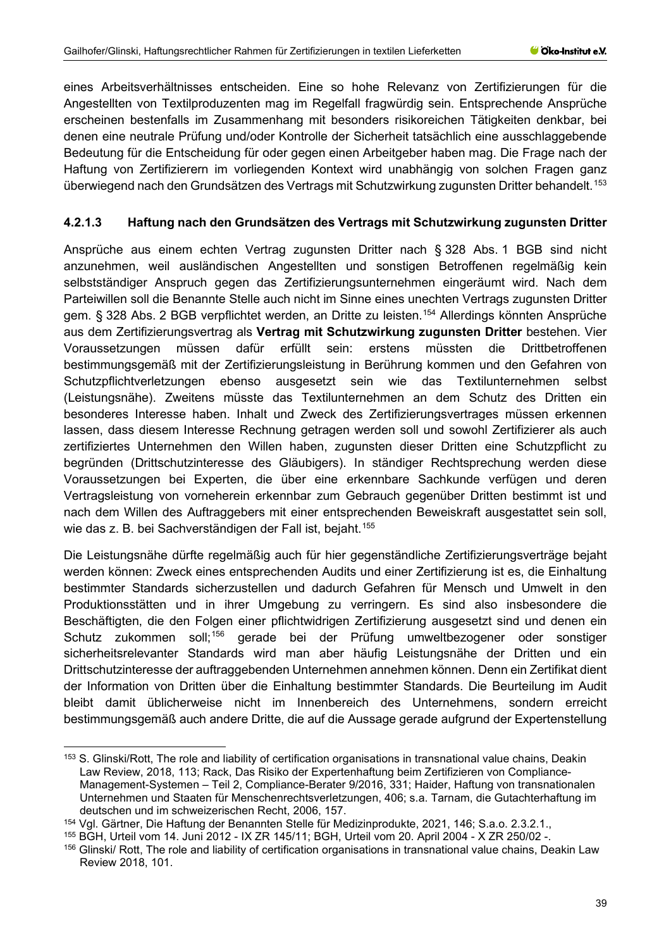eines Arbeitsverhältnisses entscheiden. Eine so hohe Relevanz von Zertifizierungen für die Angestellten von Textilproduzenten mag im Regelfall fragwürdig sein. Entsprechende Ansprüche erscheinen bestenfalls im Zusammenhang mit besonders risikoreichen Tätigkeiten denkbar, bei denen eine neutrale Prüfung und/oder Kontrolle der Sicherheit tatsächlich eine ausschlaggebende Bedeutung für die Entscheidung für oder gegen einen Arbeitgeber haben mag. Die Frage nach der Haftung von Zertifizierern im vorliegenden Kontext wird unabhängig von solchen Fragen ganz überwiegend nach den Grundsätzen des Vertrags mit Schutzwirkung zugunsten Dritter behandelt.<sup>[153](#page-38-0)</sup>

## **4.2.1.3 Haftung nach den Grundsätzen des Vertrags mit Schutzwirkung zugunsten Dritter**

Ansprüche aus einem echten Vertrag zugunsten Dritter nach § 328 Abs. 1 BGB sind nicht anzunehmen, weil ausländischen Angestellten und sonstigen Betroffenen regelmäßig kein selbstständiger Anspruch gegen das Zertifizierungsunternehmen eingeräumt wird. Nach dem Parteiwillen soll die Benannte Stelle auch nicht im Sinne eines unechten Vertrags zugunsten Dritter gem. § 328 Abs. 2 BGB verpflichtet werden, an Dritte zu leisten.[154](#page-38-1) Allerdings könnten Ansprüche aus dem Zertifizierungsvertrag als **Vertrag mit Schutzwirkung zugunsten Dritter** bestehen. Vier Voraussetzungen müssen dafür erfüllt sein: erstens müssten die Drittbetroffenen bestimmungsgemäß mit der Zertifizierungsleistung in Berührung kommen und den Gefahren von Schutzpflichtverletzungen ebenso ausgesetzt sein wie das Textilunternehmen selbst (Leistungsnähe). Zweitens müsste das Textilunternehmen an dem Schutz des Dritten ein besonderes Interesse haben. Inhalt und Zweck des Zertifizierungsvertrages müssen erkennen lassen, dass diesem Interesse Rechnung getragen werden soll und sowohl Zertifizierer als auch zertifiziertes Unternehmen den Willen haben, zugunsten dieser Dritten eine Schutzpflicht zu begründen (Drittschutzinteresse des Gläubigers). In ständiger Rechtsprechung werden diese Voraussetzungen bei Experten, die über eine erkennbare Sachkunde verfügen und deren Vertragsleistung von vorneherein erkennbar zum Gebrauch gegenüber Dritten bestimmt ist und nach dem Willen des Auftraggebers mit einer entsprechenden Beweiskraft ausgestattet sein soll, wie das z. B. bei Sachverständigen der Fall ist, bejaht.<sup>[155](#page-38-2)</sup>

Die Leistungsnähe dürfte regelmäßig auch für hier gegenständliche Zertifizierungsverträge bejaht werden können: Zweck eines entsprechenden Audits und einer Zertifizierung ist es, die Einhaltung bestimmter Standards sicherzustellen und dadurch Gefahren für Mensch und Umwelt in den Produktionsstätten und in ihrer Umgebung zu verringern. Es sind also insbesondere die Beschäftigten, die den Folgen einer pflichtwidrigen Zertifizierung ausgesetzt sind und denen ein Schutz zukommen soll;<sup>[156](#page-38-3)</sup> gerade bei der Prüfung umweltbezogener oder sonstiger sicherheitsrelevanter Standards wird man aber häufig Leistungsnähe der Dritten und ein Drittschutzinteresse der auftraggebenden Unternehmen annehmen können. Denn ein Zertifikat dient der Information von Dritten über die Einhaltung bestimmter Standards. Die Beurteilung im Audit bleibt damit üblicherweise nicht im Innenbereich des Unternehmens, sondern erreicht bestimmungsgemäß auch andere Dritte, die auf die Aussage gerade aufgrund der Expertenstellung

<span id="page-38-0"></span><sup>153</sup> S. Glinski/Rott, The role and liability of certification organisations in transnational value chains, Deakin Law Review, 2018, 113; Rack, Das Risiko der Expertenhaftung beim Zertifizieren von Compliance-Management-Systemen – Teil 2, Compliance-Berater 9/2016, 331; Haider, Haftung von transnationalen Unternehmen und Staaten für Menschenrechtsverletzungen, 406; s.a. Tarnam, die Gutachterhaftung im deutschen und im schweizerischen Recht, 2006, 157.

<span id="page-38-1"></span><sup>154</sup> Vgl. Gärtner, Die Haftung der Benannten Stelle für Medizinprodukte, 2021, 146; S.a.o. 2.3.2.1.,

<span id="page-38-2"></span><sup>155</sup> BGH, Urteil vom 14. Juni 2012 - IX ZR 145/11; BGH, Urteil vom 20. April 2004 - X ZR 250/02 -.

<span id="page-38-3"></span><sup>156</sup> Glinski/ Rott, The role and liability of certification organisations in transnational value chains, Deakin Law Review 2018, 101.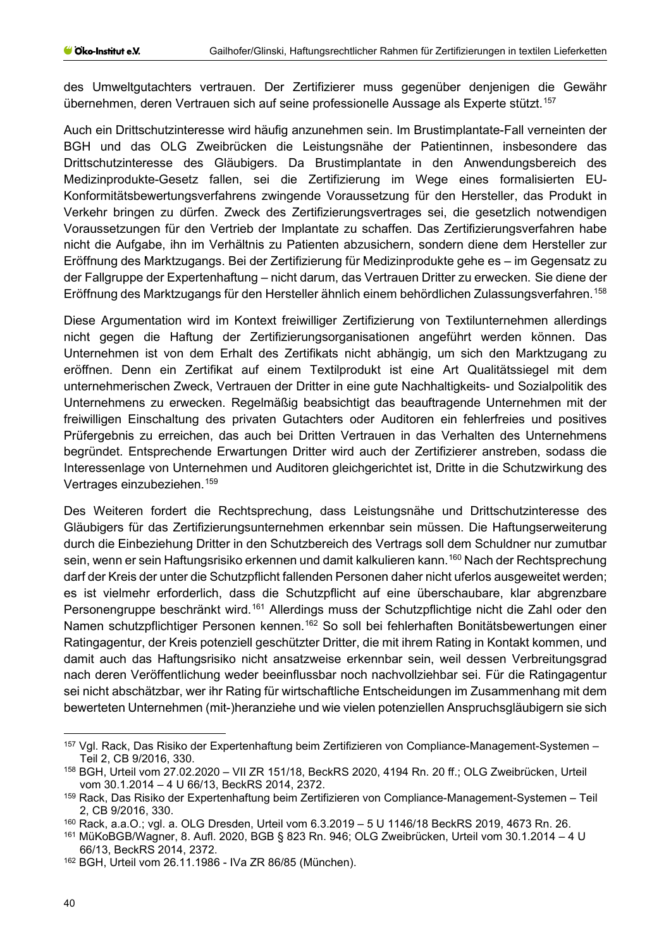des Umweltgutachters vertrauen. Der Zertifizierer muss gegenüber denjenigen die Gewähr übernehmen, deren Vertrauen sich auf seine professionelle Aussage als Experte stützt.[157](#page-39-0)

Auch ein Drittschutzinteresse wird häufig anzunehmen sein. Im Brustimplantate-Fall verneinten der BGH und das OLG Zweibrücken die Leistungsnähe der Patientinnen, insbesondere das Drittschutzinteresse des Gläubigers. Da Brustimplantate in den Anwendungsbereich des Medizinprodukte-Gesetz fallen, sei die Zertifizierung im Wege eines formalisierten EU-Konformitätsbewertungsverfahrens zwingende Voraussetzung für den Hersteller, das Produkt in Verkehr bringen zu dürfen. Zweck des Zertifizierungsvertrages sei, die gesetzlich notwendigen Voraussetzungen für den Vertrieb der Implantate zu schaffen. Das Zertifizierungsverfahren habe nicht die Aufgabe, ihn im Verhältnis zu Patienten abzusichern, sondern diene dem Hersteller zur Eröffnung des Marktzugangs. Bei der Zertifizierung für Medizinprodukte gehe es – im Gegensatz zu der Fallgruppe der Expertenhaftung – nicht darum, das Vertrauen Dritter zu erwecken. Sie diene der Eröffnung des Marktzugangs für den Hersteller ähnlich einem behördlichen Zulassungsverfahren. [158](#page-39-1)

Diese Argumentation wird im Kontext freiwilliger Zertifizierung von Textilunternehmen allerdings nicht gegen die Haftung der Zertifizierungsorganisationen angeführt werden können. Das Unternehmen ist von dem Erhalt des Zertifikats nicht abhängig, um sich den Marktzugang zu eröffnen. Denn ein Zertifikat auf einem Textilprodukt ist eine Art Qualitätssiegel mit dem unternehmerischen Zweck, Vertrauen der Dritter in eine gute Nachhaltigkeits- und Sozialpolitik des Unternehmens zu erwecken. Regelmäßig beabsichtigt das beauftragende Unternehmen mit der freiwilligen Einschaltung des privaten Gutachters oder Auditoren ein fehlerfreies und positives Prüfergebnis zu erreichen, das auch bei Dritten Vertrauen in das Verhalten des Unternehmens begründet. Entsprechende Erwartungen Dritter wird auch der Zertifizierer anstreben, sodass die Interessenlage von Unternehmen und Auditoren gleichgerichtet ist, Dritte in die Schutzwirkung des Vertrages einzubeziehen.[159](#page-39-2)

Des Weiteren fordert die Rechtsprechung, dass Leistungsnähe und Drittschutzinteresse des Gläubigers für das Zertifizierungsunternehmen erkennbar sein müssen. Die Haftungserweiterung durch die Einbeziehung Dritter in den Schutzbereich des Vertrags soll dem Schuldner nur zumutbar sein, wenn er sein Haftungsrisiko erkennen und damit kalkulieren kann.<sup>[160](#page-39-3)</sup> Nach der Rechtsprechung darf der Kreis der unter die Schutzpflicht fallenden Personen daher nicht uferlos ausgeweitet werden; es ist vielmehr erforderlich, dass die Schutzpflicht auf eine überschaubare, klar abgrenzbare Personengruppe beschränkt wird.<sup>[161](#page-39-4)</sup> Allerdings muss der Schutzpflichtige nicht die Zahl oder den Namen schutzpflichtiger Personen kennen.<sup>[162](#page-39-5)</sup> So soll bei fehlerhaften Bonitätsbewertungen einer Ratingagentur, der Kreis potenziell geschützter Dritter, die mit ihrem Rating in Kontakt kommen, und damit auch das Haftungsrisiko nicht ansatzweise erkennbar sein, weil dessen Verbreitungsgrad nach deren Veröffentlichung weder beeinflussbar noch nachvollziehbar sei. Für die Ratingagentur sei nicht abschätzbar, wer ihr Rating für wirtschaftliche Entscheidungen im Zusammenhang mit dem bewerteten Unternehmen (mit-)heranziehe und wie vielen potenziellen Anspruchsgläubigern sie sich

<span id="page-39-0"></span><sup>157</sup> Vgl. Rack, Das Risiko der Expertenhaftung beim Zertifizieren von Compliance-Management-Systemen – Teil 2, CB 9/2016, 330.

<span id="page-39-1"></span><sup>158</sup> BGH, Urteil vom 27.02.2020 – VII ZR 151/18, BeckRS 2020, 4194 Rn. 20 ff.; OLG Zweibrücken, Urteil vom 30.1.2014 – 4 U 66/13, BeckRS 2014, 2372.

<span id="page-39-2"></span><sup>159</sup> Rack, Das Risiko der Expertenhaftung beim Zertifizieren von Compliance-Management-Systemen – Teil 2, CB 9/2016, 330.

<span id="page-39-3"></span><sup>160</sup> Rack, a.a.O.; vgl. a. OLG Dresden, Urteil vom 6.3.2019 – 5 U 1146/18 BeckRS 2019, 4673 Rn. 26.

<span id="page-39-4"></span><sup>161</sup> MüKoBGB/Wagner, 8. Aufl. 2020, BGB § 823 Rn. 946; OLG Zweibrücken, Urteil vom 30.1.2014 – 4 U 66/13, BeckRS 2014, 2372.

<span id="page-39-5"></span><sup>162</sup> BGH, Urteil vom 26.11.1986 - IVa ZR 86/85 (München).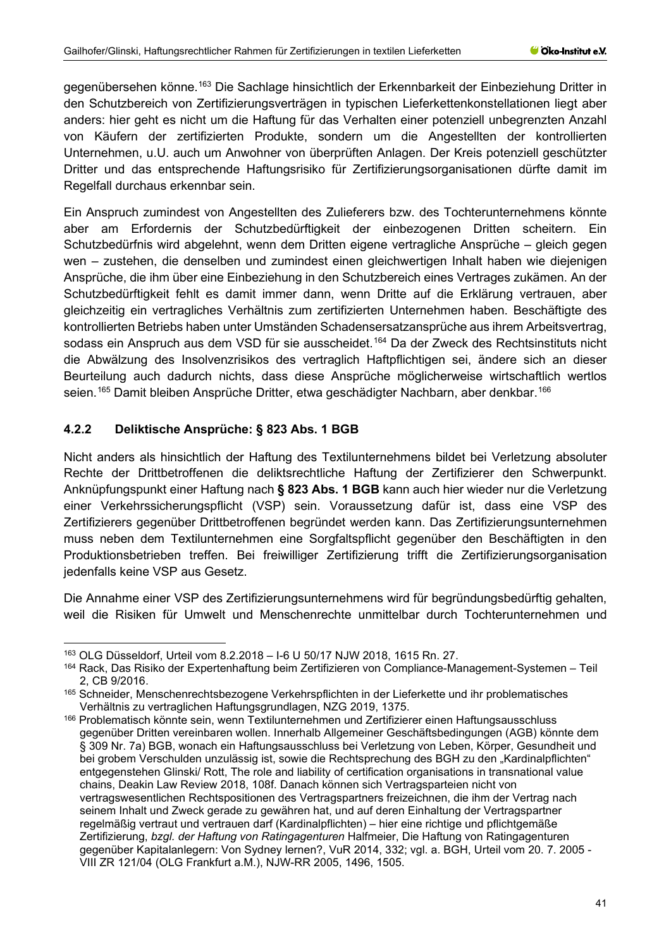gegenübersehen könne.<sup>[163](#page-40-0)</sup> Die Sachlage hinsichtlich der Erkennbarkeit der Einbeziehung Dritter in den Schutzbereich von Zertifizierungsverträgen in typischen Lieferkettenkonstellationen liegt aber anders: hier geht es nicht um die Haftung für das Verhalten einer potenziell unbegrenzten Anzahl von Käufern der zertifizierten Produkte, sondern um die Angestellten der kontrollierten Unternehmen, u.U. auch um Anwohner von überprüften Anlagen. Der Kreis potenziell geschützter Dritter und das entsprechende Haftungsrisiko für Zertifizierungsorganisationen dürfte damit im Regelfall durchaus erkennbar sein.

Ein Anspruch zumindest von Angestellten des Zulieferers bzw. des Tochterunternehmens könnte aber am Erfordernis der Schutzbedürftigkeit der einbezogenen Dritten scheitern. Ein Schutzbedürfnis wird abgelehnt, wenn dem Dritten eigene vertragliche Ansprüche – gleich gegen wen – zustehen, die denselben und zumindest einen gleichwertigen Inhalt haben wie diejenigen Ansprüche, die ihm über eine Einbeziehung in den Schutzbereich eines Vertrages zukämen. An der Schutzbedürftigkeit fehlt es damit immer dann, wenn Dritte auf die Erklärung vertrauen, aber gleichzeitig ein vertragliches Verhältnis zum zertifizierten Unternehmen haben. Beschäftigte des kontrollierten Betriebs haben unter Umständen Schadensersatzansprüche aus ihrem Arbeitsvertrag, sodass ein Anspruch aus dem VSD für sie ausscheidet.<sup>[164](#page-40-1)</sup> Da der Zweck des Rechtsinstituts nicht die Abwälzung des Insolvenzrisikos des vertraglich Haftpflichtigen sei, ändere sich an dieser Beurteilung auch dadurch nichts, dass diese Ansprüche möglicherweise wirtschaftlich wertlos seien.<sup>[165](#page-40-2)</sup> Damit bleiben Ansprüche Dritter, etwa geschädigter Nachbarn, aber denkbar.<sup>[166](#page-40-3)</sup>

## **4.2.2 Deliktische Ansprüche: § 823 Abs. 1 BGB**

Nicht anders als hinsichtlich der Haftung des Textilunternehmens bildet bei Verletzung absoluter Rechte der Drittbetroffenen die deliktsrechtliche Haftung der Zertifizierer den Schwerpunkt. Anknüpfungspunkt einer Haftung nach **§ 823 Abs. 1 BGB** kann auch hier wieder nur die Verletzung einer Verkehrssicherungspflicht (VSP) sein. Voraussetzung dafür ist, dass eine VSP des Zertifizierers gegenüber Drittbetroffenen begründet werden kann. Das Zertifizierungsunternehmen muss neben dem Textilunternehmen eine Sorgfaltspflicht gegenüber den Beschäftigten in den Produktionsbetrieben treffen. Bei freiwilliger Zertifizierung trifft die Zertifizierungsorganisation jedenfalls keine VSP aus Gesetz.

Die Annahme einer VSP des Zertifizierungsunternehmens wird für begründungsbedürftig gehalten, weil die Risiken für Umwelt und Menschenrechte unmittelbar durch Tochterunternehmen und

<span id="page-40-0"></span><sup>163</sup> OLG Düsseldorf, Urteil vom 8.2.2018 – I-6 U 50/17 NJW 2018, 1615 Rn. 27.

<span id="page-40-1"></span><sup>164</sup> Rack, Das Risiko der Expertenhaftung beim Zertifizieren von Compliance-Management-Systemen – Teil 2, CB 9/2016.

<span id="page-40-2"></span><sup>165</sup> Schneider, Menschenrechtsbezogene Verkehrspflichten in der Lieferkette und ihr problematisches Verhältnis zu vertraglichen Haftungsgrundlagen, NZG 2019, 1375.

<span id="page-40-3"></span><sup>166</sup> Problematisch könnte sein, wenn Textilunternehmen und Zertifizierer einen Haftungsausschluss gegenüber Dritten vereinbaren wollen. Innerhalb Allgemeiner Geschäftsbedingungen (AGB) könnte dem § 309 Nr. 7a) BGB, wonach ein Haftungsausschluss bei Verletzung von Leben, Körper, Gesundheit und bei grobem Verschulden unzulässig ist, sowie die Rechtsprechung des BGH zu den "Kardinalpflichten" entgegenstehen Glinski/ Rott, The role and liability of certification organisations in transnational value chains, Deakin Law Review 2018, 108f. Danach können sich Vertragsparteien nicht von vertragswesentlichen Rechtspositionen des Vertragspartners freizeichnen, die ihm der Vertrag nach seinem Inhalt und Zweck gerade zu gewähren hat, und auf deren Einhaltung der Vertragspartner regelmäßig vertraut und vertrauen darf (Kardinalpflichten) – hier eine richtige und pflichtgemäße Zertifizierung, *bzgl. der Haftung von Ratingagenturen* Halfmeier, Die Haftung von Ratingagenturen gegenüber Kapitalanlegern: Von Sydney lernen?, VuR 2014, 332; vgl. a. BGH, Urteil vom 20. 7. 2005 - VIII ZR 121/04 (OLG Frankfurt a.M.), NJW-RR 2005, 1496, 1505.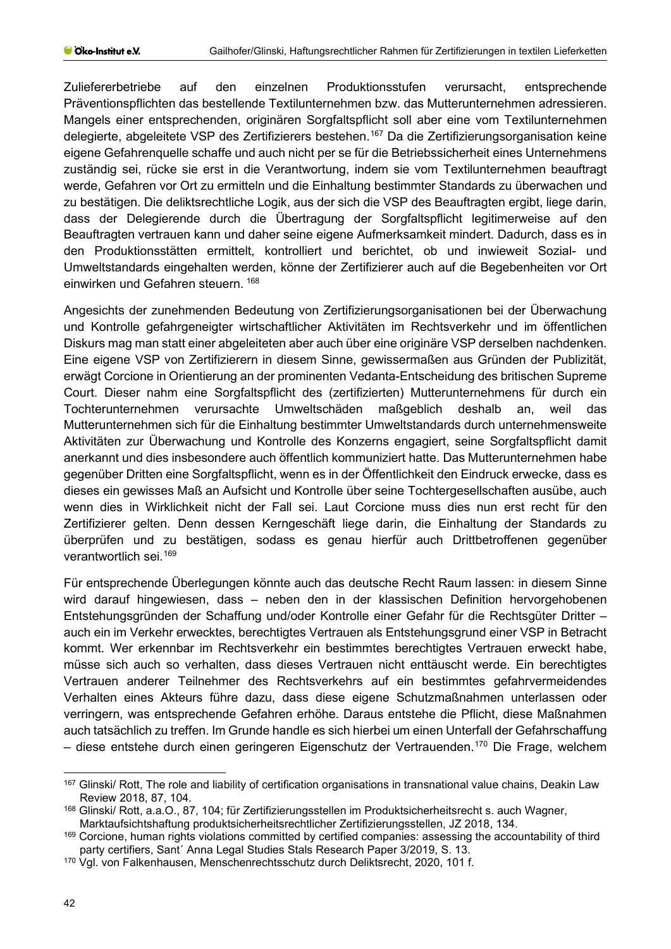Zuliefererbetriebe auf den einzelnen Produktionsstufen verursacht, entsprechende Präventionspflichten das bestellende Textilunternehmen bzw. das Mutterunternehmen adressieren. Mangels einer entsprechenden, originären Sorgfaltspflicht soll aber eine vom Textilunternehmen delegierte, abgeleitete VSP des Zertifizierers bestehen. [167](#page-41-0) Da die Zertifizierungsorganisation keine eigene Gefahrenquelle schaffe und auch nicht per se für die Betriebssicherheit eines Unternehmens zuständig sei, rücke sie erst in die Verantwortung, indem sie vom Textilunternehmen beauftragt werde, Gefahren vor Ort zu ermitteln und die Einhaltung bestimmter Standards zu überwachen und zu bestätigen. Die deliktsrechtliche Logik, aus der sich die VSP des Beauftragten ergibt, liege darin, dass der Delegierende durch die Übertragung der Sorgfaltspflicht legitimerweise auf den Beauftragten vertrauen kann und daher seine eigene Aufmerksamkeit mindert. Dadurch, dass es in den Produktionsstätten ermittelt, kontrolliert und berichtet, ob und inwieweit Sozial- und Umweltstandards eingehalten werden, könne der Zertifizierer auch auf die Begebenheiten vor Ort einwirken und Gefahren steuern. [168](#page-41-1)

Angesichts der zunehmenden Bedeutung von Zertifizierungsorganisationen bei der Überwachung und Kontrolle gefahrgeneigter wirtschaftlicher Aktivitäten im Rechtsverkehr und im öffentlichen Diskurs mag man statt einer abgeleiteten aber auch über eine originäre VSP derselben nachdenken. Eine eigene VSP von Zertifizierern in diesem Sinne, gewissermaßen aus Gründen der Publizität, erwägt Corcione in Orientierung an der prominenten Vedanta-Entscheidung des britischen Supreme Court. Dieser nahm eine Sorgfaltspflicht des (zertifizierten) Mutterunternehmens für durch ein Tochterunternehmen verursachte Umweltschäden maßgeblich deshalb an, weil das Mutterunternehmen sich für die Einhaltung bestimmter Umweltstandards durch unternehmensweite Aktivitäten zur Überwachung und Kontrolle des Konzerns engagiert, seine Sorgfaltspflicht damit anerkannt und dies insbesondere auch öffentlich kommuniziert hatte. Das Mutterunternehmen habe gegenüber Dritten eine Sorgfaltspflicht, wenn es in der Öffentlichkeit den Eindruck erwecke, dass es dieses ein gewisses Maß an Aufsicht und Kontrolle über seine Tochtergesellschaften ausübe, auch wenn dies in Wirklichkeit nicht der Fall sei. Laut Corcione muss dies nun erst recht für den Zertifizierer gelten. Denn dessen Kerngeschäft liege darin, die Einhaltung der Standards zu überprüfen und zu bestätigen, sodass es genau hierfür auch Drittbetroffenen gegenüber verantwortlich sei. [169](#page-41-2)

Für entsprechende Überlegungen könnte auch das deutsche Recht Raum lassen: in diesem Sinne wird darauf hingewiesen, dass – neben den in der klassischen Definition hervorgehobenen Entstehungsgründen der Schaffung und/oder Kontrolle einer Gefahr für die Rechtsgüter Dritter – auch ein im Verkehr erwecktes, berechtigtes Vertrauen als Entstehungsgrund einer VSP in Betracht kommt. Wer erkennbar im Rechtsverkehr ein bestimmtes berechtigtes Vertrauen erweckt habe, müsse sich auch so verhalten, dass dieses Vertrauen nicht enttäuscht werde. Ein berechtigtes Vertrauen anderer Teilnehmer des Rechtsverkehrs auf ein bestimmtes gefahrvermeidendes Verhalten eines Akteurs führe dazu, dass diese eigene Schutzmaßnahmen unterlassen oder verringern, was entsprechende Gefahren erhöhe. Daraus entstehe die Pflicht, diese Maßnahmen auch tatsächlich zu treffen. Im Grunde handle es sich hierbei um einen Unterfall der Gefahrschaffung  $-$  diese entstehe durch einen geringeren Eigenschutz der Vertrauenden.<sup>[170](#page-41-3)</sup> Die Frage, welchem

<span id="page-41-0"></span><sup>&</sup>lt;sup>167</sup> Glinski/ Rott, The role and liability of certification organisations in transnational value chains, Deakin Law Review 2018, 87, 104.

<span id="page-41-1"></span><sup>168</sup> Glinski/ Rott, a.a.O., 87, 104; für Zertifizierungsstellen im Produktsicherheitsrecht s. auch Wagner, Marktaufsichtshaftung produktsicherheitsrechtlicher Zertifizierungsstellen, JZ 2018, 134.

<span id="page-41-2"></span><sup>169</sup> Corcione, human rights violations committed by certified companies: assessing the accountability of third party certifiers, Sant' Anna Legal Studies Stals Research Paper 3/2019, S. 13.

<span id="page-41-3"></span><sup>170</sup> Vgl. von Falkenhausen, Menschenrechtsschutz durch Deliktsrecht, 2020, 101 f.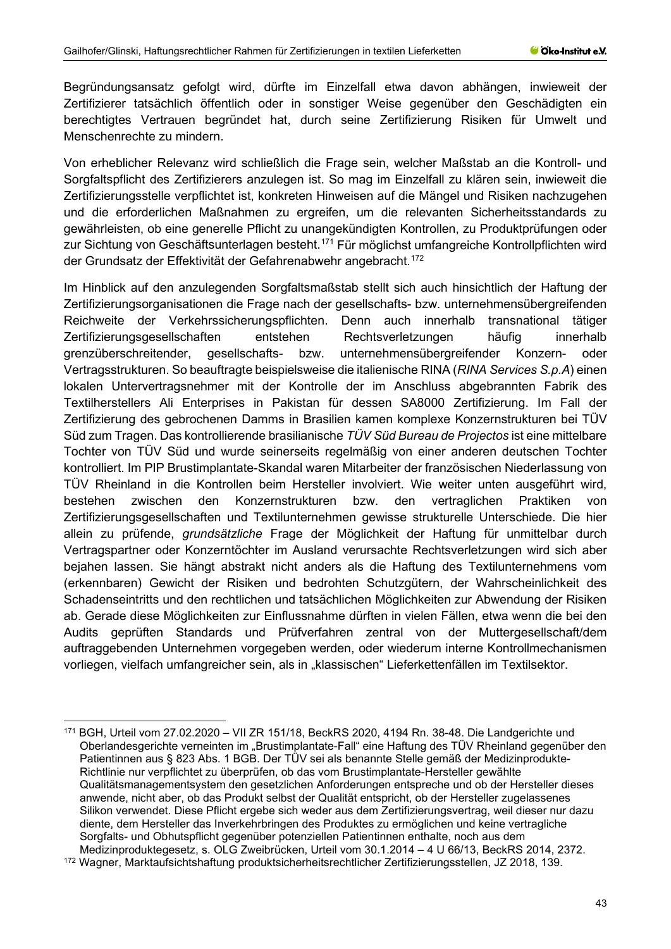Begründungsansatz gefolgt wird, dürfte im Einzelfall etwa davon abhängen, inwieweit der Zertifizierer tatsächlich öffentlich oder in sonstiger Weise gegenüber den Geschädigten ein berechtigtes Vertrauen begründet hat, durch seine Zertifizierung Risiken für Umwelt und Menschenrechte zu mindern.

Von erheblicher Relevanz wird schließlich die Frage sein, welcher Maßstab an die Kontroll- und Sorgfaltspflicht des Zertifizierers anzulegen ist. So mag im Einzelfall zu klären sein, inwieweit die Zertifizierungsstelle verpflichtet ist, konkreten Hinweisen auf die Mängel und Risiken nachzugehen und die erforderlichen Maßnahmen zu ergreifen, um die relevanten Sicherheitsstandards zu gewährleisten, ob eine generelle Pflicht zu unangekündigten Kontrollen, zu Produktprüfungen oder zur Sichtung von Geschäftsunterlagen besteht.<sup>[171](#page-42-0)</sup> Für möglichst umfangreiche Kontrollpflichten wird der Grundsatz der Effektivität der Gefahrenabwehr angebracht.<sup>[172](#page-42-1)</sup>

Im Hinblick auf den anzulegenden Sorgfaltsmaßstab stellt sich auch hinsichtlich der Haftung der Zertifizierungsorganisationen die Frage nach der gesellschafts- bzw. unternehmensübergreifenden Reichweite der Verkehrssicherungspflichten. Denn auch innerhalb transnational tätiger Zertifizierungsgesellschaften entstehen Rechtsverletzungen häufig innerhalb grenzüberschreitender, gesellschafts- bzw. unternehmensübergreifender Konzern- oder Vertragsstrukturen. So beauftragte beispielsweise die italienische RINA (*RINA Services S.p.A*) einen lokalen Untervertragsnehmer mit der Kontrolle der im Anschluss abgebrannten Fabrik des Textilherstellers Ali Enterprises in Pakistan für dessen SA8000 Zertifizierung. Im Fall der Zertifizierung des gebrochenen Damms in Brasilien kamen komplexe Konzernstrukturen bei TÜV Süd zum Tragen. Das kontrollierende brasilianische *TÜV Süd Bureau de Projectos* ist eine mittelbare Tochter von TÜV Süd und wurde seinerseits regelmäßig von einer anderen deutschen Tochter kontrolliert. Im PIP Brustimplantate-Skandal waren Mitarbeiter der französischen Niederlassung von TÜV Rheinland in die Kontrollen beim Hersteller involviert. Wie weiter unten ausgeführt wird, bestehen zwischen den Konzernstrukturen bzw. den vertraglichen Praktiken von Zertifizierungsgesellschaften und Textilunternehmen gewisse strukturelle Unterschiede. Die hier allein zu prüfende, *grundsätzliche* Frage der Möglichkeit der Haftung für unmittelbar durch Vertragspartner oder Konzerntöchter im Ausland verursachte Rechtsverletzungen wird sich aber bejahen lassen. Sie hängt abstrakt nicht anders als die Haftung des Textilunternehmens vom (erkennbaren) Gewicht der Risiken und bedrohten Schutzgütern, der Wahrscheinlichkeit des Schadenseintritts und den rechtlichen und tatsächlichen Möglichkeiten zur Abwendung der Risiken ab. Gerade diese Möglichkeiten zur Einflussnahme dürften in vielen Fällen, etwa wenn die bei den Audits geprüften Standards und Prüfverfahren zentral von der Muttergesellschaft/dem auftraggebenden Unternehmen vorgegeben werden, oder wiederum interne Kontrollmechanismen vorliegen, vielfach umfangreicher sein, als in "klassischen" Lieferkettenfällen im Textilsektor.

<span id="page-42-0"></span><sup>171</sup> BGH, Urteil vom 27.02.2020 – VII ZR 151/18, BeckRS 2020, 4194 Rn. 38-48. Die Landgerichte und Oberlandesgerichte verneinten im "Brustimplantate-Fall" eine Haftung des TÜV Rheinland gegenüber den Patientinnen aus § 823 Abs. 1 BGB. Der TÜV sei als benannte Stelle gemäß der Medizinprodukte-Richtlinie nur verpflichtet zu überprüfen, ob das vom Brustimplantate-Hersteller gewählte Qualitätsmanagementsystem den gesetzlichen Anforderungen entspreche und ob der Hersteller dieses anwende, nicht aber, ob das Produkt selbst der Qualität entspricht, ob der Hersteller zugelassenes Silikon verwendet. Diese Pflicht ergebe sich weder aus dem Zertifizierungsvertrag, weil dieser nur dazu diente, dem Hersteller das Inverkehrbringen des Produktes zu ermöglichen und keine vertragliche Sorgfalts- und Obhutspflicht gegenüber potenziellen Patientinnen enthalte, noch aus dem Medizinproduktegesetz, s. OLG Zweibrücken, Urteil vom 30.1.2014 – 4 U 66/13, BeckRS 2014, 2372.

<span id="page-42-1"></span><sup>172</sup> Wagner, Marktaufsichtshaftung produktsicherheitsrechtlicher Zertifizierungsstellen, JZ 2018, 139.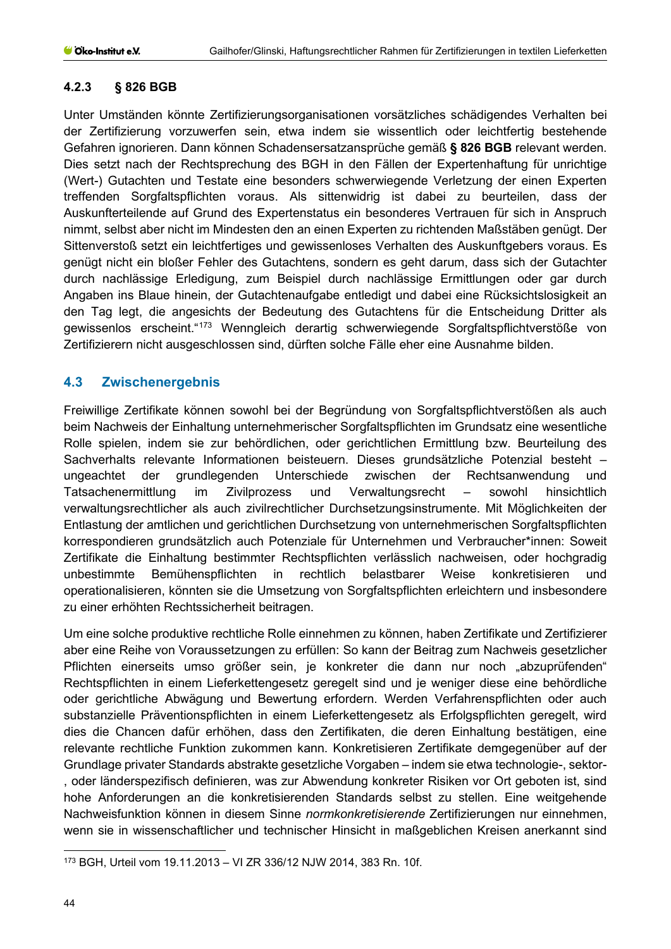## **4.2.3 § 826 BGB**

Unter Umständen könnte Zertifizierungsorganisationen vorsätzliches schädigendes Verhalten bei der Zertifizierung vorzuwerfen sein, etwa indem sie wissentlich oder leichtfertig bestehende Gefahren ignorieren. Dann können Schadensersatzansprüche gemäß **§ 826 BGB** relevant werden. Dies setzt nach der Rechtsprechung des BGH in den Fällen der Expertenhaftung für unrichtige (Wert-) Gutachten und Testate eine besonders schwerwiegende Verletzung der einen Experten treffenden Sorgfaltspflichten voraus. Als sittenwidrig ist dabei zu beurteilen, dass der Auskunfterteilende auf Grund des Expertenstatus ein besonderes Vertrauen für sich in Anspruch nimmt, selbst aber nicht im Mindesten den an einen Experten zu richtenden Maßstäben genügt. Der Sittenverstoß setzt ein leichtfertiges und gewissenloses Verhalten des Auskunftgebers voraus. Es genügt nicht ein bloßer Fehler des Gutachtens, sondern es geht darum, dass sich der Gutachter durch nachlässige Erledigung, zum Beispiel durch nachlässige Ermittlungen oder gar durch Angaben ins Blaue hinein, der Gutachtenaufgabe entledigt und dabei eine Rücksichtslosigkeit an den Tag legt, die angesichts der Bedeutung des Gutachtens für die Entscheidung Dritter als gewissenlos erscheint."[173](#page-43-0) Wenngleich derartig schwerwiegende Sorgfaltspflichtverstöße von Zertifizierern nicht ausgeschlossen sind, dürften solche Fälle eher eine Ausnahme bilden.

## **4.3 Zwischenergebnis**

Freiwillige Zertifikate können sowohl bei der Begründung von Sorgfaltspflichtverstößen als auch beim Nachweis der Einhaltung unternehmerischer Sorgfaltspflichten im Grundsatz eine wesentliche Rolle spielen, indem sie zur behördlichen, oder gerichtlichen Ermittlung bzw. Beurteilung des Sachverhalts relevante Informationen beisteuern. Dieses grundsätzliche Potenzial besteht – ungeachtet der grundlegenden Unterschiede zwischen der Rechtsanwendung und Tatsachenermittlung im Zivilprozess und Verwaltungsrecht – sowohl hinsichtlich verwaltungsrechtlicher als auch zivilrechtlicher Durchsetzungsinstrumente. Mit Möglichkeiten der Entlastung der amtlichen und gerichtlichen Durchsetzung von unternehmerischen Sorgfaltspflichten korrespondieren grundsätzlich auch Potenziale für Unternehmen und Verbraucher\*innen: Soweit Zertifikate die Einhaltung bestimmter Rechtspflichten verlässlich nachweisen, oder hochgradig unbestimmte Bemühenspflichten in rechtlich belastbarer Weise konkretisieren und operationalisieren, könnten sie die Umsetzung von Sorgfaltspflichten erleichtern und insbesondere zu einer erhöhten Rechtssicherheit beitragen.

Um eine solche produktive rechtliche Rolle einnehmen zu können, haben Zertifikate und Zertifizierer aber eine Reihe von Voraussetzungen zu erfüllen: So kann der Beitrag zum Nachweis gesetzlicher Pflichten einerseits umso größer sein, je konkreter die dann nur noch "abzuprüfenden" Rechtspflichten in einem Lieferkettengesetz geregelt sind und je weniger diese eine behördliche oder gerichtliche Abwägung und Bewertung erfordern. Werden Verfahrenspflichten oder auch substanzielle Präventionspflichten in einem Lieferkettengesetz als Erfolgspflichten geregelt, wird dies die Chancen dafür erhöhen, dass den Zertifikaten, die deren Einhaltung bestätigen, eine relevante rechtliche Funktion zukommen kann. Konkretisieren Zertifikate demgegenüber auf der Grundlage privater Standards abstrakte gesetzliche Vorgaben – indem sie etwa technologie-, sektor- , oder länderspezifisch definieren, was zur Abwendung konkreter Risiken vor Ort geboten ist, sind hohe Anforderungen an die konkretisierenden Standards selbst zu stellen. Eine weitgehende Nachweisfunktion können in diesem Sinne *normkonkretisierende* Zertifizierungen nur einnehmen, wenn sie in wissenschaftlicher und technischer Hinsicht in maßgeblichen Kreisen anerkannt sind

<span id="page-43-0"></span><sup>173</sup> BGH, Urteil vom 19.11.2013 – VI ZR 336/12 NJW 2014, 383 Rn. 10f.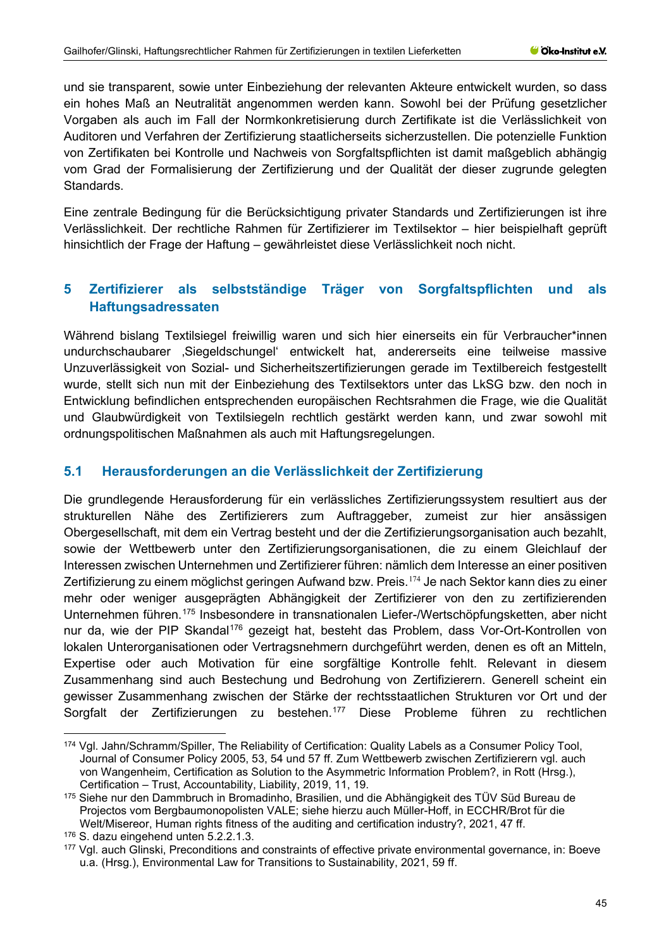und sie transparent, sowie unter Einbeziehung der relevanten Akteure entwickelt wurden, so dass ein hohes Maß an Neutralität angenommen werden kann. Sowohl bei der Prüfung gesetzlicher Vorgaben als auch im Fall der Normkonkretisierung durch Zertifikate ist die Verlässlichkeit von Auditoren und Verfahren der Zertifizierung staatlicherseits sicherzustellen. Die potenzielle Funktion von Zertifikaten bei Kontrolle und Nachweis von Sorgfaltspflichten ist damit maßgeblich abhängig vom Grad der Formalisierung der Zertifizierung und der Qualität der dieser zugrunde gelegten Standards.

Eine zentrale Bedingung für die Berücksichtigung privater Standards und Zertifizierungen ist ihre Verlässlichkeit. Der rechtliche Rahmen für Zertifizierer im Textilsektor – hier beispielhaft geprüft hinsichtlich der Frage der Haftung – gewährleistet diese Verlässlichkeit noch nicht.

# **5 Zertifizierer als selbstständige Träger von Sorgfaltspflichten und als Haftungsadressaten**

Während bislang Textilsiegel freiwillig waren und sich hier einerseits ein für Verbraucher\*innen undurchschaubarer 'Siegeldschungel' entwickelt hat, andererseits eine teilweise massive Unzuverlässigkeit von Sozial- und Sicherheitszertifizierungen gerade im Textilbereich festgestellt wurde, stellt sich nun mit der Einbeziehung des Textilsektors unter das LkSG bzw. den noch in Entwicklung befindlichen entsprechenden europäischen Rechtsrahmen die Frage, wie die Qualität und Glaubwürdigkeit von Textilsiegeln rechtlich gestärkt werden kann, und zwar sowohl mit ordnungspolitischen Maßnahmen als auch mit Haftungsregelungen.

# **5.1 Herausforderungen an die Verlässlichkeit der Zertifizierung**

Die grundlegende Herausforderung für ein verlässliches Zertifizierungssystem resultiert aus der strukturellen Nähe des Zertifizierers zum Auftraggeber, zumeist zur hier ansässigen Obergesellschaft, mit dem ein Vertrag besteht und der die Zertifizierungsorganisation auch bezahlt, sowie der Wettbewerb unter den Zertifizierungsorganisationen, die zu einem Gleichlauf der Interessen zwischen Unternehmen und Zertifizierer führen: nämlich dem Interesse an einer positiven Zertifizierung zu einem möglichst geringen Aufwand bzw. Preis.<sup>[174](#page-44-0)</sup> Je nach Sektor kann dies zu einer mehr oder weniger ausgeprägten Abhängigkeit der Zertifizierer von den zu zertifizierenden Unternehmen führen.[175](#page-44-1) Insbesondere in transnationalen Liefer-/Wertschöpfungsketten, aber nicht nur da, wie der PIP Skandal<sup>[176](#page-44-2)</sup> gezeigt hat, besteht das Problem, dass Vor-Ort-Kontrollen von lokalen Unterorganisationen oder Vertragsnehmern durchgeführt werden, denen es oft an Mitteln, Expertise oder auch Motivation für eine sorgfältige Kontrolle fehlt. Relevant in diesem Zusammenhang sind auch Bestechung und Bedrohung von Zertifizierern. Generell scheint ein gewisser Zusammenhang zwischen der Stärke der rechtsstaatlichen Strukturen vor Ort und der Sorgfalt der Zertifizierungen zu bestehen.<sup>[177](#page-44-3)</sup> Diese Probleme führen zu rechtlichen

<span id="page-44-0"></span><sup>174</sup> Vgl. Jahn/Schramm/Spiller, The Reliability of Certification: Quality Labels as a Consumer Policy Tool, Journal of Consumer Policy 2005, 53, 54 und 57 ff. Zum Wettbewerb zwischen Zertifizierern vgl. auch von Wangenheim, Certification as Solution to the Asymmetric Information Problem?, in Rott (Hrsg.), Certification – Trust, Accountability, Liability, 2019, 11, 19.

<span id="page-44-1"></span><sup>175</sup> Siehe nur den Dammbruch in Bromadinho, Brasilien, und die Abhängigkeit des TÜV Süd Bureau de Projectos vom Bergbaumonopolisten VALE; siehe hierzu auch Müller-Hoff, in ECCHR/Brot für die Welt/Misereor, Human rights fitness of the auditing and certification industry?, 2021, 47 ff.

<span id="page-44-2"></span><sup>176</sup> S. dazu eingehend unten 5.2.2.1.3.

<span id="page-44-3"></span><sup>177</sup> Vgl. auch Glinski, Preconditions and constraints of effective private environmental governance, in: Boeve u.a. (Hrsg.), Environmental Law for Transitions to Sustainability, 2021, 59 ff.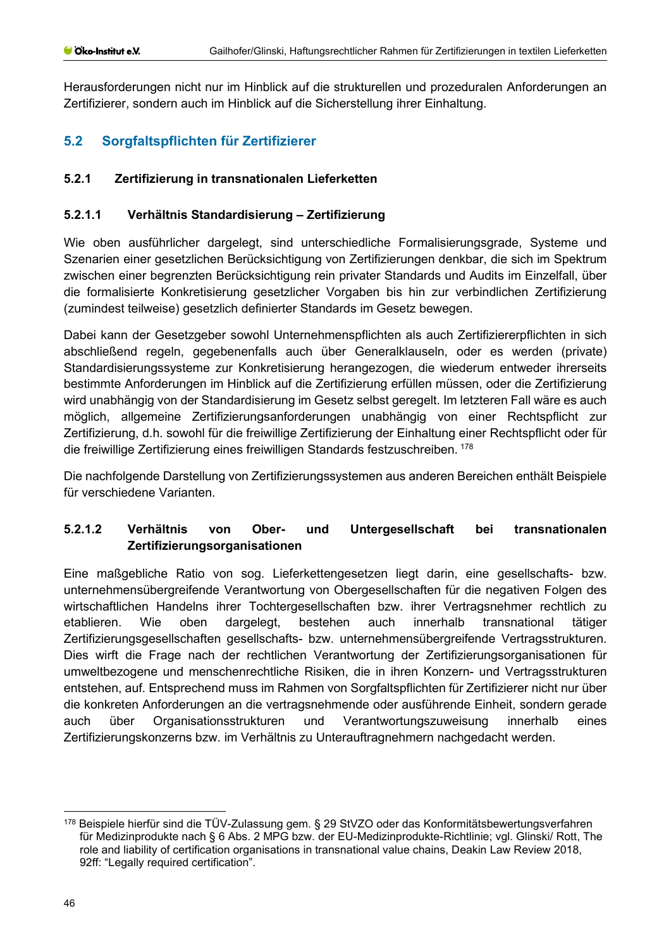Herausforderungen nicht nur im Hinblick auf die strukturellen und prozeduralen Anforderungen an Zertifizierer, sondern auch im Hinblick auf die Sicherstellung ihrer Einhaltung.

# **5.2 Sorgfaltspflichten für Zertifizierer**

## **5.2.1 Zertifizierung in transnationalen Lieferketten**

## **5.2.1.1 Verhältnis Standardisierung – Zertifizierung**

Wie oben ausführlicher dargelegt, sind unterschiedliche Formalisierungsgrade, Systeme und Szenarien einer gesetzlichen Berücksichtigung von Zertifizierungen denkbar, die sich im Spektrum zwischen einer begrenzten Berücksichtigung rein privater Standards und Audits im Einzelfall, über die formalisierte Konkretisierung gesetzlicher Vorgaben bis hin zur verbindlichen Zertifizierung (zumindest teilweise) gesetzlich definierter Standards im Gesetz bewegen.

Dabei kann der Gesetzgeber sowohl Unternehmenspflichten als auch Zertifiziererpflichten in sich abschließend regeln, gegebenenfalls auch über Generalklauseln, oder es werden (private) Standardisierungssysteme zur Konkretisierung herangezogen, die wiederum entweder ihrerseits bestimmte Anforderungen im Hinblick auf die Zertifizierung erfüllen müssen, oder die Zertifizierung wird unabhängig von der Standardisierung im Gesetz selbst geregelt. Im letzteren Fall wäre es auch möglich, allgemeine Zertifizierungsanforderungen unabhängig von einer Rechtspflicht zur Zertifizierung, d.h. sowohl für die freiwillige Zertifizierung der Einhaltung einer Rechtspflicht oder für die freiwillige Zertifizierung eines freiwilligen Standards festzuschreiben. [178](#page-45-0)

Die nachfolgende Darstellung von Zertifizierungssystemen aus anderen Bereichen enthält Beispiele für verschiedene Varianten.

## **5.2.1.2 Verhältnis von Ober- und Untergesellschaft bei transnationalen Zertifizierungsorganisationen**

Eine maßgebliche Ratio von sog. Lieferkettengesetzen liegt darin, eine gesellschafts- bzw. unternehmensübergreifende Verantwortung von Obergesellschaften für die negativen Folgen des wirtschaftlichen Handelns ihrer Tochtergesellschaften bzw. ihrer Vertragsnehmer rechtlich zu etablieren. Wie oben dargelegt, bestehen auch innerhalb transnational tätiger Zertifizierungsgesellschaften gesellschafts- bzw. unternehmensübergreifende Vertragsstrukturen. Dies wirft die Frage nach der rechtlichen Verantwortung der Zertifizierungsorganisationen für umweltbezogene und menschenrechtliche Risiken, die in ihren Konzern- und Vertragsstrukturen entstehen, auf. Entsprechend muss im Rahmen von Sorgfaltspflichten für Zertifizierer nicht nur über die konkreten Anforderungen an die vertragsnehmende oder ausführende Einheit, sondern gerade auch über Organisationsstrukturen und Verantwortungszuweisung innerhalb eines Zertifizierungskonzerns bzw. im Verhältnis zu Unterauftragnehmern nachgedacht werden.

<span id="page-45-0"></span><sup>178</sup> Beispiele hierfür sind die TÜV-Zulassung gem. § 29 StVZO oder das Konformitätsbewertungsverfahren für Medizinprodukte nach § 6 Abs. 2 MPG bzw. der EU-Medizinprodukte-Richtlinie; vgl. Glinski/ Rott, The role and liability of certification organisations in transnational value chains, Deakin Law Review 2018, 92ff: "Legally required certification".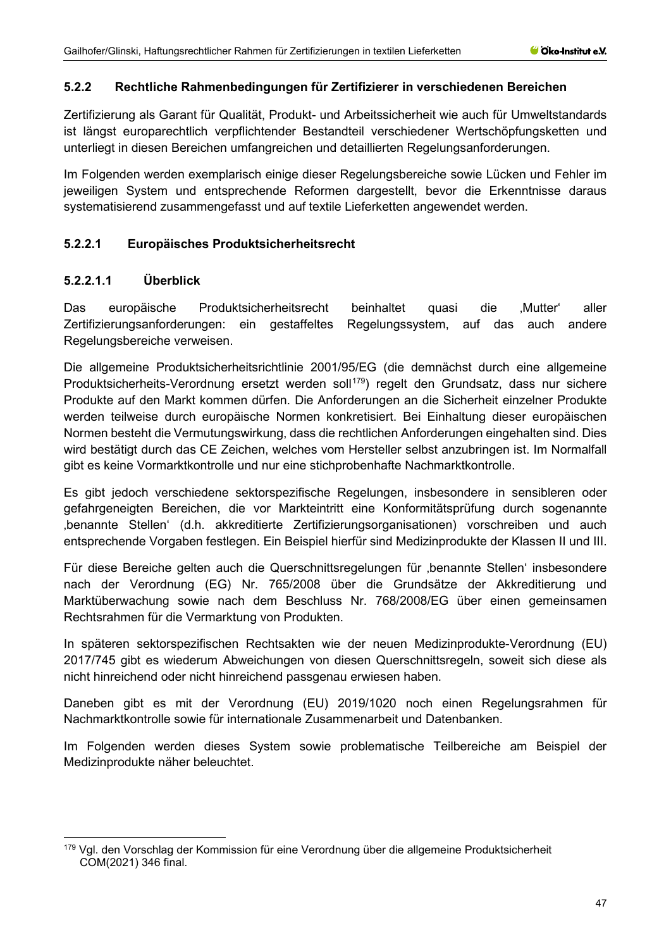#### **5.2.2 Rechtliche Rahmenbedingungen für Zertifizierer in verschiedenen Bereichen**

Zertifizierung als Garant für Qualität, Produkt- und Arbeitssicherheit wie auch für Umweltstandards ist längst europarechtlich verpflichtender Bestandteil verschiedener Wertschöpfungsketten und unterliegt in diesen Bereichen umfangreichen und detaillierten Regelungsanforderungen.

Im Folgenden werden exemplarisch einige dieser Regelungsbereiche sowie Lücken und Fehler im jeweiligen System und entsprechende Reformen dargestellt, bevor die Erkenntnisse daraus systematisierend zusammengefasst und auf textile Lieferketten angewendet werden.

### <span id="page-46-1"></span>**5.2.2.1 Europäisches Produktsicherheitsrecht**

## **5.2.2.1.1 Überblick**

Das europäische Produktsicherheitsrecht beinhaltet quasi die "Mutter' aller Zertifizierungsanforderungen: ein gestaffeltes Regelungssystem, auf das auch andere Regelungsbereiche verweisen.

Die allgemeine Produktsicherheitsrichtlinie 2001/95/EG (die demnächst durch eine allgemeine Produktsicherheits-Verordnung ersetzt werden soll<sup>[179](#page-46-0)</sup>) regelt den Grundsatz, dass nur sichere Produkte auf den Markt kommen dürfen. Die Anforderungen an die Sicherheit einzelner Produkte werden teilweise durch europäische Normen konkretisiert. Bei Einhaltung dieser europäischen Normen besteht die Vermutungswirkung, dass die rechtlichen Anforderungen eingehalten sind. Dies wird bestätigt durch das CE Zeichen, welches vom Hersteller selbst anzubringen ist. Im Normalfall gibt es keine Vormarktkontrolle und nur eine stichprobenhafte Nachmarktkontrolle.

Es gibt jedoch verschiedene sektorspezifische Regelungen, insbesondere in sensibleren oder gefahrgeneigten Bereichen, die vor Markteintritt eine Konformitätsprüfung durch sogenannte 'benannte Stellen' (d.h. akkreditierte Zertifizierungsorganisationen) vorschreiben und auch entsprechende Vorgaben festlegen. Ein Beispiel hierfür sind Medizinprodukte der Klassen II und III.

Für diese Bereiche gelten auch die Querschnittsregelungen für "benannte Stellen' insbesondere nach der Verordnung (EG) Nr. 765/2008 über die Grundsätze der Akkreditierung und Marktüberwachung sowie nach dem Beschluss Nr. 768/2008/EG über einen gemeinsamen Rechtsrahmen für die Vermarktung von Produkten.

In späteren sektorspezifischen Rechtsakten wie der neuen Medizinprodukte-Verordnung (EU) 2017/745 gibt es wiederum Abweichungen von diesen Querschnittsregeln, soweit sich diese als nicht hinreichend oder nicht hinreichend passgenau erwiesen haben.

Daneben gibt es mit der Verordnung (EU) 2019/1020 noch einen Regelungsrahmen für Nachmarktkontrolle sowie für internationale Zusammenarbeit und Datenbanken.

Im Folgenden werden dieses System sowie problematische Teilbereiche am Beispiel der Medizinprodukte näher beleuchtet.

<span id="page-46-0"></span><sup>179</sup> Vgl. den Vorschlag der Kommission für eine Verordnung über die allgemeine Produktsicherheit COM(2021) 346 final.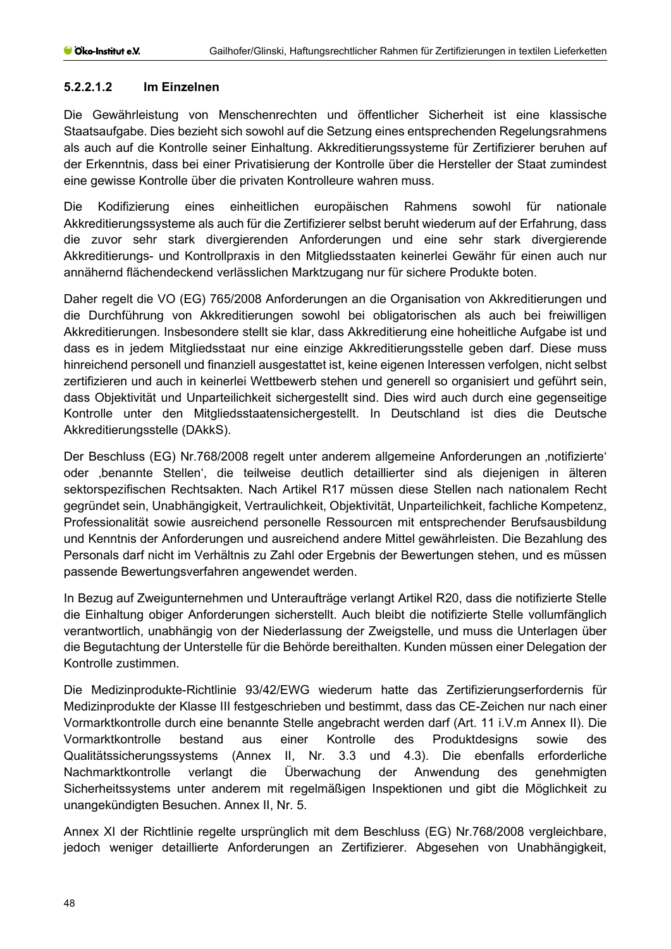## **5.2.2.1.2 Im Einzelnen**

Die Gewährleistung von Menschenrechten und öffentlicher Sicherheit ist eine klassische Staatsaufgabe. Dies bezieht sich sowohl auf die Setzung eines entsprechenden Regelungsrahmens als auch auf die Kontrolle seiner Einhaltung. Akkreditierungssysteme für Zertifizierer beruhen auf der Erkenntnis, dass bei einer Privatisierung der Kontrolle über die Hersteller der Staat zumindest eine gewisse Kontrolle über die privaten Kontrolleure wahren muss.

Die Kodifizierung eines einheitlichen europäischen Rahmens sowohl für nationale Akkreditierungssysteme als auch für die Zertifizierer selbst beruht wiederum auf der Erfahrung, dass die zuvor sehr stark divergierenden Anforderungen und eine sehr stark divergierende Akkreditierungs- und Kontrollpraxis in den Mitgliedsstaaten keinerlei Gewähr für einen auch nur annähernd flächendeckend verlässlichen Marktzugang nur für sichere Produkte boten.

Daher regelt die VO (EG) 765/2008 Anforderungen an die Organisation von Akkreditierungen und die Durchführung von Akkreditierungen sowohl bei obligatorischen als auch bei freiwilligen Akkreditierungen. Insbesondere stellt sie klar, dass Akkreditierung eine hoheitliche Aufgabe ist und dass es in jedem Mitgliedsstaat nur eine einzige Akkreditierungsstelle geben darf. Diese muss hinreichend personell und finanziell ausgestattet ist, keine eigenen Interessen verfolgen, nicht selbst zertifizieren und auch in keinerlei Wettbewerb stehen und generell so organisiert und geführt sein, dass Objektivität und Unparteilichkeit sichergestellt sind. Dies wird auch durch eine gegenseitige Kontrolle unter den Mitgliedsstaatensichergestellt. In Deutschland ist dies die Deutsche Akkreditierungsstelle (DAkkS).

Der Beschluss (EG) Nr.768/2008 regelt unter anderem allgemeine Anforderungen an ,notifizierte' oder 'benannte Stellen', die teilweise deutlich detaillierter sind als diejenigen in älteren sektorspezifischen Rechtsakten. Nach Artikel R17 müssen diese Stellen nach nationalem Recht gegründet sein, Unabhängigkeit, Vertraulichkeit, Objektivität, Unparteilichkeit, fachliche Kompetenz, Professionalität sowie ausreichend personelle Ressourcen mit entsprechender Berufsausbildung und Kenntnis der Anforderungen und ausreichend andere Mittel gewährleisten. Die Bezahlung des Personals darf nicht im Verhältnis zu Zahl oder Ergebnis der Bewertungen stehen, und es müssen passende Bewertungsverfahren angewendet werden.

In Bezug auf Zweigunternehmen und Unteraufträge verlangt Artikel R20, dass die notifizierte Stelle die Einhaltung obiger Anforderungen sicherstellt. Auch bleibt die notifizierte Stelle vollumfänglich verantwortlich, unabhängig von der Niederlassung der Zweigstelle, und muss die Unterlagen über die Begutachtung der Unterstelle für die Behörde bereithalten. Kunden müssen einer Delegation der Kontrolle zustimmen.

Die Medizinprodukte-Richtlinie 93/42/EWG wiederum hatte das Zertifizierungserfordernis für Medizinprodukte der Klasse III festgeschrieben und bestimmt, dass das CE-Zeichen nur nach einer Vormarktkontrolle durch eine benannte Stelle angebracht werden darf (Art. 11 i.V.m Annex II). Die Vormarktkontrolle bestand aus einer Kontrolle des Produktdesigns sowie des Qualitätssicherungssystems (Annex II, Nr. 3.3 und 4.3). Die ebenfalls erforderliche Nachmarktkontrolle verlangt die Überwachung der Anwendung des genehmigten Sicherheitssystems unter anderem mit regelmäßigen Inspektionen und gibt die Möglichkeit zu unangekündigten Besuchen. Annex II, Nr. 5.

Annex XI der Richtlinie regelte ursprünglich mit dem Beschluss (EG) Nr.768/2008 vergleichbare, jedoch weniger detaillierte Anforderungen an Zertifizierer. Abgesehen von Unabhängigkeit,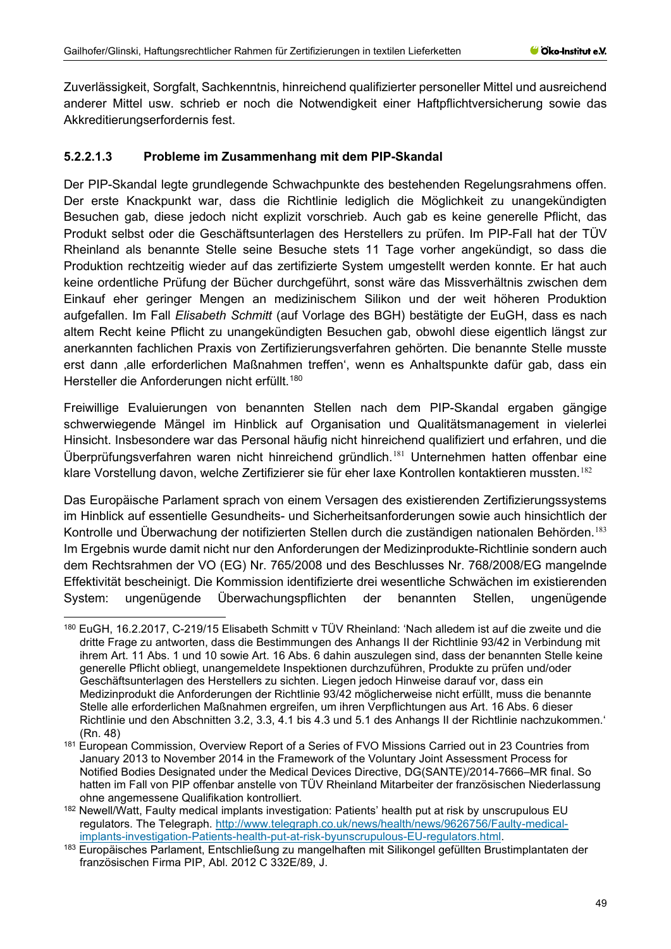Zuverlässigkeit, Sorgfalt, Sachkenntnis, hinreichend qualifizierter personeller Mittel und ausreichend anderer Mittel usw. schrieb er noch die Notwendigkeit einer Haftpflichtversicherung sowie das Akkreditierungserfordernis fest.

# **5.2.2.1.3 Probleme im Zusammenhang mit dem PIP-Skandal**

Der PIP-Skandal legte grundlegende Schwachpunkte des bestehenden Regelungsrahmens offen. Der erste Knackpunkt war, dass die Richtlinie lediglich die Möglichkeit zu unangekündigten Besuchen gab, diese jedoch nicht explizit vorschrieb. Auch gab es keine generelle Pflicht, das Produkt selbst oder die Geschäftsunterlagen des Herstellers zu prüfen. Im PIP-Fall hat der TÜV Rheinland als benannte Stelle seine Besuche stets 11 Tage vorher angekündigt, so dass die Produktion rechtzeitig wieder auf das zertifizierte System umgestellt werden konnte. Er hat auch keine ordentliche Prüfung der Bücher durchgeführt, sonst wäre das Missverhältnis zwischen dem Einkauf eher geringer Mengen an medizinischem Silikon und der weit höheren Produktion aufgefallen. Im Fall *Elisabeth Schmitt* (auf Vorlage des BGH) bestätigte der EuGH, dass es nach altem Recht keine Pflicht zu unangekündigten Besuchen gab, obwohl diese eigentlich längst zur anerkannten fachlichen Praxis von Zertifizierungsverfahren gehörten. Die benannte Stelle musste erst dann ,alle erforderlichen Maßnahmen treffen', wenn es Anhaltspunkte dafür gab, dass ein Hersteller die Anforderungen nicht erfüllt.<sup>[180](#page-48-0)</sup>

Freiwillige Evaluierungen von benannten Stellen nach dem PIP-Skandal ergaben gängige schwerwiegende Mängel im Hinblick auf Organisation und Qualitätsmanagement in vielerlei Hinsicht. Insbesondere war das Personal häufig nicht hinreichend qualifiziert und erfahren, und die Überprüfungsverfahren waren nicht hinreichend gründlich.[181](#page-48-1) Unternehmen hatten offenbar eine klare Vorstellung davon, welche Zertifizierer sie für eher laxe Kontrollen kontaktieren mussten.[182](#page-48-2)

Das Europäische Parlament sprach von einem Versagen des existierenden Zertifizierungssystems im Hinblick auf essentielle Gesundheits- und Sicherheitsanforderungen sowie auch hinsichtlich der Kontrolle und Überwachung der notifizierten Stellen durch die zuständigen nationalen Behörden.<sup>[183](#page-48-3)</sup> Im Ergebnis wurde damit nicht nur den Anforderungen der Medizinprodukte-Richtlinie sondern auch dem Rechtsrahmen der VO (EG) Nr. 765/2008 und des Beschlusses Nr. 768/2008/EG mangelnde Effektivität bescheinigt. Die Kommission identifizierte drei wesentliche Schwächen im existierenden System: ungenügende Überwachungspflichten der benannten Stellen, ungenügende

<span id="page-48-0"></span><sup>180</sup> EuGH, 16.2.2017, C-219/15 Elisabeth Schmitt v TÜV Rheinland: 'Nach alledem ist auf die zweite und die dritte Frage zu antworten, dass die Bestimmungen des Anhangs II der Richtlinie 93/42 in Verbindung mit ihrem Art. 11 Abs. 1 und 10 sowie Art. 16 Abs. 6 dahin auszulegen sind, dass der benannten Stelle keine generelle Pflicht obliegt, unangemeldete Inspektionen durchzuführen, Produkte zu prüfen und/oder Geschäftsunterlagen des Herstellers zu sichten. Liegen jedoch Hinweise darauf vor, dass ein Medizinprodukt die Anforderungen der Richtlinie 93/42 möglicherweise nicht erfüllt, muss die benannte Stelle alle erforderlichen Maßnahmen ergreifen, um ihren Verpflichtungen aus Art. 16 Abs. 6 dieser Richtlinie und den Abschnitten 3.2, 3.3, 4.1 bis 4.3 und 5.1 des Anhangs II der Richtlinie nachzukommen.' (Rn. 48)

<span id="page-48-1"></span><sup>181</sup> European Commission, Overview Report of a Series of FVO Missions Carried out in 23 Countries from January 2013 to November 2014 in the Framework of the Voluntary Joint Assessment Process for Notified Bodies Designated under the Medical Devices Directive, DG(SANTE)/2014-7666–MR final. So hatten im Fall von PIP offenbar anstelle von TÜV Rheinland Mitarbeiter der französischen Niederlassung ohne angemessene Qualifikation kontrolliert.

<span id="page-48-2"></span><sup>182</sup> Newell/Watt, Faulty medical implants investigation: Patients' health put at risk by unscrupulous EU regulators. The Telegraph. [http://www.telegraph.co.uk/news/health/news/9626756/Faulty-medical](http://www.telegraph.co.uk/news/health/news/9626756/Faulty-medical-implants-investigation-Patients-health-put-at-risk-byunscrupulous-EU-regulators.html)[implants-investigation-Patients-health-put-at-risk-byunscrupulous-EU-regulators.html.](http://www.telegraph.co.uk/news/health/news/9626756/Faulty-medical-implants-investigation-Patients-health-put-at-risk-byunscrupulous-EU-regulators.html)

<span id="page-48-3"></span><sup>183</sup> Europäisches Parlament, Entschließung zu mangelhaften mit Silikongel gefüllten Brustimplantaten der französischen Firma PIP, Abl. 2012 C 332E/89, J.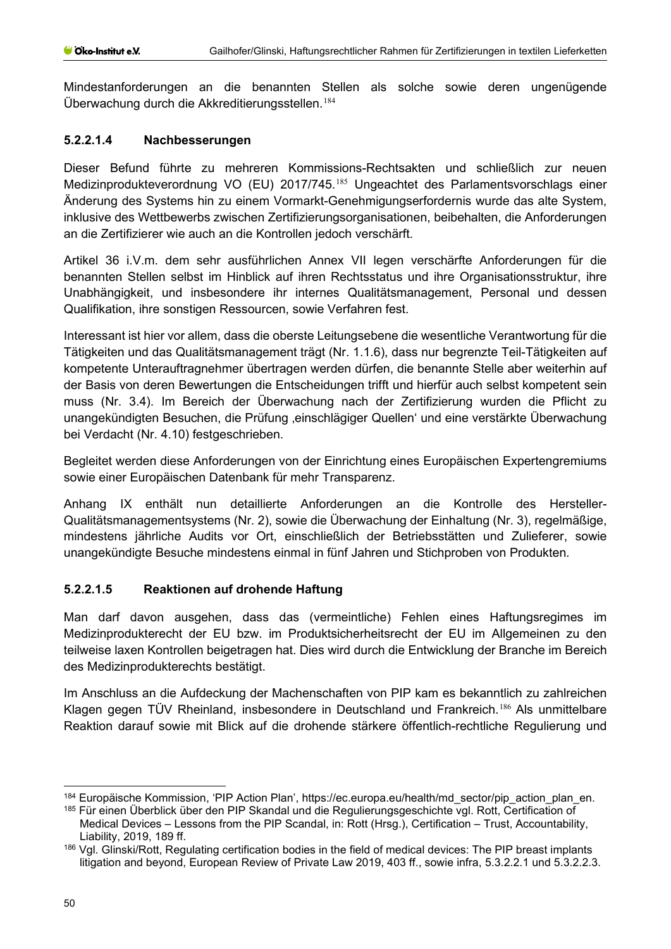Mindestanforderungen an die benannten Stellen als solche sowie deren ungenügende Überwachung durch die Akkreditierungsstellen.<sup>[184](#page-49-0)</sup>

### **5.2.2.1.4 Nachbesserungen**

Dieser Befund führte zu mehreren Kommissions-Rechtsakten und schließlich zur neuen Medizinprodukteverordnung VO (EU) 2017/745.<sup>[185](#page-49-1)</sup> Ungeachtet des Parlamentsvorschlags einer Änderung des Systems hin zu einem Vormarkt-Genehmigungserfordernis wurde das alte System, inklusive des Wettbewerbs zwischen Zertifizierungsorganisationen, beibehalten, die Anforderungen an die Zertifizierer wie auch an die Kontrollen jedoch verschärft.

Artikel 36 i.V.m. dem sehr ausführlichen Annex VII legen verschärfte Anforderungen für die benannten Stellen selbst im Hinblick auf ihren Rechtsstatus und ihre Organisationsstruktur, ihre Unabhängigkeit, und insbesondere ihr internes Qualitätsmanagement, Personal und dessen Qualifikation, ihre sonstigen Ressourcen, sowie Verfahren fest.

Interessant ist hier vor allem, dass die oberste Leitungsebene die wesentliche Verantwortung für die Tätigkeiten und das Qualitätsmanagement trägt (Nr. 1.1.6), dass nur begrenzte Teil-Tätigkeiten auf kompetente Unterauftragnehmer übertragen werden dürfen, die benannte Stelle aber weiterhin auf der Basis von deren Bewertungen die Entscheidungen trifft und hierfür auch selbst kompetent sein muss (Nr. 3.4). Im Bereich der Überwachung nach der Zertifizierung wurden die Pflicht zu unangekündigten Besuchen, die Prüfung ,einschlägiger Quellen' und eine verstärkte Überwachung bei Verdacht (Nr. 4.10) festgeschrieben.

Begleitet werden diese Anforderungen von der Einrichtung eines Europäischen Expertengremiums sowie einer Europäischen Datenbank für mehr Transparenz.

Anhang IX enthält nun detaillierte Anforderungen an die Kontrolle des Hersteller-Qualitätsmanagementsystems (Nr. 2), sowie die Überwachung der Einhaltung (Nr. 3), regelmäßige, mindestens jährliche Audits vor Ort, einschließlich der Betriebsstätten und Zulieferer, sowie unangekündigte Besuche mindestens einmal in fünf Jahren und Stichproben von Produkten.

## **5.2.2.1.5 Reaktionen auf drohende Haftung**

Man darf davon ausgehen, dass das (vermeintliche) Fehlen eines Haftungsregimes im Medizinprodukterecht der EU bzw. im Produktsicherheitsrecht der EU im Allgemeinen zu den teilweise laxen Kontrollen beigetragen hat. Dies wird durch die Entwicklung der Branche im Bereich des Medizinprodukterechts bestätigt.

Im Anschluss an die Aufdeckung der Machenschaften von PIP kam es bekanntlich zu zahlreichen Klagen gegen TÜV Rheinland, insbesondere in Deutschland und Frankreich.<sup>[186](#page-49-2)</sup> Als unmittelbare Reaktion darauf sowie mit Blick auf die drohende stärkere öffentlich-rechtliche Regulierung und

<span id="page-49-0"></span><sup>184</sup> Europäische Kommission, 'PIP Action Plan', https://ec.europa.eu/health/md\_sector/pip\_action\_plan\_en.

<span id="page-49-1"></span><sup>185</sup> Für einen Überblick über den PIP Skandal und die Regulierungsgeschichte vgl. Rott, Certification of Medical Devices – Lessons from the PIP Scandal, in: Rott (Hrsg.), Certification – Trust, Accountability, Liability, 2019, 189 ff.

<span id="page-49-2"></span><sup>186</sup> Vgl. Glinski/Rott, Regulating certification bodies in the field of medical devices: The PIP breast implants litigation and beyond, European Review of Private Law 2019, 403 ff., sowie infra, 5.3.2.2.1 und 5.3.2.2.3.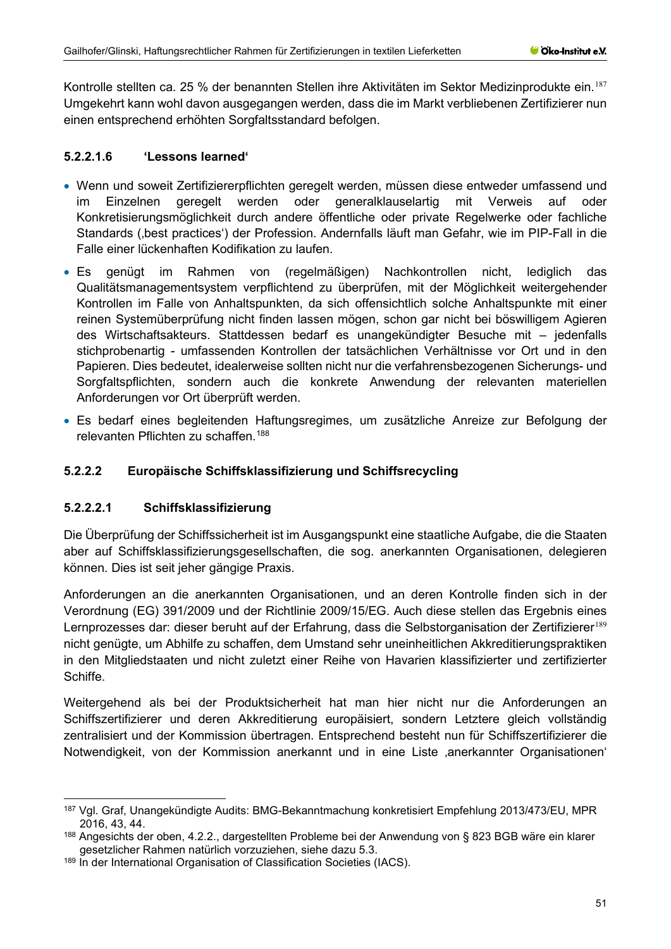Kontrolle stellten ca. 25 % der benannten Stellen ihre Aktivitäten im Sektor Medizinprodukte ein.<sup>[187](#page-50-0)</sup> Umgekehrt kann wohl davon ausgegangen werden, dass die im Markt verbliebenen Zertifizierer nun einen entsprechend erhöhten Sorgfaltsstandard befolgen.

## **5.2.2.1.6 'Lessons learned'**

- Wenn und soweit Zertifiziererpflichten geregelt werden, müssen diese entweder umfassend und im Einzelnen geregelt werden oder generalklauselartig mit Verweis auf oder Konkretisierungsmöglichkeit durch andere öffentliche oder private Regelwerke oder fachliche Standards ('best practices') der Profession. Andernfalls läuft man Gefahr, wie im PIP-Fall in die Falle einer lückenhaften Kodifikation zu laufen.
- Es genügt im Rahmen von (regelmäßigen) Nachkontrollen nicht, lediglich das Qualitätsmanagementsystem verpflichtend zu überprüfen, mit der Möglichkeit weitergehender Kontrollen im Falle von Anhaltspunkten, da sich offensichtlich solche Anhaltspunkte mit einer reinen Systemüberprüfung nicht finden lassen mögen, schon gar nicht bei böswilligem Agieren des Wirtschaftsakteurs. Stattdessen bedarf es unangekündigter Besuche mit – jedenfalls stichprobenartig - umfassenden Kontrollen der tatsächlichen Verhältnisse vor Ort und in den Papieren. Dies bedeutet, idealerweise sollten nicht nur die verfahrensbezogenen Sicherungs- und Sorgfaltspflichten, sondern auch die konkrete Anwendung der relevanten materiellen Anforderungen vor Ort überprüft werden.
- Es bedarf eines begleitenden Haftungsregimes, um zusätzliche Anreize zur Befolgung der relevanten Pflichten zu schaffen.[188](#page-50-1)

## <span id="page-50-3"></span>**5.2.2.2 Europäische Schiffsklassifizierung und Schiffsrecycling**

## **5.2.2.2.1 Schiffsklassifizierung**

Die Überprüfung der Schiffssicherheit ist im Ausgangspunkt eine staatliche Aufgabe, die die Staaten aber auf Schiffsklassifizierungsgesellschaften, die sog. anerkannten Organisationen, delegieren können. Dies ist seit jeher gängige Praxis.

Anforderungen an die anerkannten Organisationen, und an deren Kontrolle finden sich in der Verordnung (EG) 391/2009 und der Richtlinie 2009/15/EG. Auch diese stellen das Ergebnis eines Lernprozesses dar: dieser beruht auf der Erfahrung, dass die Selbstorganisation der Zertifizierer<sup>[189](#page-50-2)</sup> nicht genügte, um Abhilfe zu schaffen, dem Umstand sehr uneinheitlichen Akkreditierungspraktiken in den Mitgliedstaaten und nicht zuletzt einer Reihe von Havarien klassifizierter und zertifizierter Schiffe.

Weitergehend als bei der Produktsicherheit hat man hier nicht nur die Anforderungen an Schiffszertifizierer und deren Akkreditierung europäisiert, sondern Letztere gleich vollständig zentralisiert und der Kommission übertragen. Entsprechend besteht nun für Schiffszertifizierer die Notwendigkeit, von der Kommission anerkannt und in eine Liste anerkannter Organisationen'

<span id="page-50-0"></span><sup>187</sup> Vgl. Graf, Unangekündigte Audits: BMG-Bekanntmachung konkretisiert Empfehlung 2013/473/EU, MPR 2016, 43, 44.

<span id="page-50-1"></span><sup>188</sup> Angesichts der oben, 4.2.2., dargestellten Probleme bei der Anwendung von § 823 BGB wäre ein klarer gesetzlicher Rahmen natürlich vorzuziehen, siehe dazu 5.3.

<span id="page-50-2"></span><sup>189</sup> In der International Organisation of Classification Societies (IACS).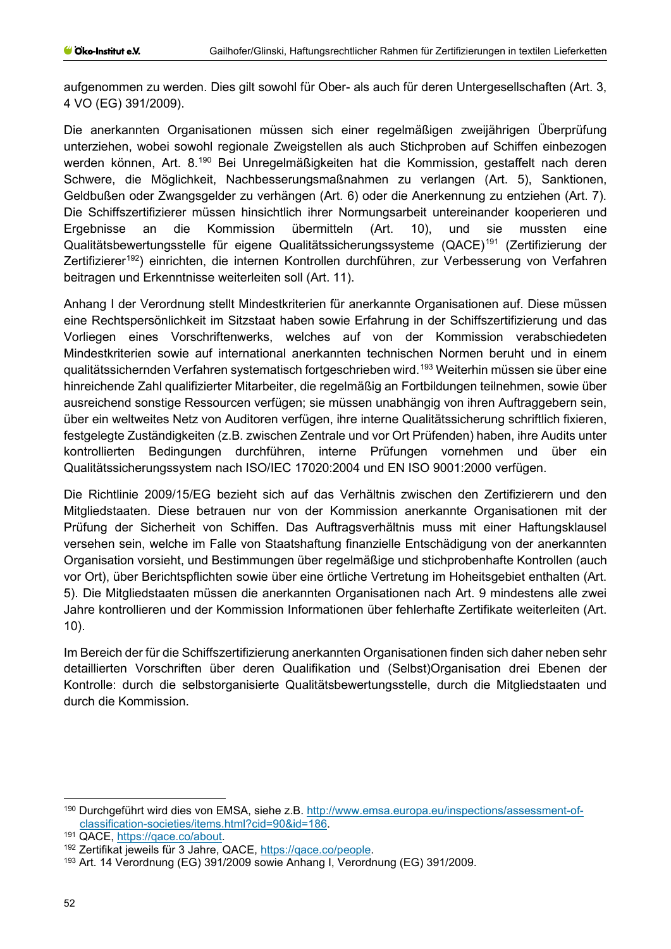aufgenommen zu werden. Dies gilt sowohl für Ober- als auch für deren Untergesellschaften (Art. 3, 4 VO (EG) 391/2009).

Die anerkannten Organisationen müssen sich einer regelmäßigen zweijährigen Überprüfung unterziehen, wobei sowohl regionale Zweigstellen als auch Stichproben auf Schiffen einbezogen werden können, Art. 8.[190](#page-51-0) Bei Unregelmäßigkeiten hat die Kommission, gestaffelt nach deren Schwere, die Möglichkeit, Nachbesserungsmaßnahmen zu verlangen (Art. 5), Sanktionen, Geldbußen oder Zwangsgelder zu verhängen (Art. 6) oder die Anerkennung zu entziehen (Art. 7). Die Schiffszertifizierer müssen hinsichtlich ihrer Normungsarbeit untereinander kooperieren und Ergebnisse an die Kommission übermitteln (Art. 10), und sie mussten eine Qualitätsbewertungsstelle für eigene Qualitätssicherungssysteme (QACE)[191](#page-51-1) (Zertifizierung der Zertifizierer<sup>192</sup>) einrichten, die internen Kontrollen durchführen, zur Verbesserung von Verfahren beitragen und Erkenntnisse weiterleiten soll (Art. 11).

Anhang I der Verordnung stellt Mindestkriterien für anerkannte Organisationen auf. Diese müssen eine Rechtspersönlichkeit im Sitzstaat haben sowie Erfahrung in der Schiffszertifizierung und das Vorliegen eines Vorschriftenwerks, welches auf von der Kommission verabschiedeten Mindestkriterien sowie auf international anerkannten technischen Normen beruht und in einem qualitätssichernden Verfahren systematisch fortgeschrieben wird.[193](#page-51-3) Weiterhin müssen sie über eine hinreichende Zahl qualifizierter Mitarbeiter, die regelmäßig an Fortbildungen teilnehmen, sowie über ausreichend sonstige Ressourcen verfügen; sie müssen unabhängig von ihren Auftraggebern sein, über ein weltweites Netz von Auditoren verfügen, ihre interne Qualitätssicherung schriftlich fixieren, festgelegte Zuständigkeiten (z.B. zwischen Zentrale und vor Ort Prüfenden) haben, ihre Audits unter kontrollierten Bedingungen durchführen, interne Prüfungen vornehmen und über ein Qualitätssicherungssystem nach ISO/IEC 17020:2004 und EN ISO 9001:2000 verfügen.

Die Richtlinie 2009/15/EG bezieht sich auf das Verhältnis zwischen den Zertifizierern und den Mitgliedstaaten. Diese betrauen nur von der Kommission anerkannte Organisationen mit der Prüfung der Sicherheit von Schiffen. Das Auftragsverhältnis muss mit einer Haftungsklausel versehen sein, welche im Falle von Staatshaftung finanzielle Entschädigung von der anerkannten Organisation vorsieht, und Bestimmungen über regelmäßige und stichprobenhafte Kontrollen (auch vor Ort), über Berichtspflichten sowie über eine örtliche Vertretung im Hoheitsgebiet enthalten (Art. 5). Die Mitgliedstaaten müssen die anerkannten Organisationen nach Art. 9 mindestens alle zwei Jahre kontrollieren und der Kommission Informationen über fehlerhafte Zertifikate weiterleiten (Art. 10).

Im Bereich der für die Schiffszertifizierung anerkannten Organisationen finden sich daher neben sehr detaillierten Vorschriften über deren Qualifikation und (Selbst)Organisation drei Ebenen der Kontrolle: durch die selbstorganisierte Qualitätsbewertungsstelle, durch die Mitgliedstaaten und durch die Kommission.

<span id="page-51-0"></span><sup>190</sup> Durchgeführt wird dies von EMSA, siehe z.B. [http://www.emsa.europa.eu/inspections/assessment-of](http://www.emsa.europa.eu/inspections/assessment-of-classification-societies/items.html?cid=90&id=186)[classification-societies/items.html?cid=90&id=186.](http://www.emsa.europa.eu/inspections/assessment-of-classification-societies/items.html?cid=90&id=186)<br><sup>191</sup> QACE, https://qace.co/about.

<span id="page-51-1"></span>

<span id="page-51-2"></span><sup>192</sup> Zertifikat jeweils für 3 Jahre, QACE, [https://qace.co/people.](https://qace.co/people)

<span id="page-51-3"></span><sup>193</sup> Art. 14 Verordnung (EG) 391/2009 sowie Anhang I, Verordnung (EG) 391/2009.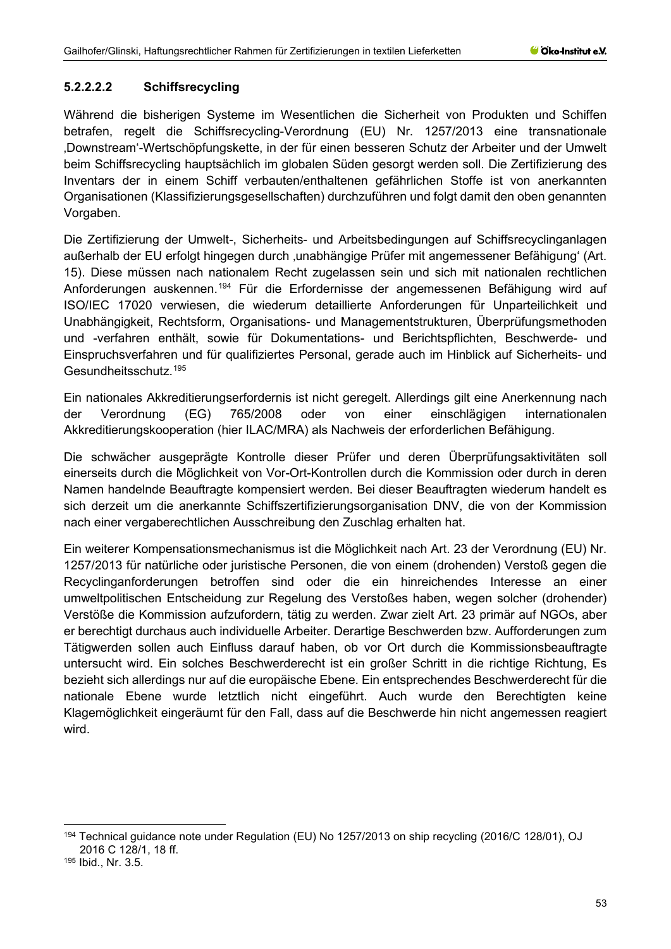# **5.2.2.2.2 Schiffsrecycling**

Während die bisherigen Systeme im Wesentlichen die Sicherheit von Produkten und Schiffen betrafen, regelt die Schiffsrecycling-Verordnung (EU) Nr. 1257/2013 eine transnationale 'Downstream'-Wertschöpfungskette, in der für einen besseren Schutz der Arbeiter und der Umwelt beim Schiffsrecycling hauptsächlich im globalen Süden gesorgt werden soll. Die Zertifizierung des Inventars der in einem Schiff verbauten/enthaltenen gefährlichen Stoffe ist von anerkannten Organisationen (Klassifizierungsgesellschaften) durchzuführen und folgt damit den oben genannten Vorgaben.

Die Zertifizierung der Umwelt-, Sicherheits- und Arbeitsbedingungen auf Schiffsrecyclinganlagen außerhalb der EU erfolgt hingegen durch aunabhängige Prüfer mit angemessener Befähigung' (Art. 15). Diese müssen nach nationalem Recht zugelassen sein und sich mit nationalen rechtlichen Anforderungen auskennen.[194](#page-52-0) Für die Erfordernisse der angemessenen Befähigung wird auf ISO/IEC 17020 verwiesen, die wiederum detaillierte Anforderungen für Unparteilichkeit und Unabhängigkeit, Rechtsform, Organisations- und Managementstrukturen, Überprüfungsmethoden und -verfahren enthält, sowie für Dokumentations- und Berichtspflichten, Beschwerde- und Einspruchsverfahren und für qualifiziertes Personal, gerade auch im Hinblick auf Sicherheits- und Gesundheitsschutz.[195](#page-52-1)

Ein nationales Akkreditierungserfordernis ist nicht geregelt. Allerdings gilt eine Anerkennung nach der Verordnung (EG) 765/2008 oder von einer einschlägigen internationalen Akkreditierungskooperation (hier ILAC/MRA) als Nachweis der erforderlichen Befähigung.

Die schwächer ausgeprägte Kontrolle dieser Prüfer und deren Überprüfungsaktivitäten soll einerseits durch die Möglichkeit von Vor-Ort-Kontrollen durch die Kommission oder durch in deren Namen handelnde Beauftragte kompensiert werden. Bei dieser Beauftragten wiederum handelt es sich derzeit um die anerkannte Schiffszertifizierungsorganisation DNV, die von der Kommission nach einer vergaberechtlichen Ausschreibung den Zuschlag erhalten hat.

Ein weiterer Kompensationsmechanismus ist die Möglichkeit nach Art. 23 der Verordnung (EU) Nr. 1257/2013 für natürliche oder juristische Personen, die von einem (drohenden) Verstoß gegen die Recyclinganforderungen betroffen sind oder die ein hinreichendes Interesse an einer umweltpolitischen Entscheidung zur Regelung des Verstoßes haben, wegen solcher (drohender) Verstöße die Kommission aufzufordern, tätig zu werden. Zwar zielt Art. 23 primär auf NGOs, aber er berechtigt durchaus auch individuelle Arbeiter. Derartige Beschwerden bzw. Aufforderungen zum Tätigwerden sollen auch Einfluss darauf haben, ob vor Ort durch die Kommissionsbeauftragte untersucht wird. Ein solches Beschwerderecht ist ein großer Schritt in die richtige Richtung, Es bezieht sich allerdings nur auf die europäische Ebene. Ein entsprechendes Beschwerderecht für die nationale Ebene wurde letztlich nicht eingeführt. Auch wurde den Berechtigten keine Klagemöglichkeit eingeräumt für den Fall, dass auf die Beschwerde hin nicht angemessen reagiert wird.

<span id="page-52-0"></span><sup>194</sup> Technical guidance note under Regulation (EU) No 1257/2013 on ship recycling (2016/C 128/01), OJ 2016 C 128/1, 18 ff.

<span id="page-52-1"></span><sup>195</sup> Ibid., Nr. 3.5.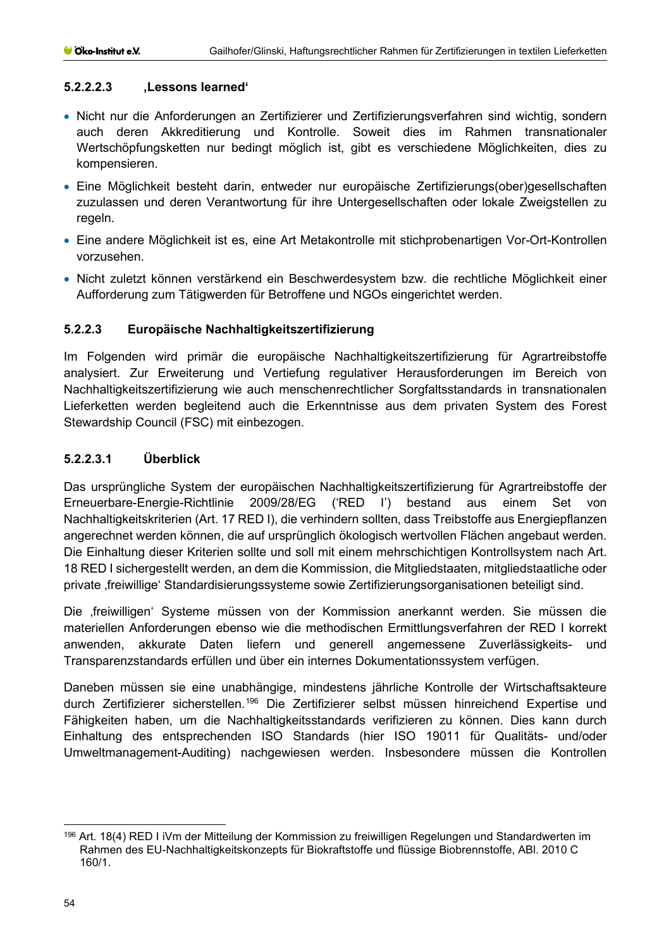### **5.2.2.2.3 'Lessons learned'**

- Nicht nur die Anforderungen an Zertifizierer und Zertifizierungsverfahren sind wichtig, sondern auch deren Akkreditierung und Kontrolle. Soweit dies im Rahmen transnationaler Wertschöpfungsketten nur bedingt möglich ist, gibt es verschiedene Möglichkeiten, dies zu kompensieren.
- Eine Möglichkeit besteht darin, entweder nur europäische Zertifizierungs(ober)gesellschaften zuzulassen und deren Verantwortung für ihre Untergesellschaften oder lokale Zweigstellen zu regeln.
- Eine andere Möglichkeit ist es, eine Art Metakontrolle mit stichprobenartigen Vor-Ort-Kontrollen vorzusehen.
- Nicht zuletzt können verstärkend ein Beschwerdesystem bzw. die rechtliche Möglichkeit einer Aufforderung zum Tätigwerden für Betroffene und NGOs eingerichtet werden.

#### <span id="page-53-1"></span>**5.2.2.3 Europäische Nachhaltigkeitszertifizierung**

Im Folgenden wird primär die europäische Nachhaltigkeitszertifizierung für Agrartreibstoffe analysiert. Zur Erweiterung und Vertiefung regulativer Herausforderungen im Bereich von Nachhaltigkeitszertifizierung wie auch menschenrechtlicher Sorgfaltsstandards in transnationalen Lieferketten werden begleitend auch die Erkenntnisse aus dem privaten System des Forest Stewardship Council (FSC) mit einbezogen.

## **5.2.2.3.1 Überblick**

Das ursprüngliche System der europäischen Nachhaltigkeitszertifizierung für Agrartreibstoffe der Erneuerbare-Energie-Richtlinie 2009/28/EG ('RED I') bestand aus einem Set von Nachhaltigkeitskriterien (Art. 17 RED I), die verhindern sollten, dass Treibstoffe aus Energiepflanzen angerechnet werden können, die auf ursprünglich ökologisch wertvollen Flächen angebaut werden. Die Einhaltung dieser Kriterien sollte und soll mit einem mehrschichtigen Kontrollsystem nach Art. 18 RED I sichergestellt werden, an dem die Kommission, die Mitgliedstaaten, mitgliedstaatliche oder private ,freiwillige' Standardisierungssysteme sowie Zertifizierungsorganisationen beteiligt sind.

Die ,freiwilligen' Systeme müssen von der Kommission anerkannt werden. Sie müssen die materiellen Anforderungen ebenso wie die methodischen Ermittlungsverfahren der RED I korrekt anwenden, akkurate Daten liefern und generell angemessene Zuverlässigkeits- und Transparenzstandards erfüllen und über ein internes Dokumentationssystem verfügen.

Daneben müssen sie eine unabhängige, mindestens jährliche Kontrolle der Wirtschaftsakteure durch Zertifizierer sicherstellen.<sup>[196](#page-53-0)</sup> Die Zertifizierer selbst müssen hinreichend Expertise und Fähigkeiten haben, um die Nachhaltigkeitsstandards verifizieren zu können. Dies kann durch Einhaltung des entsprechenden ISO Standards (hier ISO 19011 für Qualitäts- und/oder Umweltmanagement-Auditing) nachgewiesen werden. Insbesondere müssen die Kontrollen

<span id="page-53-0"></span><sup>196</sup> Art. 18(4) RED I iVm der Mitteilung der Kommission zu freiwilligen Regelungen und Standardwerten im Rahmen des EU-Nachhaltigkeitskonzepts für Biokraftstoffe und flüssige Biobrennstoffe, ABl. 2010 C 160/1.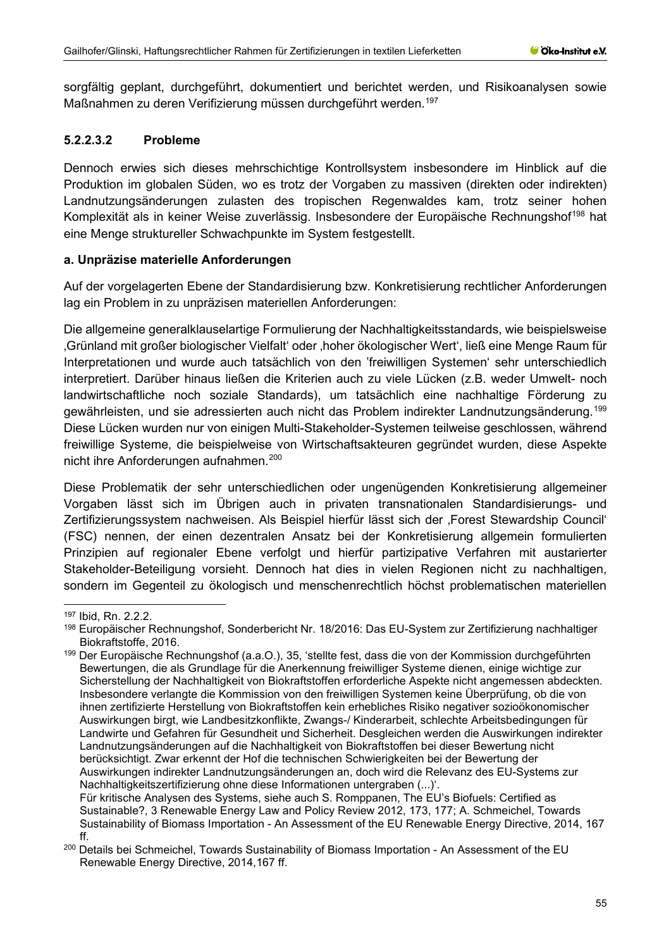sorgfältig geplant, durchgeführt, dokumentiert und berichtet werden, und Risikoanalysen sowie Maßnahmen zu deren Verifizierung müssen durchgeführt werden.<sup>[197](#page-54-0)</sup>

# **5.2.2.3.2 Probleme**

Dennoch erwies sich dieses mehrschichtige Kontrollsystem insbesondere im Hinblick auf die Produktion im globalen Süden, wo es trotz der Vorgaben zu massiven (direkten oder indirekten) Landnutzungsänderungen zulasten des tropischen Regenwaldes kam, trotz seiner hohen Komplexität als in keiner Weise zuverlässig. Insbesondere der Europäische Rechnungshof [198](#page-54-1) hat eine Menge struktureller Schwachpunkte im System festgestellt.

### <span id="page-54-4"></span>**a. Unpräzise materielle Anforderungen**

Auf der vorgelagerten Ebene der Standardisierung bzw. Konkretisierung rechtlicher Anforderungen lag ein Problem in zu unpräzisen materiellen Anforderungen:

Die allgemeine generalklauselartige Formulierung der Nachhaltigkeitsstandards, wie beispielsweise 'Grünland mit großer biologischer Vielfalt' oder 'hoher ökologischer Wert', ließ eine Menge Raum für Interpretationen und wurde auch tatsächlich von den 'freiwilligen Systemen' sehr unterschiedlich interpretiert. Darüber hinaus ließen die Kriterien auch zu viele Lücken (z.B. weder Umwelt- noch landwirtschaftliche noch soziale Standards), um tatsächlich eine nachhaltige Förderung zu gewährleisten, und sie adressierten auch nicht das Problem indirekter Landnutzungsänderung.[199](#page-54-2) Diese Lücken wurden nur von einigen Multi-Stakeholder-Systemen teilweise geschlossen, während freiwillige Systeme, die beispielweise von Wirtschaftsakteuren gegründet wurden, diese Aspekte nicht ihre Anforderungen aufnahmen.[200](#page-54-3)

Diese Problematik der sehr unterschiedlichen oder ungenügenden Konkretisierung allgemeiner Vorgaben lässt sich im Übrigen auch in privaten transnationalen Standardisierungs- und Zertifizierungssystem nachweisen. Als Beispiel hierfür lässt sich der "Forest Stewardship Council' (FSC) nennen, der einen dezentralen Ansatz bei der Konkretisierung allgemein formulierten Prinzipien auf regionaler Ebene verfolgt und hierfür partizipative Verfahren mit austarierter Stakeholder-Beteiligung vorsieht. Dennoch hat dies in vielen Regionen nicht zu nachhaltigen, sondern im Gegenteil zu ökologisch und menschenrechtlich höchst problematischen materiellen

<span id="page-54-0"></span><sup>197</sup> Ibid, Rn. 2.2.2.

<span id="page-54-1"></span><sup>198</sup> Europäischer Rechnungshof, Sonderbericht Nr. 18/2016: Das EU-System zur Zertifizierung nachhaltiger Biokraftstoffe, 2016.

<span id="page-54-2"></span><sup>199</sup> Der Europäische Rechnungshof (a.a.O.), 35, 'stellte fest, dass die von der Kommission durchgeführten Bewertungen, die als Grundlage für die Anerkennung freiwilliger Systeme dienen, einige wichtige zur Sicherstellung der Nachhaltigkeit von Biokraftstoffen erforderliche Aspekte nicht angemessen abdeckten. Insbesondere verlangte die Kommission von den freiwilligen Systemen keine Überprüfung, ob die von ihnen zertifizierte Herstellung von Biokraftstoffen kein erhebliches Risiko negativer sozioökonomischer Auswirkungen birgt, wie Landbesitzkonflikte, Zwangs-/ Kinderarbeit, schlechte Arbeitsbedingungen für Landwirte und Gefahren für Gesundheit und Sicherheit. Desgleichen werden die Auswirkungen indirekter Landnutzungsänderungen auf die Nachhaltigkeit von Biokraftstoffen bei dieser Bewertung nicht berücksichtigt. Zwar erkennt der Hof die technischen Schwierigkeiten bei der Bewertung der Auswirkungen indirekter Landnutzungsänderungen an, doch wird die Relevanz des EU-Systems zur Nachhaltigkeitszertifizierung ohne diese Informationen untergraben (...)'. Für kritische Analysen des Systems, siehe auch S. Romppanen, The EU's Biofuels: Certified as Sustainable?, 3 Renewable Energy Law and Policy Review 2012, 173, 177; A. Schmeichel, Towards Sustainability of Biomass Importation - An Assessment of the EU Renewable Energy Directive, 2014, 167 ff.

<span id="page-54-3"></span><sup>&</sup>lt;sup>200</sup> Details bei Schmeichel, Towards Sustainability of Biomass Importation - An Assessment of the EU Renewable Energy Directive, 2014,167 ff.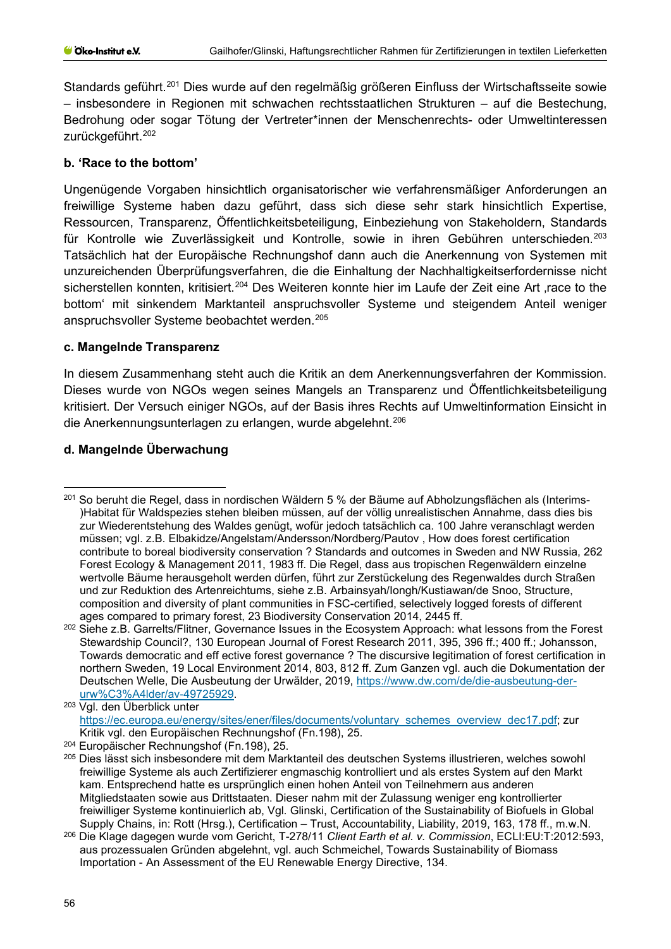Standards geführt.[201](#page-55-0) Dies wurde auf den regelmäßig größeren Einfluss der Wirtschaftsseite sowie – insbesondere in Regionen mit schwachen rechtsstaatlichen Strukturen – auf die Bestechung, Bedrohung oder sogar Tötung der Vertreter\*innen der Menschenrechts- oder Umweltinteressen zurückgeführt. [202](#page-55-1)

#### **b. 'Race to the bottom'**

Ungenügende Vorgaben hinsichtlich organisatorischer wie verfahrensmäßiger Anforderungen an freiwillige Systeme haben dazu geführt, dass sich diese sehr stark hinsichtlich Expertise, Ressourcen, Transparenz, Öffentlichkeitsbeteiligung, Einbeziehung von Stakeholdern, Standards für Kontrolle wie Zuverlässigkeit und Kontrolle, sowie in ihren Gebühren unterschieden.<sup>[203](#page-55-2)</sup> Tatsächlich hat der Europäische Rechnungshof dann auch die Anerkennung von Systemen mit unzureichenden Überprüfungsverfahren, die die Einhaltung der Nachhaltigkeitserfordernisse nicht sicherstellen konnten, kritisiert.<sup>[204](#page-55-3)</sup> Des Weiteren konnte hier im Laufe der Zeit eine Art ,race to the bottom' mit sinkendem Marktanteil anspruchsvoller Systeme und steigendem Anteil weniger anspruchsvoller Systeme beobachtet werden.[205](#page-55-4)

### **c. Mangelnde Transparenz**

In diesem Zusammenhang steht auch die Kritik an dem Anerkennungsverfahren der Kommission. Dieses wurde von NGOs wegen seines Mangels an Transparenz und Öffentlichkeitsbeteiligung kritisiert. Der Versuch einiger NGOs, auf der Basis ihres Rechts auf Umweltinformation Einsicht in die Anerkennungsunterlagen zu erlangen, wurde abgelehnt.<sup>[206](#page-55-5)</sup>

### **d. Mangelnde Überwachung**

<span id="page-55-0"></span><sup>201</sup> So beruht die Regel, dass in nordischen Wäldern 5 % der Bäume auf Abholzungsflächen als (Interims- )Habitat für Waldspezies stehen bleiben müssen, auf der völlig unrealistischen Annahme, dass dies bis zur Wiederentstehung des Waldes genügt, wofür jedoch tatsächlich ca. 100 Jahre veranschlagt werden müssen; vgl. z.B. Elbakidze/Angelstam/Andersson/Nordberg/Pautov , How does forest certification contribute to boreal biodiversity conservation ? Standards and outcomes in Sweden and NW Russia, 262 Forest Ecology & Management 2011, 1983 ff. Die Regel, dass aus tropischen Regenwäldern einzelne wertvolle Bäume herausgeholt werden dürfen, führt zur Zerstückelung des Regenwaldes durch Straßen und zur Reduktion des Artenreichtums, siehe z.B. Arbainsyah/Iongh/Kustiawan/de Snoo, Structure, composition and diversity of plant communities in FSC-certified, selectively logged forests of different ages compared to primary forest, 23 Biodiversity Conservation 2014, 2445 ff.

<span id="page-55-1"></span><sup>&</sup>lt;sup>202</sup> Siehe z.B. Garrelts/Flitner, Governance Issues in the Ecosystem Approach: what lessons from the Forest Stewardship Council?, 130 European Journal of Forest Research 2011, 395, 396 ff.; 400 ff.; Johansson, Towards democratic and eff ective forest governance ? The discursive legitimation of forest certification in northern Sweden, 19 Local Environment 2014, 803, 812 ff. Zum Ganzen vgl. auch die Dokumentation der Deutschen Welle, Die Ausbeutung der Urwälder, 2019, [https://www.dw.com/de/die-ausbeutung-der](https://www.dw.com/de/die-ausbeutung-der-urw%C3%A4lder/av-49725929)[urw%C3%A4lder/av-49725929.](https://www.dw.com/de/die-ausbeutung-der-urw%C3%A4lder/av-49725929)

<span id="page-55-2"></span><sup>203</sup> Vgl. den Überblick unter [https://ec.europa.eu/energy/sites/ener/files/documents/voluntary\\_schemes\\_overview\\_dec17.pdf;](https://ec.europa.eu/energy/sites/ener/files/documents/voluntary_schemes_overview_dec17.pdf) zur

Kritik vgl. den Europäischen Rechnungshof (Fn[.198\)](#page-54-4), 25.

<span id="page-55-3"></span><sup>204</sup> Europäischer Rechnungshof (Fn.198), 25.

<span id="page-55-4"></span><sup>205</sup> Dies lässt sich insbesondere mit dem Marktanteil des deutschen Systems illustrieren, welches sowohl freiwillige Systeme als auch Zertifizierer engmaschig kontrolliert und als erstes System auf den Markt kam. Entsprechend hatte es ursprünglich einen hohen Anteil von Teilnehmern aus anderen Mitgliedstaaten sowie aus Drittstaaten. Dieser nahm mit der Zulassung weniger eng kontrollierter freiwilliger Systeme kontinuierlich ab, Vgl. Glinski, Certification of the Sustainability of Biofuels in Global Supply Chains, in: Rott (Hrsg.), Certification – Trust, Accountability, Liability, 2019, 163, 178 ff., m.w.N.

<span id="page-55-5"></span><sup>206</sup> Die Klage dagegen wurde vom Gericht, T-278/11 *Client Earth et al. v. Commission*, ECLI:EU:T:2012:593, aus prozessualen Gründen abgelehnt, vgl. auch Schmeichel, Towards Sustainability of Biomass Importation - An Assessment of the EU Renewable Energy Directive, 134.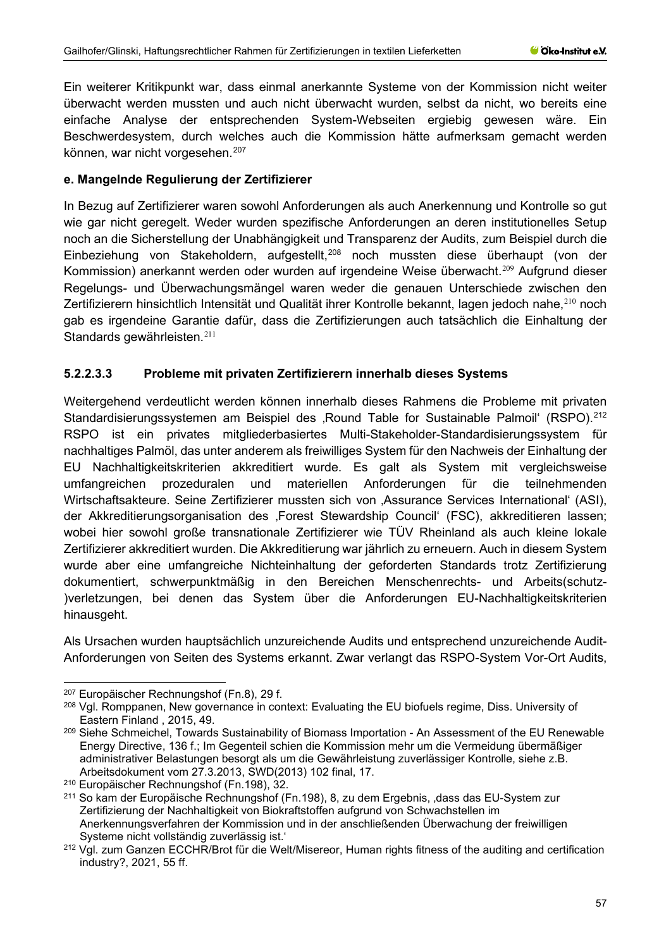Ein weiterer Kritikpunkt war, dass einmal anerkannte Systeme von der Kommission nicht weiter überwacht werden mussten und auch nicht überwacht wurden, selbst da nicht, wo bereits eine einfache Analyse der entsprechenden System-Webseiten ergiebig gewesen wäre. Ein Beschwerdesystem, durch welches auch die Kommission hätte aufmerksam gemacht werden können, war nicht vorgesehen.<sup>[207](#page-56-0)</sup>

## **e. Mangelnde Regulierung der Zertifizierer**

In Bezug auf Zertifizierer waren sowohl Anforderungen als auch Anerkennung und Kontrolle so gut wie gar nicht geregelt. Weder wurden spezifische Anforderungen an deren institutionelles Setup noch an die Sicherstellung der Unabhängigkeit und Transparenz der Audits, zum Beispiel durch die Einbeziehung von Stakeholdern, aufgestellt,[208](#page-56-1) noch mussten diese überhaupt (von der Kommission) anerkannt werden oder wurden auf irgendeine Weise überwacht.[209](#page-56-2) Aufgrund dieser Regelungs- und Überwachungsmängel waren weder die genauen Unterschiede zwischen den Zertifizierern hinsichtlich Intensität und Qualität ihrer Kontrolle bekannt, lagen jedoch nahe.<sup>[210](#page-56-3)</sup> noch gab es irgendeine Garantie dafür, dass die Zertifizierungen auch tatsächlich die Einhaltung der Standards gewährleisten.<sup>[211](#page-56-4)</sup>

## **5.2.2.3.3 Probleme mit privaten Zertifizierern innerhalb dieses Systems**

Weitergehend verdeutlicht werden können innerhalb dieses Rahmens die Probleme mit privaten Standardisierungssystemen am Beispiel des , Round Table for Sustainable Palmoil' (RSPO).<sup>[212](#page-56-5)</sup> RSPO ist ein privates mitgliederbasiertes Multi-Stakeholder-Standardisierungssystem für nachhaltiges Palmöl, das unter anderem als freiwilliges System für den Nachweis der Einhaltung der EU Nachhaltigkeitskriterien akkreditiert wurde. Es galt als System mit vergleichsweise umfangreichen prozeduralen und materiellen Anforderungen für die teilnehmenden Wirtschaftsakteure. Seine Zertifizierer mussten sich von "Assurance Services International' (ASI), der Akkreditierungsorganisation des ,Forest Stewardship Council' (FSC), akkreditieren lassen; wobei hier sowohl große transnationale Zertifizierer wie TÜV Rheinland als auch kleine lokale Zertifizierer akkreditiert wurden. Die Akkreditierung war jährlich zu erneuern. Auch in diesem System wurde aber eine umfangreiche Nichteinhaltung der geforderten Standards trotz Zertifizierung dokumentiert, schwerpunktmäßig in den Bereichen Menschenrechts- und Arbeits(schutz- )verletzungen, bei denen das System über die Anforderungen EU-Nachhaltigkeitskriterien hinausgeht.

Als Ursachen wurden hauptsächlich unzureichende Audits und entsprechend unzureichende Audit-Anforderungen von Seiten des Systems erkannt. Zwar verlangt das RSPO-System Vor-Ort Audits,

<span id="page-56-0"></span><sup>&</sup>lt;sup>207</sup> Europäischer Rechnungshof (Fn.8), 29 f.

<span id="page-56-1"></span><sup>208</sup> Vgl. Romppanen, New governance in context: Evaluating the EU biofuels regime, Diss. University of Eastern Finland , 2015, 49.

<span id="page-56-2"></span><sup>209</sup> Siehe Schmeichel, Towards Sustainability of Biomass Importation - An Assessment of the EU Renewable Energy Directive, 136 f.; Im Gegenteil schien die Kommission mehr um die Vermeidung übermäßiger administrativer Belastungen besorgt als um die Gewährleistung zuverlässiger Kontrolle, siehe z.B. Arbeitsdokument vom 27.3.2013, SWD(2013) 102 final, 17.

<span id="page-56-3"></span><sup>210</sup> Europäischer Rechnungshof (Fn.198), 32.

<span id="page-56-4"></span><sup>211</sup> So kam der Europäische Rechnungshof (Fn.198), 8, zu dem Ergebnis, 'dass das EU-System zur Zertifizierung der Nachhaltigkeit von Biokraftstoffen aufgrund von Schwachstellen im Anerkennungsverfahren der Kommission und in der anschließenden Überwachung der freiwilligen Systeme nicht vollständig zuverlässig ist.'

<span id="page-56-5"></span><sup>&</sup>lt;sup>212</sup> Vgl. zum Ganzen ECCHR/Brot für die Welt/Misereor, Human rights fitness of the auditing and certification industry?, 2021, 55 ff.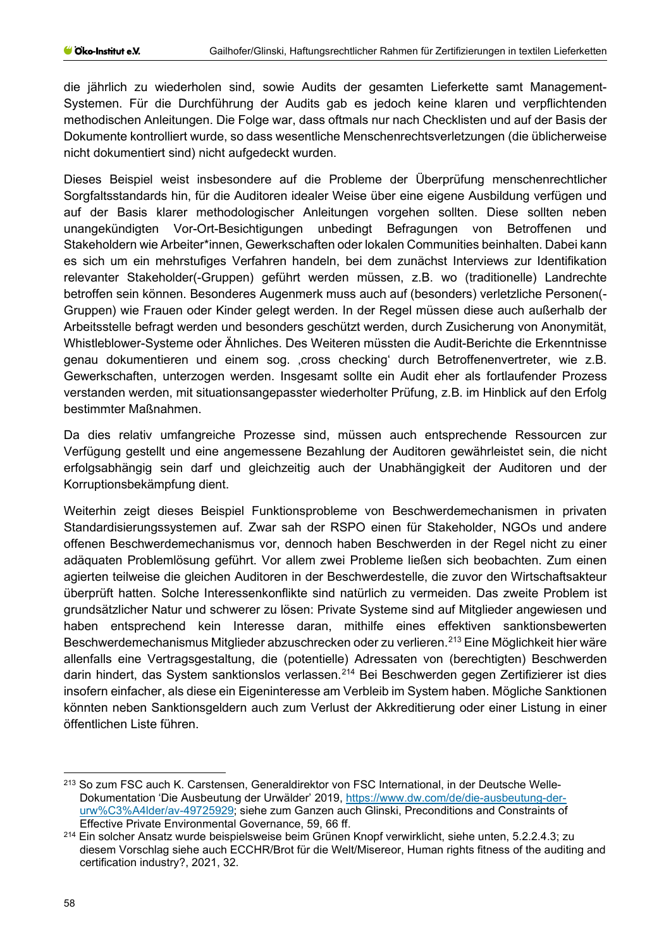die jährlich zu wiederholen sind, sowie Audits der gesamten Lieferkette samt Management-Systemen. Für die Durchführung der Audits gab es jedoch keine klaren und verpflichtenden methodischen Anleitungen. Die Folge war, dass oftmals nur nach Checklisten und auf der Basis der Dokumente kontrolliert wurde, so dass wesentliche Menschenrechtsverletzungen (die üblicherweise nicht dokumentiert sind) nicht aufgedeckt wurden.

Dieses Beispiel weist insbesondere auf die Probleme der Überprüfung menschenrechtlicher Sorgfaltsstandards hin, für die Auditoren idealer Weise über eine eigene Ausbildung verfügen und auf der Basis klarer methodologischer Anleitungen vorgehen sollten. Diese sollten neben unangekündigten Vor-Ort-Besichtigungen unbedingt Befragungen von Betroffenen und Stakeholdern wie Arbeiter\*innen, Gewerkschaften oder lokalen Communities beinhalten. Dabei kann es sich um ein mehrstufiges Verfahren handeln, bei dem zunächst Interviews zur Identifikation relevanter Stakeholder(-Gruppen) geführt werden müssen, z.B. wo (traditionelle) Landrechte betroffen sein können. Besonderes Augenmerk muss auch auf (besonders) verletzliche Personen(- Gruppen) wie Frauen oder Kinder gelegt werden. In der Regel müssen diese auch außerhalb der Arbeitsstelle befragt werden und besonders geschützt werden, durch Zusicherung von Anonymität, Whistleblower-Systeme oder Ähnliches. Des Weiteren müssten die Audit-Berichte die Erkenntnisse genau dokumentieren und einem sog. ,cross checking' durch Betroffenenvertreter, wie z.B. Gewerkschaften, unterzogen werden. Insgesamt sollte ein Audit eher als fortlaufender Prozess verstanden werden, mit situationsangepasster wiederholter Prüfung, z.B. im Hinblick auf den Erfolg bestimmter Maßnahmen.

Da dies relativ umfangreiche Prozesse sind, müssen auch entsprechende Ressourcen zur Verfügung gestellt und eine angemessene Bezahlung der Auditoren gewährleistet sein, die nicht erfolgsabhängig sein darf und gleichzeitig auch der Unabhängigkeit der Auditoren und der Korruptionsbekämpfung dient.

Weiterhin zeigt dieses Beispiel Funktionsprobleme von Beschwerdemechanismen in privaten Standardisierungssystemen auf. Zwar sah der RSPO einen für Stakeholder, NGOs und andere offenen Beschwerdemechanismus vor, dennoch haben Beschwerden in der Regel nicht zu einer adäquaten Problemlösung geführt. Vor allem zwei Probleme ließen sich beobachten. Zum einen agierten teilweise die gleichen Auditoren in der Beschwerdestelle, die zuvor den Wirtschaftsakteur überprüft hatten. Solche Interessenkonflikte sind natürlich zu vermeiden. Das zweite Problem ist grundsätzlicher Natur und schwerer zu lösen: Private Systeme sind auf Mitglieder angewiesen und haben entsprechend kein Interesse daran, mithilfe eines effektiven sanktionsbewerten Beschwerdemechanismus Mitglieder abzuschrecken oder zu verlieren.<sup>[213](#page-57-0)</sup> Eine Möglichkeit hier wäre allenfalls eine Vertragsgestaltung, die (potentielle) Adressaten von (berechtigten) Beschwerden darin hindert, das System sanktionslos verlassen.<sup>[214](#page-57-1)</sup> Bei Beschwerden gegen Zertifizierer ist dies insofern einfacher, als diese ein Eigeninteresse am Verbleib im System haben. Mögliche Sanktionen könnten neben Sanktionsgeldern auch zum Verlust der Akkreditierung oder einer Listung in einer öffentlichen Liste führen.

<span id="page-57-0"></span><sup>213</sup> So zum FSC auch K. Carstensen, Generaldirektor von FSC International, in der Deutsche Welle-Dokumentation 'Die Ausbeutung der Urwälder' 2019, [https://www.dw.com/de/die-ausbeutung-der](https://www.dw.com/de/die-ausbeutung-der-urw%C3%A4lder/av-49725929)[urw%C3%A4lder/av-49725929;](https://www.dw.com/de/die-ausbeutung-der-urw%C3%A4lder/av-49725929) siehe zum Ganzen auch Glinski, Preconditions and Constraints of Effective Private Environmental Governance, 59, 66 ff.

<span id="page-57-1"></span><sup>214</sup> Ein solcher Ansatz wurde beispielsweise beim Grünen Knopf verwirklicht, siehe unten, 5.2.2.4.3; zu diesem Vorschlag siehe auch ECCHR/Brot für die Welt/Misereor, Human rights fitness of the auditing and certification industry?, 2021, 32.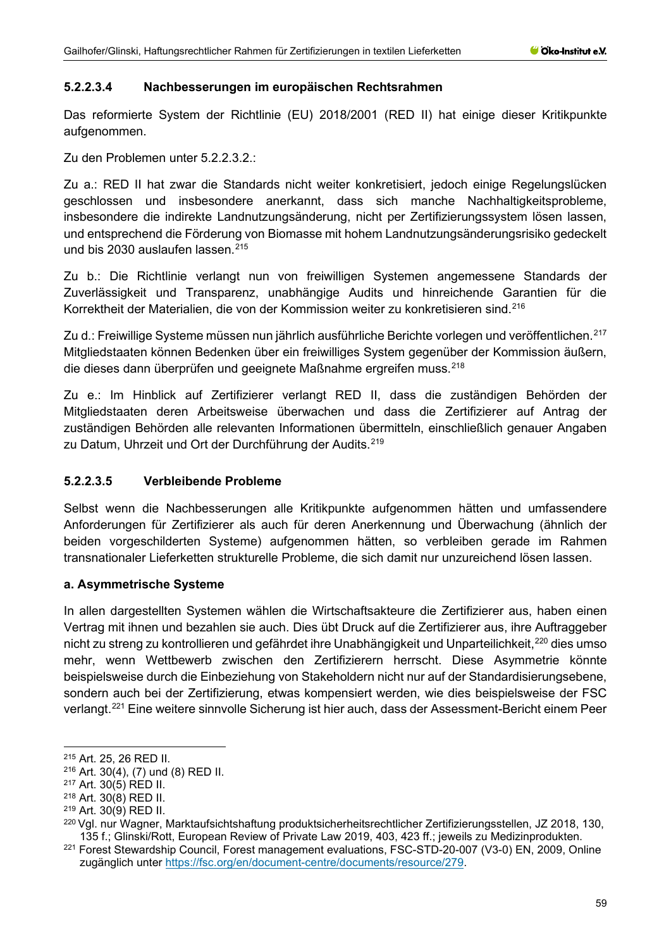### **5.2.2.3.4 Nachbesserungen im europäischen Rechtsrahmen**

Das reformierte System der Richtlinie (EU) 2018/2001 (RED II) hat einige dieser Kritikpunkte aufgenommen.

Zu den Problemen unter  $5.2.2.3.2.1$ 

Zu a.: RED II hat zwar die Standards nicht weiter konkretisiert, jedoch einige Regelungslücken geschlossen und insbesondere anerkannt, dass sich manche Nachhaltigkeitsprobleme, insbesondere die indirekte Landnutzungsänderung, nicht per Zertifizierungssystem lösen lassen, und entsprechend die Förderung von Biomasse mit hohem Landnutzungsänderungsrisiko gedeckelt und bis 2030 auslaufen lassen. $215$ 

Zu b.: Die Richtlinie verlangt nun von freiwilligen Systemen angemessene Standards der Zuverlässigkeit und Transparenz, unabhängige Audits und hinreichende Garantien für die Korrektheit der Materialien, die von der Kommission weiter zu konkretisieren sind.[216](#page-58-1)

Zu d.: Freiwillige Systeme müssen nun jährlich ausführliche Berichte vorlegen und veröffentlichen.[217](#page-58-2) Mitgliedstaaten können Bedenken über ein freiwilliges System gegenüber der Kommission äußern, die dieses dann überprüfen und geeignete Maßnahme ergreifen muss.<sup>[218](#page-58-3)</sup>

Zu e.: Im Hinblick auf Zertifizierer verlangt RED II, dass die zuständigen Behörden der Mitgliedstaaten deren Arbeitsweise überwachen und dass die Zertifizierer auf Antrag der zuständigen Behörden alle relevanten Informationen übermitteln, einschließlich genauer Angaben zu Datum, Uhrzeit und Ort der Durchführung der Audits.<sup>[219](#page-58-4)</sup>

#### **5.2.2.3.5 Verbleibende Probleme**

Selbst wenn die Nachbesserungen alle Kritikpunkte aufgenommen hätten und umfassendere Anforderungen für Zertifizierer als auch für deren Anerkennung und Überwachung (ähnlich der beiden vorgeschilderten Systeme) aufgenommen hätten, so verbleiben gerade im Rahmen transnationaler Lieferketten strukturelle Probleme, die sich damit nur unzureichend lösen lassen.

#### **a. Asymmetrische Systeme**

In allen dargestellten Systemen wählen die Wirtschaftsakteure die Zertifizierer aus, haben einen Vertrag mit ihnen und bezahlen sie auch. Dies übt Druck auf die Zertifizierer aus, ihre Auftraggeber nicht zu streng zu kontrollieren und gefährdet ihre Unabhängigkeit und Unparteilichkeit,<sup>[220](#page-58-5)</sup> dies umso mehr, wenn Wettbewerb zwischen den Zertifizierern herrscht. Diese Asymmetrie könnte beispielsweise durch die Einbeziehung von Stakeholdern nicht nur auf der Standardisierungsebene, sondern auch bei der Zertifizierung, etwas kompensiert werden, wie dies beispielsweise der FSC verlangt.[221](#page-58-6) Eine weitere sinnvolle Sicherung ist hier auch, dass der Assessment-Bericht einem Peer

<span id="page-58-0"></span><sup>215</sup> Art. 25, 26 RED II.

<span id="page-58-1"></span><sup>216</sup> Art. 30(4), (7) und (8) RED II.

<span id="page-58-2"></span><sup>217</sup> Art. 30(5) RED II.

<span id="page-58-3"></span><sup>218</sup> Art. 30(8) RED II.

<span id="page-58-4"></span><sup>219</sup> Art. 30(9) RED II.

<span id="page-58-5"></span><sup>220</sup> Vgl. nur Wagner, Marktaufsichtshaftung produktsicherheitsrechtlicher Zertifizierungsstellen, JZ 2018, 130, 135 f.; Glinski/Rott, European Review of Private Law 2019, 403, 423 ff.; jeweils zu Medizinprodukten.

<span id="page-58-6"></span><sup>&</sup>lt;sup>221</sup> Forest Stewardship Council, Forest management evaluations, FSC-STD-20-007 (V3-0) EN, 2009, Online zugänglich unter [https://fsc.org/en/document-centre/documents/resource/279.](https://fsc.org/en/document-centre/documents/resource/279)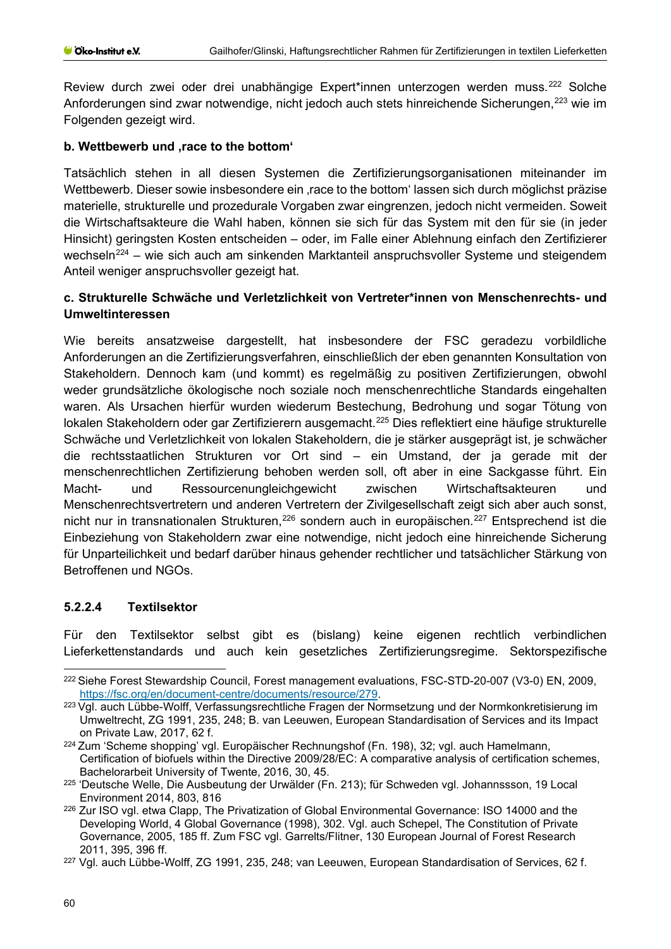Review durch zwei oder drei unabhängige Expert\*innen unterzogen werden muss.<sup>[222](#page-59-0)</sup> Solche Anforderungen sind zwar notwendige, nicht jedoch auch stets hinreichende Sicherungen,<sup>[223](#page-59-1)</sup> wie im Folgenden gezeigt wird.

#### **b. Wettbewerb und 'race to the bottom'**

Tatsächlich stehen in all diesen Systemen die Zertifizierungsorganisationen miteinander im Wettbewerb. Dieser sowie insbesondere ein ,race to the bottom' lassen sich durch möglichst präzise materielle, strukturelle und prozedurale Vorgaben zwar eingrenzen, jedoch nicht vermeiden. Soweit die Wirtschaftsakteure die Wahl haben, können sie sich für das System mit den für sie (in jeder Hinsicht) geringsten Kosten entscheiden – oder, im Falle einer Ablehnung einfach den Zertifizierer wechseln<sup>[224](#page-59-2)</sup> – wie sich auch am sinkenden Marktanteil anspruchsvoller Systeme und steigendem Anteil weniger anspruchsvoller gezeigt hat.

## **c. Strukturelle Schwäche und Verletzlichkeit von Vertreter\*innen von Menschenrechts- und Umweltinteressen**

Wie bereits ansatzweise dargestellt, hat insbesondere der FSC geradezu vorbildliche Anforderungen an die Zertifizierungsverfahren, einschließlich der eben genannten Konsultation von Stakeholdern. Dennoch kam (und kommt) es regelmäßig zu positiven Zertifizierungen, obwohl weder grundsätzliche ökologische noch soziale noch menschenrechtliche Standards eingehalten waren. Als Ursachen hierfür wurden wiederum Bestechung, Bedrohung und sogar Tötung von lokalen Stakeholdern oder gar Zertifizierern ausgemacht.<sup>[225](#page-59-3)</sup> Dies reflektiert eine häufige strukturelle Schwäche und Verletzlichkeit von lokalen Stakeholdern, die je stärker ausgeprägt ist, je schwächer die rechtsstaatlichen Strukturen vor Ort sind – ein Umstand, der ja gerade mit der menschenrechtlichen Zertifizierung behoben werden soll, oft aber in eine Sackgasse führt. Ein Macht- und Ressourcenungleichgewicht zwischen Wirtschaftsakteuren und Menschenrechtsvertretern und anderen Vertretern der Zivilgesellschaft zeigt sich aber auch sonst, nicht nur in transnationalen Strukturen, [226](#page-59-4) sondern auch in europäischen. <sup>[227](#page-59-5)</sup> Entsprechend ist die Einbeziehung von Stakeholdern zwar eine notwendige, nicht jedoch eine hinreichende Sicherung für Unparteilichkeit und bedarf darüber hinaus gehender rechtlicher und tatsächlicher Stärkung von Betroffenen und NGOs.

#### <span id="page-59-6"></span>**5.2.2.4 Textilsektor**

Für den Textilsektor selbst gibt es (bislang) keine eigenen rechtlich verbindlichen Lieferkettenstandards und auch kein gesetzliches Zertifizierungsregime. Sektorspezifische

<span id="page-59-0"></span><sup>&</sup>lt;sup>222</sup> Siehe Forest Stewardship Council, Forest management evaluations, FSC-STD-20-007 (V3-0) EN, 2009, [https://fsc.org/en/document-centre/documents/resource/279.](https://fsc.org/en/document-centre/documents/resource/279)

<span id="page-59-1"></span><sup>223</sup> Vgl. auch Lübbe-Wolff, Verfassungsrechtliche Fragen der Normsetzung und der Normkonkretisierung im Umweltrecht, ZG 1991, 235, 248; B. van Leeuwen, European Standardisation of Services and its Impact on Private Law, 2017, 62 f.

<span id="page-59-2"></span><sup>&</sup>lt;sup>224</sup> Zum 'Scheme shopping' vgl. Europäischer Rechnungshof (Fn. 198), 32; vgl. auch Hamelmann, Certification of biofuels within the Directive 2009/28/EC: A comparative analysis of certification schemes, Bachelorarbeit University of Twente, 2016, 30, 45.

<span id="page-59-3"></span><sup>&</sup>lt;sup>225</sup> 'Deutsche Welle, Die Ausbeutung der Urwälder (Fn. 213); für Schweden vgl. Johannssson, 19 Local Environment 2014, 803, 816

<span id="page-59-4"></span><sup>&</sup>lt;sup>226</sup> Zur ISO vgl. etwa Clapp, The Privatization of Global Environmental Governance: ISO 14000 and the Developing World, 4 Global Governance (1998), 302. Vgl. auch Schepel, The Constitution of Private Governance, 2005, 185 ff. Zum FSC vgl. Garrelts/Flitner, 130 European Journal of Forest Research 2011, 395, 396 ff.

<span id="page-59-5"></span><sup>227</sup> Vgl. auch Lübbe-Wolff, ZG 1991, 235, 248; van Leeuwen, European Standardisation of Services, 62 f.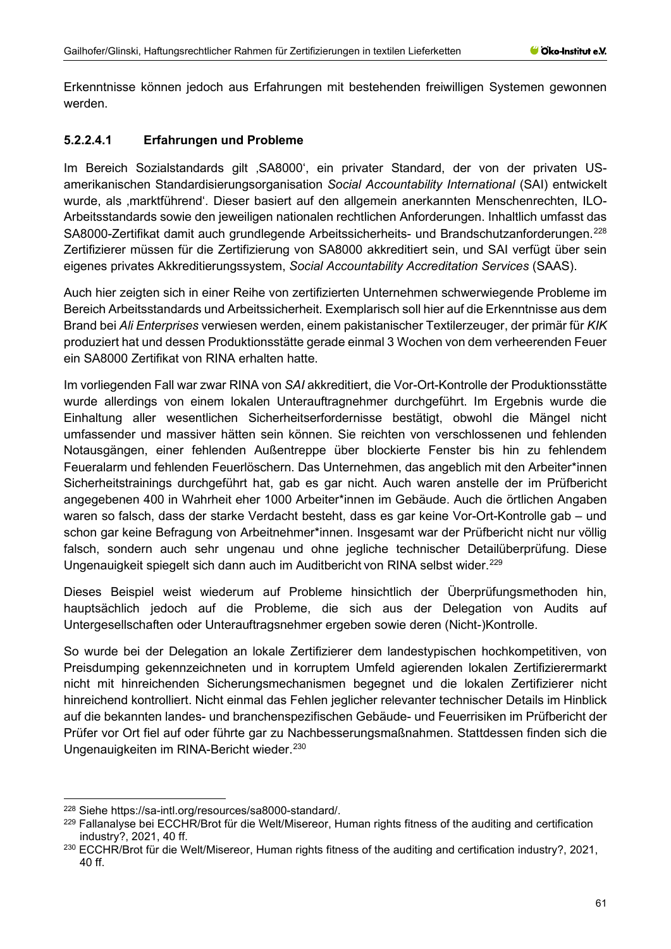Erkenntnisse können jedoch aus Erfahrungen mit bestehenden freiwilligen Systemen gewonnen werden.

#### **5.2.2.4.1 Erfahrungen und Probleme**

Im Bereich Sozialstandards gilt 'SA8000', ein privater Standard, der von der privaten USamerikanischen Standardisierungsorganisation *Social Accountability International* (SAI) entwickelt wurde, als ,marktführend'. Dieser basiert auf den allgemein anerkannten Menschenrechten, ILO-Arbeitsstandards sowie den jeweiligen nationalen rechtlichen Anforderungen. Inhaltlich umfasst das SA8000-Zertifikat damit auch grundlegende Arbeitssicherheits- und Brandschutzanforderungen.<sup>[228](#page-60-0)</sup> Zertifizierer müssen für die Zertifizierung von SA8000 akkreditiert sein, und SAI verfügt über sein eigenes privates Akkreditierungssystem, *Social Accountability Accreditation Services* (SAAS).

Auch hier zeigten sich in einer Reihe von zertifizierten Unternehmen schwerwiegende Probleme im Bereich Arbeitsstandards und Arbeitssicherheit. Exemplarisch soll hier auf die Erkenntnisse aus dem Brand bei *Ali Enterprises* verwiesen werden, einem pakistanischer Textilerzeuger, der primär für *KIK*  produziert hat und dessen Produktionsstätte gerade einmal 3 Wochen von dem verheerenden Feuer ein SA8000 Zertifikat von RINA erhalten hatte.

Im vorliegenden Fall war zwar RINA von *SAI* akkreditiert, die Vor-Ort-Kontrolle der Produktionsstätte wurde allerdings von einem lokalen Unterauftragnehmer durchgeführt. Im Ergebnis wurde die Einhaltung aller wesentlichen Sicherheitserfordernisse bestätigt, obwohl die Mängel nicht umfassender und massiver hätten sein können. Sie reichten von verschlossenen und fehlenden Notausgängen, einer fehlenden Außentreppe über blockierte Fenster bis hin zu fehlendem Feueralarm und fehlenden Feuerlöschern. Das Unternehmen, das angeblich mit den Arbeiter\*innen Sicherheitstrainings durchgeführt hat, gab es gar nicht. Auch waren anstelle der im Prüfbericht angegebenen 400 in Wahrheit eher 1000 Arbeiter\*innen im Gebäude. Auch die örtlichen Angaben waren so falsch, dass der starke Verdacht besteht, dass es gar keine Vor-Ort-Kontrolle gab – und schon gar keine Befragung von Arbeitnehmer\*innen. Insgesamt war der Prüfbericht nicht nur völlig falsch, sondern auch sehr ungenau und ohne jegliche technischer Detailüberprüfung. Diese Ungenauigkeit spiegelt sich dann auch im Auditbericht von RINA selbst wider.<sup>[229](#page-60-1)</sup>

Dieses Beispiel weist wiederum auf Probleme hinsichtlich der Überprüfungsmethoden hin, hauptsächlich jedoch auf die Probleme, die sich aus der Delegation von Audits auf Untergesellschaften oder Unterauftragsnehmer ergeben sowie deren (Nicht-)Kontrolle.

So wurde bei der Delegation an lokale Zertifizierer dem landestypischen hochkompetitiven, von Preisdumping gekennzeichneten und in korruptem Umfeld agierenden lokalen Zertifizierermarkt nicht mit hinreichenden Sicherungsmechanismen begegnet und die lokalen Zertifizierer nicht hinreichend kontrolliert. Nicht einmal das Fehlen jeglicher relevanter technischer Details im Hinblick auf die bekannten landes- und branchenspezifischen Gebäude- und Feuerrisiken im Prüfbericht der Prüfer vor Ort fiel auf oder führte gar zu Nachbesserungsmaßnahmen. Stattdessen finden sich die Ungenauigkeiten im RINA-Bericht wieder.[230](#page-60-2)

<span id="page-60-0"></span><sup>228</sup> Siehe https://sa-intl.org/resources/sa8000-standard/.

<span id="page-60-1"></span><sup>&</sup>lt;sup>229</sup> Fallanalyse bei ECCHR/Brot für die Welt/Misereor, Human rights fitness of the auditing and certification industry?, 2021, 40 ff.

<span id="page-60-2"></span><sup>&</sup>lt;sup>230</sup> ECCHR/Brot für die Welt/Misereor, Human rights fitness of the auditing and certification industry?, 2021, 40 ff.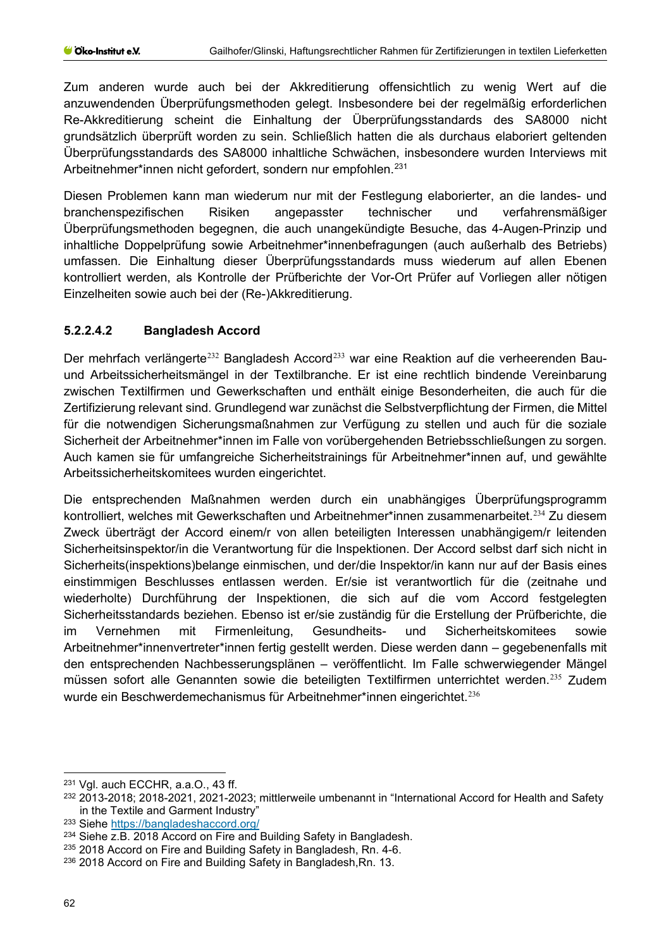Zum anderen wurde auch bei der Akkreditierung offensichtlich zu wenig Wert auf die anzuwendenden Überprüfungsmethoden gelegt. Insbesondere bei der regelmäßig erforderlichen Re-Akkreditierung scheint die Einhaltung der Überprüfungsstandards des SA8000 nicht grundsätzlich überprüft worden zu sein. Schließlich hatten die als durchaus elaboriert geltenden Überprüfungsstandards des SA8000 inhaltliche Schwächen, insbesondere wurden Interviews mit Arbeitnehmer\*innen nicht gefordert, sondern nur empfohlen.<sup>[231](#page-61-0)</sup>

Diesen Problemen kann man wiederum nur mit der Festlegung elaborierter, an die landes- und branchenspezifischen Risiken angepasster technischer und verfahrensmäßiger Überprüfungsmethoden begegnen, die auch unangekündigte Besuche, das 4-Augen-Prinzip und inhaltliche Doppelprüfung sowie Arbeitnehmer\*innenbefragungen (auch außerhalb des Betriebs) umfassen. Die Einhaltung dieser Überprüfungsstandards muss wiederum auf allen Ebenen kontrolliert werden, als Kontrolle der Prüfberichte der Vor-Ort Prüfer auf Vorliegen aller nötigen Einzelheiten sowie auch bei der (Re-)Akkreditierung.

### **5.2.2.4.2 Bangladesh Accord**

Der mehrfach verlängerte<sup>[232](#page-61-1)</sup> Bangladesh Accord<sup>[233](#page-61-2)</sup> war eine Reaktion auf die verheerenden Bauund Arbeitssicherheitsmängel in der Textilbranche. Er ist eine rechtlich bindende Vereinbarung zwischen Textilfirmen und Gewerkschaften und enthält einige Besonderheiten, die auch für die Zertifizierung relevant sind. Grundlegend war zunächst die Selbstverpflichtung der Firmen, die Mittel für die notwendigen Sicherungsmaßnahmen zur Verfügung zu stellen und auch für die soziale Sicherheit der Arbeitnehmer\*innen im Falle von vorübergehenden Betriebsschließungen zu sorgen. Auch kamen sie für umfangreiche Sicherheitstrainings für Arbeitnehmer\*innen auf, und gewählte Arbeitssicherheitskomitees wurden eingerichtet.

Die entsprechenden Maßnahmen werden durch ein unabhängiges Überprüfungsprogramm kontrolliert, welches mit Gewerkschaften und Arbeitnehmer\*innen zusammenarbeitet.<sup>[234](#page-61-3)</sup> Zu diesem Zweck überträgt der Accord einem/r von allen beteiligten Interessen unabhängigem/r leitenden Sicherheitsinspektor/in die Verantwortung für die Inspektionen. Der Accord selbst darf sich nicht in Sicherheits(inspektions)belange einmischen, und der/die Inspektor/in kann nur auf der Basis eines einstimmigen Beschlusses entlassen werden. Er/sie ist verantwortlich für die (zeitnahe und wiederholte) Durchführung der Inspektionen, die sich auf die vom Accord festgelegten Sicherheitsstandards beziehen. Ebenso ist er/sie zuständig für die Erstellung der Prüfberichte, die im Vernehmen mit Firmenleitung, Gesundheits- und Sicherheitskomitees sowie Arbeitnehmer\*innenvertreter\*innen fertig gestellt werden. Diese werden dann – gegebenenfalls mit den entsprechenden Nachbesserungsplänen – veröffentlicht. Im Falle schwerwiegender Mängel müssen sofort alle Genannten sowie die beteiligten Textilfirmen unterrichtet werden.[235](#page-61-4) Zudem wurde ein Beschwerdemechanismus für Arbeitnehmer\*innen eingerichtet.<sup>[236](#page-61-5)</sup>

<span id="page-61-0"></span><sup>231</sup> Vgl. auch ECCHR, a.a.O., 43 ff.

<span id="page-61-1"></span><sup>&</sup>lt;sup>232</sup> 2013-2018; 2018-2021, 2021-2023; mittlerweile umbenannt in "International Accord for Health and Safety in the Textile and Garment Industry"

<span id="page-61-2"></span><sup>233</sup> Siehe<https://bangladeshaccord.org/>

<span id="page-61-3"></span><sup>234</sup> Siehe z.B. 2018 Accord on Fire and Building Safety in Bangladesh.

<span id="page-61-4"></span><sup>&</sup>lt;sup>235</sup> 2018 Accord on Fire and Building Safety in Bangladesh, Rn. 4-6.

<span id="page-61-5"></span><sup>236</sup> 2018 Accord on Fire and Building Safety in Bangladesh,Rn. 13.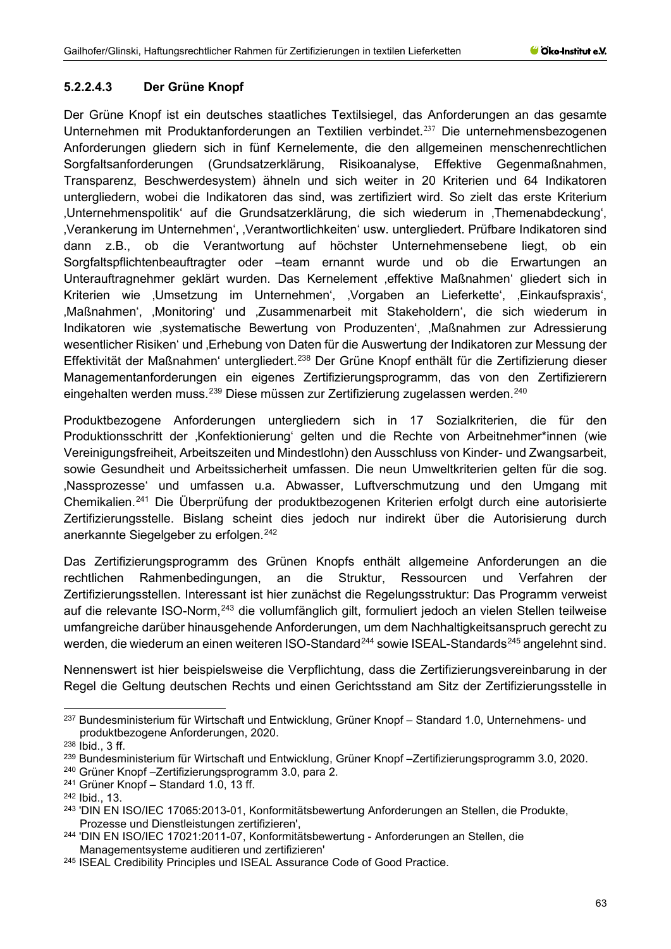# **5.2.2.4.3 Der Grüne Knopf**

Der Grüne Knopf ist ein deutsches staatliches Textilsiegel, das Anforderungen an das gesamte Unternehmen mit Produktanforderungen an Textilien verbindet.[237](#page-62-0) Die unternehmensbezogenen Anforderungen gliedern sich in fünf Kernelemente, die den allgemeinen menschenrechtlichen Sorgfaltsanforderungen (Grundsatzerklärung, Risikoanalyse, Effektive Gegenmaßnahmen, Transparenz, Beschwerdesystem) ähneln und sich weiter in 20 Kriterien und 64 Indikatoren untergliedern, wobei die Indikatoren das sind, was zertifiziert wird. So zielt das erste Kriterium 'Unternehmenspolitik' auf die Grundsatzerklärung, die sich wiederum in 'Themenabdeckung', 'Verankerung im Unternehmen', 'Verantwortlichkeiten' usw. untergliedert. Prüfbare Indikatoren sind dann z.B., ob die Verantwortung auf höchster Unternehmensebene liegt, ob ein Sorgfaltspflichtenbeauftragter oder –team ernannt wurde und ob die Erwartungen an Unterauftragnehmer geklärt wurden. Das Kernelement effektive Maßnahmen' gliedert sich in Kriterien wie 'Umsetzung im Unternehmen', 'Vorgaben an Lieferkette', 'Einkaufspraxis', 'Maßnahmen', 'Monitoring' und 'Zusammenarbeit mit Stakeholdern', die sich wiederum in Indikatoren wie 'systematische Bewertung von Produzenten', 'Maßnahmen zur Adressierung wesentlicher Risiken' und 'Erhebung von Daten für die Auswertung der Indikatoren zur Messung der Effektivität der Maßnahmen' untergliedert.<sup>[238](#page-62-1)</sup> Der Grüne Knopf enthält für die Zertifizierung dieser Managementanforderungen ein eigenes Zertifizierungsprogramm, das von den Zertifizierern eingehalten werden muss.<sup>[239](#page-62-2)</sup> Diese müssen zur Zertifizierung zugelassen werden.<sup>[240](#page-62-3)</sup>

Produktbezogene Anforderungen untergliedern sich in 17 Sozialkriterien, die für den Produktionsschritt der "Konfektionierung' gelten und die Rechte von Arbeitnehmer\*innen (wie Vereinigungsfreiheit, Arbeitszeiten und Mindestlohn) den Ausschluss von Kinder- und Zwangsarbeit, sowie Gesundheit und Arbeitssicherheit umfassen. Die neun Umweltkriterien gelten für die sog. 'Nassprozesse' und umfassen u.a. Abwasser, Luftverschmutzung und den Umgang mit Chemikalien.[241](#page-62-4) Die Überprüfung der produktbezogenen Kriterien erfolgt durch eine autorisierte Zertifizierungsstelle. Bislang scheint dies jedoch nur indirekt über die Autorisierung durch anerkannte Siegelgeber zu erfolgen[.242](#page-62-5)

Das Zertifizierungsprogramm des Grünen Knopfs enthält allgemeine Anforderungen an die rechtlichen Rahmenbedingungen, an die Struktur, Ressourcen und Verfahren der Zertifizierungsstellen. Interessant ist hier zunächst die Regelungsstruktur: Das Programm verweist auf die relevante ISO-Norm, [243](#page-62-6) die vollumfänglich gilt, formuliert jedoch an vielen Stellen teilweise umfangreiche darüber hinausgehende Anforderungen, um dem Nachhaltigkeitsanspruch gerecht zu werden, die wiederum an einen weiteren ISO-Standard<sup>[244](#page-62-7)</sup> sowie ISEAL-Standards<sup>[245](#page-62-8)</sup> angelehnt sind.

Nennenswert ist hier beispielsweise die Verpflichtung, dass die Zertifizierungsvereinbarung in der Regel die Geltung deutschen Rechts und einen Gerichtsstand am Sitz der Zertifizierungsstelle in

<span id="page-62-0"></span><sup>&</sup>lt;sup>237</sup> Bundesministerium für Wirtschaft und Entwicklung, Grüner Knopf - Standard 1.0, Unternehmens- und produktbezogene Anforderungen, 2020.

<span id="page-62-1"></span><sup>238</sup> Ibid., 3 ff.

<span id="page-62-2"></span><sup>239</sup> Bundesministerium für Wirtschaft und Entwicklung, Grüner Knopf –Zertifizierungsprogramm 3.0, 2020.

<span id="page-62-3"></span><sup>240</sup> Grüner Knopf –Zertifizierungsprogramm 3.0, para 2.

<span id="page-62-4"></span> $241$  Grüner Knopf – Standard 1.0, 13 ff.

<span id="page-62-5"></span> $242$  Ibid., 13.

<span id="page-62-6"></span><sup>243</sup> 'DIN EN ISO/IEC 17065:2013-01, Konformitätsbewertung Anforderungen an Stellen, die Produkte, Prozesse und Dienstleistungen zertifizieren',

<span id="page-62-7"></span><sup>244</sup> 'DIN EN ISO/IEC 17021:2011-07, Konformitätsbewertung - Anforderungen an Stellen, die Managementsysteme auditieren und zertifizieren'

<span id="page-62-8"></span><sup>245</sup> ISEAL Credibility Principles und ISEAL Assurance Code of Good Practice.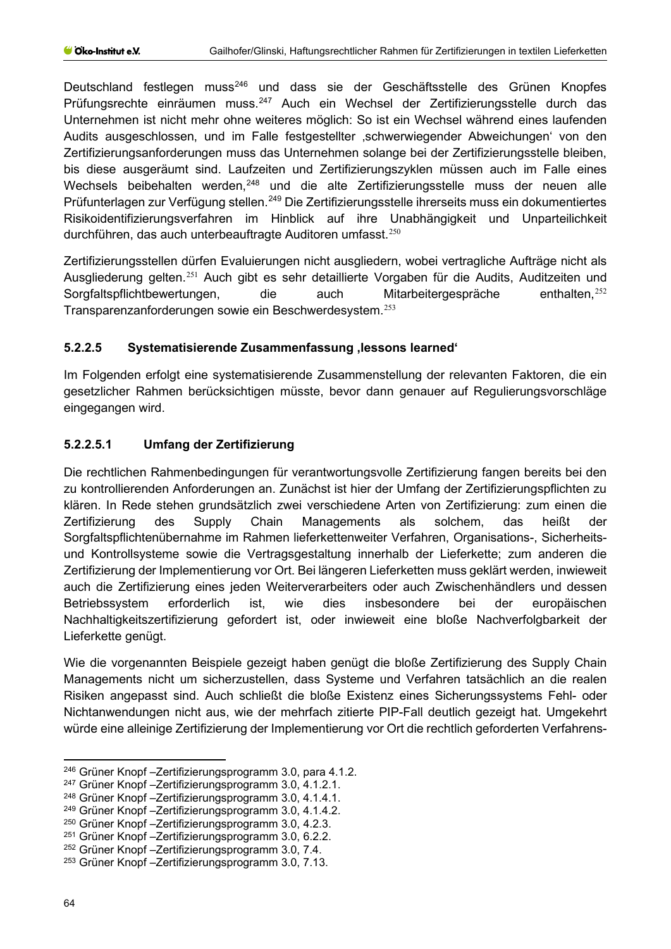Deutschland festlegen muss<sup>246</sup> und dass sie der Geschäftsstelle des Grünen Knopfes Prüfungsrechte einräumen muss.<sup>[247](#page-63-1)</sup> Auch ein Wechsel der Zertifizierungsstelle durch das Unternehmen ist nicht mehr ohne weiteres möglich: So ist ein Wechsel während eines laufenden Audits ausgeschlossen, und im Falle festgestellter ,schwerwiegender Abweichungen' von den Zertifizierungsanforderungen muss das Unternehmen solange bei der Zertifizierungsstelle bleiben, bis diese ausgeräumt sind. Laufzeiten und Zertifizierungszyklen müssen auch im Falle eines Wechsels beibehalten werden,<sup>[248](#page-63-2)</sup> und die alte Zertifizierungsstelle muss der neuen alle Prüfunterlagen zur Verfügung stellen.<sup>[249](#page-63-3)</sup> Die Zertifizierungsstelle ihrerseits muss ein dokumentiertes Risikoidentifizierungsverfahren im Hinblick auf ihre Unabhängigkeit und Unparteilichkeit durchführen, das auch unterbeauftragte Auditoren umfasst.<sup>[250](#page-63-4)</sup>

Zertifizierungsstellen dürfen Evaluierungen nicht ausgliedern, wobei vertragliche Aufträge nicht als Ausgliederung gelten.[251](#page-63-5) Auch gibt es sehr detaillierte Vorgaben für die Audits, Auditzeiten und Sorgfaltspflichtbewertungen, die auch Mitarbeitergespräche enthalten.<sup>[252](#page-63-6)</sup> Transparenzanforderungen sowie ein Beschwerdesystem. [253](#page-63-7)

## <span id="page-63-8"></span>**5.2.2.5 Systematisierende Zusammenfassung 'lessons learned'**

Im Folgenden erfolgt eine systematisierende Zusammenstellung der relevanten Faktoren, die ein gesetzlicher Rahmen berücksichtigen müsste, bevor dann genauer auf Regulierungsvorschläge eingegangen wird.

# **5.2.2.5.1 Umfang der Zertifizierung**

Die rechtlichen Rahmenbedingungen für verantwortungsvolle Zertifizierung fangen bereits bei den zu kontrollierenden Anforderungen an. Zunächst ist hier der Umfang der Zertifizierungspflichten zu klären. In Rede stehen grundsätzlich zwei verschiedene Arten von Zertifizierung: zum einen die Zertifizierung des Supply Chain Managements als solchem, das heißt der Sorgfaltspflichtenübernahme im Rahmen lieferkettenweiter Verfahren, Organisations-, Sicherheitsund Kontrollsysteme sowie die Vertragsgestaltung innerhalb der Lieferkette; zum anderen die Zertifizierung der Implementierung vor Ort. Bei längeren Lieferketten muss geklärt werden, inwieweit auch die Zertifizierung eines jeden Weiterverarbeiters oder auch Zwischenhändlers und dessen Betriebssystem erforderlich ist, wie dies insbesondere bei der europäischen Nachhaltigkeitszertifizierung gefordert ist, oder inwieweit eine bloße Nachverfolgbarkeit der Lieferkette genügt.

Wie die vorgenannten Beispiele gezeigt haben genügt die bloße Zertifizierung des Supply Chain Managements nicht um sicherzustellen, dass Systeme und Verfahren tatsächlich an die realen Risiken angepasst sind. Auch schließt die bloße Existenz eines Sicherungssystems Fehl- oder Nichtanwendungen nicht aus, wie der mehrfach zitierte PIP-Fall deutlich gezeigt hat. Umgekehrt würde eine alleinige Zertifizierung der Implementierung vor Ort die rechtlich geforderten Verfahrens-

<span id="page-63-0"></span><sup>246</sup> Grüner Knopf –Zertifizierungsprogramm 3.0, para 4.1.2.

<span id="page-63-1"></span><sup>247</sup> Grüner Knopf –Zertifizierungsprogramm 3.0, 4.1.2.1.

<span id="page-63-2"></span><sup>248</sup> Grüner Knopf –Zertifizierungsprogramm 3.0, 4.1.4.1.

<span id="page-63-3"></span><sup>249</sup> Grüner Knopf –Zertifizierungsprogramm 3.0, 4.1.4.2.

<span id="page-63-4"></span><sup>250</sup> Grüner Knopf –Zertifizierungsprogramm 3.0, 4.2.3.

<span id="page-63-5"></span><sup>251</sup> Grüner Knopf –Zertifizierungsprogramm 3.0, 6.2.2.

<span id="page-63-6"></span><sup>252</sup> Grüner Knopf –Zertifizierungsprogramm 3.0, 7.4.

<span id="page-63-7"></span><sup>253</sup> Grüner Knopf –Zertifizierungsprogramm 3.0, 7.13.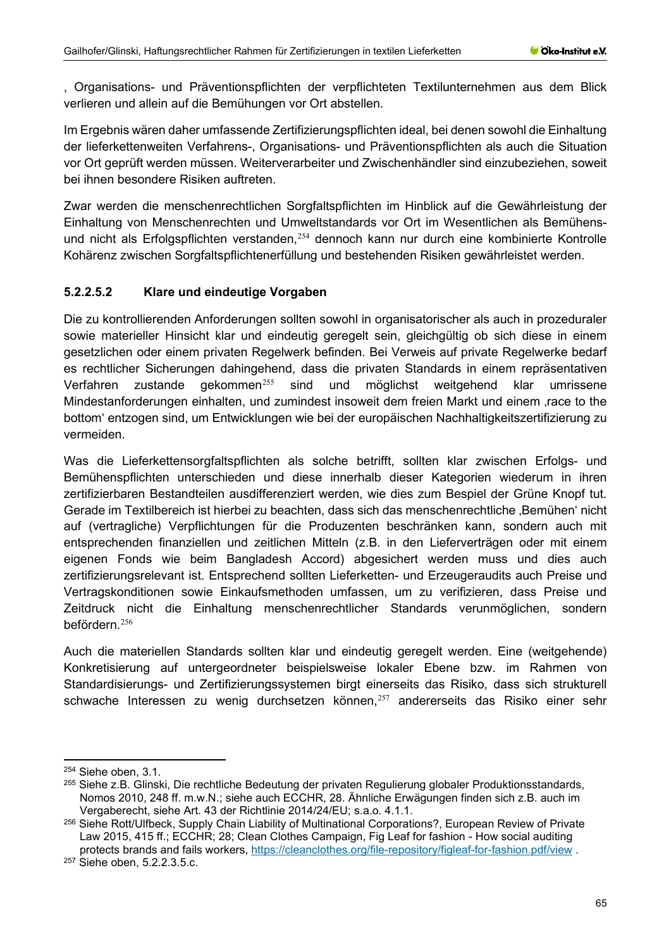, Organisations- und Präventionspflichten der verpflichteten Textilunternehmen aus dem Blick verlieren und allein auf die Bemühungen vor Ort abstellen.

Im Ergebnis wären daher umfassende Zertifizierungspflichten ideal, bei denen sowohl die Einhaltung der lieferkettenweiten Verfahrens-, Organisations- und Präventionspflichten als auch die Situation vor Ort geprüft werden müssen. Weiterverarbeiter und Zwischenhändler sind einzubeziehen, soweit bei ihnen besondere Risiken auftreten.

Zwar werden die menschenrechtlichen Sorgfaltspflichten im Hinblick auf die Gewährleistung der Einhaltung von Menschenrechten und Umweltstandards vor Ort im Wesentlichen als Bemühens-und nicht als Erfolgspflichten verstanden,<sup>[254](#page-64-0)</sup> dennoch kann nur durch eine kombinierte Kontrolle Kohärenz zwischen Sorgfaltspflichtenerfüllung und bestehenden Risiken gewährleistet werden.

## **5.2.2.5.2 Klare und eindeutige Vorgaben**

Die zu kontrollierenden Anforderungen sollten sowohl in organisatorischer als auch in prozeduraler sowie materieller Hinsicht klar und eindeutig geregelt sein, gleichgültig ob sich diese in einem gesetzlichen oder einem privaten Regelwerk befinden. Bei Verweis auf private Regelwerke bedarf es rechtlicher Sicherungen dahingehend, dass die privaten Standards in einem repräsentativen Verfahren zustande gekommen[255](#page-64-1) sind und möglichst weitgehend klar umrissene Mindestanforderungen einhalten, und zumindest insoweit dem freien Markt und einem ,race to the bottom' entzogen sind, um Entwicklungen wie bei der europäischen Nachhaltigkeitszertifizierung zu vermeiden.

Was die Lieferkettensorgfaltspflichten als solche betrifft, sollten klar zwischen Erfolgs- und Bemühenspflichten unterschieden und diese innerhalb dieser Kategorien wiederum in ihren zertifizierbaren Bestandteilen ausdifferenziert werden, wie dies zum Bespiel der Grüne Knopf tut. Gerade im Textilbereich ist hierbei zu beachten, dass sich das menschenrechtliche "Bemühen' nicht auf (vertragliche) Verpflichtungen für die Produzenten beschränken kann, sondern auch mit entsprechenden finanziellen und zeitlichen Mitteln (z.B. in den Lieferverträgen oder mit einem eigenen Fonds wie beim Bangladesh Accord) abgesichert werden muss und dies auch zertifizierungsrelevant ist. Entsprechend sollten Lieferketten- und Erzeugeraudits auch Preise und Vertragskonditionen sowie Einkaufsmethoden umfassen, um zu verifizieren, dass Preise und Zeitdruck nicht die Einhaltung menschenrechtlicher Standards verunmöglichen, sondern befördern.[256](#page-64-2)

Auch die materiellen Standards sollten klar und eindeutig geregelt werden. Eine (weitgehende) Konkretisierung auf untergeordneter beispielsweise lokaler Ebene bzw. im Rahmen von Standardisierungs- und Zertifizierungssystemen birgt einerseits das Risiko, dass sich strukturell schwache Interessen zu wenig durchsetzen können,<sup>[257](#page-64-3)</sup> andererseits das Risiko einer sehr

<span id="page-64-0"></span><sup>254</sup> Siehe oben, 3.1.

<span id="page-64-1"></span><sup>255</sup> Siehe z.B. Glinski, Die rechtliche Bedeutung der privaten Regulierung globaler Produktionsstandards, Nomos 2010, 248 ff. m.w.N.; siehe auch ECCHR, 28. Ähnliche Erwägungen finden sich z.B. auch im Vergaberecht, siehe Art. 43 der Richtlinie 2014/24/EU; s.a.o. [4.1.1.](#page-16-0)

<span id="page-64-2"></span><sup>&</sup>lt;sup>256</sup> Siehe Rott/Ulfbeck, Supply Chain Liability of Multinational Corporations?, European Review of Private Law 2015, 415 ff.; ECCHR; 28; Clean Clothes Campaign, Fig Leaf for fashion - How social auditing protects brands and fails workers,<https://cleanclothes.org/file-repository/figleaf-for-fashion.pdf/view> .

<span id="page-64-3"></span><sup>257</sup> Siehe oben, 5.2.2.3.5.c.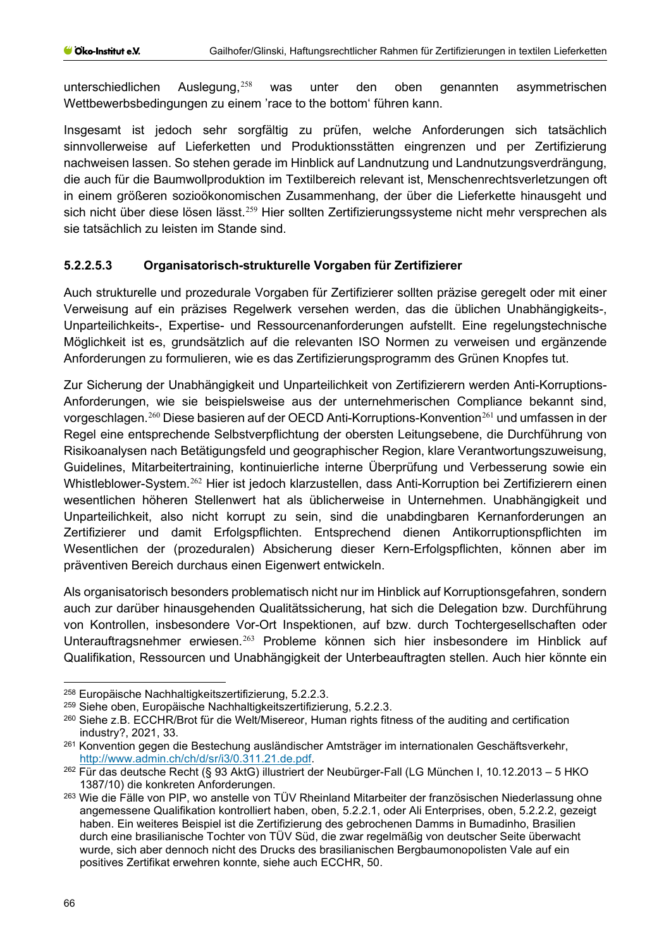unterschiedlichen Auslegung,[258](#page-65-0) was unter den oben genannten asymmetrischen Wettbewerbsbedingungen zu einem 'race to the bottom' führen kann.

Insgesamt ist jedoch sehr sorgfältig zu prüfen, welche Anforderungen sich tatsächlich sinnvollerweise auf Lieferketten und Produktionsstätten eingrenzen und per Zertifizierung nachweisen lassen. So stehen gerade im Hinblick auf Landnutzung und Landnutzungsverdrängung, die auch für die Baumwollproduktion im Textilbereich relevant ist, Menschenrechtsverletzungen oft in einem größeren sozioökonomischen Zusammenhang, der über die Lieferkette hinausgeht und sich nicht über diese lösen lässt.<sup>[259](#page-65-1)</sup> Hier sollten Zertifizierungssysteme nicht mehr versprechen als sie tatsächlich zu leisten im Stande sind.

## **5.2.2.5.3 Organisatorisch-strukturelle Vorgaben für Zertifizierer**

Auch strukturelle und prozedurale Vorgaben für Zertifizierer sollten präzise geregelt oder mit einer Verweisung auf ein präzises Regelwerk versehen werden, das die üblichen Unabhängigkeits-, Unparteilichkeits-, Expertise- und Ressourcenanforderungen aufstellt. Eine regelungstechnische Möglichkeit ist es, grundsätzlich auf die relevanten ISO Normen zu verweisen und ergänzende Anforderungen zu formulieren, wie es das Zertifizierungsprogramm des Grünen Knopfes tut.

Zur Sicherung der Unabhängigkeit und Unparteilichkeit von Zertifizierern werden Anti-Korruptions-Anforderungen, wie sie beispielsweise aus der unternehmerischen Compliance bekannt sind, vorgeschlagen.<sup>[260](#page-65-2)</sup> Diese basieren auf der OECD Anti-Korruptions-Konvention<sup>[261](#page-65-3)</sup> und umfassen in der Regel eine entsprechende Selbstverpflichtung der obersten Leitungsebene, die Durchführung von Risikoanalysen nach Betätigungsfeld und geographischer Region, klare Verantwortungszuweisung, Guidelines, Mitarbeitertraining, kontinuierliche interne Überprüfung und Verbesserung sowie ein Whistleblower-System.[262](#page-65-4) Hier ist jedoch klarzustellen, dass Anti-Korruption bei Zertifizierern einen wesentlichen höheren Stellenwert hat als üblicherweise in Unternehmen. Unabhängigkeit und Unparteilichkeit, also nicht korrupt zu sein, sind die unabdingbaren Kernanforderungen an Zertifizierer und damit Erfolgspflichten. Entsprechend dienen Antikorruptionspflichten im Wesentlichen der (prozeduralen) Absicherung dieser Kern-Erfolgspflichten, können aber im präventiven Bereich durchaus einen Eigenwert entwickeln.

Als organisatorisch besonders problematisch nicht nur im Hinblick auf Korruptionsgefahren, sondern auch zur darüber hinausgehenden Qualitätssicherung, hat sich die Delegation bzw. Durchführung von Kontrollen, insbesondere Vor-Ort Inspektionen, auf bzw. durch Tochtergesellschaften oder Unterauftragsnehmer erwiesen.[263](#page-65-5) Probleme können sich hier insbesondere im Hinblick auf Qualifikation, Ressourcen und Unabhängigkeit der Unterbeauftragten stellen. Auch hier könnte ein

<span id="page-65-0"></span><sup>258</sup> Europäische Nachhaltigkeitszertifizierung, 5.2.2.3.

<span id="page-65-1"></span><sup>259</sup> Siehe oben, Europäische Nachhaltigkeitszertifizierung, [5.2.2.3.](#page-53-1)

<span id="page-65-2"></span><sup>260</sup> Siehe z.B. ECCHR/Brot für die Welt/Misereor, Human rights fitness of the auditing and certification industry?, 2021, 33.

<span id="page-65-3"></span><sup>261</sup> Konvention gegen die Bestechung ausländischer Amtsträger im internationalen Geschäftsverkehr, [http://www.admin.ch/ch/d/sr/i3/0.311.21.de.pdf.](http://www.admin.ch/ch/d/sr/i3/0.311.21.de.pdf)

<span id="page-65-4"></span><sup>262</sup> Für das deutsche Recht (§ 93 AktG) illustriert der Neubürger-Fall (LG München I, 10.12.2013 – 5 HKO 1387/10) die konkreten Anforderungen.

<span id="page-65-5"></span><sup>263</sup> Wie die Fälle von PIP, wo anstelle von TÜV Rheinland Mitarbeiter der französischen Niederlassung ohne angemessene Qualifikation kontrolliert haben, oben, [5.2.2.1,](#page-46-1) oder Ali Enterprises, oben, [5.2.2.2,](#page-50-3) gezeigt haben. Ein weiteres Beispiel ist die Zertifizierung des gebrochenen Damms in Bumadinho, Brasilien durch eine brasilianische Tochter von TÜV Süd, die zwar regelmäßig von deutscher Seite überwacht wurde, sich aber dennoch nicht des Drucks des brasilianischen Bergbaumonopolisten Vale auf ein positives Zertifikat erwehren konnte, siehe auch ECCHR, 50.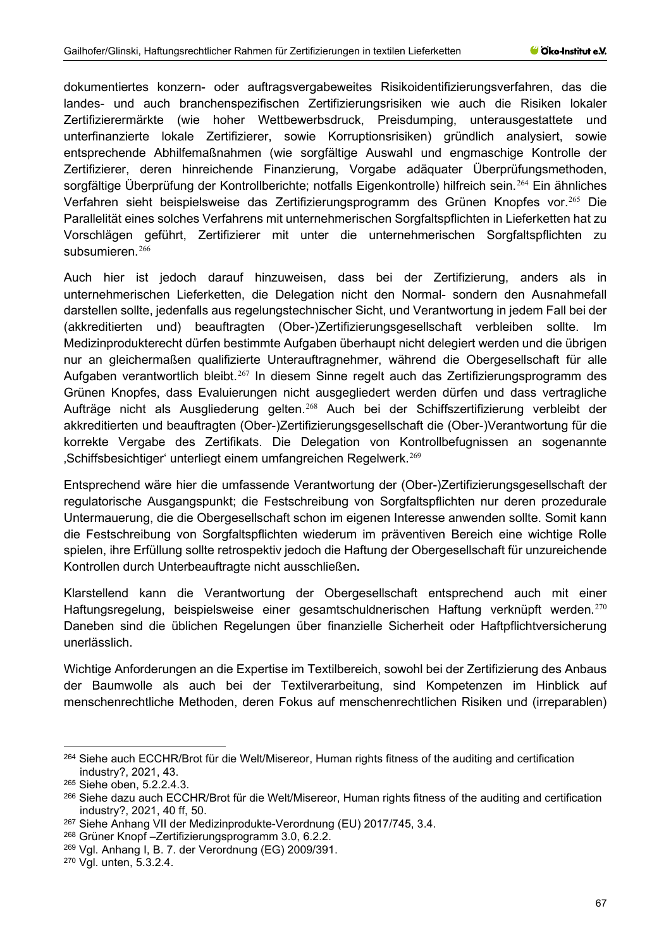dokumentiertes konzern- oder auftragsvergabeweites Risikoidentifizierungsverfahren, das die landes- und auch branchenspezifischen Zertifizierungsrisiken wie auch die Risiken lokaler Zertifizierermärkte (wie hoher Wettbewerbsdruck, Preisdumping, unterausgestattete und unterfinanzierte lokale Zertifizierer, sowie Korruptionsrisiken) gründlich analysiert, sowie entsprechende Abhilfemaßnahmen (wie sorgfältige Auswahl und engmaschige Kontrolle der Zertifizierer, deren hinreichende Finanzierung, Vorgabe adäquater Überprüfungsmethoden, sorgfältige Überprüfung der Kontrollberichte; notfalls Eigenkontrolle) hilfreich sein.<sup>[264](#page-66-0)</sup> Ein ähnliches Verfahren sieht beispielsweise das Zertifizierungsprogramm des Grünen Knopfes vor.[265](#page-66-1) Die Parallelität eines solches Verfahrens mit unternehmerischen Sorgfaltspflichten in Lieferketten hat zu Vorschlägen geführt, Zertifizierer mit unter die unternehmerischen Sorgfaltspflichten zu subsumieren.[266](#page-66-2)

Auch hier ist jedoch darauf hinzuweisen, dass bei der Zertifizierung, anders als in unternehmerischen Lieferketten, die Delegation nicht den Normal- sondern den Ausnahmefall darstellen sollte, jedenfalls aus regelungstechnischer Sicht, und Verantwortung in jedem Fall bei der (akkreditierten und) beauftragten (Ober-)Zertifizierungsgesellschaft verbleiben sollte. Im Medizinprodukterecht dürfen bestimmte Aufgaben überhaupt nicht delegiert werden und die übrigen nur an gleichermaßen qualifizierte Unterauftragnehmer, während die Obergesellschaft für alle Aufgaben verantwortlich bleibt.<sup>[267](#page-66-3)</sup> In diesem Sinne regelt auch das Zertifizierungsprogramm des Grünen Knopfes, dass Evaluierungen nicht ausgegliedert werden dürfen und dass vertragliche Aufträge nicht als Ausgliederung gelten.<sup>[268](#page-66-4)</sup> Auch bei der Schiffszertifizierung verbleibt der akkreditierten und beauftragten (Ober-)Zertifizierungsgesellschaft die (Ober-)Verantwortung für die korrekte Vergabe des Zertifikats. Die Delegation von Kontrollbefugnissen an sogenannte 'Schiffsbesichtiger' unterliegt einem umfangreichen Regelwerk.[269](#page-66-5)

Entsprechend wäre hier die umfassende Verantwortung der (Ober-)Zertifizierungsgesellschaft der regulatorische Ausgangspunkt; die Festschreibung von Sorgfaltspflichten nur deren prozedurale Untermauerung, die die Obergesellschaft schon im eigenen Interesse anwenden sollte. Somit kann die Festschreibung von Sorgfaltspflichten wiederum im präventiven Bereich eine wichtige Rolle spielen, ihre Erfüllung sollte retrospektiv jedoch die Haftung der Obergesellschaft für unzureichende Kontrollen durch Unterbeauftragte nicht ausschließen**.**

Klarstellend kann die Verantwortung der Obergesellschaft entsprechend auch mit einer Haftungsregelung, beispielsweise einer gesamtschuldnerischen Haftung verknüpft werden.<sup>[270](#page-66-6)</sup> Daneben sind die üblichen Regelungen über finanzielle Sicherheit oder Haftpflichtversicherung unerlässlich.

Wichtige Anforderungen an die Expertise im Textilbereich, sowohl bei der Zertifizierung des Anbaus der Baumwolle als auch bei der Textilverarbeitung, sind Kompetenzen im Hinblick auf menschenrechtliche Methoden, deren Fokus auf menschenrechtlichen Risiken und (irreparablen)

<span id="page-66-0"></span><sup>264</sup> Siehe auch ECCHR/Brot für die Welt/Misereor, Human rights fitness of the auditing and certification industry?, 2021, 43.

<span id="page-66-1"></span><sup>265</sup> Siehe oben, 5.2.2.4.3.

<span id="page-66-2"></span><sup>266</sup> Siehe dazu auch ECCHR/Brot für die Welt/Misereor, Human rights fitness of the auditing and certification industry?, 2021, 40 ff, 50.

<span id="page-66-3"></span><sup>267</sup> Siehe Anhang VII der Medizinprodukte-Verordnung (EU) 2017/745, 3.4.

<span id="page-66-4"></span><sup>268</sup> Grüner Knopf –Zertifizierungsprogramm 3.0, 6.2.2.

<span id="page-66-5"></span><sup>269</sup> Vgl. Anhang I, B. 7. der Verordnung (EG) 2009/391.

<span id="page-66-6"></span><sup>270</sup> Vgl. unten, 5.3.2.4.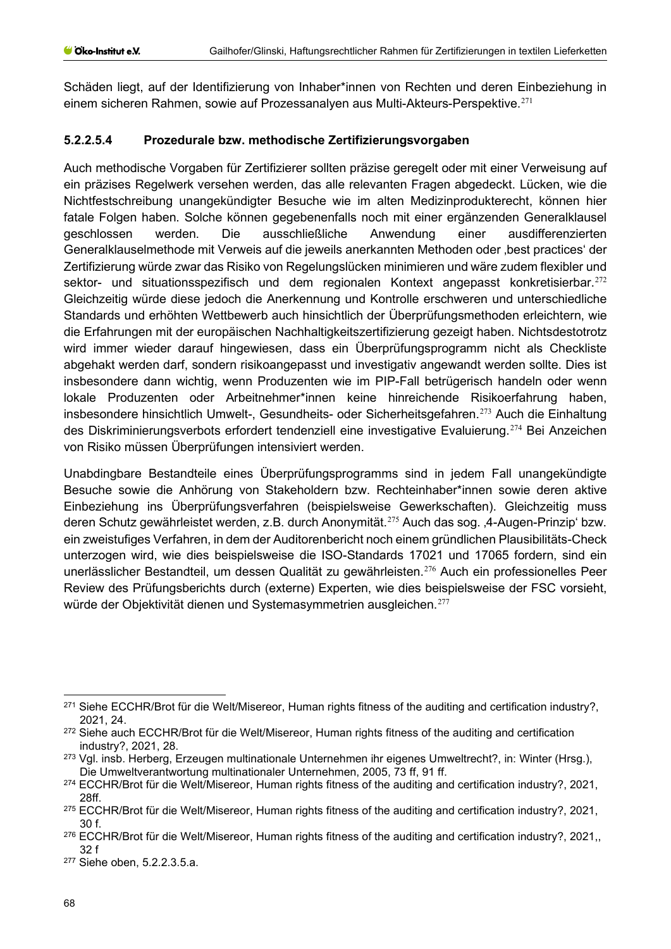Schäden liegt, auf der Identifizierung von Inhaber\*innen von Rechten und deren Einbeziehung in einem sicheren Rahmen, sowie auf Prozessanalyen aus Multi-Akteurs-Perspektive.<sup>[271](#page-67-0)</sup>

## **5.2.2.5.4 Prozedurale bzw. methodische Zertifizierungsvorgaben**

Auch methodische Vorgaben für Zertifizierer sollten präzise geregelt oder mit einer Verweisung auf ein präzises Regelwerk versehen werden, das alle relevanten Fragen abgedeckt. Lücken, wie die Nichtfestschreibung unangekündigter Besuche wie im alten Medizinprodukterecht, können hier fatale Folgen haben. Solche können gegebenenfalls noch mit einer ergänzenden Generalklausel geschlossen werden. Die ausschließliche Anwendung einer ausdifferenzierten Generalklauselmethode mit Verweis auf die jeweils anerkannten Methoden oder 'best practices' der Zertifizierung würde zwar das Risiko von Regelungslücken minimieren und wäre zudem flexibler und sektor- und situationsspezifisch und dem regionalen Kontext angepasst konkretisierbar.<sup>[272](#page-67-1)</sup> Gleichzeitig würde diese jedoch die Anerkennung und Kontrolle erschweren und unterschiedliche Standards und erhöhten Wettbewerb auch hinsichtlich der Überprüfungsmethoden erleichtern, wie die Erfahrungen mit der europäischen Nachhaltigkeitszertifizierung gezeigt haben. Nichtsdestotrotz wird immer wieder darauf hingewiesen, dass ein Überprüfungsprogramm nicht als Checkliste abgehakt werden darf, sondern risikoangepasst und investigativ angewandt werden sollte. Dies ist insbesondere dann wichtig, wenn Produzenten wie im PIP-Fall betrügerisch handeln oder wenn lokale Produzenten oder Arbeitnehmer\*innen keine hinreichende Risikoerfahrung haben, insbesondere hinsichtlich Umwelt-, Gesundheits- oder Sicherheitsgefahren.[273](#page-67-2) Auch die Einhaltung des Diskriminierungsverbots erfordert tendenziell eine investigative Evaluierung.[274](#page-67-3) Bei Anzeichen von Risiko müssen Überprüfungen intensiviert werden.

Unabdingbare Bestandteile eines Überprüfungsprogramms sind in jedem Fall unangekündigte Besuche sowie die Anhörung von Stakeholdern bzw. Rechteinhaber\*innen sowie deren aktive Einbeziehung ins Überprüfungsverfahren (beispielsweise Gewerkschaften). Gleichzeitig muss deren Schutz gewährleistet werden, z.B. durch Anonymität.<sup>[275](#page-67-4)</sup> Auch das sog. ,4-Augen-Prinzip' bzw. ein zweistufiges Verfahren, in dem der Auditorenbericht noch einem gründlichen Plausibilitäts-Check unterzogen wird, wie dies beispielsweise die ISO-Standards 17021 und 17065 fordern, sind ein unerlässlicher Bestandteil, um dessen Qualität zu gewährleisten. [276](#page-67-5) Auch ein professionelles Peer Review des Prüfungsberichts durch (externe) Experten, wie dies beispielsweise der FSC vorsieht, würde der Objektivität dienen und Systemasymmetrien ausgleichen.<sup>[277](#page-67-6)</sup>

<span id="page-67-6"></span><sup>277</sup> Siehe oben, 5.2.2.3.5.a.

<span id="page-67-0"></span><sup>271</sup> Siehe ECCHR/Brot für die Welt/Misereor, Human rights fitness of the auditing and certification industry?, 2021, 24.

<span id="page-67-1"></span><sup>&</sup>lt;sup>272</sup> Siehe auch ECCHR/Brot für die Welt/Misereor, Human rights fitness of the auditing and certification industry?, 2021, 28.

<span id="page-67-2"></span><sup>273</sup> Vgl. insb. Herberg, Erzeugen multinationale Unternehmen ihr eigenes Umweltrecht?, in: Winter (Hrsg.), Die Umweltverantwortung multinationaler Unternehmen, 2005, 73 ff, 91 ff.

<span id="page-67-3"></span><sup>274</sup> ECCHR/Brot für die Welt/Misereor, Human rights fitness of the auditing and certification industry?, 2021, 28ff.

<span id="page-67-4"></span><sup>275</sup> ECCHR/Brot für die Welt/Misereor, Human rights fitness of the auditing and certification industry?, 2021, 30 f.

<span id="page-67-5"></span><sup>&</sup>lt;sup>276</sup> ECCHR/Brot für die Welt/Misereor, Human rights fitness of the auditing and certification industry?, 2021,, 32 f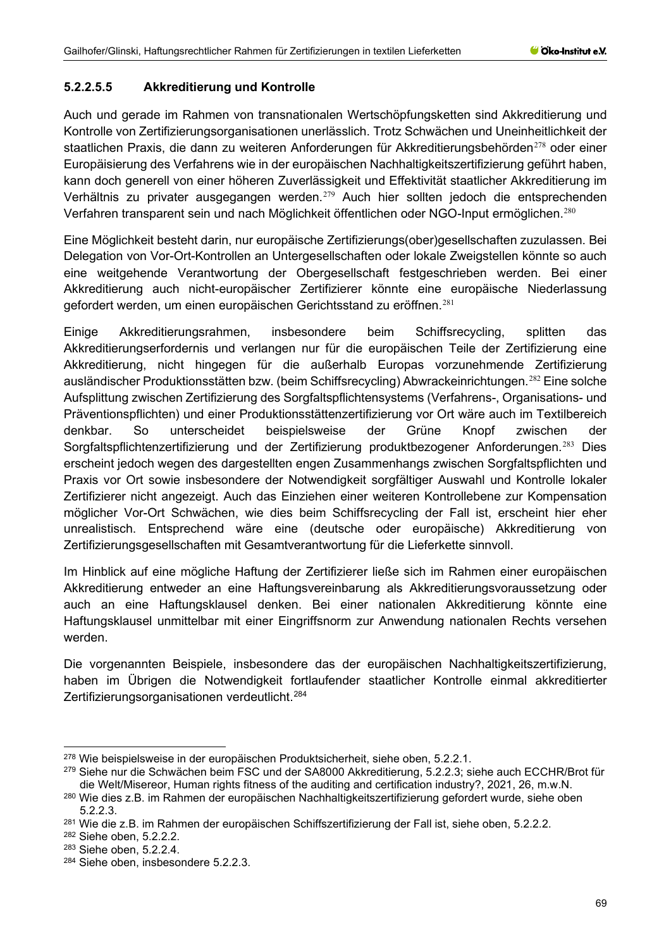# **5.2.2.5.5 Akkreditierung und Kontrolle**

Auch und gerade im Rahmen von transnationalen Wertschöpfungsketten sind Akkreditierung und Kontrolle von Zertifizierungsorganisationen unerlässlich. Trotz Schwächen und Uneinheitlichkeit der staatlichen Praxis, die dann zu weiteren Anforderungen für Akkreditierungsbehörden<sup>[278](#page-68-0)</sup> oder einer Europäisierung des Verfahrens wie in der europäischen Nachhaltigkeitszertifizierung geführt haben, kann doch generell von einer höheren Zuverlässigkeit und Effektivität staatlicher Akkreditierung im Verhältnis zu privater ausgegangen werden.[279](#page-68-1) Auch hier sollten jedoch die entsprechenden Verfahren transparent sein und nach Möglichkeit öffentlichen oder NGO-Input ermöglichen.[280](#page-68-2)

Eine Möglichkeit besteht darin, nur europäische Zertifizierungs(ober)gesellschaften zuzulassen. Bei Delegation von Vor-Ort-Kontrollen an Untergesellschaften oder lokale Zweigstellen könnte so auch eine weitgehende Verantwortung der Obergesellschaft festgeschrieben werden. Bei einer Akkreditierung auch nicht-europäischer Zertifizierer könnte eine europäische Niederlassung gefordert werden, um einen europäischen Gerichtsstand zu eröffnen.<sup>[281](#page-68-3)</sup>

Einige Akkreditierungsrahmen, insbesondere beim Schiffsrecycling, splitten das Akkreditierungserfordernis und verlangen nur für die europäischen Teile der Zertifizierung eine Akkreditierung, nicht hingegen für die außerhalb Europas vorzunehmende Zertifizierung ausländischer Produktionsstätten bzw. (beim Schiffsrecycling) Abwrackeinrichtungen.<sup>[282](#page-68-4)</sup> Eine solche Aufsplittung zwischen Zertifizierung des Sorgfaltspflichtensystems (Verfahrens-, Organisations- und Präventionspflichten) und einer Produktionsstättenzertifizierung vor Ort wäre auch im Textilbereich denkbar. So unterscheidet beispielsweise der Grüne Knopf zwischen der Sorgfaltspflichtenzertifizierung und der Zertifizierung produktbezogener Anforderungen.<sup>[283](#page-68-5)</sup> Dies erscheint jedoch wegen des dargestellten engen Zusammenhangs zwischen Sorgfaltspflichten und Praxis vor Ort sowie insbesondere der Notwendigkeit sorgfältiger Auswahl und Kontrolle lokaler Zertifizierer nicht angezeigt. Auch das Einziehen einer weiteren Kontrollebene zur Kompensation möglicher Vor-Ort Schwächen, wie dies beim Schiffsrecycling der Fall ist, erscheint hier eher unrealistisch. Entsprechend wäre eine (deutsche oder europäische) Akkreditierung von Zertifizierungsgesellschaften mit Gesamtverantwortung für die Lieferkette sinnvoll.

Im Hinblick auf eine mögliche Haftung der Zertifizierer ließe sich im Rahmen einer europäischen Akkreditierung entweder an eine Haftungsvereinbarung als Akkreditierungsvoraussetzung oder auch an eine Haftungsklausel denken. Bei einer nationalen Akkreditierung könnte eine Haftungsklausel unmittelbar mit einer Eingriffsnorm zur Anwendung nationalen Rechts versehen werden.

Die vorgenannten Beispiele, insbesondere das der europäischen Nachhaltigkeitszertifizierung, haben im Übrigen die Notwendigkeit fortlaufender staatlicher Kontrolle einmal akkreditierter Zertifizierungsorganisationen verdeutlicht.<sup>[284](#page-68-6)</sup>

<span id="page-68-0"></span><sup>278</sup> Wie beispielsweise in der europäischen Produktsicherheit, siehe oben, [5.2.2.1.](#page-46-1)

<span id="page-68-1"></span><sup>279</sup> Siehe nur die Schwächen beim FSC und der SA8000 Akkreditierung, [5.2.2.3;](#page-53-1) siehe auch ECCHR/Brot für die Welt/Misereor, Human rights fitness of the auditing and certification industry?, 2021, 26, m.w.N.

<span id="page-68-2"></span><sup>280</sup> Wie dies z.B. im Rahmen der europäischen Nachhaltigkeitszertifizierung gefordert wurde, siehe oben [5.2.2.3.](#page-53-1)

<span id="page-68-3"></span><sup>281</sup> Wie die z.B. im Rahmen der europäischen Schiffszertifizierung der Fall ist, siehe oben, [5.2.2.2.](#page-50-3)

<span id="page-68-4"></span><sup>&</sup>lt;sup>282</sup> Siehe oben, [5.2.2.2.](#page-50-3)<br><sup>283</sup> Siehe oben, [5.2.2.4.](#page-59-6)

<span id="page-68-5"></span>

<span id="page-68-6"></span><sup>284</sup> Siehe oben, insbesondere [5.2.2.3.](#page-53-1)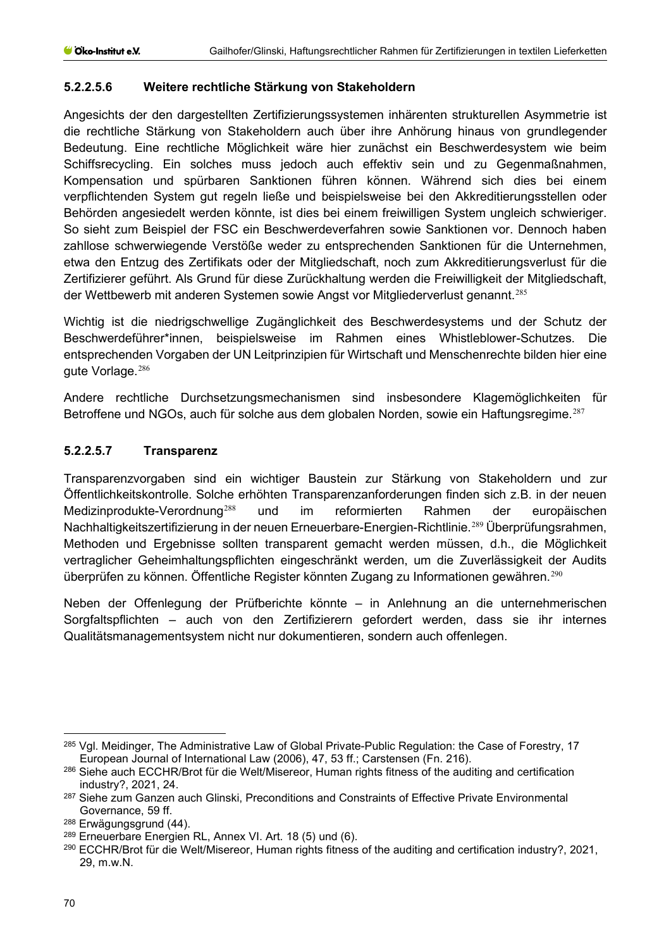### **5.2.2.5.6 Weitere rechtliche Stärkung von Stakeholdern**

Angesichts der den dargestellten Zertifizierungssystemen inhärenten strukturellen Asymmetrie ist die rechtliche Stärkung von Stakeholdern auch über ihre Anhörung hinaus von grundlegender Bedeutung. Eine rechtliche Möglichkeit wäre hier zunächst ein Beschwerdesystem wie beim Schiffsrecycling. Ein solches muss jedoch auch effektiv sein und zu Gegenmaßnahmen, Kompensation und spürbaren Sanktionen führen können. Während sich dies bei einem verpflichtenden System gut regeln ließe und beispielsweise bei den Akkreditierungsstellen oder Behörden angesiedelt werden könnte, ist dies bei einem freiwilligen System ungleich schwieriger. So sieht zum Beispiel der FSC ein Beschwerdeverfahren sowie Sanktionen vor. Dennoch haben zahllose schwerwiegende Verstöße weder zu entsprechenden Sanktionen für die Unternehmen, etwa den Entzug des Zertifikats oder der Mitgliedschaft, noch zum Akkreditierungsverlust für die Zertifizierer geführt. Als Grund für diese Zurückhaltung werden die Freiwilligkeit der Mitgliedschaft, der Wettbewerb mit anderen Systemen sowie Angst vor Mitgliederverlust genannt.[285](#page-69-0)

Wichtig ist die niedrigschwellige Zugänglichkeit des Beschwerdesystems und der Schutz der Beschwerdeführer\*innen, beispielsweise im Rahmen eines Whistleblower-Schutzes. Die entsprechenden Vorgaben der UN Leitprinzipien für Wirtschaft und Menschenrechte bilden hier eine gute Vorlage.[286](#page-69-1)

Andere rechtliche Durchsetzungsmechanismen sind insbesondere Klagemöglichkeiten für Betroffene und NGOs, auch für solche aus dem globalen Norden, sowie ein Haftungsregime.<sup>[287](#page-69-2)</sup>

### **5.2.2.5.7 Transparenz**

Transparenzvorgaben sind ein wichtiger Baustein zur Stärkung von Stakeholdern und zur Öffentlichkeitskontrolle. Solche erhöhten Transparenzanforderungen finden sich z.B. in der neuen Medizinprodukte-Verordnung[288](#page-69-3) und im reformierten Rahmen der europäischen Nachhaltigkeitszertifizierung in der neuen Erneuerbare-Energien-Richtlinie.[289](#page-69-4) Überprüfungsrahmen, Methoden und Ergebnisse sollten transparent gemacht werden müssen, d.h., die Möglichkeit vertraglicher Geheimhaltungspflichten eingeschränkt werden, um die Zuverlässigkeit der Audits überprüfen zu können. Öffentliche Register könnten Zugang zu Informationen gewähren.<sup>[290](#page-69-5)</sup>

Neben der Offenlegung der Prüfberichte könnte – in Anlehnung an die unternehmerischen Sorgfaltspflichten – auch von den Zertifizierern gefordert werden, dass sie ihr internes Qualitätsmanagementsystem nicht nur dokumentieren, sondern auch offenlegen.

<span id="page-69-0"></span><sup>285</sup> Vgl. Meidinger, The Administrative Law of Global Private-Public Regulation: the Case of Forestry, 17 European Journal of International Law (2006), 47, 53 ff.; Carstensen (Fn. 216).

<span id="page-69-1"></span><sup>286</sup> Siehe auch ECCHR/Brot für die Welt/Misereor, Human rights fitness of the auditing and certification industry?, 2021, 24.

<span id="page-69-2"></span><sup>&</sup>lt;sup>287</sup> Siehe zum Ganzen auch Glinski, Preconditions and Constraints of Effective Private Environmental Governance, 59 ff.

<span id="page-69-3"></span><sup>288</sup> Erwägungsgrund (44).

<span id="page-69-4"></span><sup>289</sup> Erneuerbare Energien RL, Annex VI. Art. 18 (5) und (6).

<span id="page-69-5"></span><sup>290</sup> ECCHR/Brot für die Welt/Misereor, Human rights fitness of the auditing and certification industry?, 2021, 29, m.w.N.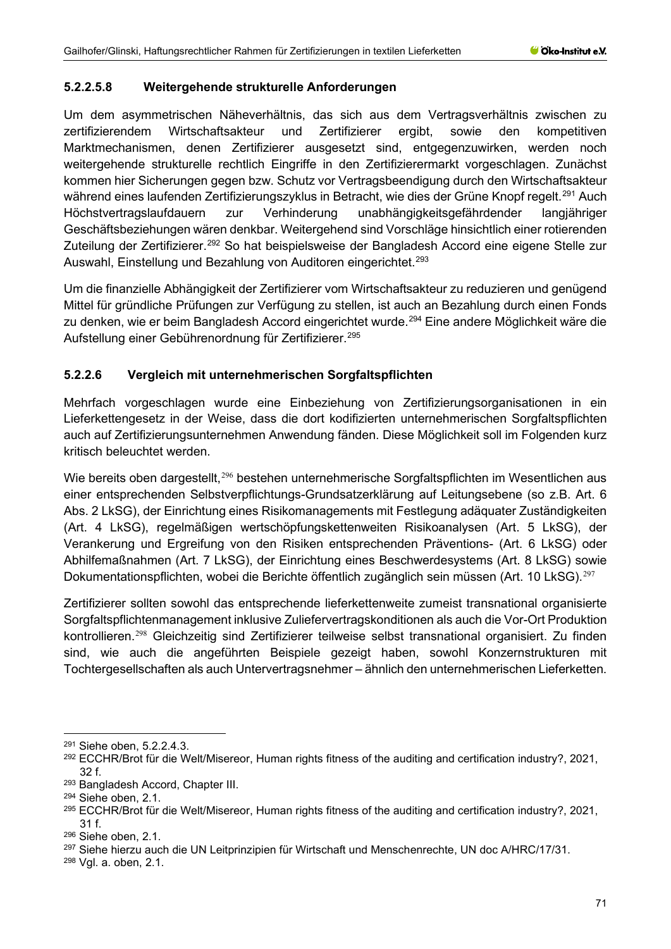# **5.2.2.5.8 Weitergehende strukturelle Anforderungen**

Um dem asymmetrischen Näheverhältnis, das sich aus dem Vertragsverhältnis zwischen zu zertifizierendem Wirtschaftsakteur und Zertifizierer ergibt, sowie den kompetitiven Marktmechanismen, denen Zertifizierer ausgesetzt sind, entgegenzuwirken, werden noch weitergehende strukturelle rechtlich Eingriffe in den Zertifizierermarkt vorgeschlagen. Zunächst kommen hier Sicherungen gegen bzw. Schutz vor Vertragsbeendigung durch den Wirtschaftsakteur während eines laufenden Zertifizierungszyklus in Betracht, wie dies der Grüne Knopf regelt.<sup>[291](#page-70-0)</sup> Auch Höchstvertragslaufdauern zur Verhinderung unabhängigkeitsgefährdender langjähriger Geschäftsbeziehungen wären denkbar. Weitergehend sind Vorschläge hinsichtlich einer rotierenden Zuteilung der Zertifizierer.<sup>[292](#page-70-1)</sup> So hat beispielsweise der Bangladesh Accord eine eigene Stelle zur Auswahl, Einstellung und Bezahlung von Auditoren eingerichtet.<sup>[293](#page-70-2)</sup>

Um die finanzielle Abhängigkeit der Zertifizierer vom Wirtschaftsakteur zu reduzieren und genügend Mittel für gründliche Prüfungen zur Verfügung zu stellen, ist auch an Bezahlung durch einen Fonds zu denken, wie er beim Bangladesh Accord eingerichtet wurde.<sup>[294](#page-70-3)</sup> Eine andere Möglichkeit wäre die Aufstellung einer Gebührenordnung für Zertifizierer.<sup>[295](#page-70-4)</sup>

# **5.2.2.6 Vergleich mit unternehmerischen Sorgfaltspflichten**

Mehrfach vorgeschlagen wurde eine Einbeziehung von Zertifizierungsorganisationen in ein Lieferkettengesetz in der Weise, dass die dort kodifizierten unternehmerischen Sorgfaltspflichten auch auf Zertifizierungsunternehmen Anwendung fänden. Diese Möglichkeit soll im Folgenden kurz kritisch beleuchtet werden.

Wie bereits oben dargestellt,<sup>[296](#page-70-5)</sup> bestehen unternehmerische Sorgfaltspflichten im Wesentlichen aus einer entsprechenden Selbstverpflichtungs-Grundsatzerklärung auf Leitungsebene (so z.B. Art. 6 Abs. 2 LkSG), der Einrichtung eines Risikomanagements mit Festlegung adäquater Zuständigkeiten (Art. 4 LkSG), regelmäßigen wertschöpfungskettenweiten Risikoanalysen (Art. 5 LkSG), der Verankerung und Ergreifung von den Risiken entsprechenden Präventions- (Art. 6 LkSG) oder Abhilfemaßnahmen (Art. 7 LkSG), der Einrichtung eines Beschwerdesystems (Art. 8 LkSG) sowie Dokumentationspflichten, wobei die Berichte öffentlich zugänglich sein müssen (Art. 10 LkSG).<sup>[297](#page-70-6)</sup>

Zertifizierer sollten sowohl das entsprechende lieferkettenweite zumeist transnational organisierte Sorgfaltspflichtenmanagement inklusive Zuliefervertragskonditionen als auch die Vor-Ort Produktion kontrollieren.[298](#page-70-7) Gleichzeitig sind Zertifizierer teilweise selbst transnational organisiert. Zu finden sind, wie auch die angeführten Beispiele gezeigt haben, sowohl Konzernstrukturen mit Tochtergesellschaften als auch Untervertragsnehmer – ähnlich den unternehmerischen Lieferketten.

<span id="page-70-7"></span><sup>298</sup> Vgl. a. oben, [2.1.](#page-10-0)

<span id="page-70-0"></span><sup>291</sup> Siehe oben, 5.2.2.4.3.

<span id="page-70-1"></span><sup>292</sup> ECCHR/Brot für die Welt/Misereor, Human rights fitness of the auditing and certification industry?, 2021, 32 f.

<span id="page-70-2"></span><sup>293</sup> Bangladesh Accord, Chapter III.

<span id="page-70-3"></span><sup>294</sup> Siehe oben, 2.1.

<span id="page-70-4"></span><sup>295</sup> ECCHR/Brot für die Welt/Misereor, Human rights fitness of the auditing and certification industry?, 2021, 31 f.

<span id="page-70-5"></span><sup>296</sup> Siehe oben, [2.1.](#page-10-0)

<span id="page-70-6"></span><sup>&</sup>lt;sup>297</sup> Siehe hierzu auch die UN Leitprinzipien für Wirtschaft und Menschenrechte, UN doc A/HRC/17/31.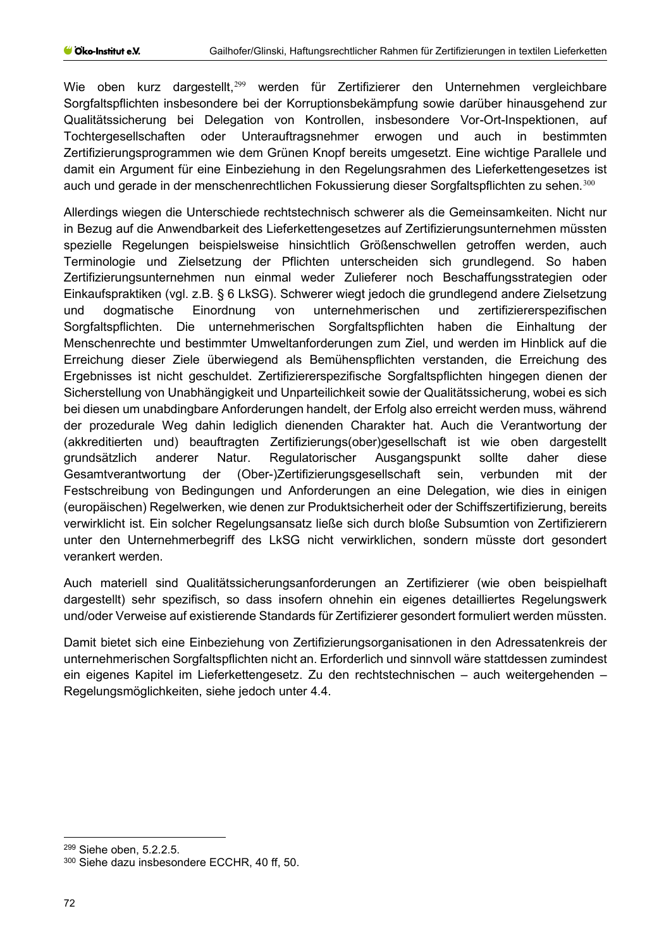Wie oben kurz dargestellt,<sup>[299](#page-71-0)</sup> werden für Zertifizierer den Unternehmen vergleichbare Sorgfaltspflichten insbesondere bei der Korruptionsbekämpfung sowie darüber hinausgehend zur Qualitätssicherung bei Delegation von Kontrollen, insbesondere Vor-Ort-Inspektionen, auf Tochtergesellschaften oder Unterauftragsnehmer erwogen und auch in bestimmten Zertifizierungsprogrammen wie dem Grünen Knopf bereits umgesetzt. Eine wichtige Parallele und damit ein Argument für eine Einbeziehung in den Regelungsrahmen des Lieferkettengesetzes ist auch und gerade in der menschenrechtlichen Fokussierung dieser Sorgfaltspflichten zu sehen.<sup>[300](#page-71-1)</sup>

Allerdings wiegen die Unterschiede rechtstechnisch schwerer als die Gemeinsamkeiten. Nicht nur in Bezug auf die Anwendbarkeit des Lieferkettengesetzes auf Zertifizierungsunternehmen müssten spezielle Regelungen beispielsweise hinsichtlich Größenschwellen getroffen werden, auch Terminologie und Zielsetzung der Pflichten unterscheiden sich grundlegend. So haben Zertifizierungsunternehmen nun einmal weder Zulieferer noch Beschaffungsstrategien oder Einkaufspraktiken (vgl. z.B. § 6 LkSG). Schwerer wiegt jedoch die grundlegend andere Zielsetzung und dogmatische Einordnung von unternehmerischen und zertifiziererspezifischen Sorgfaltspflichten. Die unternehmerischen Sorgfaltspflichten haben die Einhaltung der Menschenrechte und bestimmter Umweltanforderungen zum Ziel, und werden im Hinblick auf die Erreichung dieser Ziele überwiegend als Bemühenspflichten verstanden, die Erreichung des Ergebnisses ist nicht geschuldet. Zertifiziererspezifische Sorgfaltspflichten hingegen dienen der Sicherstellung von Unabhängigkeit und Unparteilichkeit sowie der Qualitätssicherung, wobei es sich bei diesen um unabdingbare Anforderungen handelt, der Erfolg also erreicht werden muss, während der prozedurale Weg dahin lediglich dienenden Charakter hat. Auch die Verantwortung der (akkreditierten und) beauftragten Zertifizierungs(ober)gesellschaft ist wie oben dargestellt grundsätzlich anderer Natur. Regulatorischer Ausgangspunkt sollte daher diese Gesamtverantwortung der (Ober-)Zertifizierungsgesellschaft sein, verbunden mit der Festschreibung von Bedingungen und Anforderungen an eine Delegation, wie dies in einigen (europäischen) Regelwerken, wie denen zur Produktsicherheit oder der Schiffszertifizierung, bereits verwirklicht ist. Ein solcher Regelungsansatz ließe sich durch bloße Subsumtion von Zertifizierern unter den Unternehmerbegriff des LkSG nicht verwirklichen, sondern müsste dort gesondert verankert werden.

Auch materiell sind Qualitätssicherungsanforderungen an Zertifizierer (wie oben beispielhaft dargestellt) sehr spezifisch, so dass insofern ohnehin ein eigenes detailliertes Regelungswerk und/oder Verweise auf existierende Standards für Zertifizierer gesondert formuliert werden müssten.

Damit bietet sich eine Einbeziehung von Zertifizierungsorganisationen in den Adressatenkreis der unternehmerischen Sorgfaltspflichten nicht an. Erforderlich und sinnvoll wäre stattdessen zumindest ein eigenes Kapitel im Lieferkettengesetz. Zu den rechtstechnischen – auch weitergehenden – Regelungsmöglichkeiten, siehe jedoch unter [4.4.](#page-83-0)

<span id="page-71-0"></span><sup>299</sup> Siehe oben, [5.2.2.5.](#page-63-8)

<span id="page-71-1"></span><sup>300</sup> Siehe dazu insbesondere ECCHR, 40 ff, 50.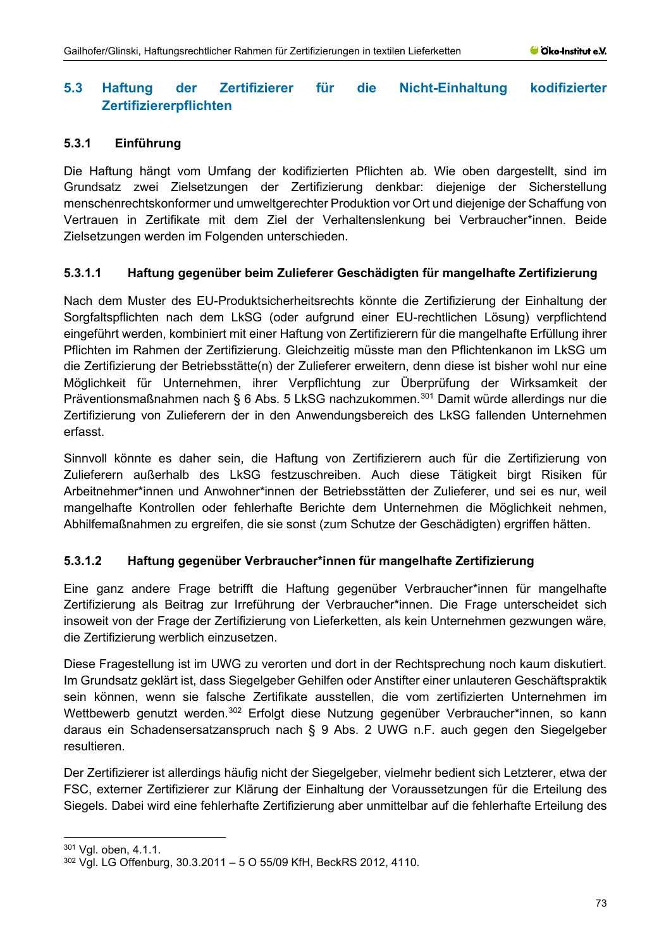# **5.3 Haftung der Zertifizierer für die Nicht-Einhaltung kodifizierter Zertifiziererpflichten**

## **5.3.1 Einführung**

Die Haftung hängt vom Umfang der kodifizierten Pflichten ab. Wie oben dargestellt, sind im Grundsatz zwei Zielsetzungen der Zertifizierung denkbar: diejenige der Sicherstellung menschenrechtskonformer und umweltgerechter Produktion vor Ort und diejenige der Schaffung von Vertrauen in Zertifikate mit dem Ziel der Verhaltenslenkung bei Verbraucher\*innen. Beide Zielsetzungen werden im Folgenden unterschieden.

### **5.3.1.1 Haftung gegenüber beim Zulieferer Geschädigten für mangelhafte Zertifizierung**

Nach dem Muster des EU-Produktsicherheitsrechts könnte die Zertifizierung der Einhaltung der Sorgfaltspflichten nach dem LkSG (oder aufgrund einer EU-rechtlichen Lösung) verpflichtend eingeführt werden, kombiniert mit einer Haftung von Zertifizierern für die mangelhafte Erfüllung ihrer Pflichten im Rahmen der Zertifizierung. Gleichzeitig müsste man den Pflichtenkanon im LkSG um die Zertifizierung der Betriebsstätte(n) der Zulieferer erweitern, denn diese ist bisher wohl nur eine Möglichkeit für Unternehmen, ihrer Verpflichtung zur Überprüfung der Wirksamkeit der Präventionsmaßnahmen nach § 6 Abs. 5 LkSG nachzukommen.<sup>[301](#page-72-0)</sup> Damit würde allerdings nur die Zertifizierung von Zulieferern der in den Anwendungsbereich des LkSG fallenden Unternehmen erfasst.

Sinnvoll könnte es daher sein, die Haftung von Zertifizierern auch für die Zertifizierung von Zulieferern außerhalb des LkSG festzuschreiben. Auch diese Tätigkeit birgt Risiken für Arbeitnehmer\*innen und Anwohner\*innen der Betriebsstätten der Zulieferer, und sei es nur, weil mangelhafte Kontrollen oder fehlerhafte Berichte dem Unternehmen die Möglichkeit nehmen, Abhilfemaßnahmen zu ergreifen, die sie sonst (zum Schutze der Geschädigten) ergriffen hätten.

## **5.3.1.2 Haftung gegenüber Verbraucher\*innen für mangelhafte Zertifizierung**

Eine ganz andere Frage betrifft die Haftung gegenüber Verbraucher\*innen für mangelhafte Zertifizierung als Beitrag zur Irreführung der Verbraucher\*innen. Die Frage unterscheidet sich insoweit von der Frage der Zertifizierung von Lieferketten, als kein Unternehmen gezwungen wäre, die Zertifizierung werblich einzusetzen.

Diese Fragestellung ist im UWG zu verorten und dort in der Rechtsprechung noch kaum diskutiert. Im Grundsatz geklärt ist, dass Siegelgeber Gehilfen oder Anstifter einer unlauteren Geschäftspraktik sein können, wenn sie falsche Zertifikate ausstellen, die vom zertifizierten Unternehmen im Wettbewerb genutzt werden.<sup>[302](#page-72-1)</sup> Erfolgt diese Nutzung gegenüber Verbraucher\*innen, so kann daraus ein Schadensersatzanspruch nach § 9 Abs. 2 UWG n.F. auch gegen den Siegelgeber resultieren.

Der Zertifizierer ist allerdings häufig nicht der Siegelgeber, vielmehr bedient sich Letzterer, etwa der FSC, externer Zertifizierer zur Klärung der Einhaltung der Voraussetzungen für die Erteilung des Siegels. Dabei wird eine fehlerhafte Zertifizierung aber unmittelbar auf die fehlerhafte Erteilung des

<span id="page-72-0"></span><sup>301</sup> Vgl. oben, 4.1.1.

<span id="page-72-1"></span><sup>302</sup> Vgl. LG Offenburg, 30.3.2011 – 5 O 55/09 KfH, BeckRS 2012, 4110.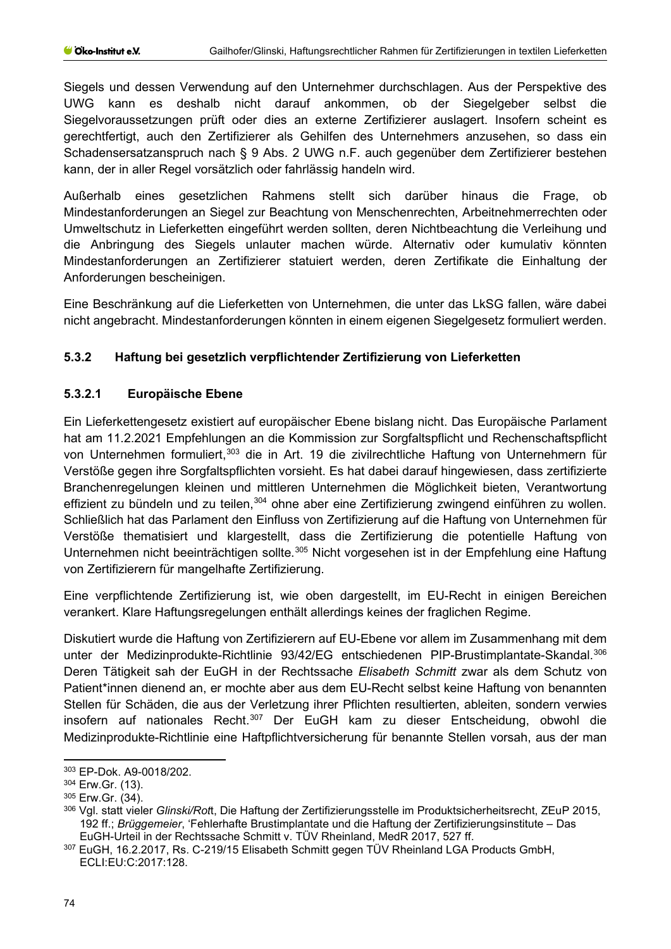Siegels und dessen Verwendung auf den Unternehmer durchschlagen. Aus der Perspektive des UWG kann es deshalb nicht darauf ankommen, ob der Siegelgeber selbst die Siegelvoraussetzungen prüft oder dies an externe Zertifizierer auslagert. Insofern scheint es gerechtfertigt, auch den Zertifizierer als Gehilfen des Unternehmers anzusehen, so dass ein Schadensersatzanspruch nach § 9 Abs. 2 UWG n.F. auch gegenüber dem Zertifizierer bestehen kann, der in aller Regel vorsätzlich oder fahrlässig handeln wird.

Außerhalb eines gesetzlichen Rahmens stellt sich darüber hinaus die Frage, ob Mindestanforderungen an Siegel zur Beachtung von Menschenrechten, Arbeitnehmerrechten oder Umweltschutz in Lieferketten eingeführt werden sollten, deren Nichtbeachtung die Verleihung und die Anbringung des Siegels unlauter machen würde. Alternativ oder kumulativ könnten Mindestanforderungen an Zertifizierer statuiert werden, deren Zertifikate die Einhaltung der Anforderungen bescheinigen.

Eine Beschränkung auf die Lieferketten von Unternehmen, die unter das LkSG fallen, wäre dabei nicht angebracht. Mindestanforderungen könnten in einem eigenen Siegelgesetz formuliert werden.

## **5.3.2 Haftung bei gesetzlich verpflichtender Zertifizierung von Lieferketten**

## **5.3.2.1 Europäische Ebene**

Ein Lieferkettengesetz existiert auf europäischer Ebene bislang nicht. Das Europäische Parlament hat am 11.2.2021 Empfehlungen an die Kommission zur Sorgfaltspflicht und Rechenschaftspflicht von Unternehmen formuliert,<sup>[303](#page-73-0)</sup> die in Art. 19 die zivilrechtliche Haftung von Unternehmern für Verstöße gegen ihre Sorgfaltspflichten vorsieht. Es hat dabei darauf hingewiesen, dass zertifizierte Branchenregelungen kleinen und mittleren Unternehmen die Möglichkeit bieten, Verantwortung effizient zu bündeln und zu teilen, [304](#page-73-1) ohne aber eine Zertifizierung zwingend einführen zu wollen. Schließlich hat das Parlament den Einfluss von Zertifizierung auf die Haftung von Unternehmen für Verstöße thematisiert und klargestellt, dass die Zertifizierung die potentielle Haftung von Unternehmen nicht beeinträchtigen sollte.<sup>[305](#page-73-2)</sup> Nicht vorgesehen ist in der Empfehlung eine Haftung von Zertifizierern für mangelhafte Zertifizierung.

Eine verpflichtende Zertifizierung ist, wie oben dargestellt, im EU-Recht in einigen Bereichen verankert. Klare Haftungsregelungen enthält allerdings keines der fraglichen Regime.

Diskutiert wurde die Haftung von Zertifizierern auf EU-Ebene vor allem im Zusammenhang mit dem unter der Medizinprodukte-Richtlinie 93/42/EG entschiedenen PIP-Brustimplantate-Skandal.<sup>[306](#page-73-3)</sup> Deren Tätigkeit sah der EuGH in der Rechtssache *Elisabeth Schmitt* zwar als dem Schutz von Patient\*innen dienend an, er mochte aber aus dem EU-Recht selbst keine Haftung von benannten Stellen für Schäden, die aus der Verletzung ihrer Pflichten resultierten, ableiten, sondern verwies insofern auf nationales Recht.<sup>[307](#page-73-4)</sup> Der EuGH kam zu dieser Entscheidung, obwohl die Medizinprodukte-Richtlinie eine Haftpflichtversicherung für benannte Stellen vorsah, aus der man

<span id="page-73-0"></span><sup>303</sup> EP-Dok. A9-0018/202.

<span id="page-73-1"></span><sup>304</sup> Erw.Gr. (13).

<span id="page-73-2"></span><sup>305</sup> Erw.Gr. (34).

<span id="page-73-3"></span><sup>306</sup> Vgl. statt vieler *Glinski/Rot*t, Die Haftung der Zertifizierungsstelle im Produktsicherheitsrecht, ZEuP 2015, 192 ff.; *Brüggemeier*, 'Fehlerhafte Brustimplantate und die Haftung der Zertifizierungsinstitute – Das EuGH-Urteil in der Rechtssache Schmitt v. TÜV Rheinland, MedR 2017, 527 ff.

<span id="page-73-4"></span><sup>307</sup> EuGH, 16.2.2017, Rs. C-219/15 Elisabeth Schmitt gegen TÜV Rheinland LGA Products GmbH, ECLI:EU:C:2017:128.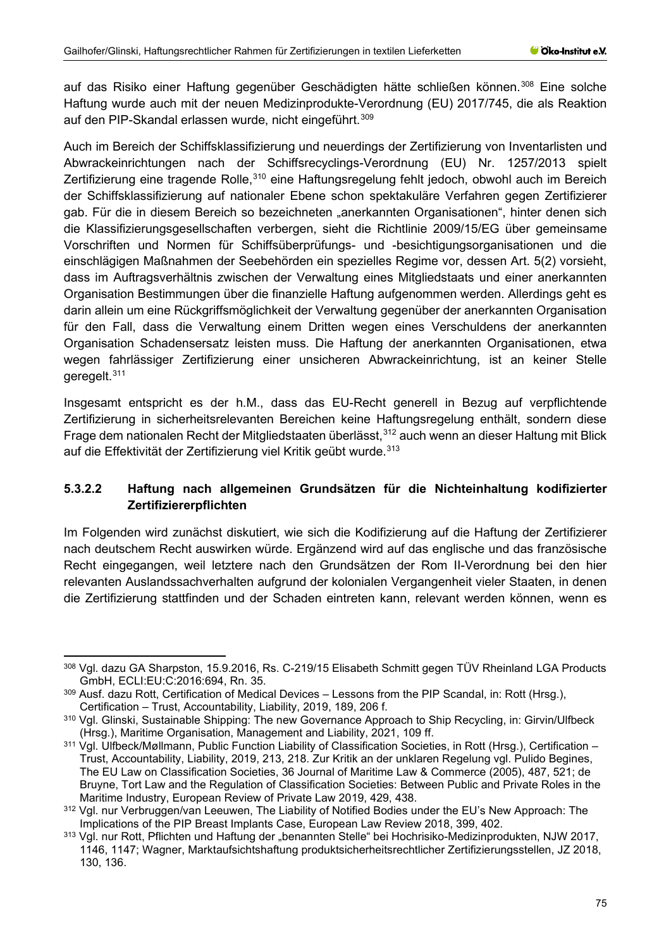auf das Risiko einer Haftung gegenüber Geschädigten hätte schließen können.<sup>[308](#page-74-0)</sup> Eine solche Haftung wurde auch mit der neuen Medizinprodukte-Verordnung (EU) 2017/745, die als Reaktion auf den PIP-Skandal erlassen wurde, nicht eingeführt.<sup>[309](#page-74-1)</sup>

Auch im Bereich der Schiffsklassifizierung und neuerdings der Zertifizierung von Inventarlisten und Abwrackeinrichtungen nach der Schiffsrecyclings-Verordnung (EU) Nr. 1257/2013 spielt Zertifizierung eine tragende Rolle,<sup>[310](#page-74-2)</sup> eine Haftungsregelung fehlt jedoch, obwohl auch im Bereich der Schiffsklassifizierung auf nationaler Ebene schon spektakuläre Verfahren gegen Zertifizierer gab. Für die in diesem Bereich so bezeichneten "anerkannten Organisationen", hinter denen sich die Klassifizierungsgesellschaften verbergen, sieht die Richtlinie 2009/15/EG über gemeinsame Vorschriften und Normen für Schiffsüberprüfungs- und -besichtigungsorganisationen und die einschlägigen Maßnahmen der Seebehörden ein spezielles Regime vor, dessen Art. 5(2) vorsieht, dass im Auftragsverhältnis zwischen der Verwaltung eines Mitgliedstaats und einer anerkannten Organisation Bestimmungen über die finanzielle Haftung aufgenommen werden. Allerdings geht es darin allein um eine Rückgriffsmöglichkeit der Verwaltung gegenüber der anerkannten Organisation für den Fall, dass die Verwaltung einem Dritten wegen eines Verschuldens der anerkannten Organisation Schadensersatz leisten muss. Die Haftung der anerkannten Organisationen, etwa wegen fahrlässiger Zertifizierung einer unsicheren Abwrackeinrichtung, ist an keiner Stelle geregelt.[311](#page-74-3)

Insgesamt entspricht es der h.M., dass das EU-Recht generell in Bezug auf verpflichtende Zertifizierung in sicherheitsrelevanten Bereichen keine Haftungsregelung enthält, sondern diese Frage dem nationalen Recht der Mitgliedstaaten überlässt, [312](#page-74-4) auch wenn an dieser Haltung mit Blick auf die Effektivität der Zertifizierung viel Kritik geübt wurde.<sup>[313](#page-74-5)</sup>

## **5.3.2.2 Haftung nach allgemeinen Grundsätzen für die Nichteinhaltung kodifizierter Zertifiziererpflichten**

Im Folgenden wird zunächst diskutiert, wie sich die Kodifizierung auf die Haftung der Zertifizierer nach deutschem Recht auswirken würde. Ergänzend wird auf das englische und das französische Recht eingegangen, weil letztere nach den Grundsätzen der Rom II-Verordnung bei den hier relevanten Auslandssachverhalten aufgrund der kolonialen Vergangenheit vieler Staaten, in denen die Zertifizierung stattfinden und der Schaden eintreten kann, relevant werden können, wenn es

<span id="page-74-0"></span><sup>308</sup> Vgl. dazu GA Sharpston, 15.9.2016, Rs. C-219/15 Elisabeth Schmitt gegen TÜV Rheinland LGA Products GmbH, ECLI:EU:C:2016:694, Rn. 35.

<span id="page-74-1"></span><sup>309</sup> Ausf. dazu Rott, Certification of Medical Devices – Lessons from the PIP Scandal, in: Rott (Hrsg.), Certification – Trust, Accountability, Liability, 2019, 189, 206 f.

<span id="page-74-2"></span><sup>310</sup> Vgl. Glinski, Sustainable Shipping: The new Governance Approach to Ship Recycling, in: Girvin/Ulfbeck (Hrsg.), Maritime Organisation, Management and Liability, 2021, 109 ff.

<span id="page-74-3"></span><sup>311</sup> Vgl. Ulfbeck/Møllmann, Public Function Liability of Classification Societies, in Rott (Hrsg.), Certification – Trust, Accountability, Liability, 2019, 213, 218. Zur Kritik an der unklaren Regelung vgl. Pulido Begines, The EU Law on Classification Societies, 36 Journal of Maritime Law & Commerce (2005), 487, 521; de Bruyne, Tort Law and the Regulation of Classification Societies: Between Public and Private Roles in the Maritime Industry, European Review of Private Law 2019, 429, 438.

<span id="page-74-4"></span><sup>312</sup> Vgl. nur Verbruggen/van Leeuwen, The Liability of Notified Bodies under the EU's New Approach: The Implications of the PIP Breast Implants Case, European Law Review 2018, 399, 402.

<span id="page-74-5"></span><sup>313</sup> Vgl. nur Rott, Pflichten und Haftung der "benannten Stelle" bei Hochrisiko-Medizinprodukten, NJW 2017, 1146, 1147; Wagner, Marktaufsichtshaftung produktsicherheitsrechtlicher Zertifizierungsstellen, JZ 2018, 130, 136.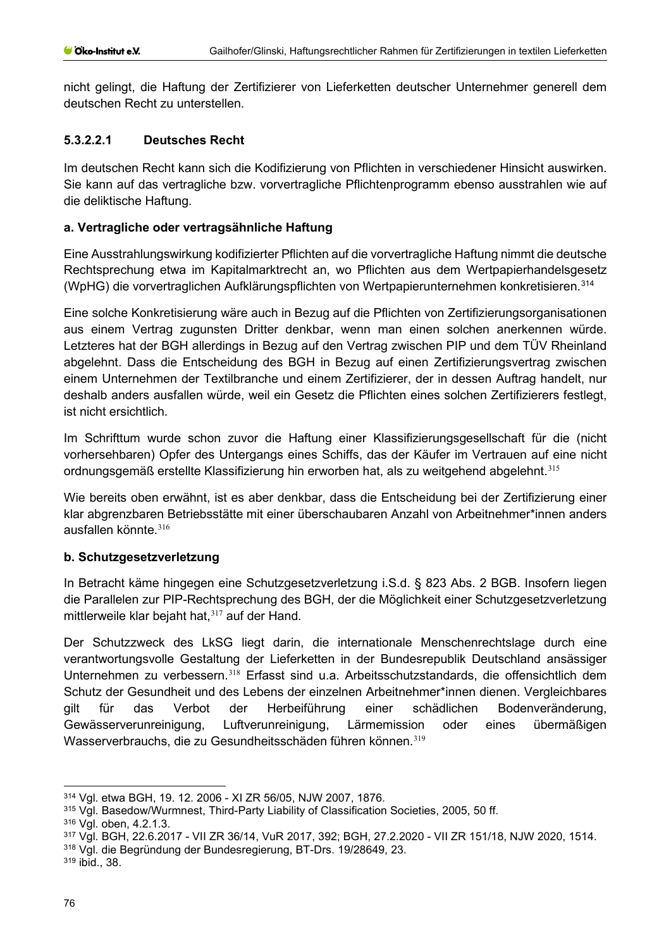nicht gelingt, die Haftung der Zertifizierer von Lieferketten deutscher Unternehmer generell dem deutschen Recht zu unterstellen.

## **5.3.2.2.1 Deutsches Recht**

Im deutschen Recht kann sich die Kodifizierung von Pflichten in verschiedener Hinsicht auswirken. Sie kann auf das vertragliche bzw. vorvertragliche Pflichtenprogramm ebenso ausstrahlen wie auf die deliktische Haftung.

#### **a. Vertragliche oder vertragsähnliche Haftung**

Eine Ausstrahlungswirkung kodifizierter Pflichten auf die vorvertragliche Haftung nimmt die deutsche Rechtsprechung etwa im Kapitalmarktrecht an, wo Pflichten aus dem Wertpapierhandelsgesetz (WpHG) die vorvertraglichen Aufklärungspflichten von Wertpapierunternehmen konkretisieren.<sup>[314](#page-75-0)</sup>

Eine solche Konkretisierung wäre auch in Bezug auf die Pflichten von Zertifizierungsorganisationen aus einem Vertrag zugunsten Dritter denkbar, wenn man einen solchen anerkennen würde. Letzteres hat der BGH allerdings in Bezug auf den Vertrag zwischen PIP und dem TÜV Rheinland abgelehnt. Dass die Entscheidung des BGH in Bezug auf einen Zertifizierungsvertrag zwischen einem Unternehmen der Textilbranche und einem Zertifizierer, der in dessen Auftrag handelt, nur deshalb anders ausfallen würde, weil ein Gesetz die Pflichten eines solchen Zertifizierers festlegt, ist nicht ersichtlich.

Im Schrifttum wurde schon zuvor die Haftung einer Klassifizierungsgesellschaft für die (nicht vorhersehbaren) Opfer des Untergangs eines Schiffs, das der Käufer im Vertrauen auf eine nicht ordnungsgemäß erstellte Klassifizierung hin erworben hat, als zu weitgehend abgelehnt.<sup>[315](#page-75-1)</sup>

Wie bereits oben erwähnt, ist es aber denkbar, dass die Entscheidung bei der Zertifizierung einer klar abgrenzbaren Betriebsstätte mit einer überschaubaren Anzahl von Arbeitnehmer\*innen anders ausfallen könnte.[316](#page-75-2)

#### **b. Schutzgesetzverletzung**

In Betracht käme hingegen eine Schutzgesetzverletzung i.S.d. § 823 Abs. 2 BGB. Insofern liegen die Parallelen zur PIP-Rechtsprechung des BGH, der die Möglichkeit einer Schutzgesetzverletzung mittlerweile klar bejaht hat.<sup>[317](#page-75-3)</sup> auf der Hand.

Der Schutzzweck des LkSG liegt darin, die internationale Menschenrechtslage durch eine verantwortungsvolle Gestaltung der Lieferketten in der Bundesrepublik Deutschland ansässiger Unternehmen zu verbessern.[318](#page-75-4) Erfasst sind u.a. Arbeitsschutzstandards, die offensichtlich dem Schutz der Gesundheit und des Lebens der einzelnen Arbeitnehmer\*innen dienen. Vergleichbares gilt für das Verbot der Herbeiführung einer schädlichen Bodenveränderung, Gewässerverunreinigung, Luftverunreinigung, Lärmemission oder eines übermäßigen Wasserverbrauchs, die zu Gesundheitsschäden führen können.<sup>[319](#page-75-5)</sup>

<span id="page-75-4"></span><sup>318</sup> Vgl. die Begründung der Bundesregierung, BT-Drs. 19/28649, 23.

<span id="page-75-0"></span><sup>314</sup> Vgl. etwa BGH, 19. 12. 2006 - XI ZR 56/05, NJW 2007, 1876.

<span id="page-75-1"></span><sup>315</sup> Vgl. Basedow/Wurmnest, Third-Party Liability of Classification Societies, 2005, 50 ff.

<span id="page-75-2"></span><sup>316</sup> Vgl. oben, 4.2.1.3.

<span id="page-75-3"></span><sup>317</sup> Vgl. BGH, 22.6.2017 - VII ZR 36/14, VuR 2017, 392; BGH, 27.2.2020 - VII ZR 151/18, NJW 2020, 1514.

<span id="page-75-5"></span><sup>319</sup> ibid., 38.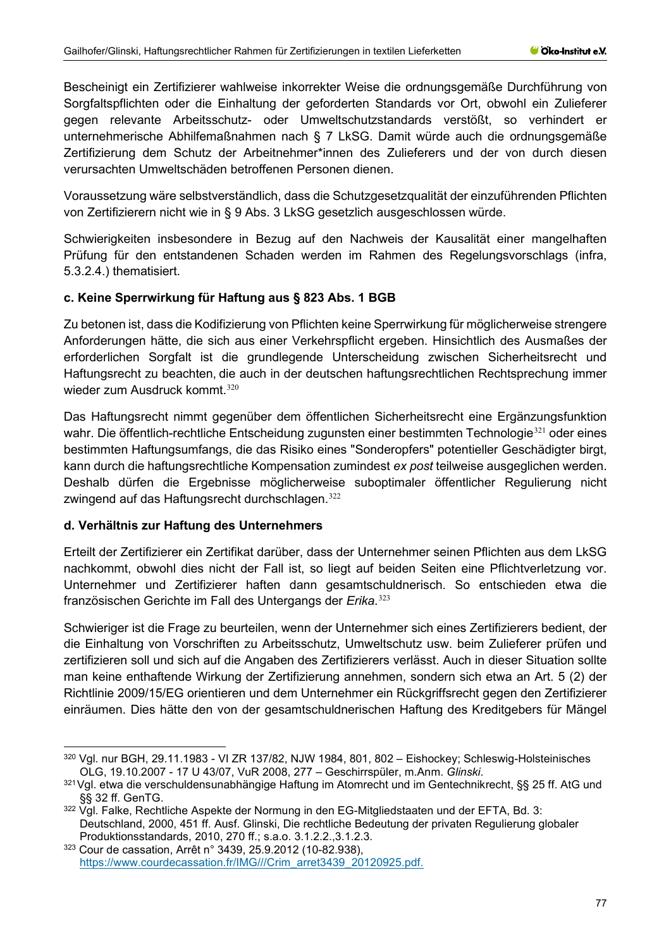Bescheinigt ein Zertifizierer wahlweise inkorrekter Weise die ordnungsgemäße Durchführung von Sorgfaltspflichten oder die Einhaltung der geforderten Standards vor Ort, obwohl ein Zulieferer gegen relevante Arbeitsschutz- oder Umweltschutzstandards verstößt, so verhindert er unternehmerische Abhilfemaßnahmen nach § 7 LkSG. Damit würde auch die ordnungsgemäße Zertifizierung dem Schutz der Arbeitnehmer\*innen des Zulieferers und der von durch diesen verursachten Umweltschäden betroffenen Personen dienen.

Voraussetzung wäre selbstverständlich, dass die Schutzgesetzqualität der einzuführenden Pflichten von Zertifizierern nicht wie in § 9 Abs. 3 LkSG gesetzlich ausgeschlossen würde.

Schwierigkeiten insbesondere in Bezug auf den Nachweis der Kausalität einer mangelhaften Prüfung für den entstandenen Schaden werden im Rahmen des Regelungsvorschlags (infra, 5.3.2.4.) thematisiert.

## **c. Keine Sperrwirkung für Haftung aus § 823 Abs. 1 BGB**

Zu betonen ist, dass die Kodifizierung von Pflichten keine Sperrwirkung für möglicherweise strengere Anforderungen hätte, die sich aus einer Verkehrspflicht ergeben. Hinsichtlich des Ausmaßes der erforderlichen Sorgfalt ist die grundlegende Unterscheidung zwischen Sicherheitsrecht und Haftungsrecht zu beachten, die auch in der deutschen haftungsrechtlichen Rechtsprechung immer wieder zum Ausdruck kommt.[320](#page-76-0)

Das Haftungsrecht nimmt gegenüber dem öffentlichen Sicherheitsrecht eine Ergänzungsfunktion wahr. Die öffentlich-rechtliche Entscheidung zugunsten einer bestimmten Technologie<sup>[321](#page-76-1)</sup> oder eines bestimmten Haftungsumfangs, die das Risiko eines "Sonderopfers" potentieller Geschädigter birgt, kann durch die haftungsrechtliche Kompensation zumindest *ex post* teilweise ausgeglichen werden. Deshalb dürfen die Ergebnisse möglicherweise suboptimaler öffentlicher Regulierung nicht zwingend auf das Haftungsrecht durchschlagen.<sup>[322](#page-76-2)</sup>

## **d. Verhältnis zur Haftung des Unternehmers**

Erteilt der Zertifizierer ein Zertifikat darüber, dass der Unternehmer seinen Pflichten aus dem LkSG nachkommt, obwohl dies nicht der Fall ist, so liegt auf beiden Seiten eine Pflichtverletzung vor. Unternehmer und Zertifizierer haften dann gesamtschuldnerisch. So entschieden etwa die französischen Gerichte im Fall des Untergangs der *Erika*. [323](#page-76-3)

Schwieriger ist die Frage zu beurteilen, wenn der Unternehmer sich eines Zertifizierers bedient, der die Einhaltung von Vorschriften zu Arbeitsschutz, Umweltschutz usw. beim Zulieferer prüfen und zertifizieren soll und sich auf die Angaben des Zertifizierers verlässt. Auch in dieser Situation sollte man keine enthaftende Wirkung der Zertifizierung annehmen, sondern sich etwa an Art. 5 (2) der Richtlinie 2009/15/EG orientieren und dem Unternehmer ein Rückgriffsrecht gegen den Zertifizierer einräumen. Dies hätte den von der gesamtschuldnerischen Haftung des Kreditgebers für Mängel

<span id="page-76-0"></span><sup>320</sup> Vgl. nur BGH, 29.11.1983 - VI ZR 137/82, NJW 1984, 801, 802 – Eishockey; Schleswig-Holsteinisches OLG, 19.10.2007 - 17 U 43/07, VuR 2008, 277 – Geschirrspüler, m.Anm. *Glinski*.

<span id="page-76-1"></span><sup>321</sup> Vgl. etwa die verschuldensunabhängige Haftung im Atomrecht und im Gentechnikrecht, §§ 25 ff. AtG und §§ 32 ff. GenTG.

<span id="page-76-2"></span><sup>322</sup> Vgl. Falke, Rechtliche Aspekte der Normung in den EG-Mitgliedstaaten und der EFTA, Bd. 3: Deutschland, 2000, 451 ff. Ausf. Glinski, Die rechtliche Bedeutung der privaten Regulierung globaler Produktionsstandards, 2010, 270 ff.; s.a.o. 3.1.2.2.,3.1.2.3.

<span id="page-76-3"></span><sup>323</sup> Cour de cassation, Arrêt n° 3439, 25.9.2012 (10-82.938), https://www.courdecassation.fr/IMG///Crim\_arret3439\_20120925.pdf.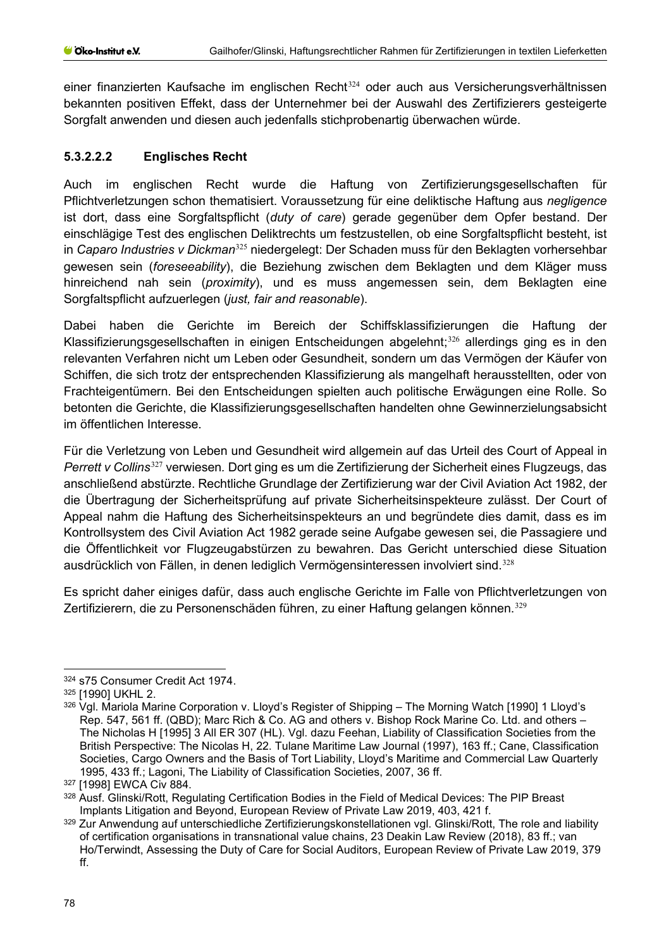einer finanzierten Kaufsache im englischen Recht<sup>[324](#page-77-0)</sup> oder auch aus Versicherungsverhältnissen bekannten positiven Effekt, dass der Unternehmer bei der Auswahl des Zertifizierers gesteigerte Sorgfalt anwenden und diesen auch jedenfalls stichprobenartig überwachen würde.

# **5.3.2.2.2 Englisches Recht**

Auch im englischen Recht wurde die Haftung von Zertifizierungsgesellschaften für Pflichtverletzungen schon thematisiert. Voraussetzung für eine deliktische Haftung aus *negligence* ist dort, dass eine Sorgfaltspflicht (*duty of care*) gerade gegenüber dem Opfer bestand. Der einschlägige Test des englischen Deliktrechts um festzustellen, ob eine Sorgfaltspflicht besteht, ist in *Caparo Industries v Dickman*[325](#page-77-1) niedergelegt: Der Schaden muss für den Beklagten vorhersehbar gewesen sein (*foreseeability*), die Beziehung zwischen dem Beklagten und dem Kläger muss hinreichend nah sein (*proximity*), und es muss angemessen sein, dem Beklagten eine Sorgfaltspflicht aufzuerlegen (*just, fair and reasonable*).

Dabei haben die Gerichte im Bereich der Schiffsklassifizierungen die Haftung der Klassifizierungsgesellschaften in einigen Entscheidungen abgelehnt;<sup>[326](#page-77-2)</sup> allerdings ging es in den relevanten Verfahren nicht um Leben oder Gesundheit, sondern um das Vermögen der Käufer von Schiffen, die sich trotz der entsprechenden Klassifizierung als mangelhaft herausstellten, oder von Frachteigentümern. Bei den Entscheidungen spielten auch politische Erwägungen eine Rolle. So betonten die Gerichte, die Klassifizierungsgesellschaften handelten ohne Gewinnerzielungsabsicht im öffentlichen Interesse.

Für die Verletzung von Leben und Gesundheit wird allgemein auf das Urteil des Court of Appeal in *Perrett v Collins*[327](#page-77-3) verwiesen*.* Dort ging es um die Zertifizierung der Sicherheit eines Flugzeugs, das anschließend abstürzte. Rechtliche Grundlage der Zertifizierung war der Civil Aviation Act 1982, der die Übertragung der Sicherheitsprüfung auf private Sicherheitsinspekteure zulässt. Der Court of Appeal nahm die Haftung des Sicherheitsinspekteurs an und begründete dies damit, dass es im Kontrollsystem des Civil Aviation Act 1982 gerade seine Aufgabe gewesen sei, die Passagiere und die Öffentlichkeit vor Flugzeugabstürzen zu bewahren. Das Gericht unterschied diese Situation ausdrücklich von Fällen, in denen lediglich Vermögensinteressen involviert sind.<sup>[328](#page-77-4)</sup>

Es spricht daher einiges dafür, dass auch englische Gerichte im Falle von Pflichtverletzungen von Zertifizierern, die zu Personenschäden führen, zu einer Haftung gelangen können.<sup>[329](#page-77-5)</sup>

<span id="page-77-0"></span><sup>324</sup> s75 Consumer Credit Act 1974.

<span id="page-77-1"></span><sup>325</sup> [1990] UKHL 2.

<span id="page-77-2"></span><sup>&</sup>lt;sup>326</sup> Vgl. Mariola Marine Corporation v. Lloyd's Register of Shipping – The Morning Watch [1990] 1 Lloyd's Rep. 547, 561 ff. (QBD); Marc Rich & Co. AG and others v. Bishop Rock Marine Co. Ltd. and others – The Nicholas H [1995] 3 All ER 307 (HL). Vgl. dazu Feehan, Liability of Classification Societies from the British Perspective: The Nicolas H, 22. Tulane Maritime Law Journal (1997), 163 ff.; Cane, Classification Societies, Cargo Owners and the Basis of Tort Liability, Lloyd's Maritime and Commercial Law Quarterly 1995, 433 ff.; Lagoni, The Liability of Classification Societies, 2007, 36 ff.

<span id="page-77-3"></span><sup>327</sup> [1998] EWCA Civ 884.

<span id="page-77-4"></span><sup>328</sup> Ausf. Glinski/Rott, Regulating Certification Bodies in the Field of Medical Devices: The PIP Breast Implants Litigation and Beyond, European Review of Private Law 2019, 403, 421 f.

<span id="page-77-5"></span><sup>329</sup> Zur Anwendung auf unterschiedliche Zertifizierungskonstellationen vgl. Glinski/Rott, The role and liability of certification organisations in transnational value chains, 23 Deakin Law Review (2018), 83 ff.; van Ho/Terwindt, Assessing the Duty of Care for Social Auditors, European Review of Private Law 2019, 379 ff.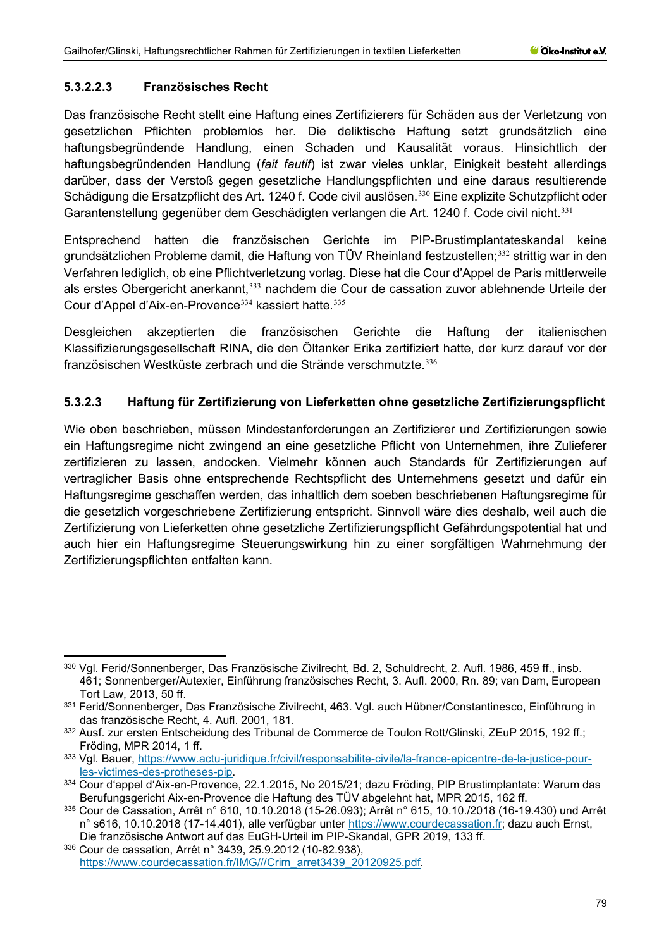# **5.3.2.2.3 Französisches Recht**

Das französische Recht stellt eine Haftung eines Zertifizierers für Schäden aus der Verletzung von gesetzlichen Pflichten problemlos her. Die deliktische Haftung setzt grundsätzlich eine haftungsbegründende Handlung, einen Schaden und Kausalität voraus. Hinsichtlich der haftungsbegründenden Handlung (*fait fautif*) ist zwar vieles unklar, Einigkeit besteht allerdings darüber, dass der Verstoß gegen gesetzliche Handlungspflichten und eine daraus resultierende Schädigung die Ersatzpflicht des Art. 1240 f. Code civil auslösen.<sup>[330](#page-78-0)</sup> Eine explizite Schutzpflicht oder Garantenstellung gegenüber dem Geschädigten verlangen die Art. 1240 f. Code civil nicht.<sup>[331](#page-78-1)</sup>

Entsprechend hatten die französischen Gerichte im PIP-Brustimplantateskandal keine grundsätzlichen Probleme damit, die Haftung von TÜV Rheinland festzustellen;[332](#page-78-2) strittig war in den Verfahren lediglich, ob eine Pflichtverletzung vorlag. Diese hat die Cour d'Appel de Paris mittlerweile als erstes Obergericht anerkannt,<sup>[333](#page-78-3)</sup> nachdem die Cour de cassation zuvor ablehnende Urteile der Cour d'Appel d'Aix-en-Provence<sup>[334](#page-78-4)</sup> kassiert hatte.<sup>[335](#page-78-5)</sup>

Desgleichen akzeptierten die französischen Gerichte die Haftung der italienischen Klassifizierungsgesellschaft RINA, die den Öltanker Erika zertifiziert hatte, der kurz darauf vor der französischen Westküste zerbrach und die Strände verschmutzte.<sup>[336](#page-78-6)</sup>

## **5.3.2.3 Haftung für Zertifizierung von Lieferketten ohne gesetzliche Zertifizierungspflicht**

Wie oben beschrieben, müssen Mindestanforderungen an Zertifizierer und Zertifizierungen sowie ein Haftungsregime nicht zwingend an eine gesetzliche Pflicht von Unternehmen, ihre Zulieferer zertifizieren zu lassen, andocken. Vielmehr können auch Standards für Zertifizierungen auf vertraglicher Basis ohne entsprechende Rechtspflicht des Unternehmens gesetzt und dafür ein Haftungsregime geschaffen werden, das inhaltlich dem soeben beschriebenen Haftungsregime für die gesetzlich vorgeschriebene Zertifizierung entspricht. Sinnvoll wäre dies deshalb, weil auch die Zertifizierung von Lieferketten ohne gesetzliche Zertifizierungspflicht Gefährdungspotential hat und auch hier ein Haftungsregime Steuerungswirkung hin zu einer sorgfältigen Wahrnehmung der Zertifizierungspflichten entfalten kann.

<span id="page-78-0"></span><sup>330</sup> Vgl. Ferid/Sonnenberger, Das Französische Zivilrecht, Bd. 2, Schuldrecht, 2. Aufl. 1986, 459 ff., insb. 461; Sonnenberger/Autexier, Einführung französisches Recht, 3. Aufl. 2000, Rn. 89; van Dam, European Tort Law, 2013, 50 ff.

<span id="page-78-1"></span><sup>331</sup> Ferid/Sonnenberger, Das Französische Zivilrecht, 463. Vgl. auch Hübner/Constantinesco, Einführung in das französische Recht, 4. Aufl. 2001, 181.

<span id="page-78-2"></span><sup>332</sup> Ausf. zur ersten Entscheidung des Tribunal de Commerce de Toulon Rott/Glinski, ZEuP 2015, 192 ff.; Fröding, MPR 2014, 1 ff.

<span id="page-78-3"></span><sup>333</sup> Vgl. Bauer, https://www.actu-juridique.fr/civil/responsabilite-civile/la-france-epicentre-de-la-justice-pourles-victimes-des-protheses-pip.

<span id="page-78-4"></span><sup>334</sup> Cour d'appel d'Aix-en-Provence, 22.1.2015, No 2015/21; dazu Fröding, PIP Brustimplantate: Warum das Berufungsgericht Aix-en-Provence die Haftung des TÜV abgelehnt hat, MPR 2015, 162 ff.

<span id="page-78-5"></span><sup>335</sup> Cour de Cassation, Arrêt n° 610, 10.10.2018 (15-26.093); Arrêt n° 615, 10.10./2018 (16-19.430) und Arrêt n° s616, 10.10.2018 (17-14.401), alle verfügbar unter https://www.courdecassation.fr; dazu auch Ernst, Die französische Antwort auf das EuGH-Urteil im PIP-Skandal, GPR 2019, 133 ff.

<span id="page-78-6"></span><sup>336</sup> Cour de cassation, Arrêt n° 3439, 25.9.2012 (10-82.938), https://www.courdecassation.fr/IMG///Crim\_arret3439\_20120925.pdf.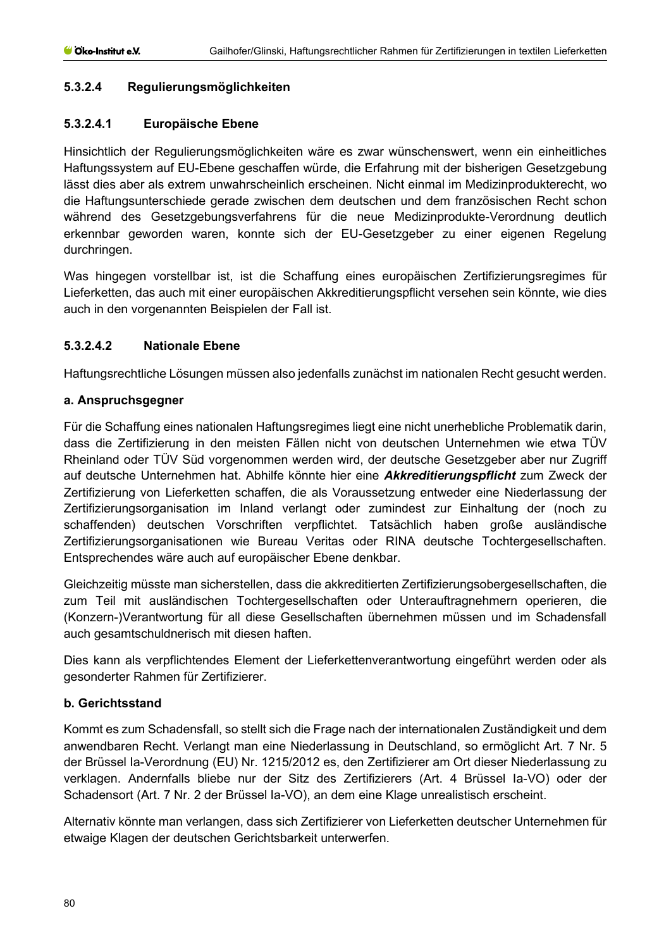## **5.3.2.4 Regulierungsmöglichkeiten**

### **5.3.2.4.1 Europäische Ebene**

Hinsichtlich der Regulierungsmöglichkeiten wäre es zwar wünschenswert, wenn ein einheitliches Haftungssystem auf EU-Ebene geschaffen würde, die Erfahrung mit der bisherigen Gesetzgebung lässt dies aber als extrem unwahrscheinlich erscheinen. Nicht einmal im Medizinprodukterecht, wo die Haftungsunterschiede gerade zwischen dem deutschen und dem französischen Recht schon während des Gesetzgebungsverfahrens für die neue Medizinprodukte-Verordnung deutlich erkennbar geworden waren, konnte sich der EU-Gesetzgeber zu einer eigenen Regelung durchringen.

Was hingegen vorstellbar ist, ist die Schaffung eines europäischen Zertifizierungsregimes für Lieferketten, das auch mit einer europäischen Akkreditierungspflicht versehen sein könnte, wie dies auch in den vorgenannten Beispielen der Fall ist.

## **5.3.2.4.2 Nationale Ebene**

Haftungsrechtliche Lösungen müssen also jedenfalls zunächst im nationalen Recht gesucht werden.

#### **a. Anspruchsgegner**

Für die Schaffung eines nationalen Haftungsregimes liegt eine nicht unerhebliche Problematik darin, dass die Zertifizierung in den meisten Fällen nicht von deutschen Unternehmen wie etwa TÜV Rheinland oder TÜV Süd vorgenommen werden wird, der deutsche Gesetzgeber aber nur Zugriff auf deutsche Unternehmen hat. Abhilfe könnte hier eine *Akkreditierungspflicht* zum Zweck der Zertifizierung von Lieferketten schaffen, die als Voraussetzung entweder eine Niederlassung der Zertifizierungsorganisation im Inland verlangt oder zumindest zur Einhaltung der (noch zu schaffenden) deutschen Vorschriften verpflichtet. Tatsächlich haben große ausländische Zertifizierungsorganisationen wie Bureau Veritas oder RINA deutsche Tochtergesellschaften. Entsprechendes wäre auch auf europäischer Ebene denkbar.

Gleichzeitig müsste man sicherstellen, dass die akkreditierten Zertifizierungsobergesellschaften, die zum Teil mit ausländischen Tochtergesellschaften oder Unterauftragnehmern operieren, die (Konzern-)Verantwortung für all diese Gesellschaften übernehmen müssen und im Schadensfall auch gesamtschuldnerisch mit diesen haften.

Dies kann als verpflichtendes Element der Lieferkettenverantwortung eingeführt werden oder als gesonderter Rahmen für Zertifizierer.

#### **b. Gerichtsstand**

Kommt es zum Schadensfall, so stellt sich die Frage nach der internationalen Zuständigkeit und dem anwendbaren Recht. Verlangt man eine Niederlassung in Deutschland, so ermöglicht Art. 7 Nr. 5 der Brüssel Ia-Verordnung (EU) Nr. 1215/2012 es, den Zertifizierer am Ort dieser Niederlassung zu verklagen. Andernfalls bliebe nur der Sitz des Zertifizierers (Art. 4 Brüssel Ia-VO) oder der Schadensort (Art. 7 Nr. 2 der Brüssel Ia-VO), an dem eine Klage unrealistisch erscheint.

Alternativ könnte man verlangen, dass sich Zertifizierer von Lieferketten deutscher Unternehmen für etwaige Klagen der deutschen Gerichtsbarkeit unterwerfen.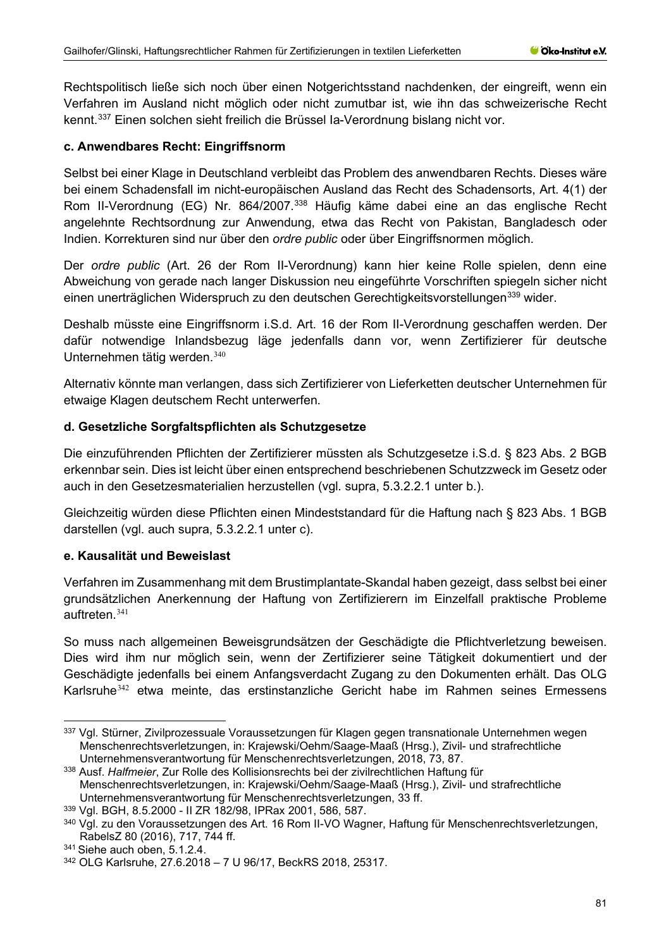Rechtspolitisch ließe sich noch über einen Notgerichtsstand nachdenken, der eingreift, wenn ein Verfahren im Ausland nicht möglich oder nicht zumutbar ist, wie ihn das schweizerische Recht kennt.[337](#page-80-0) Einen solchen sieht freilich die Brüssel Ia-Verordnung bislang nicht vor.

#### **c. Anwendbares Recht: Eingriffsnorm**

Selbst bei einer Klage in Deutschland verbleibt das Problem des anwendbaren Rechts. Dieses wäre bei einem Schadensfall im nicht-europäischen Ausland das Recht des Schadensorts, Art. 4(1) der Rom II-Verordnung (EG) Nr. 864/2007.[338](#page-80-1) Häufig käme dabei eine an das englische Recht angelehnte Rechtsordnung zur Anwendung, etwa das Recht von Pakistan, Bangladesch oder Indien. Korrekturen sind nur über den *ordre public* oder über Eingriffsnormen möglich.

Der *ordre public* (Art. 26 der Rom II-Verordnung) kann hier keine Rolle spielen, denn eine Abweichung von gerade nach langer Diskussion neu eingeführte Vorschriften spiegeln sicher nicht einen unerträglichen Widerspruch zu den deutschen Gerechtigkeitsvorstellungen<sup>[339](#page-80-2)</sup> wider.

Deshalb müsste eine Eingriffsnorm i.S.d. Art. 16 der Rom II-Verordnung geschaffen werden. Der dafür notwendige Inlandsbezug läge jedenfalls dann vor, wenn Zertifizierer für deutsche Unternehmen tätig werden.[340](#page-80-3)

Alternativ könnte man verlangen, dass sich Zertifizierer von Lieferketten deutscher Unternehmen für etwaige Klagen deutschem Recht unterwerfen.

### **d. Gesetzliche Sorgfaltspflichten als Schutzgesetze**

Die einzuführenden Pflichten der Zertifizierer müssten als Schutzgesetze i.S.d. § 823 Abs. 2 BGB erkennbar sein. Dies ist leicht über einen entsprechend beschriebenen Schutzzweck im Gesetz oder auch in den Gesetzesmaterialien herzustellen (vgl. supra, 5.3.2.2.1 unter b.).

Gleichzeitig würden diese Pflichten einen Mindeststandard für die Haftung nach § 823 Abs. 1 BGB darstellen (vgl. auch supra, 5.3.2.2.1 unter c).

#### **e. Kausalität und Beweislast**

Verfahren im Zusammenhang mit dem Brustimplantate-Skandal haben gezeigt, dass selbst bei einer grundsätzlichen Anerkennung der Haftung von Zertifizierern im Einzelfall praktische Probleme auftreten $341$ 

So muss nach allgemeinen Beweisgrundsätzen der Geschädigte die Pflichtverletzung beweisen. Dies wird ihm nur möglich sein, wenn der Zertifizierer seine Tätigkeit dokumentiert und der Geschädigte jedenfalls bei einem Anfangsverdacht Zugang zu den Dokumenten erhält. Das OLG Karlsruhe[342](#page-80-5) etwa meinte, das erstinstanzliche Gericht habe im Rahmen seines Ermessens

<span id="page-80-1"></span><sup>338</sup> Ausf. *Halfmeier*, Zur Rolle des Kollisionsrechts bei der zivilrechtlichen Haftung für Menschenrechtsverletzungen, in: Krajewski/Oehm/Saage-Maaß (Hrsg.), Zivil- und strafrechtliche Unternehmensverantwortung für Menschenrechtsverletzungen, 33 ff.

<span id="page-80-0"></span><sup>337</sup> Vgl. Stürner, Zivilprozessuale Voraussetzungen für Klagen gegen transnationale Unternehmen wegen Menschenrechtsverletzungen, in: Krajewski/Oehm/Saage-Maaß (Hrsg.), Zivil- und strafrechtliche Unternehmensverantwortung für Menschenrechtsverletzungen, 2018, 73, 87.

<span id="page-80-2"></span><sup>339</sup> Vgl. BGH, 8.5.2000 - II ZR 182/98, IPRax 2001, 586, 587.

<span id="page-80-3"></span><sup>340</sup> Vgl. zu den Voraussetzungen des Art. 16 Rom II-VO Wagner, Haftung für Menschenrechtsverletzungen, RabelsZ 80 (2016), 717, 744 ff.

<span id="page-80-4"></span><sup>341</sup> Siehe auch oben, 5.1.2.4.

<span id="page-80-5"></span><sup>342</sup> OLG Karlsruhe, 27.6.2018 – 7 U 96/17, BeckRS 2018, 25317.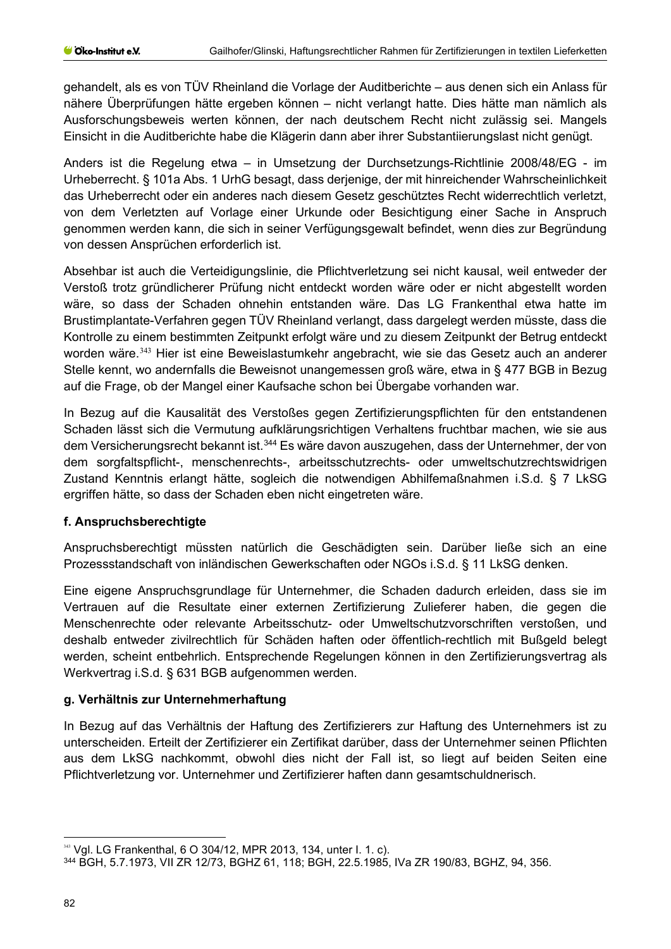gehandelt, als es von TÜV Rheinland die Vorlage der Auditberichte – aus denen sich ein Anlass für nähere Überprüfungen hätte ergeben können – nicht verlangt hatte. Dies hätte man nämlich als Ausforschungsbeweis werten können, der nach deutschem Recht nicht zulässig sei. Mangels Einsicht in die Auditberichte habe die Klägerin dann aber ihrer Substantiierungslast nicht genügt.

Anders ist die Regelung etwa – in Umsetzung der Durchsetzungs-Richtlinie 2008/48/EG - im Urheberrecht. § 101a Abs. 1 UrhG besagt, dass derjenige, der mit hinreichender Wahrscheinlichkeit das Urheberrecht oder ein anderes nach diesem Gesetz geschütztes Recht widerrechtlich verletzt, von dem Verletzten auf Vorlage einer Urkunde oder Besichtigung einer Sache in Anspruch genommen werden kann, die sich in seiner Verfügungsgewalt befindet, wenn dies zur Begründung von dessen Ansprüchen erforderlich ist.

Absehbar ist auch die Verteidigungslinie, die Pflichtverletzung sei nicht kausal, weil entweder der Verstoß trotz gründlicherer Prüfung nicht entdeckt worden wäre oder er nicht abgestellt worden wäre, so dass der Schaden ohnehin entstanden wäre. Das LG Frankenthal etwa hatte im Brustimplantate-Verfahren gegen TÜV Rheinland verlangt, dass dargelegt werden müsste, dass die Kontrolle zu einem bestimmten Zeitpunkt erfolgt wäre und zu diesem Zeitpunkt der Betrug entdeckt worden wäre.[343](#page-81-0) Hier ist eine Beweislastumkehr angebracht, wie sie das Gesetz auch an anderer Stelle kennt, wo andernfalls die Beweisnot unangemessen groß wäre, etwa in § 477 BGB in Bezug auf die Frage, ob der Mangel einer Kaufsache schon bei Übergabe vorhanden war.

In Bezug auf die Kausalität des Verstoßes gegen Zertifizierungspflichten für den entstandenen Schaden lässt sich die Vermutung aufklärungsrichtigen Verhaltens fruchtbar machen, wie sie aus dem Versicherungsrecht bekannt ist.<sup>[344](#page-81-1)</sup> Es wäre davon auszugehen, dass der Unternehmer, der von dem sorgfaltspflicht-, menschenrechts-, arbeitsschutzrechts- oder umweltschutzrechtswidrigen Zustand Kenntnis erlangt hätte, sogleich die notwendigen Abhilfemaßnahmen i.S.d. § 7 LkSG ergriffen hätte, so dass der Schaden eben nicht eingetreten wäre.

#### **f. Anspruchsberechtigte**

Anspruchsberechtigt müssten natürlich die Geschädigten sein. Darüber ließe sich an eine Prozessstandschaft von inländischen Gewerkschaften oder NGOs i.S.d. § 11 LkSG denken.

Eine eigene Anspruchsgrundlage für Unternehmer, die Schaden dadurch erleiden, dass sie im Vertrauen auf die Resultate einer externen Zertifizierung Zulieferer haben, die gegen die Menschenrechte oder relevante Arbeitsschutz- oder Umweltschutzvorschriften verstoßen, und deshalb entweder zivilrechtlich für Schäden haften oder öffentlich-rechtlich mit Bußgeld belegt werden, scheint entbehrlich. Entsprechende Regelungen können in den Zertifizierungsvertrag als Werkvertrag i.S.d. § 631 BGB aufgenommen werden.

## **g. Verhältnis zur Unternehmerhaftung**

In Bezug auf das Verhältnis der Haftung des Zertifizierers zur Haftung des Unternehmers ist zu unterscheiden. Erteilt der Zertifizierer ein Zertifikat darüber, dass der Unternehmer seinen Pflichten aus dem LkSG nachkommt, obwohl dies nicht der Fall ist, so liegt auf beiden Seiten eine Pflichtverletzung vor. Unternehmer und Zertifizierer haften dann gesamtschuldnerisch.

<span id="page-81-0"></span><sup>&</sup>lt;sup>343</sup> Vgl. LG Frankenthal, 6 O 304/12, MPR 2013, 134, unter I. 1. c).

<span id="page-81-1"></span><sup>344</sup> BGH, 5.7.1973, VII ZR 12/73, BGHZ 61, 118; BGH, 22.5.1985, IVa ZR 190/83, BGHZ, 94, 356.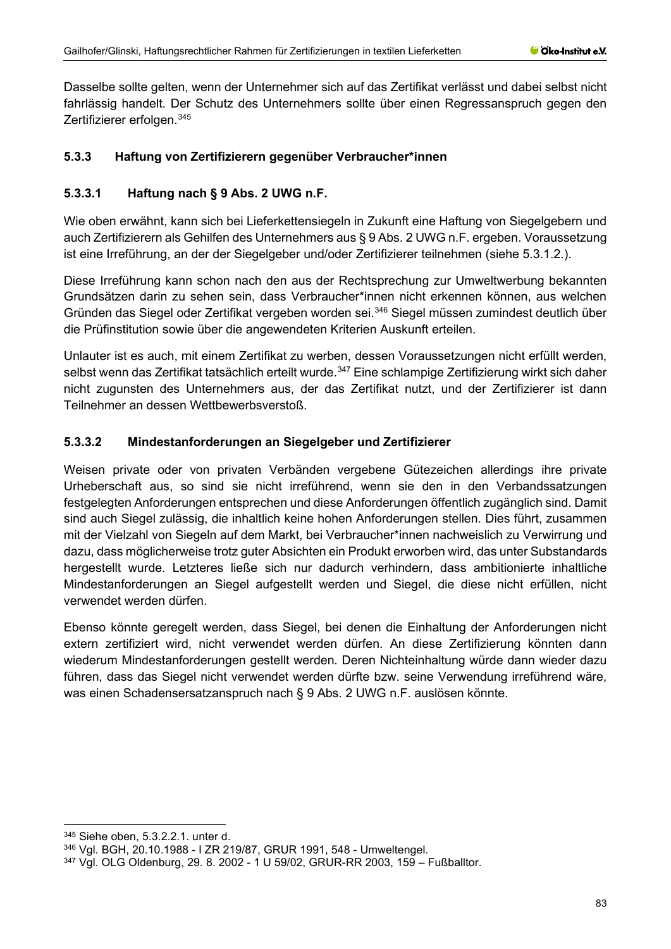Dasselbe sollte gelten, wenn der Unternehmer sich auf das Zertifikat verlässt und dabei selbst nicht fahrlässig handelt. Der Schutz des Unternehmers sollte über einen Regressanspruch gegen den Zertifizierer erfolgen. [345](#page-82-0)

# **5.3.3 Haftung von Zertifizierern gegenüber Verbraucher\*innen**

### **5.3.3.1 Haftung nach § 9 Abs. 2 UWG n.F.**

Wie oben erwähnt, kann sich bei Lieferkettensiegeln in Zukunft eine Haftung von Siegelgebern und auch Zertifizierern als Gehilfen des Unternehmers aus § 9 Abs. 2 UWG n.F. ergeben. Voraussetzung ist eine Irreführung, an der der Siegelgeber und/oder Zertifizierer teilnehmen (siehe 5.3.1.2.).

Diese Irreführung kann schon nach den aus der Rechtsprechung zur Umweltwerbung bekannten Grundsätzen darin zu sehen sein, dass Verbraucher\*innen nicht erkennen können, aus welchen Gründen das Siegel oder Zertifikat vergeben worden sei.<sup>[346](#page-82-1)</sup> Siegel müssen zumindest deutlich über die Prüfinstitution sowie über die angewendeten Kriterien Auskunft erteilen.

Unlauter ist es auch, mit einem Zertifikat zu werben, dessen Voraussetzungen nicht erfüllt werden, selbst wenn das Zertifikat tatsächlich erteilt wurde.<sup>[347](#page-82-2)</sup> Eine schlampige Zertifizierung wirkt sich daher nicht zugunsten des Unternehmers aus, der das Zertifikat nutzt, und der Zertifizierer ist dann Teilnehmer an dessen Wettbewerbsverstoß.

### **5.3.3.2 Mindestanforderungen an Siegelgeber und Zertifizierer**

Weisen private oder von privaten Verbänden vergebene Gütezeichen allerdings ihre private Urheberschaft aus, so sind sie nicht irreführend, wenn sie den in den Verbandssatzungen festgelegten Anforderungen entsprechen und diese Anforderungen öffentlich zugänglich sind. Damit sind auch Siegel zulässig, die inhaltlich keine hohen Anforderungen stellen. Dies führt, zusammen mit der Vielzahl von Siegeln auf dem Markt, bei Verbraucher\*innen nachweislich zu Verwirrung und dazu, dass möglicherweise trotz guter Absichten ein Produkt erworben wird, das unter Substandards hergestellt wurde. Letzteres ließe sich nur dadurch verhindern, dass ambitionierte inhaltliche Mindestanforderungen an Siegel aufgestellt werden und Siegel, die diese nicht erfüllen, nicht verwendet werden dürfen.

Ebenso könnte geregelt werden, dass Siegel, bei denen die Einhaltung der Anforderungen nicht extern zertifiziert wird, nicht verwendet werden dürfen. An diese Zertifizierung könnten dann wiederum Mindestanforderungen gestellt werden. Deren Nichteinhaltung würde dann wieder dazu führen, dass das Siegel nicht verwendet werden dürfte bzw. seine Verwendung irreführend wäre, was einen Schadensersatzanspruch nach § 9 Abs. 2 UWG n.F. auslösen könnte.

<span id="page-82-0"></span><sup>345</sup> Siehe oben, 5.3.2.2.1. unter d.

<span id="page-82-1"></span><sup>346</sup> Vgl. BGH, 20.10.1988 - I ZR 219/87, GRUR 1991, 548 - Umweltengel.

<span id="page-82-2"></span><sup>347</sup> Vgl. OLG Oldenburg, 29. 8. 2002 - 1 U 59/02, GRUR-RR 2003, 159 – Fußballtor.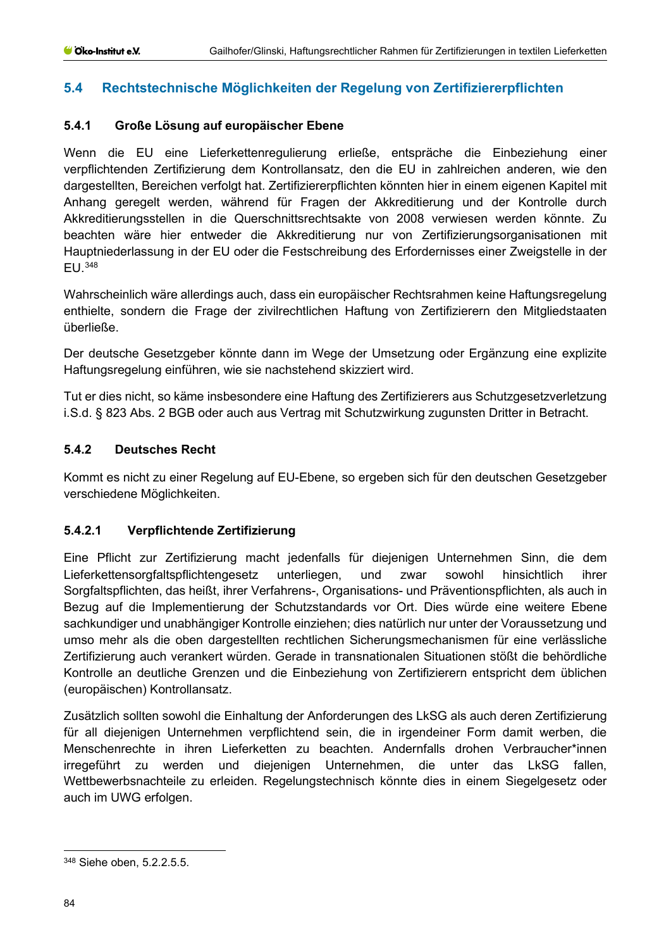# **5.4 Rechtstechnische Möglichkeiten der Regelung von Zertifiziererpflichten**

#### **5.4.1 Große Lösung auf europäischer Ebene**

Wenn die EU eine Lieferkettenregulierung erließe, entspräche die Einbeziehung einer verpflichtenden Zertifizierung dem Kontrollansatz, den die EU in zahlreichen anderen, wie den dargestellten, Bereichen verfolgt hat. Zertifiziererpflichten könnten hier in einem eigenen Kapitel mit Anhang geregelt werden, während für Fragen der Akkreditierung und der Kontrolle durch Akkreditierungsstellen in die Querschnittsrechtsakte von 2008 verwiesen werden könnte. Zu beachten wäre hier entweder die Akkreditierung nur von Zertifizierungsorganisationen mit Hauptniederlassung in der EU oder die Festschreibung des Erfordernisses einer Zweigstelle in der  $FI$  [348](#page-83-0)

Wahrscheinlich wäre allerdings auch, dass ein europäischer Rechtsrahmen keine Haftungsregelung enthielte, sondern die Frage der zivilrechtlichen Haftung von Zertifizierern den Mitgliedstaaten überließe.

Der deutsche Gesetzgeber könnte dann im Wege der Umsetzung oder Ergänzung eine explizite Haftungsregelung einführen, wie sie nachstehend skizziert wird.

Tut er dies nicht, so käme insbesondere eine Haftung des Zertifizierers aus Schutzgesetzverletzung i.S.d. § 823 Abs. 2 BGB oder auch aus Vertrag mit Schutzwirkung zugunsten Dritter in Betracht.

#### **5.4.2 Deutsches Recht**

Kommt es nicht zu einer Regelung auf EU-Ebene, so ergeben sich für den deutschen Gesetzgeber verschiedene Möglichkeiten.

## **5.4.2.1 Verpflichtende Zertifizierung**

Eine Pflicht zur Zertifizierung macht jedenfalls für diejenigen Unternehmen Sinn, die dem Lieferkettensorgfaltspflichtengesetz unterliegen, und zwar sowohl hinsichtlich ihrer Sorgfaltspflichten, das heißt, ihrer Verfahrens-, Organisations- und Präventionspflichten, als auch in Bezug auf die Implementierung der Schutzstandards vor Ort. Dies würde eine weitere Ebene sachkundiger und unabhängiger Kontrolle einziehen; dies natürlich nur unter der Voraussetzung und umso mehr als die oben dargestellten rechtlichen Sicherungsmechanismen für eine verlässliche Zertifizierung auch verankert würden. Gerade in transnationalen Situationen stößt die behördliche Kontrolle an deutliche Grenzen und die Einbeziehung von Zertifizierern entspricht dem üblichen (europäischen) Kontrollansatz.

Zusätzlich sollten sowohl die Einhaltung der Anforderungen des LkSG als auch deren Zertifizierung für all diejenigen Unternehmen verpflichtend sein, die in irgendeiner Form damit werben, die Menschenrechte in ihren Lieferketten zu beachten. Andernfalls drohen Verbraucher\*innen irregeführt zu werden und diejenigen Unternehmen, die unter das LkSG fallen, Wettbewerbsnachteile zu erleiden. Regelungstechnisch könnte dies in einem Siegelgesetz oder auch im UWG erfolgen.

<span id="page-83-0"></span><sup>348</sup> Siehe oben, [5.2.2.5.](#page-63-0)5.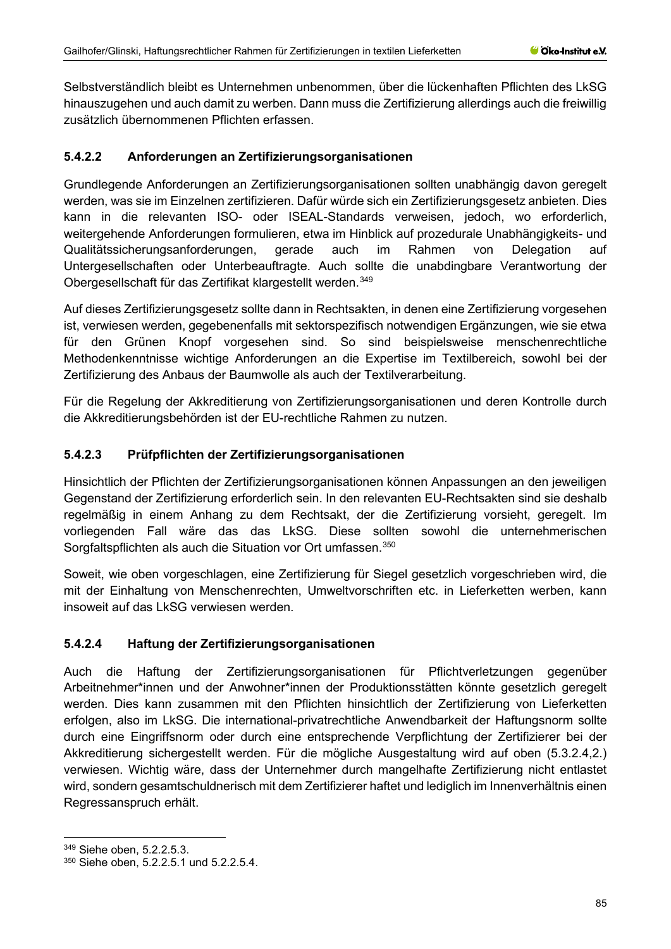Selbstverständlich bleibt es Unternehmen unbenommen, über die lückenhaften Pflichten des LkSG hinauszugehen und auch damit zu werben. Dann muss die Zertifizierung allerdings auch die freiwillig zusätzlich übernommenen Pflichten erfassen.

# **5.4.2.2 Anforderungen an Zertifizierungsorganisationen**

Grundlegende Anforderungen an Zertifizierungsorganisationen sollten unabhängig davon geregelt werden, was sie im Einzelnen zertifizieren. Dafür würde sich ein Zertifizierungsgesetz anbieten. Dies kann in die relevanten ISO- oder ISEAL-Standards verweisen, jedoch, wo erforderlich, weitergehende Anforderungen formulieren, etwa im Hinblick auf prozedurale Unabhängigkeits- und Qualitätssicherungsanforderungen, gerade auch im Rahmen von Delegation auf Untergesellschaften oder Unterbeauftragte. Auch sollte die unabdingbare Verantwortung der Obergesellschaft für das Zertifikat klargestellt werden.[349](#page-84-0)

Auf dieses Zertifizierungsgesetz sollte dann in Rechtsakten, in denen eine Zertifizierung vorgesehen ist, verwiesen werden, gegebenenfalls mit sektorspezifisch notwendigen Ergänzungen, wie sie etwa für den Grünen Knopf vorgesehen sind. So sind beispielsweise menschenrechtliche Methodenkenntnisse wichtige Anforderungen an die Expertise im Textilbereich, sowohl bei der Zertifizierung des Anbaus der Baumwolle als auch der Textilverarbeitung.

Für die Regelung der Akkreditierung von Zertifizierungsorganisationen und deren Kontrolle durch die Akkreditierungsbehörden ist der EU-rechtliche Rahmen zu nutzen.

## **5.4.2.3 Prüfpflichten der Zertifizierungsorganisationen**

Hinsichtlich der Pflichten der Zertifizierungsorganisationen können Anpassungen an den jeweiligen Gegenstand der Zertifizierung erforderlich sein. In den relevanten EU-Rechtsakten sind sie deshalb regelmäßig in einem Anhang zu dem Rechtsakt, der die Zertifizierung vorsieht, geregelt. Im vorliegenden Fall wäre das das LkSG. Diese sollten sowohl die unternehmerischen Sorgfaltspflichten als auch die Situation vor Ort umfassen. [350](#page-84-1)

Soweit, wie oben vorgeschlagen, eine Zertifizierung für Siegel gesetzlich vorgeschrieben wird, die mit der Einhaltung von Menschenrechten, Umweltvorschriften etc. in Lieferketten werben, kann insoweit auf das LkSG verwiesen werden.

## **5.4.2.4 Haftung der Zertifizierungsorganisationen**

Auch die Haftung der Zertifizierungsorganisationen für Pflichtverletzungen gegenüber Arbeitnehmer\*innen und der Anwohner\*innen der Produktionsstätten könnte gesetzlich geregelt werden. Dies kann zusammen mit den Pflichten hinsichtlich der Zertifizierung von Lieferketten erfolgen, also im LkSG. Die international-privatrechtliche Anwendbarkeit der Haftungsnorm sollte durch eine Eingriffsnorm oder durch eine entsprechende Verpflichtung der Zertifizierer bei der Akkreditierung sichergestellt werden. Für die mögliche Ausgestaltung wird auf oben (5.3.2.4,2.) verwiesen. Wichtig wäre, dass der Unternehmer durch mangelhafte Zertifizierung nicht entlastet wird, sondern gesamtschuldnerisch mit dem Zertifizierer haftet und lediglich im Innenverhältnis einen Regressanspruch erhält.

<span id="page-84-0"></span><sup>349</sup> Siehe oben, [5.2.2.5.](#page-63-0)3.

<span id="page-84-1"></span><sup>350</sup> Siehe oben, [5.2.2.5.](#page-63-0)1 und [5.2.2.5.](#page-63-0)4.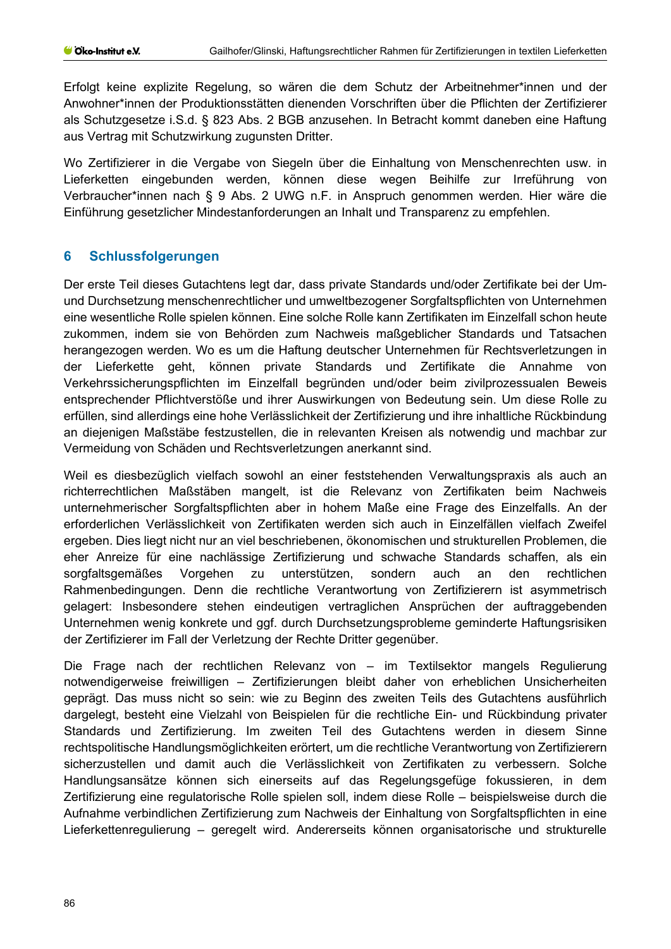Erfolgt keine explizite Regelung, so wären die dem Schutz der Arbeitnehmer\*innen und der Anwohner\*innen der Produktionsstätten dienenden Vorschriften über die Pflichten der Zertifizierer als Schutzgesetze i.S.d. § 823 Abs. 2 BGB anzusehen. In Betracht kommt daneben eine Haftung aus Vertrag mit Schutzwirkung zugunsten Dritter.

Wo Zertifizierer in die Vergabe von Siegeln über die Einhaltung von Menschenrechten usw. in Lieferketten eingebunden werden, können diese wegen Beihilfe zur Irreführung von Verbraucher\*innen nach § 9 Abs. 2 UWG n.F. in Anspruch genommen werden. Hier wäre die Einführung gesetzlicher Mindestanforderungen an Inhalt und Transparenz zu empfehlen.

## **6 Schlussfolgerungen**

Der erste Teil dieses Gutachtens legt dar, dass private Standards und/oder Zertifikate bei der Umund Durchsetzung menschenrechtlicher und umweltbezogener Sorgfaltspflichten von Unternehmen eine wesentliche Rolle spielen können. Eine solche Rolle kann Zertifikaten im Einzelfall schon heute zukommen, indem sie von Behörden zum Nachweis maßgeblicher Standards und Tatsachen herangezogen werden. Wo es um die Haftung deutscher Unternehmen für Rechtsverletzungen in der Lieferkette geht, können private Standards und Zertifikate die Annahme von Verkehrssicherungspflichten im Einzelfall begründen und/oder beim zivilprozessualen Beweis entsprechender Pflichtverstöße und ihrer Auswirkungen von Bedeutung sein. Um diese Rolle zu erfüllen, sind allerdings eine hohe Verlässlichkeit der Zertifizierung und ihre inhaltliche Rückbindung an diejenigen Maßstäbe festzustellen, die in relevanten Kreisen als notwendig und machbar zur Vermeidung von Schäden und Rechtsverletzungen anerkannt sind.

Weil es diesbezüglich vielfach sowohl an einer feststehenden Verwaltungspraxis als auch an richterrechtlichen Maßstäben mangelt, ist die Relevanz von Zertifikaten beim Nachweis unternehmerischer Sorgfaltspflichten aber in hohem Maße eine Frage des Einzelfalls. An der erforderlichen Verlässlichkeit von Zertifikaten werden sich auch in Einzelfällen vielfach Zweifel ergeben. Dies liegt nicht nur an viel beschriebenen, ökonomischen und strukturellen Problemen, die eher Anreize für eine nachlässige Zertifizierung und schwache Standards schaffen, als ein sorgfaltsgemäßes Vorgehen zu unterstützen, sondern auch an den rechtlichen Rahmenbedingungen. Denn die rechtliche Verantwortung von Zertifizierern ist asymmetrisch gelagert: Insbesondere stehen eindeutigen vertraglichen Ansprüchen der auftraggebenden Unternehmen wenig konkrete und ggf. durch Durchsetzungsprobleme geminderte Haftungsrisiken der Zertifizierer im Fall der Verletzung der Rechte Dritter gegenüber.

Die Frage nach der rechtlichen Relevanz von – im Textilsektor mangels Regulierung notwendigerweise freiwilligen – Zertifizierungen bleibt daher von erheblichen Unsicherheiten geprägt. Das muss nicht so sein: wie zu Beginn des zweiten Teils des Gutachtens ausführlich dargelegt, besteht eine Vielzahl von Beispielen für die rechtliche Ein- und Rückbindung privater Standards und Zertifizierung. Im zweiten Teil des Gutachtens werden in diesem Sinne rechtspolitische Handlungsmöglichkeiten erörtert, um die rechtliche Verantwortung von Zertifizierern sicherzustellen und damit auch die Verlässlichkeit von Zertifikaten zu verbessern. Solche Handlungsansätze können sich einerseits auf das Regelungsgefüge fokussieren, in dem Zertifizierung eine regulatorische Rolle spielen soll, indem diese Rolle – beispielsweise durch die Aufnahme verbindlichen Zertifizierung zum Nachweis der Einhaltung von Sorgfaltspflichten in eine Lieferkettenregulierung – geregelt wird. Andererseits können organisatorische und strukturelle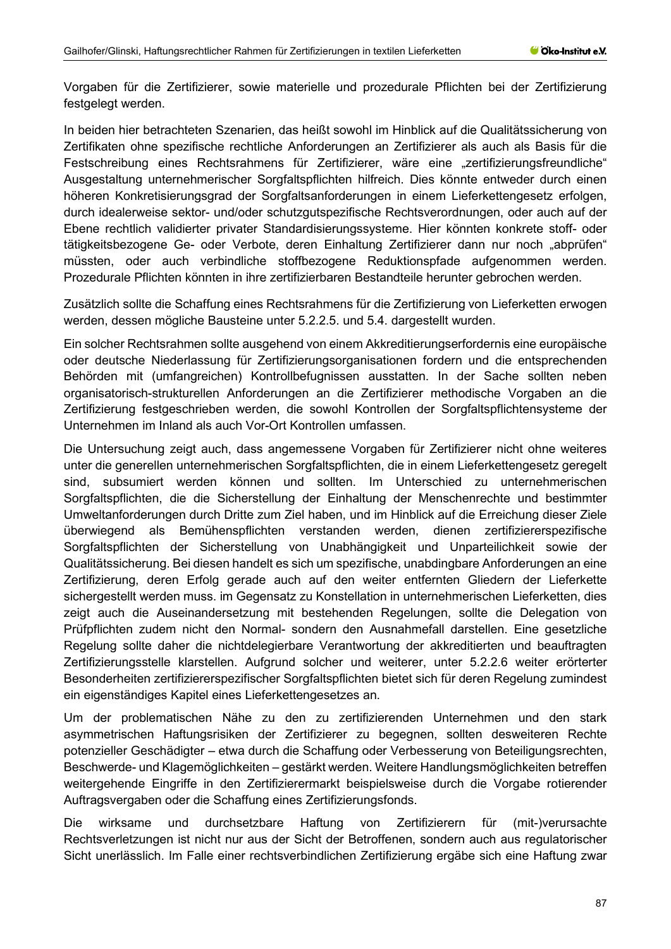Vorgaben für die Zertifizierer, sowie materielle und prozedurale Pflichten bei der Zertifizierung festgelegt werden.

In beiden hier betrachteten Szenarien, das heißt sowohl im Hinblick auf die Qualitätssicherung von Zertifikaten ohne spezifische rechtliche Anforderungen an Zertifizierer als auch als Basis für die Festschreibung eines Rechtsrahmens für Zertifizierer, wäre eine "zertifizierungsfreundliche" Ausgestaltung unternehmerischer Sorgfaltspflichten hilfreich. Dies könnte entweder durch einen höheren Konkretisierungsgrad der Sorgfaltsanforderungen in einem Lieferkettengesetz erfolgen, durch idealerweise sektor- und/oder schutzgutspezifische Rechtsverordnungen, oder auch auf der Ebene rechtlich validierter privater Standardisierungssysteme. Hier könnten konkrete stoff- oder tätigkeitsbezogene Ge- oder Verbote, deren Einhaltung Zertifizierer dann nur noch "abprüfen" müssten, oder auch verbindliche stoffbezogene Reduktionspfade aufgenommen werden. Prozedurale Pflichten könnten in ihre zertifizierbaren Bestandteile herunter gebrochen werden.

Zusätzlich sollte die Schaffung eines Rechtsrahmens für die Zertifizierung von Lieferketten erwogen werden, dessen mögliche Bausteine unter 5.2.2.5. und 5.4. dargestellt wurden.

Ein solcher Rechtsrahmen sollte ausgehend von einem Akkreditierungserfordernis eine europäische oder deutsche Niederlassung für Zertifizierungsorganisationen fordern und die entsprechenden Behörden mit (umfangreichen) Kontrollbefugnissen ausstatten. In der Sache sollten neben organisatorisch-strukturellen Anforderungen an die Zertifizierer methodische Vorgaben an die Zertifizierung festgeschrieben werden, die sowohl Kontrollen der Sorgfaltspflichtensysteme der Unternehmen im Inland als auch Vor-Ort Kontrollen umfassen.

Die Untersuchung zeigt auch, dass angemessene Vorgaben für Zertifizierer nicht ohne weiteres unter die generellen unternehmerischen Sorgfaltspflichten, die in einem Lieferkettengesetz geregelt sind, subsumiert werden können und sollten. Im Unterschied zu unternehmerischen Sorgfaltspflichten, die die Sicherstellung der Einhaltung der Menschenrechte und bestimmter Umweltanforderungen durch Dritte zum Ziel haben, und im Hinblick auf die Erreichung dieser Ziele überwiegend als Bemühenspflichten verstanden werden, dienen zertifiziererspezifische Sorgfaltspflichten der Sicherstellung von Unabhängigkeit und Unparteilichkeit sowie der Qualitätssicherung. Bei diesen handelt es sich um spezifische, unabdingbare Anforderungen an eine Zertifizierung, deren Erfolg gerade auch auf den weiter entfernten Gliedern der Lieferkette sichergestellt werden muss. im Gegensatz zu Konstellation in unternehmerischen Lieferketten, dies zeigt auch die Auseinandersetzung mit bestehenden Regelungen, sollte die Delegation von Prüfpflichten zudem nicht den Normal- sondern den Ausnahmefall darstellen. Eine gesetzliche Regelung sollte daher die nichtdelegierbare Verantwortung der akkreditierten und beauftragten Zertifizierungsstelle klarstellen. Aufgrund solcher und weiterer, unter 5.2.2.6 weiter erörterter Besonderheiten zertifiziererspezifischer Sorgfaltspflichten bietet sich für deren Regelung zumindest ein eigenständiges Kapitel eines Lieferkettengesetzes an.

Um der problematischen Nähe zu den zu zertifizierenden Unternehmen und den stark asymmetrischen Haftungsrisiken der Zertifizierer zu begegnen, sollten desweiteren Rechte potenzieller Geschädigter – etwa durch die Schaffung oder Verbesserung von Beteiligungsrechten, Beschwerde- und Klagemöglichkeiten – gestärkt werden. Weitere Handlungsmöglichkeiten betreffen weitergehende Eingriffe in den Zertifizierermarkt beispielsweise durch die Vorgabe rotierender Auftragsvergaben oder die Schaffung eines Zertifizierungsfonds.

Die wirksame und durchsetzbare Haftung von Zertifizierern für (mit-)verursachte Rechtsverletzungen ist nicht nur aus der Sicht der Betroffenen, sondern auch aus regulatorischer Sicht unerlässlich. Im Falle einer rechtsverbindlichen Zertifizierung ergäbe sich eine Haftung zwar